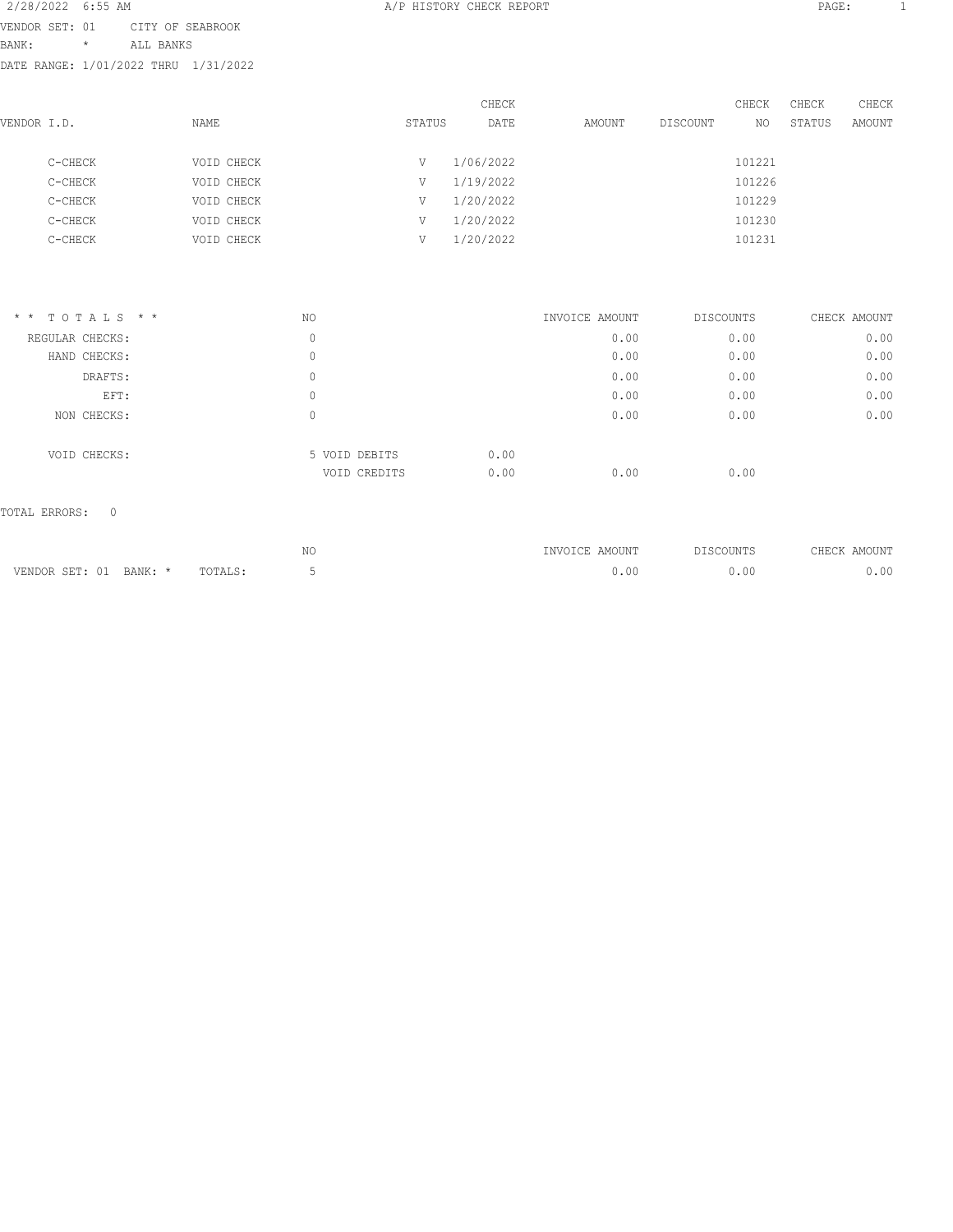| 2/28/2022 6:55 AM                    |         |                  |            |        | A/P HISTORY CHECK REPORT |        |          |        | PAGE:  |        |  |
|--------------------------------------|---------|------------------|------------|--------|--------------------------|--------|----------|--------|--------|--------|--|
| VENDOR SET: 01                       |         | CITY OF SEABROOK |            |        |                          |        |          |        |        |        |  |
| BANK:                                | $\star$ | ALL BANKS        |            |        |                          |        |          |        |        |        |  |
| DATE RANGE: 1/01/2022 THRU 1/31/2022 |         |                  |            |        |                          |        |          |        |        |        |  |
|                                      |         |                  |            |        | CHECK                    |        |          | CHECK  | CHECK  | CHECK  |  |
| VENDOR I.D.                          |         |                  | NAME       | STATUS | DATE                     | AMOUNT | DISCOUNT | NO.    | STATUS | AMOUNT |  |
| C-CHECK                              |         |                  | VOID CHECK | V      | 1/06/2022                |        |          | 101221 |        |        |  |
| C-CHECK                              |         |                  | VOID CHECK | V      | 1/19/2022                |        |          | 101226 |        |        |  |
| C-CHECK                              |         |                  | VOID CHECK | V      | 1/20/2022                |        |          | 101229 |        |        |  |
| C-CHECK                              |         |                  | VOID CHECK | V      | 1/20/2022                |        |          | 101230 |        |        |  |
| C-CHECK                              |         |                  | VOID CHECK | V      | 1/20/2022                |        |          | 101231 |        |        |  |
|                                      |         |                  |            |        |                          |        |          |        |        |        |  |
|                                      |         |                  |            |        |                          |        |          |        |        |        |  |
|                                      |         |                  |            |        |                          |        |          |        |        |        |  |

| $*$ * TOTALS * * | NO |                               | INVOICE AMOUNT       | DISCOUNTS | CHECK AMOUNT |
|------------------|----|-------------------------------|----------------------|-----------|--------------|
| REGULAR CHECKS:  | 0  |                               | 0.00                 | 0.00      | 0.00         |
| HAND CHECKS:     | 0  |                               | 0.00                 | 0.00      | 0.00         |
| DRAFTS:          | 0  |                               | 0.00                 | 0.00      | 0.00         |
| EFT:             | 0  |                               | 0.00                 | 0.00      | 0.00         |
| NON CHECKS:      | 0  |                               | 0.00                 | 0.00      | 0.00         |
| VOID CHECKS:     |    | 5 VOID DEBITS<br>VOID CREDITS | 0.00<br>0.00<br>0.00 | 0.00      |              |
|                  |    |                               |                      |           |              |

|                           |         | NC<br>$\sim$ | INVOICE AMOUNT | TSCOUNTS <sup>דר</sup> | AMOUNT<br>CHECK. |
|---------------------------|---------|--------------|----------------|------------------------|------------------|
| VENDOR SET: 01<br>BANK: * | TOTALS: |              | J.U            | .00                    | .00              |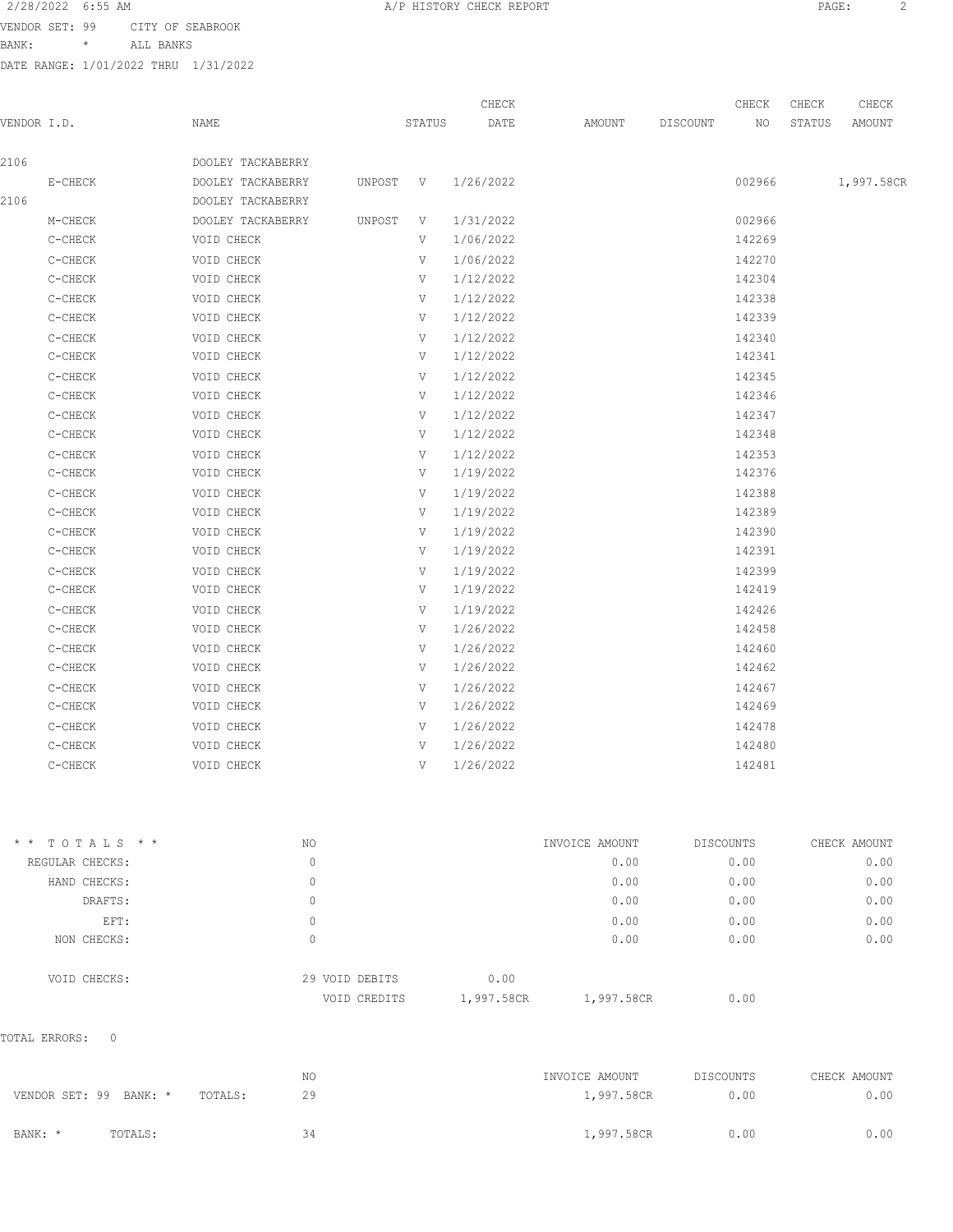VENDOR SET: 99 CITY OF SEABROOK

| VENDOR SET: 99 |         | CITY OF SEABROOK                     |        |       |        |          |       |        |        |  |
|----------------|---------|--------------------------------------|--------|-------|--------|----------|-------|--------|--------|--|
| BANK:          | $\star$ | ALL BANKS                            |        |       |        |          |       |        |        |  |
|                |         | DATE RANGE: 1/01/2022 THRU 1/31/2022 |        |       |        |          |       |        |        |  |
|                |         |                                      |        |       |        |          |       |        |        |  |
|                |         |                                      |        | CHECK |        |          | CHECK | CHECK  | CHECK  |  |
| VENDOR I.D.    |         | NAME                                 | STATUS | DATE  | AMOUNT | DISCOUNT | NO.   | STATUS | AMOUNT |  |
|                |         |                                      |        |       |        |          |       |        |        |  |
|                |         |                                      |        |       |        |          |       |        |        |  |

| 2106 |           | DOOLEY TACKABERRY |          |   |           |        |            |
|------|-----------|-------------------|----------|---|-----------|--------|------------|
|      | E-CHECK   | DOOLEY TACKABERRY | UNPOST V |   | 1/26/2022 | 002966 | 1,997.58CR |
| 2106 |           | DOOLEY TACKABERRY |          |   |           |        |            |
|      | M-CHECK   | DOOLEY TACKABERRY | UNPOST   | V | 1/31/2022 | 002966 |            |
|      | C-CHECK   | VOID CHECK        |          | V | 1/06/2022 | 142269 |            |
|      | C-CHECK   | VOID CHECK        |          | V | 1/06/2022 | 142270 |            |
|      | C-CHECK   | VOID CHECK        |          | V | 1/12/2022 | 142304 |            |
|      | C-CHECK   | VOID CHECK        |          | V | 1/12/2022 | 142338 |            |
|      | C-CHECK   | VOID CHECK        |          | V | 1/12/2022 | 142339 |            |
|      | C-CHECK   | VOID CHECK        |          | V | 1/12/2022 | 142340 |            |
|      | C-CHECK   | VOID CHECK        |          | V | 1/12/2022 | 142341 |            |
|      | C-CHECK   | VOID CHECK        |          | V | 1/12/2022 | 142345 |            |
|      | C-CHECK   | VOID CHECK        |          | V | 1/12/2022 | 142346 |            |
|      | C-CHECK   | VOID CHECK        |          | V | 1/12/2022 | 142347 |            |
|      | C-CHECK   | VOID CHECK        |          | V | 1/12/2022 | 142348 |            |
|      | C-CHECK   | VOID CHECK        |          | V | 1/12/2022 | 142353 |            |
|      | C-CHECK   | VOID CHECK        |          | V | 1/19/2022 | 142376 |            |
|      | C-CHECK   | VOID CHECK        |          | V | 1/19/2022 | 142388 |            |
|      | C-CHECK   | VOID CHECK        |          | V | 1/19/2022 | 142389 |            |
|      | C-CHECK   | VOID CHECK        |          | V | 1/19/2022 | 142390 |            |
|      | C-CHECK   | VOID CHECK        |          | V | 1/19/2022 | 142391 |            |
|      | C-CHECK   | VOID CHECK        |          | V | 1/19/2022 | 142399 |            |
|      | C-CHECK   | VOID CHECK        |          | V | 1/19/2022 | 142419 |            |
|      | C-CHECK   | VOID CHECK        |          | V | 1/19/2022 | 142426 |            |
|      | C-CHECK   | VOID CHECK        |          | V | 1/26/2022 | 142458 |            |
|      | C-CHECK   | VOID CHECK        |          | V | 1/26/2022 | 142460 |            |
|      | C-CHECK   | VOID CHECK        |          | V | 1/26/2022 | 142462 |            |
|      | C-CHECK   | VOID CHECK        |          | V | 1/26/2022 | 142467 |            |
|      | C-CHECK   | VOID CHECK        |          | V | 1/26/2022 | 142469 |            |
|      | $C-CHECK$ | VOID CHECK        |          | V | 1/26/2022 | 142478 |            |
|      | C-CHECK   | VOID CHECK        |          | V | 1/26/2022 | 142480 |            |
|      | C-CHECK   | VOID CHECK        |          | V | 1/26/2022 | 142481 |            |
|      |           |                   |          |   |           |        |            |

| $*$ * TOTALS * * | NO                             | INVOICE AMOUNT                   | DISCOUNTS | CHECK AMOUNT |
|------------------|--------------------------------|----------------------------------|-----------|--------------|
| REGULAR CHECKS:  | 0                              | 0.00                             | 0.00      | 0.00         |
| HAND CHECKS:     | 0                              | 0.00                             | 0.00      | 0.00         |
| DRAFTS:          | 0                              | 0.00                             | 0.00      | 0.00         |
| EFT:             | 0                              | 0.00                             | 0.00      | 0.00         |
| NON CHECKS:      | 0                              | 0.00                             | 0.00      | 0.00         |
| VOID CHECKS:     | 29 VOID DEBITS<br>VOID CREDITS | 0.00<br>1,997.58CR<br>1,997.58CR | 0.00      |              |

|                        |         |         | NO | INVOICE AMOUNT | DISCOUNTS | CHECK AMOUNT |
|------------------------|---------|---------|----|----------------|-----------|--------------|
| VENDOR SET: 99 BANK: * |         | TOTALS: | 29 | 1,997.58CR     | 0.00      | 0.00         |
| BANK: *                | TOTALS: |         | 34 | 1,997.58CR     | 0.00      | 0.00         |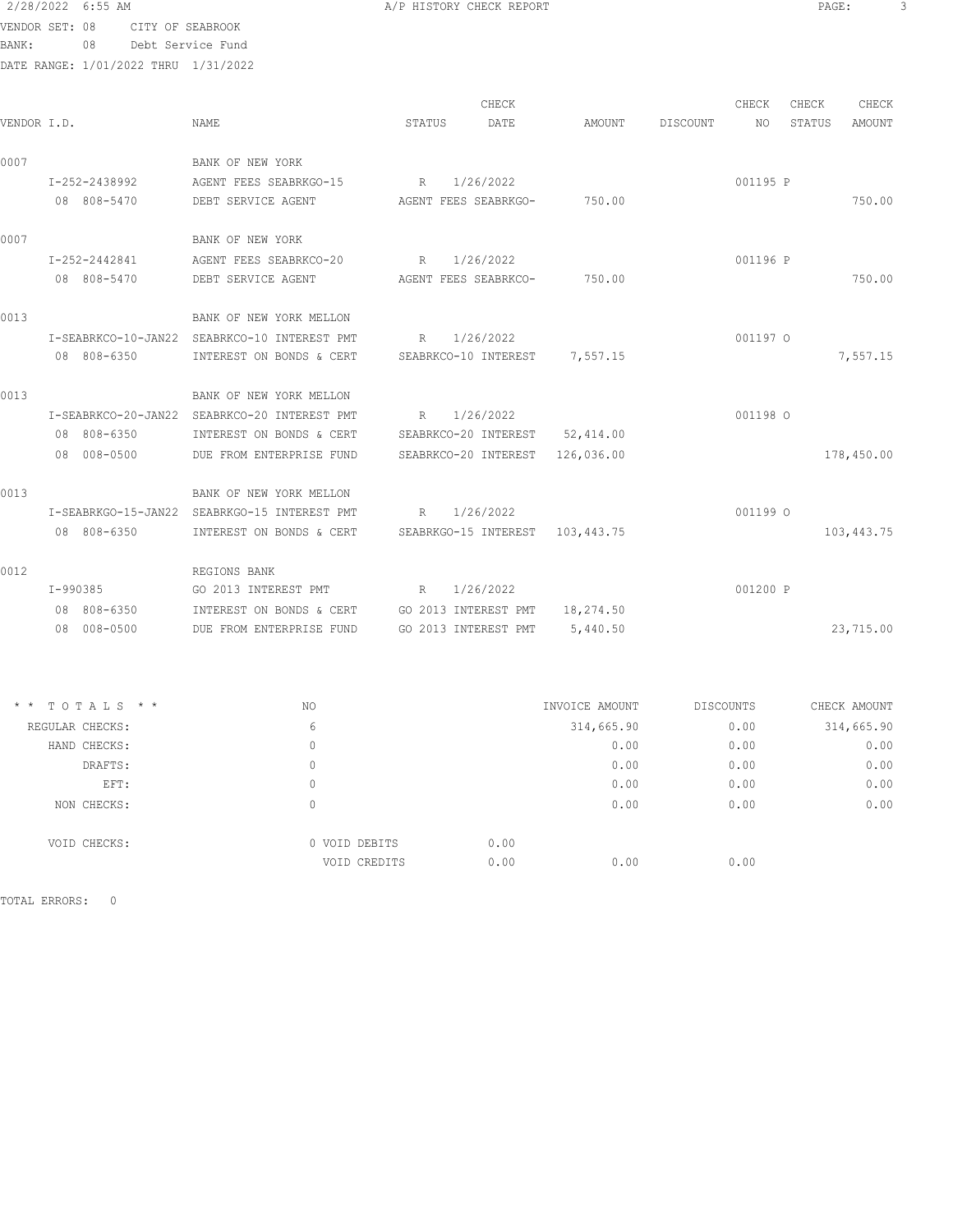2/28/2022 6:55 AM **A/P HISTORY CHECK REPORT PAGE:** 3 VENDOR SET: 08 CITY OF SEABROOK

BANK: 08 Debt Service Fund DATE RANGE: 1/01/2022 THRU 1/31/2022

|             |                     |                          | CHECK                           |            |          | CHECK    | CHECK  | CHECK      |
|-------------|---------------------|--------------------------|---------------------------------|------------|----------|----------|--------|------------|
| VENDOR I.D. |                     | <b>NAME</b>              | STATUS<br>DATE                  | AMOUNT     | DISCOUNT | NO       | STATUS | AMOUNT     |
| 0007        |                     | BANK OF NEW YORK         |                                 |            |          |          |        |            |
|             | I-252-2438992       | AGENT FEES SEABRKGO-15   | 1/26/2022<br>R                  |            |          | 001195 P |        |            |
|             | 08 808-5470         | DEBT SERVICE AGENT       | AGENT FEES SEABRKGO-            | 750.00     |          |          |        | 750.00     |
| 0007        |                     | BANK OF NEW YORK         |                                 |            |          |          |        |            |
|             | I-252-2442841       | AGENT FEES SEABRKCO-20   | 1/26/2022<br>R                  |            |          | 001196 P |        |            |
|             | 08 808-5470         | DEBT SERVICE AGENT       | AGENT FEES SEABRKCO-            | 750.00     |          |          |        | 750.00     |
| 0013        |                     | BANK OF NEW YORK MELLON  |                                 |            |          |          |        |            |
|             | I-SEABRKCO-10-JAN22 | SEABRKCO-10 INTEREST PMT | 1/26/2022<br>R                  |            |          | 001197 O |        |            |
|             | 08 808-6350         | INTEREST ON BONDS & CERT | SEABRKCO-10 INTEREST 7,557.15   |            |          |          |        | 7,557.15   |
| 0013        |                     | BANK OF NEW YORK MELLON  |                                 |            |          |          |        |            |
|             | I-SEABRKCO-20-JAN22 | SEABRKCO-20 INTEREST PMT | 1/26/2022<br>R                  |            |          | 001198 O |        |            |
|             | 08 808-6350         | INTEREST ON BONDS & CERT | SEABRKCO-20 INTEREST 52,414.00  |            |          |          |        |            |
|             | 08 008-0500         | DUE FROM ENTERPRISE FUND | SEABRKCO-20 INTEREST            | 126,036.00 |          |          |        | 178,450.00 |
| 0013        |                     | BANK OF NEW YORK MELLON  |                                 |            |          |          |        |            |
|             | I-SEABRKGO-15-JAN22 | SEABRKGO-15 INTEREST PMT | 1/26/2022<br>R                  |            |          | 001199 O |        |            |
|             | 08 808-6350         | INTEREST ON BONDS & CERT | SEABRKGO-15 INTEREST 103,443.75 |            |          |          |        | 103,443.75 |
| 0012        |                     | REGIONS BANK             |                                 |            |          |          |        |            |
|             | $I-990385$          | GO 2013 INTEREST PMT     | 1/26/2022<br>R                  |            |          | 001200 P |        |            |
|             | 08 808-6350         | INTEREST ON BONDS & CERT | GO 2013 INTEREST PMT            | 18,274.50  |          |          |        |            |
|             | 08 008-0500         | DUE FROM ENTERPRISE FUND | GO 2013 INTEREST PMT            | 5,440.50   |          |          |        | 23,715.00  |
|             |                     |                          |                                 |            |          |          |        |            |

| NO                            | INVOICE AMOUNT       | DISCOUNTS | CHECK AMOUNT |
|-------------------------------|----------------------|-----------|--------------|
| 6                             | 314,665.90           | 0.00      | 314,665.90   |
| 0                             | 0.00                 | 0.00      | 0.00         |
| 0                             | 0.00                 | 0.00      | 0.00         |
| 0                             | 0.00                 | 0.00      | 0.00         |
| 0                             | 0.00                 | 0.00      | 0.00         |
| 0 VOID DEBITS<br>VOID CREDITS | 0.00<br>0.00<br>0.00 | 0.00      |              |
|                               |                      |           |              |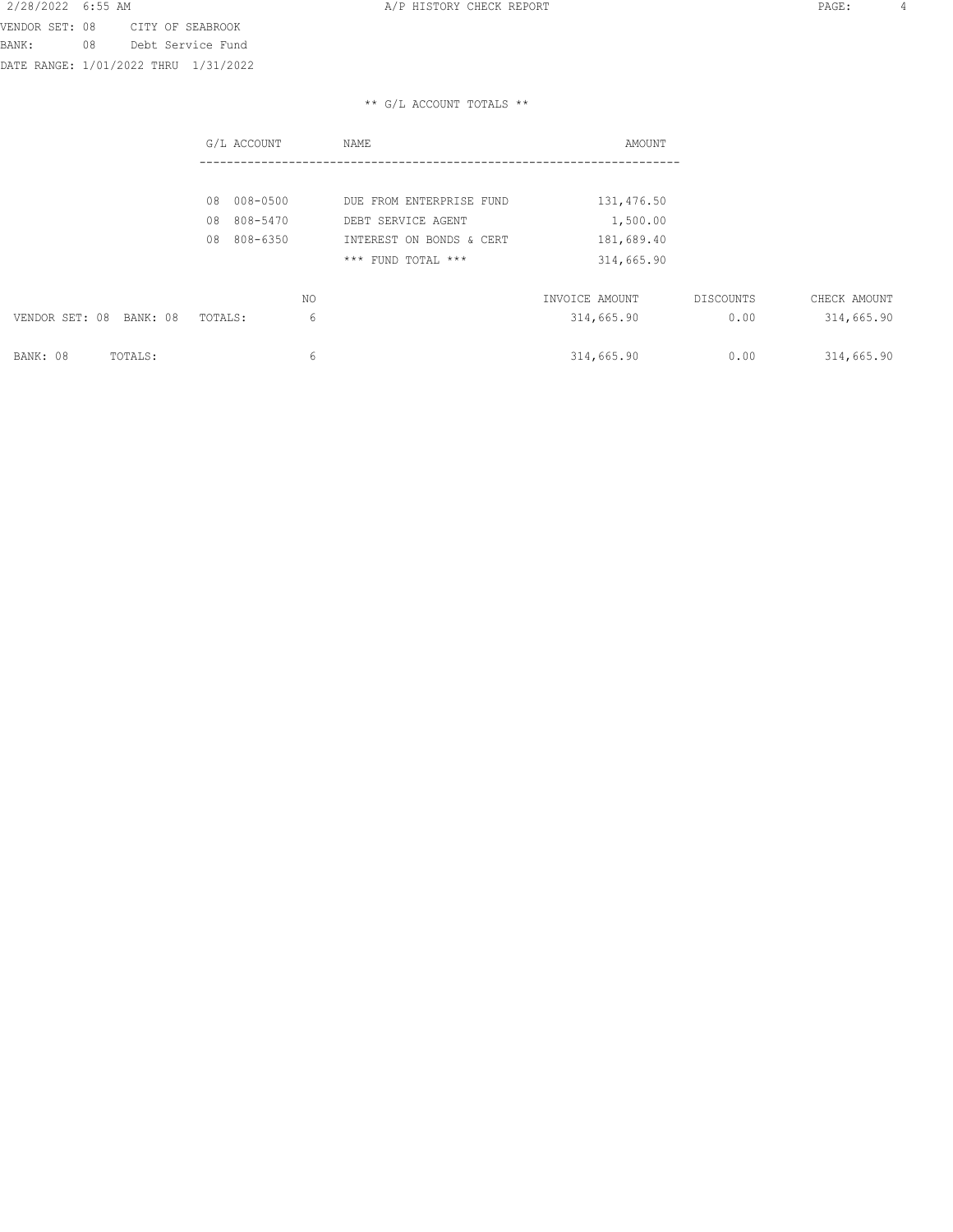#### \*\* G/L ACCOUNT TOTALS \*\*

|                            | G/L ACCOUNT    | NAME                     | AMOUNT         |           |              |
|----------------------------|----------------|--------------------------|----------------|-----------|--------------|
|                            |                |                          |                |           |              |
|                            | 008-0500<br>08 | DUE FROM ENTERPRISE FUND | 131,476.50     |           |              |
|                            | 808-5470<br>08 | DEBT SERVICE AGENT       | 1,500.00       |           |              |
|                            | 808-6350<br>08 | INTEREST ON BONDS & CERT | 181,689.40     |           |              |
|                            |                | *** FUND TOTAL ***       | 314,665.90     |           |              |
|                            | NO.            |                          | INVOICE AMOUNT | DISCOUNTS | CHECK AMOUNT |
| VENDOR SET: 08<br>BANK: 08 | TOTALS:        | 6                        | 314,665.90     | 0.00      | 314,665.90   |
|                            |                |                          |                |           |              |
| BANK: 08<br>TOTALS:        |                | 6                        | 314,665.90     | 0.00      | 314,665.90   |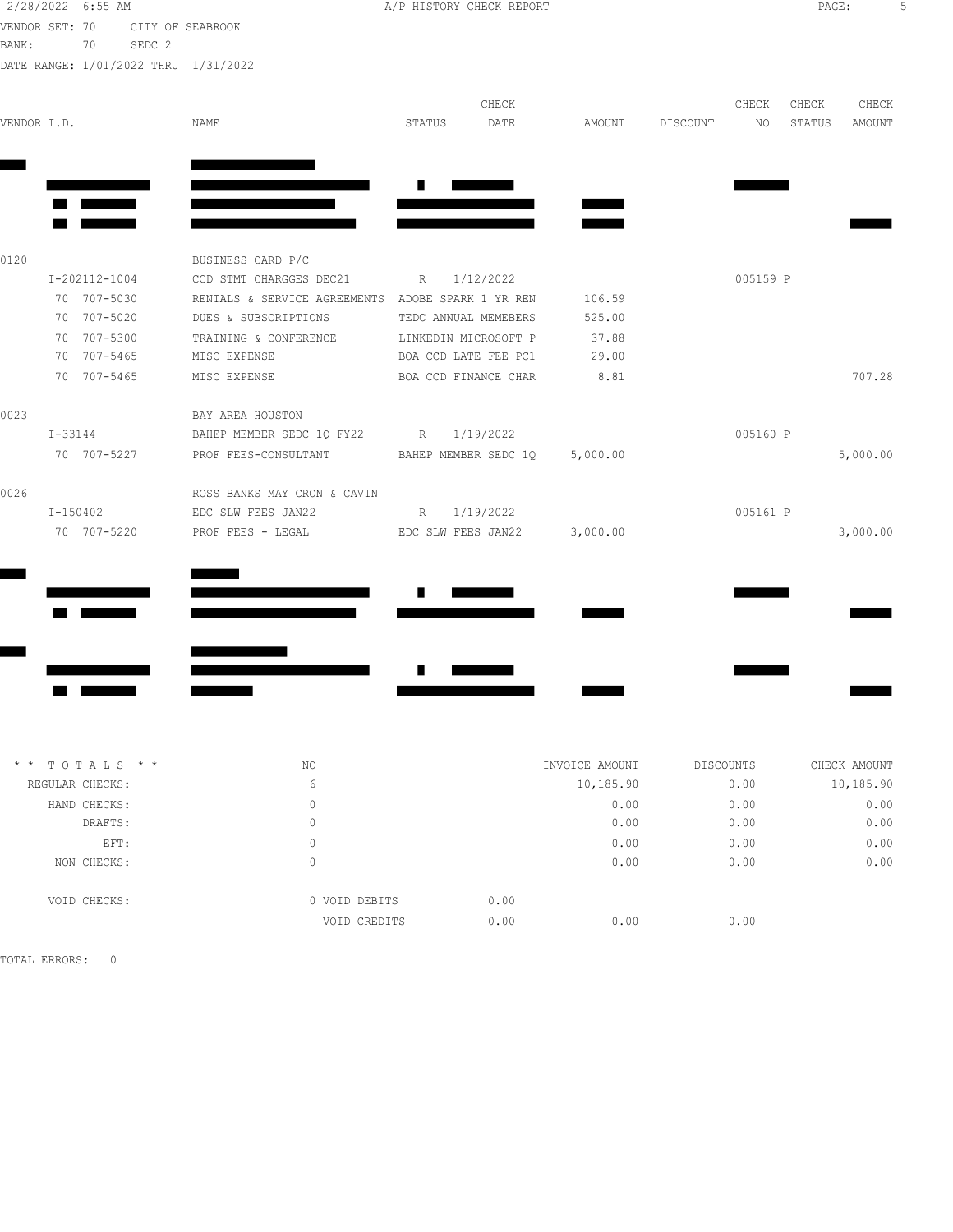| 2/28/2022 6:55 AM |                            |        |                                                   |        |                                              | A/P HISTORY CHECK REPORT |               |          |          | PAGE:  |          |  |
|-------------------|----------------------------|--------|---------------------------------------------------|--------|----------------------------------------------|--------------------------|---------------|----------|----------|--------|----------|--|
| VENDOR SET: 70    |                            |        | CITY OF SEABROOK                                  |        |                                              |                          |               |          |          |        |          |  |
| BANK:             | 70                         | SEDC 2 |                                                   |        |                                              |                          |               |          |          |        |          |  |
|                   |                            |        | DATE RANGE: 1/01/2022 THRU 1/31/2022              |        |                                              |                          |               |          |          |        |          |  |
|                   |                            |        |                                                   |        |                                              | CHECK                    |               |          | CHECK    | CHECK  | CHECK    |  |
| VENDOR I.D.       |                            |        | NAME                                              | STATUS |                                              | DATE                     | AMOUNT        | DISCOUNT | NO       | STATUS | AMOUNT   |  |
|                   |                            |        |                                                   |        |                                              |                          |               |          |          |        |          |  |
|                   |                            |        |                                                   |        |                                              |                          |               |          |          |        |          |  |
|                   |                            |        |                                                   |        |                                              |                          |               |          |          |        |          |  |
| 0120              |                            |        | BUSINESS CARD P/C                                 |        |                                              |                          |               |          |          |        |          |  |
|                   | I-202112-1004              |        | CCD STMT CHARGGES DEC21                           |        | R 1/12/2022                                  |                          |               |          | 005159 P |        |          |  |
|                   | 70 707-5030                |        | RENTALS & SERVICE AGREEMENTS ADOBE SPARK 1 YR REN |        |                                              |                          | 106.59        |          |          |        |          |  |
|                   | 70 707-5020                |        | DUES & SUBSCRIPTIONS                              |        | TEDC ANNUAL MEMEBERS                         |                          | 525.00        |          |          |        |          |  |
|                   | 70 707-5300                |        | TRAINING & CONFERENCE                             |        | LINKEDIN MICROSOFT P                         |                          | 37.88         |          |          |        |          |  |
|                   | 70 707-5465<br>70 707-5465 |        | MISC EXPENSE<br>MISC EXPENSE                      |        | BOA CCD LATE FEE PC1<br>BOA CCD FINANCE CHAR |                          | 29.00<br>8.81 |          |          |        | 707.28   |  |
|                   |                            |        |                                                   |        |                                              |                          |               |          |          |        |          |  |
| 0023              |                            |        | BAY AREA HOUSTON                                  |        |                                              |                          |               |          |          |        |          |  |
|                   | $I - 33144$                |        | BAHEP MEMBER SEDC 1Q FY22 R 1/19/2022             |        |                                              |                          |               |          | 005160 P |        |          |  |
|                   | 70 707-5227                |        | PROF FEES-CONSULTANT BAHEP MEMBER SEDC 1Q         |        |                                              |                          | 5,000.00      |          |          |        | 5,000.00 |  |
| 0026              |                            |        | ROSS BANKS MAY CRON & CAVIN                       |        |                                              |                          |               |          |          |        |          |  |
|                   | I-150402                   |        | EDC SLW FEES JAN22                                |        | R 1/19/2022                                  |                          |               |          | 005161 P |        |          |  |
|                   | 70 707-5220                |        | PROF FEES - LEGAL TEDC SLW FEES JAN22 3,000.00    |        |                                              |                          |               |          |          |        | 3,000.00 |  |
|                   |                            |        |                                                   |        |                                              |                          |               |          |          |        |          |  |
|                   |                            |        |                                                   |        |                                              |                          |               |          |          |        |          |  |
|                   |                            |        |                                                   |        |                                              |                          |               |          |          |        |          |  |
|                   |                            |        |                                                   |        |                                              |                          |               |          |          |        |          |  |
|                   |                            |        |                                                   |        |                                              |                          |               |          |          |        |          |  |

| $*$ * TOTALS * * | NO            | INVOICE AMOUNT | DISCOUNTS | CHECK AMOUNT |
|------------------|---------------|----------------|-----------|--------------|
| REGULAR CHECKS:  | 6             | 10,185.90      | 0.00      | 10,185.90    |
| HAND CHECKS:     | 0             | 0.00           | 0.00      | 0.00         |
| DRAFTS:          | 0             | 0.00           | 0.00      | 0.00         |
| EFT:             | 0             | 0.00           | 0.00      | 0.00         |
| NON CHECKS:      | 0             | 0.00           | 0.00      | 0.00         |
| VOID CHECKS:     | 0 VOID DEBITS | 0.00           |           |              |
|                  | VOID CREDITS  | 0.00<br>0.00   | 0.00      |              |
|                  |               |                |           |              |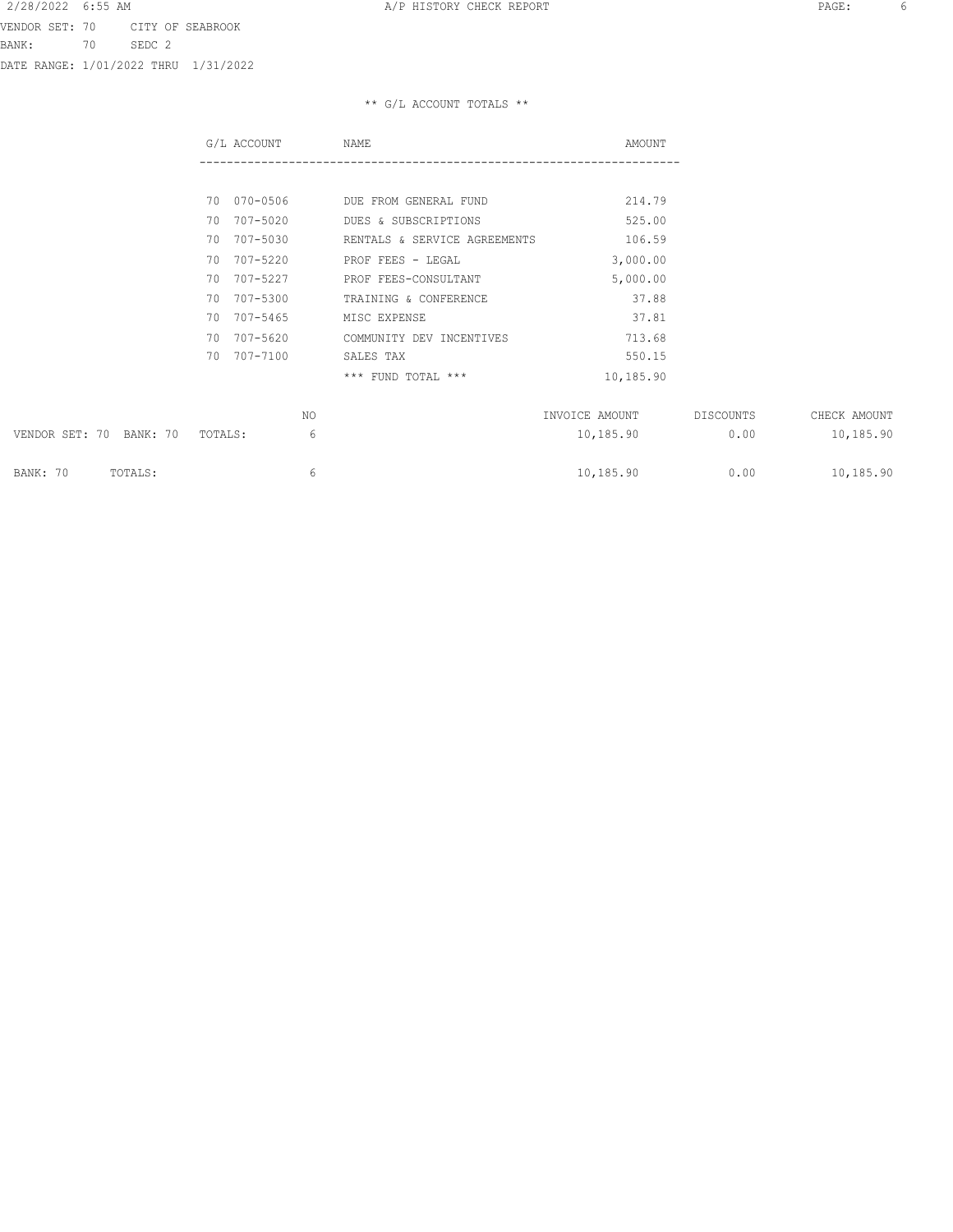\*\* G/L ACCOUNT TOTALS \*\*

|                                    | G/L ACCOUNT | NAME                         | AMOUNT         |           |              |
|------------------------------------|-------------|------------------------------|----------------|-----------|--------------|
|                                    |             |                              |                |           |              |
|                                    | 70 070-0506 | DUE FROM GENERAL FUND        | 214.79         |           |              |
|                                    | 70 707-5020 | DUES & SUBSCRIPTIONS         | 525.00         |           |              |
|                                    | 70 707-5030 | RENTALS & SERVICE AGREEMENTS | 106.59         |           |              |
|                                    | 70 707-5220 | PROF FEES - LEGAL            | 3,000.00       |           |              |
|                                    | 70 707-5227 | PROF FEES-CONSULTANT         | 5,000.00       |           |              |
|                                    | 70 707-5300 | TRAINING & CONFERENCE        | 37.88          |           |              |
|                                    | 70 707-5465 | MISC EXPENSE                 | 37.81          |           |              |
|                                    | 70 707-5620 | COMMUNITY DEV INCENTIVES     | 713.68         |           |              |
|                                    | 70 707-7100 | SALES TAX                    | 550.15         |           |              |
|                                    |             | *** FUND TOTAL ***           | 10,185.90      |           |              |
|                                    | NO.         |                              | INVOICE AMOUNT | DISCOUNTS | CHECK AMOUNT |
| VENDOR SET: 70 BANK: 70<br>TOTALS: | 6           |                              | 10,185.90      | 0.00      | 10,185.90    |
| BANK: 70<br>TOTALS:                | 6           |                              | 10,185.90      | 0.00      | 10,185.90    |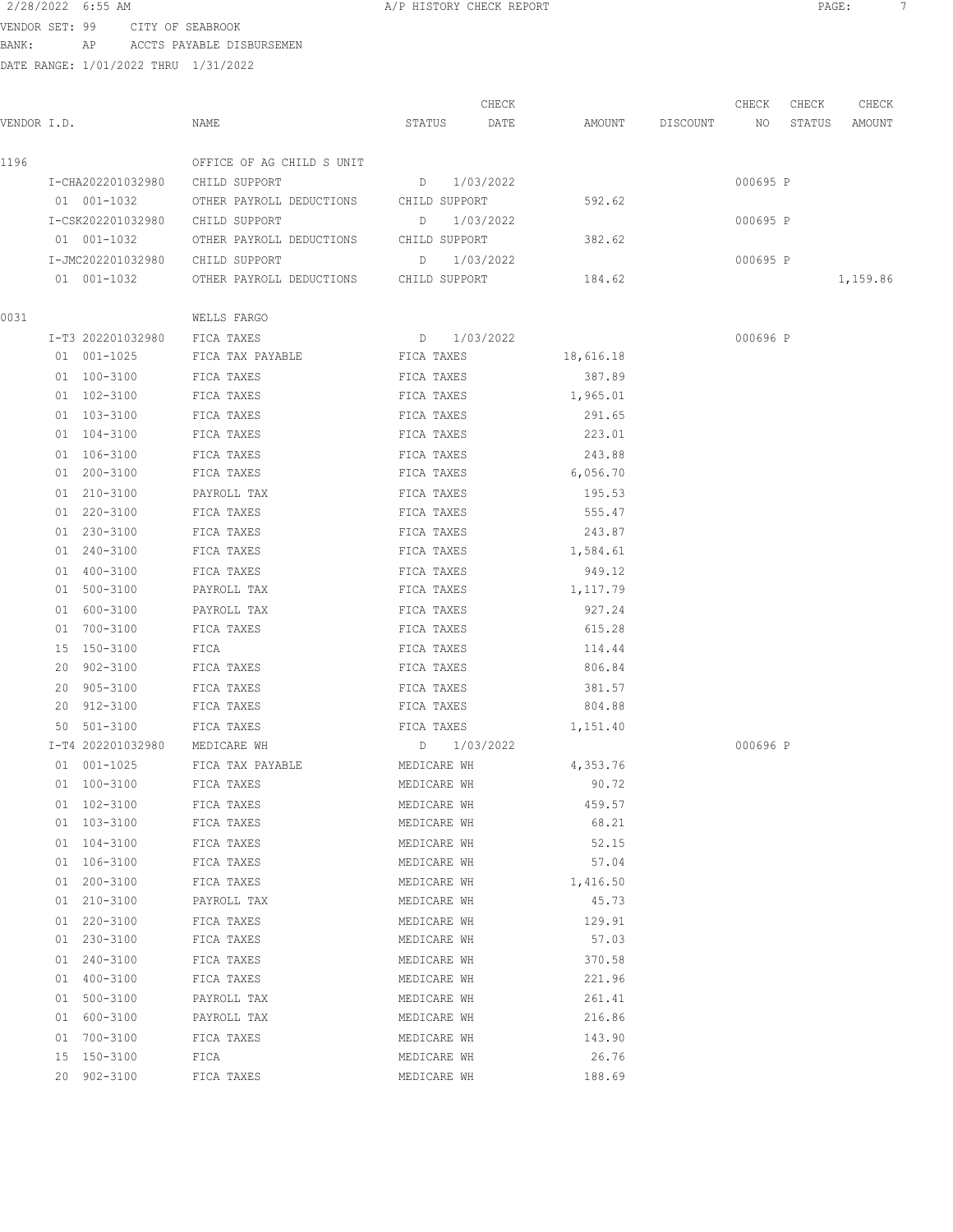|                                      | 2/28/2022 6:55 AM |                                   |                                                         | A/P HISTORY CHECK REPORT |       |           |                    |          | PAGE:<br>-7 |          |  |
|--------------------------------------|-------------------|-----------------------------------|---------------------------------------------------------|--------------------------|-------|-----------|--------------------|----------|-------------|----------|--|
| VENDOR SET: 99                       |                   | CITY OF SEABROOK                  |                                                         |                          |       |           |                    |          |             |          |  |
| BANK:                                |                   |                                   | AP ACCTS PAYABLE DISBURSEMEN                            |                          |       |           |                    |          |             |          |  |
| DATE RANGE: 1/01/2022 THRU 1/31/2022 |                   |                                   |                                                         |                          |       |           |                    |          |             |          |  |
|                                      |                   |                                   |                                                         |                          |       |           |                    |          |             |          |  |
|                                      |                   |                                   |                                                         |                          | CHECK |           |                    | CHECK    | CHECK       | CHECK    |  |
| VENDOR I.D.                          |                   |                                   | NAME                                                    | STATUS                   | DATE  |           | AMOUNT DISCOUNT NO |          | STATUS      | AMOUNT   |  |
|                                      |                   |                                   |                                                         |                          |       |           |                    |          |             |          |  |
| 1196                                 |                   |                                   | OFFICE OF AG CHILD S UNIT                               |                          |       |           |                    |          |             |          |  |
|                                      |                   |                                   | I-CHA202201032980 CHILD SUPPORT                         | D 1/03/2022              |       | 592.62    |                    | 000695 P |             |          |  |
|                                      | 01 001-1032       |                                   | OTHER PAYROLL DEDUCTIONS CHILD SUPPORT                  |                          |       |           |                    |          |             |          |  |
|                                      |                   |                                   | I-CSK202201032980 CHILD SUPPORT                         | D 1/03/2022              |       | 382.62    |                    | 000695 P |             |          |  |
|                                      | 01 001-1032       |                                   | OTHER PAYROLL DEDUCTIONS CHILD SUPPORT                  |                          |       |           |                    |          |             |          |  |
|                                      |                   | I-JMC202201032980<br>01  001-1032 | CHILD SUPPORT<br>OTHER PAYROLL DEDUCTIONS CHILD SUPPORT | D 1/03/2022              |       | 184.62    |                    | 000695 P |             | 1,159.86 |  |
|                                      |                   |                                   |                                                         |                          |       |           |                    |          |             |          |  |
| 0031                                 |                   |                                   | WELLS FARGO                                             |                          |       |           |                    |          |             |          |  |
|                                      |                   | I-T3 202201032980                 | FICA TAXES                                              | D 1/03/2022              |       |           |                    | 000696 P |             |          |  |
|                                      | 01 001-1025       |                                   | FICA TAX PAYABLE                                        | FICA TAXES               |       | 18,616.18 |                    |          |             |          |  |
|                                      | 01 100-3100       |                                   | FICA TAXES                                              | FICA TAXES               |       | 387.89    |                    |          |             |          |  |
|                                      | 01 102-3100       |                                   | FICA TAXES                                              | FICA TAXES               |       | 1,965.01  |                    |          |             |          |  |
|                                      | 01 103-3100       |                                   | FICA TAXES                                              | FICA TAXES               |       | 291.65    |                    |          |             |          |  |
|                                      | 01 104-3100       |                                   | FICA TAXES                                              | FICA TAXES               |       | 223.01    |                    |          |             |          |  |
|                                      | 01 106-3100       |                                   | FICA TAXES                                              | FICA TAXES               |       | 243.88    |                    |          |             |          |  |
|                                      | 01 200-3100       |                                   | FICA TAXES                                              | FICA TAXES               |       | 6,056.70  |                    |          |             |          |  |
|                                      | 01 210-3100       |                                   | PAYROLL TAX                                             | FICA TAXES               |       | 195.53    |                    |          |             |          |  |
|                                      | 01 220-3100       |                                   | FICA TAXES                                              | FICA TAXES               |       | 555.47    |                    |          |             |          |  |
|                                      | 01 230-3100       |                                   | FICA TAXES                                              | FICA TAXES               |       | 243.87    |                    |          |             |          |  |
|                                      | 01 240-3100       |                                   | FICA TAXES                                              | FICA TAXES               |       | 1,584.61  |                    |          |             |          |  |
|                                      | 01 400-3100       |                                   | FICA TAXES                                              | FICA TAXES               |       | 949.12    |                    |          |             |          |  |
|                                      | 01 500-3100       |                                   | PAYROLL TAX                                             | FICA TAXES               |       | 1,117.79  |                    |          |             |          |  |
|                                      | 01 600-3100       |                                   | PAYROLL TAX                                             | FICA TAXES               |       | 927.24    |                    |          |             |          |  |
|                                      | 01 700-3100       |                                   | FICA TAXES                                              | FICA TAXES               |       | 615.28    |                    |          |             |          |  |
|                                      | 15 150-3100       |                                   | FICA                                                    | FICA TAXES               |       | 114.44    |                    |          |             |          |  |
|                                      | 20 902-3100       |                                   | FICA TAXES                                              | FICA TAXES               |       | 806.84    |                    |          |             |          |  |
|                                      | 20 905-3100       |                                   | FICA TAXES                                              | FICA TAXES               |       | 381.57    |                    |          |             |          |  |
|                                      | 20 912-3100       |                                   | FICA TAXES                                              | FICA TAXES               |       | 804.88    |                    |          |             |          |  |
|                                      | 50 501-3100       |                                   | FICA TAXES                                              | FICA TAXES               |       | 1,151.40  |                    |          |             |          |  |
|                                      |                   | I-T4 202201032980                 | MEDICARE WH                                             | $D = 1/03/2022$          |       |           |                    | 000696 P |             |          |  |
|                                      | 01 001-1025       |                                   | FICA TAX PAYABLE                                        | MEDICARE WH              |       | 4,353.76  |                    |          |             |          |  |
|                                      | 01 100-3100       |                                   | FICA TAXES                                              | MEDICARE WH              |       | 90.72     |                    |          |             |          |  |
|                                      | 01 102-3100       |                                   | FICA TAXES                                              | MEDICARE WH              |       | 459.57    |                    |          |             |          |  |
|                                      | 01 103-3100       |                                   | FICA TAXES                                              | MEDICARE WH              |       | 68.21     |                    |          |             |          |  |
|                                      | 01 104-3100       |                                   | FICA TAXES                                              | MEDICARE WH              |       | 52.15     |                    |          |             |          |  |
|                                      | 01 106-3100       |                                   | FICA TAXES                                              | MEDICARE WH              |       | 57.04     |                    |          |             |          |  |
|                                      | 01 200-3100       |                                   | FICA TAXES                                              | MEDICARE WH              |       | 1,416.50  |                    |          |             |          |  |
|                                      | 01 210-3100       |                                   | PAYROLL TAX                                             | MEDICARE WH              |       | 45.73     |                    |          |             |          |  |
|                                      | 01 220-3100       |                                   | FICA TAXES                                              | MEDICARE WH              |       | 129.91    |                    |          |             |          |  |
|                                      | 01 230-3100       |                                   | FICA TAXES                                              | MEDICARE WH              |       | 57.03     |                    |          |             |          |  |
|                                      | 01 240-3100       |                                   | FICA TAXES                                              | MEDICARE WH              |       | 370.58    |                    |          |             |          |  |

01 400-3100 FICA TAXES MEDICARE WH 221.96

01 500-3100 PAYROLL TAX MEDICARE WH 261.41 01 600-3100 PAYROLL TAX MEDICARE WH 216.86 01 700-3100 FICA TAXES MEDICARE WH 143.90 15 150-3100 FICA MEDICARE WH 26.76 20 902-3100 FICA TAXES MEDICARE WH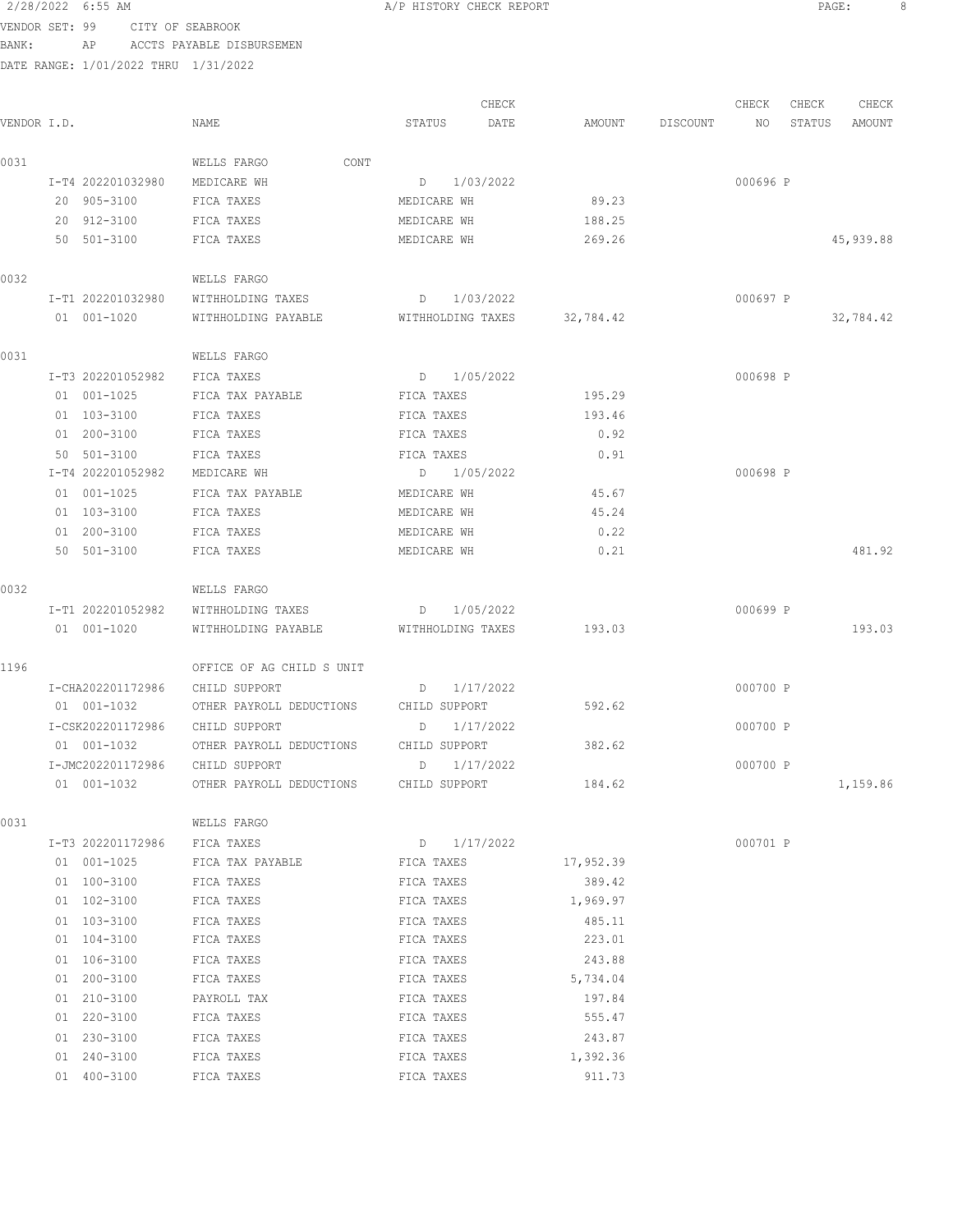#### 2/28/2022 6:55 AM A/P HISTORY CHECK REPORT PAGE: 8 VENDOR SET: 99 CITY OF SEABROOK

BANK: AP ACCTS PAYABLE DISBURSEMEN

DATE RANGE: 1/01/2022 THRU 1/31/2022

CHECK CHECK CHECK CHECK CHECK CHECK CHECK CHECK CHECK CHECK CHECK CHECK CHECK CHECK CHECK CHECK CHECK CHECK CHECK CHECK CHECK CHECK CHECK CHECK CHECK CHECK CHECK CHECK CHECK CHECK CHECK CHECK CHECK CHECK CHECK CHECK CHECK VENDOR I.D. NAME STATUS DATE AMOUNT DISCOUNT NO STATUS AMOUNT 0031 WELLS FARGO CONT I-T4 202201032980 MEDICARE WH D 1/03/2022 000696 P 20 905-3100 FICA TAXES MEDICARE WH 89.23 20 912-3100 FICA TAXES MEDICARE WH 188.25 50 501-3100 FICA TAXES MEDICARE WH 269.26 45,939.88 0032 WELLS FARGO I-T1 202201032980 WITHHOLDING TAXES D 1/03/2022 000697 P 01 001-1020 WITHHOLDING PAYABLE WITHHOLDING TAXES 32,784.42 32, 384.42 0031 WELLS FARGO I-T3 202201052982 FICA TAXES D 1/05/2022 000698 P 01 001-1025 FICA TAX PAYABLE FICA TAXES 195.29 01 103-3100 FICA TAXES FICA TAXES 193.46 01 200-3100 FICA TAXES FICA TAXES 0.92 50 501-3100 FICA TAXES FICA TAXES 0.91 I-T4 202201052982 MEDICARE WH D 1/05/2022 000698 P 01 001-1025 FICA TAX PAYABLE MEDICARE WH 45.67 01 103-3100 FICA TAXES MEDICARE WH 45.24 01 200-3100 FICA TAXES MEDICARE WH 0.22 50 501-3100 FICA TAXES MEDICARE WH 0.21 481.92 0032 WELLS FARGO I-T1 202201052982 WITHHOLDING TAXES D 1/05/2022 000699 P 01 001-1020 WITHHOLDING PAYABLE WITHHOLDING TAXES 193.03 193.03 1196 OFFICE OF AG CHILD S UNIT I-CHA202201172986 CHILD SUPPORT D 1/17/2022 000700 P 01 001-1032 OTHER PAYROLL DEDUCTIONS CHILD SUPPORT 592.62 I-CSK202201172986 CHILD SUPPORT D 1/17/2022 000700 P 01 001-1032 OTHER PAYROLL DEDUCTIONS CHILD SUPPORT 382.62 I-JMC202201172986 CHILD SUPPORT D 1/17/2022 000700 P 01 001-1032 OTHER PAYROLL DEDUCTIONS CHILD SUPPORT 184.62 184.62 1,159.86 0031 WELLS FARGO I-T3 202201172986 FICA TAXES D 1/17/2022 000701 P 01 001-1025 FICA TAX PAYABLE FICA TAXES 17,952.39 01 100-3100 FICA TAXES FICA TAXES FICA TAXES 389.42 01 102-3100 FICA TAXES FICA TAXES FICA TAXES 1,969.97 01 103-3100 FICA TAXES FICA TAXES 485.11 01 104-3100 FICA TAXES FICA TAXES 223.01 01 106-3100 FICA TAXES FICA TAXES 243.88 01 200-3100 FICA TAXES FICA TAXES 5,734.04 01 210-3100 PAYROLL TAX FICA TAXES 197.84 01 220-3100 FICA TAXES FICA TAXES 555.47 01 230-3100 FICA TAXES FICA TAXES 243.87 01 240-3100 FICA TAXES FICA TAXES FICA TAXES 1,392.36 01 400-3100 FICA TAXES FICA TAXES 911.73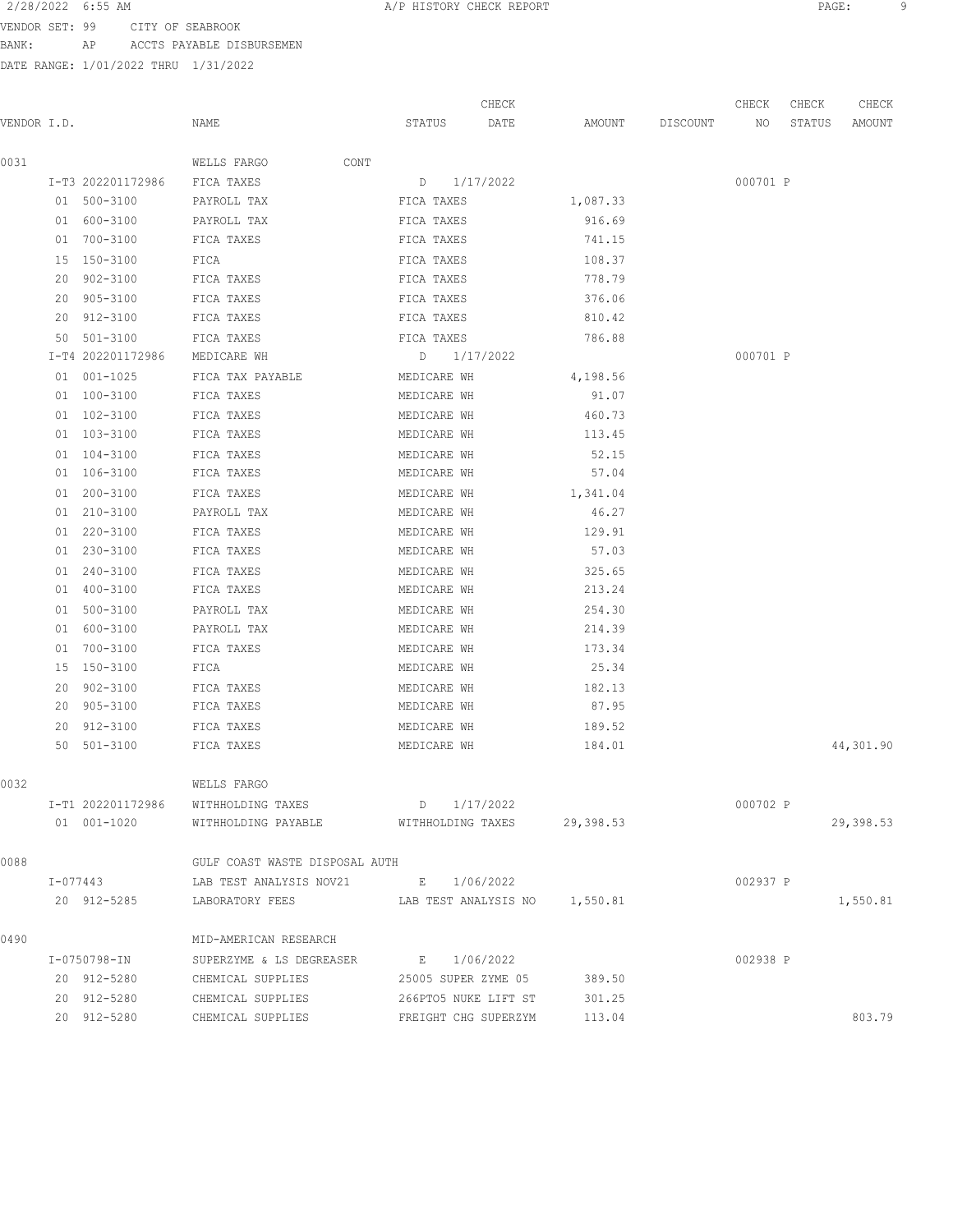VENDOR SET: 99 CITY OF SEABROOK

BANK: AP ACCTS PAYABLE DISBURSEMEN

DATE RANGE: 1/01/2022 THRU 1/31/2022

 CHECK CHECK CHECK CHECK VENDOR I.D. NAME STATUS DATE AMOUNT DISCOUNT NO STATUS AMOUNT 0031 WELLS FARGO CONT I-T3 202201172986 FICA TAXES D 1/17/2022 000701 P 01 500-3100 PAYROLL TAX FICA TAXES 1,087.33 01 600-3100 PAYROLL TAX FICA TAXES 916.69 01 700-3100 FICA TAXES FICA TAXES FICA TAXES 741.15 15 150-3100 FICA FICA TAXES 108.37 20 902-3100 FICA TAXES FICA TAXES 778.79 20 905-3100 FICA TAXES FICA TAXES 376.06 20 912-3100 FICA TAXES FICA TAXES 810.42 50 501-3100 FICA TAXES FICA TAXES 786.88 I-T4 202201172986 MEDICARE WH D 1/17/2022 000701 P 01 001-1025 FICA TAX PAYABLE MEDICARE WH 4,198.56 01 100-3100 FICA TAXES MEDICARE WH 91.07 01 102-3100 FICA TAXES MEDICARE WH 460.73 01 103-3100 FICA TAXES MEDICARE WH 113.45 01 104-3100 FICA TAXES MEDICARE WH 52.15 01 106-3100 FICA TAXES MEDICARE WH 57.04 01 200-3100 FICA TAXES MEDICARE WH 1,341.04 01 210-3100 PAYROLL TAX MEDICARE WH 46.27 01 220-3100 FICA TAXES MEDICARE WH 129.91 01 230-3100 FICA TAXES MEDICARE WH 57.03 01 240-3100 FICA TAXES MEDICARE WH 325.65 01 400-3100 FICA TAXES MEDICARE WH 213.24 01 500-3100 PAYROLL TAX MEDICARE WH 254.30 01 600-3100 PAYROLL TAX MEDICARE WH 214.39 01 700-3100 FICA TAXES MEDICARE WH 173.34 15 150-3100 FICA MEDICARE WH 25.34 20 902-3100 FICA TAXES MEDICARE WH 182.13 20 905-3100 FICA TAXES MEDICARE WH 87.95 20 912-3100 FICA TAXES MEDICARE WH 189.52 50 501-3100 FICA TAXES MEDICARE WH 184.01 44,301.90 0032 WELLS FARGO I-T1 202201172986 WITHHOLDING TAXES D 1/17/2022 000702 P 01 001-1020 WITHHOLDING PAYABLE WITHHOLDING TAXES 29,398.53 29,398.53 0088 GULF COAST WASTE DISPOSAL AUTH I-077443 LAB TEST ANALYSIS NOV21 E 1/06/2022 002937 P 20 912-5285 LABORATORY FEES LAB TEST ANALYSIS NO 1,550.81 1,550.81 0490 MID-AMERICAN RESEARCH I-0750798-IN SUPERZYME & LS DEGREASER E 1/06/2022 002938 P 20 912-5280 CHEMICAL SUPPLIES 25005 SUPER ZYME 05 389.50

20 912-5280 CHEMICAL SUPPLIES 266PTO5 NUKE LIFT ST 301.25

20 912-5280 CHEMICAL SUPPLIES FREIGHT CHG SUPERZYM 113.04 803.79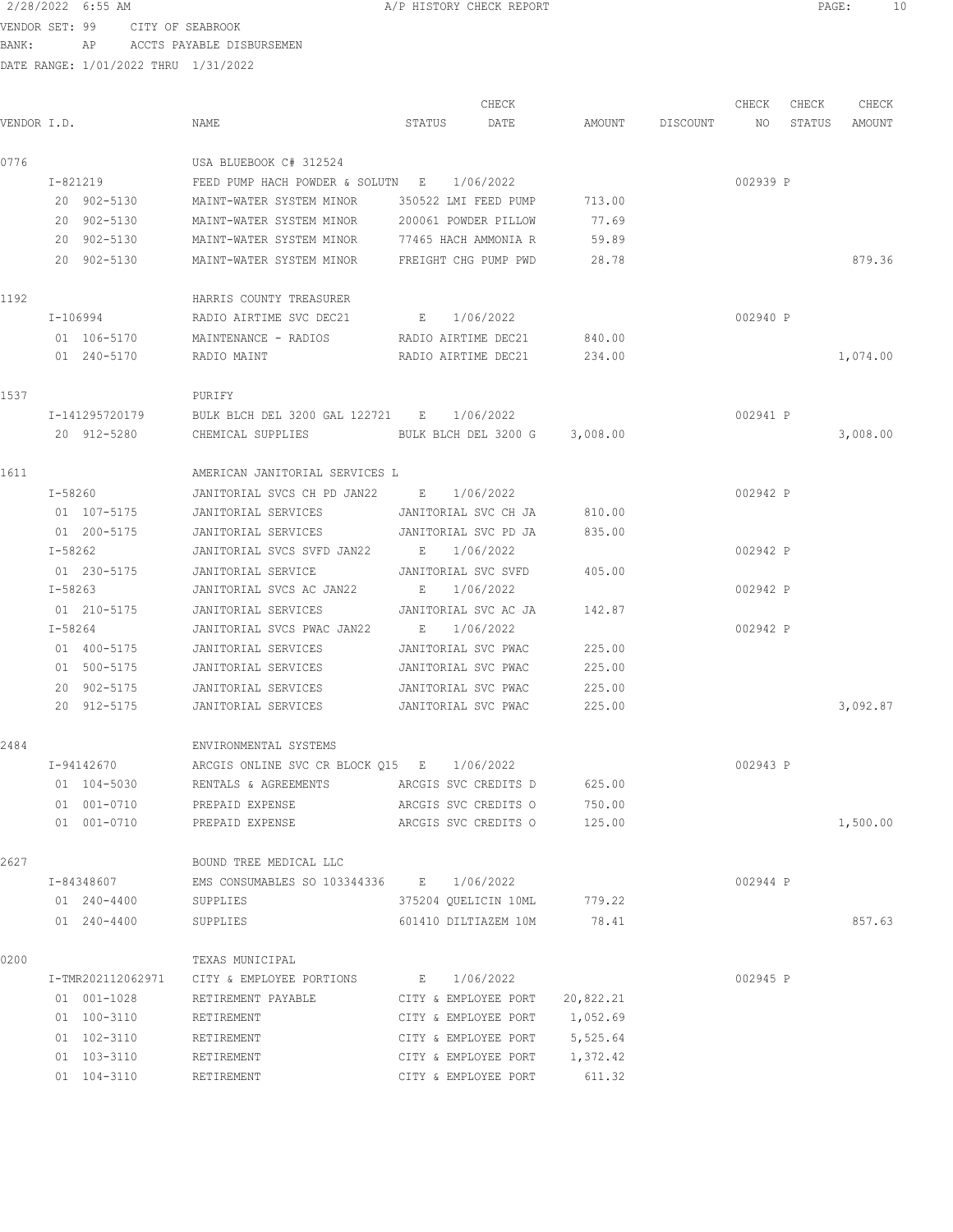VENDOR SET: 99 CITY OF SEABROOK BANK: AP ACCTS PAYABLE DISBURSEMEN

| VENDOR I.D.       | NAME                                       | STATUS                        | CHECK<br>DATE | AMOUNT    | DISCOUNT | CHECK<br>NO | CHECK<br>STATUS | CHECK<br>AMOUNT |
|-------------------|--------------------------------------------|-------------------------------|---------------|-----------|----------|-------------|-----------------|-----------------|
|                   |                                            |                               |               |           |          |             |                 |                 |
| 0776              | USA BLUEBOOK C# 312524                     |                               |               |           |          |             |                 |                 |
| I-821219          | FEED PUMP HACH POWDER & SOLUTN E           |                               | 1/06/2022     |           |          | 002939 P    |                 |                 |
| 20 902-5130       | MAINT-WATER SYSTEM MINOR                   | 350522 LMI FEED PUMP          |               | 713.00    |          |             |                 |                 |
| 20 902-5130       | MAINT-WATER SYSTEM MINOR                   | 200061 POWDER PILLOW          |               | 77.69     |          |             |                 |                 |
| 20 902-5130       | MAINT-WATER SYSTEM MINOR                   | 77465 HACH AMMONIA R          |               | 59.89     |          |             |                 |                 |
| 20 902-5130       | MAINT-WATER SYSTEM MINOR                   | FREIGHT CHG PUMP PWD          |               | 28.78     |          |             |                 | 879.36          |
| 1192              | HARRIS COUNTY TREASURER                    |                               |               |           |          |             |                 |                 |
| $I - 106994$      | RADIO AIRTIME SVC DEC21                    | E 1/06/2022                   |               |           |          | 002940 P    |                 |                 |
| 01 106-5170       | MAINTENANCE - RADIOS                       | RADIO AIRTIME DEC21           |               | 840.00    |          |             |                 |                 |
| 01 240-5170       | RADIO MAINT                                | RADIO AIRTIME DEC21           |               | 234.00    |          |             |                 | 1,074.00        |
| 1537              | PURIFY                                     |                               |               |           |          |             |                 |                 |
| I-141295720179    | BULK BLCH DEL 3200 GAL 122721 E 1/06/2022  |                               |               |           |          | 002941 P    |                 |                 |
| 20 912-5280       | CHEMICAL SUPPLIES                          | BULK BLCH DEL 3200 G          |               | 3,008.00  |          |             |                 | 3,008.00        |
| 1611              | AMERICAN JANITORIAL SERVICES L             |                               |               |           |          |             |                 |                 |
| I-58260           | JANITORIAL SVCS CH PD JAN22 E 1/06/2022    |                               |               |           |          | 002942 P    |                 |                 |
| 01 107-5175       | JANITORIAL SERVICES                        | JANITORIAL SVC CH JA          |               | 810.00    |          |             |                 |                 |
| 01 200-5175       | JANITORIAL SERVICES                        | JANITORIAL SVC PD JA          |               | 835.00    |          |             |                 |                 |
| I-58262           | JANITORIAL SVCS SVFD JAN22                 | $\mathbf{E} = \mathbf{E}$     | 1/06/2022     |           |          | 002942 P    |                 |                 |
| 01 230-5175       | JANITORIAL SERVICE                         | JANITORIAL SVC SVFD           |               | 405.00    |          |             |                 |                 |
| I-58263           | JANITORIAL SVCS AC JAN22                   | E                             | 1/06/2022     |           |          | 002942 P    |                 |                 |
| 01 210-5175       | JANITORIAL SERVICES                        | JANITORIAL SVC AC JA          |               | 142.87    |          |             |                 |                 |
| I-58264           | JANITORIAL SVCS PWAC JAN22                 | $\mathbb{E}$ .                | 1/06/2022     |           |          | 002942 P    |                 |                 |
| 01 400-5175       | JANITORIAL SERVICES                        | JANITORIAL SVC PWAC           |               | 225.00    |          |             |                 |                 |
| 01 500-5175       | JANITORIAL SERVICES                        | JANITORIAL SVC PWAC           |               | 225.00    |          |             |                 |                 |
| 20 902-5175       | JANITORIAL SERVICES                        | JANITORIAL SVC PWAC           |               | 225.00    |          |             |                 |                 |
| 20 912-5175       | JANITORIAL SERVICES                        | JANITORIAL SVC PWAC           |               | 225.00    |          |             |                 | 3,092.87        |
| 2484              | ENVIRONMENTAL SYSTEMS                      |                               |               |           |          |             |                 |                 |
| I-94142670        | ARCGIS ONLINE SVC CR BLOCK 015 E 1/06/2022 |                               |               |           |          | 002943 P    |                 |                 |
| 01 104-5030       | RENTALS & AGREEMENTS                       | ARCGIS SVC CREDITS D          |               | 625.00    |          |             |                 |                 |
| 01 001-0710       | PREPAID EXPENSE                            | ARCGIS SVC CREDITS O          |               | 750.00    |          |             |                 |                 |
| 01 001-0710       | PREPAID EXPENSE                            | ARCGIS SVC CREDITS O          |               | 125.00    |          |             |                 | 1,500.00        |
| 2627              | BOUND TREE MEDICAL LLC                     |                               |               |           |          |             |                 |                 |
| I-84348607        | EMS CONSUMABLES SO 103344336 E 1/06/2022   |                               |               |           |          | 002944 P    |                 |                 |
| 01 240-4400       | SUPPLIES                                   | 375204 QUELICIN 10ML          |               | 779.22    |          |             |                 |                 |
| 01 240-4400       | SUPPLIES                                   | 601410 DILTIAZEM 10M          |               | 78.41     |          |             |                 | 857.63          |
| 0200              | TEXAS MUNICIPAL                            |                               |               |           |          |             |                 |                 |
| I-TMR202112062971 | CITY & EMPLOYEE PORTIONS B 1/06/2022       |                               |               |           |          | 002945 P    |                 |                 |
| 01 001-1028       | RETIREMENT PAYABLE                         | CITY & EMPLOYEE PORT          |               | 20,822.21 |          |             |                 |                 |
| 01 100-3110       | RETIREMENT                                 | CITY & EMPLOYEE PORT          |               | 1,052.69  |          |             |                 |                 |
| 01 102-3110       | RETIREMENT                                 | CITY & EMPLOYEE PORT 5,525.64 |               |           |          |             |                 |                 |
| 01 103-3110       | RETIREMENT                                 | CITY & EMPLOYEE PORT          |               | 1,372.42  |          |             |                 |                 |
| 01 104-3110       | RETIREMENT                                 | CITY & EMPLOYEE PORT          |               | 611.32    |          |             |                 |                 |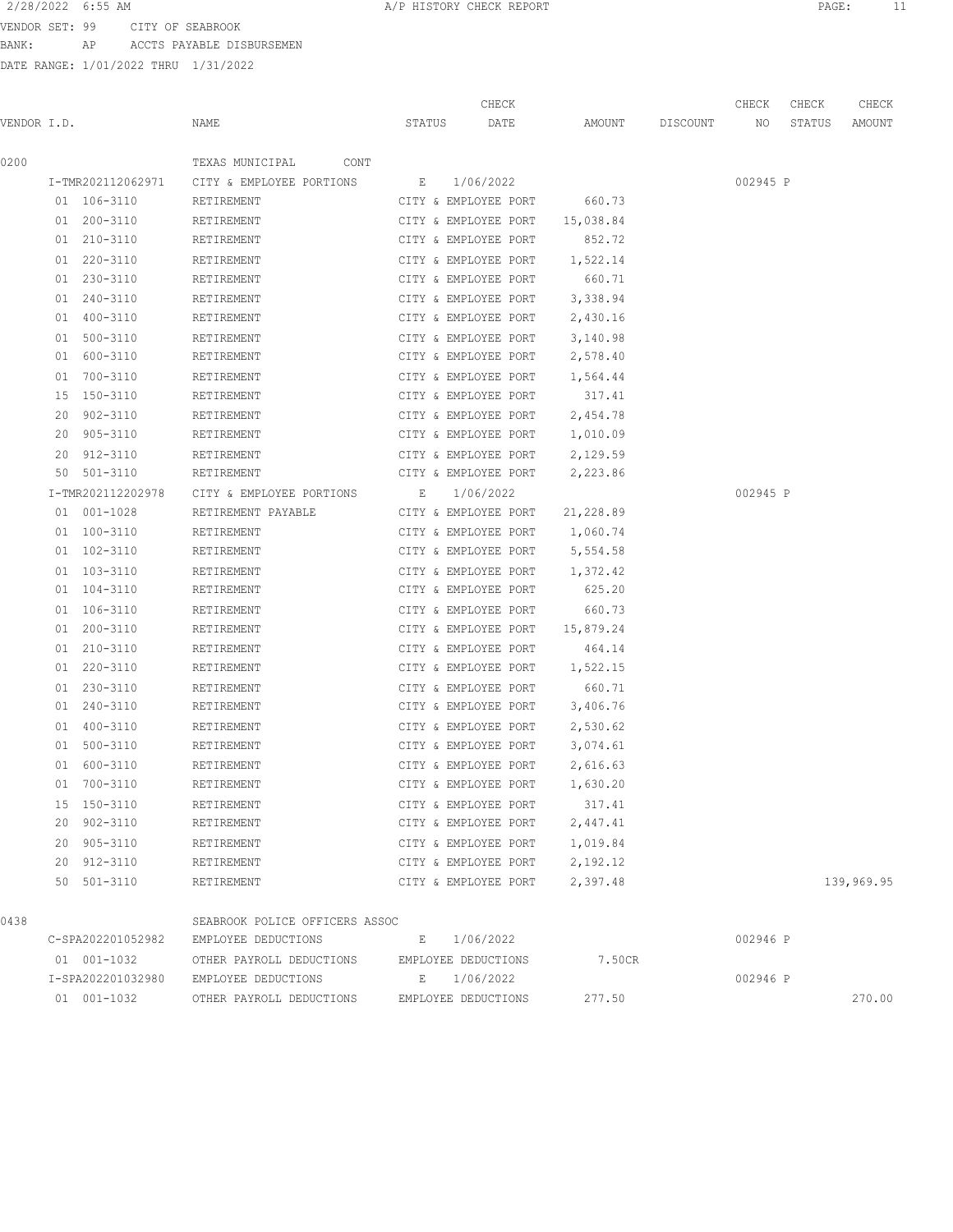VENDOR SET: 99 CITY OF SEABROOK

BANK: AP ACCTS PAYABLE DISBURSEMEN

| VENDOR I.D. |                            | NAME                           | STATUS      | CHECK<br>DATE                                | AMOUNT               | DISCOUNT | CHECK<br>NO | CHECK<br>STATUS | CHECK<br>AMOUNT |
|-------------|----------------------------|--------------------------------|-------------|----------------------------------------------|----------------------|----------|-------------|-----------------|-----------------|
| 0200        |                            | TEXAS MUNICIPAL<br>CONT        |             |                                              |                      |          |             |                 |                 |
|             | I-TMR202112062971          | CITY & EMPLOYEE PORTIONS       |             | E 1/06/2022                                  |                      |          | 002945 P    |                 |                 |
|             | 01 106-3110                | RETIREMENT                     |             | CITY & EMPLOYEE PORT                         | 660.73               |          |             |                 |                 |
|             | 01 200-3110                | RETIREMENT                     |             | CITY & EMPLOYEE PORT                         | 15,038.84            |          |             |                 |                 |
|             | 01 210-3110                | RETIREMENT                     |             | CITY & EMPLOYEE PORT                         | 852.72               |          |             |                 |                 |
|             | 01 220-3110                | RETIREMENT                     |             | CITY & EMPLOYEE PORT                         | 1,522.14             |          |             |                 |                 |
|             | 01 230-3110                | RETIREMENT                     |             | CITY & EMPLOYEE PORT                         | 660.71               |          |             |                 |                 |
|             | 01 240-3110                | RETIREMENT                     |             | CITY & EMPLOYEE PORT                         | 3,338.94             |          |             |                 |                 |
|             | 01 400-3110                | RETIREMENT                     |             | CITY & EMPLOYEE PORT                         | 2,430.16             |          |             |                 |                 |
|             | 01 500-3110                | RETIREMENT                     |             | CITY & EMPLOYEE PORT                         | 3,140.98             |          |             |                 |                 |
|             | 01 600-3110                | RETIREMENT                     |             | CITY & EMPLOYEE PORT                         | 2,578.40             |          |             |                 |                 |
|             | 01 700-3110                | RETIREMENT                     |             | CITY & EMPLOYEE PORT                         | 1,564.44             |          |             |                 |                 |
|             | 15 150-3110                | RETIREMENT                     |             | CITY & EMPLOYEE PORT                         | 317.41               |          |             |                 |                 |
|             | 20 902-3110                | RETIREMENT                     |             | CITY & EMPLOYEE PORT                         | 2,454.78             |          |             |                 |                 |
|             | 20 905-3110                | RETIREMENT                     |             | CITY & EMPLOYEE PORT                         | 1,010.09             |          |             |                 |                 |
|             | 20 912-3110                | RETIREMENT                     |             | CITY & EMPLOYEE PORT                         | 2,129.59             |          |             |                 |                 |
|             | 50 501-3110                | RETIREMENT                     |             | CITY & EMPLOYEE PORT                         | 2,223.86             |          |             |                 |                 |
|             | I-TMR202112202978          | CITY & EMPLOYEE PORTIONS       | E 1/06/2022 |                                              |                      |          | 002945 P    |                 |                 |
|             | 01 001-1028                | RETIREMENT PAYABLE             |             | CITY & EMPLOYEE PORT                         | 21,228.89            |          |             |                 |                 |
|             | 01 100-3110<br>01 102-3110 | RETIREMENT<br>RETIREMENT       |             | CITY & EMPLOYEE PORT<br>CITY & EMPLOYEE PORT | 1,060.74<br>5,554.58 |          |             |                 |                 |
|             | 01 103-3110                | RETIREMENT                     |             | CITY & EMPLOYEE PORT                         | 1,372.42             |          |             |                 |                 |
|             | 01 104-3110                | RETIREMENT                     |             | CITY & EMPLOYEE PORT                         | 625.20               |          |             |                 |                 |
|             | 01 106-3110                | RETIREMENT                     |             | CITY & EMPLOYEE PORT                         | 660.73               |          |             |                 |                 |
|             | 01 200-3110                | RETIREMENT                     |             | CITY & EMPLOYEE PORT                         | 15,879.24            |          |             |                 |                 |
|             | 01 210-3110                | RETIREMENT                     |             | CITY & EMPLOYEE PORT                         | 464.14               |          |             |                 |                 |
|             | 01 220-3110                | RETIREMENT                     |             | CITY & EMPLOYEE PORT                         | 1,522.15             |          |             |                 |                 |
|             | 01 230-3110                | RETIREMENT                     |             | CITY & EMPLOYEE PORT                         | 660.71               |          |             |                 |                 |
|             | 01 240-3110                | RETIREMENT                     |             | CITY & EMPLOYEE PORT                         | 3,406.76             |          |             |                 |                 |
|             | 01 400-3110                | RETIREMENT                     |             | CITY & EMPLOYEE PORT                         | 2,530.62             |          |             |                 |                 |
|             | 01 500-3110                | RETIREMENT                     |             | CITY & EMPLOYEE PORT                         | 3,074.61             |          |             |                 |                 |
|             | 01 600-3110                | RETIREMENT                     |             | CITY & EMPLOYEE PORT                         | 2,616.63             |          |             |                 |                 |
|             | 01 700-3110                | RETIREMENT                     |             | CITY & EMPLOYEE PORT                         | 1,630.20             |          |             |                 |                 |
|             | 15 150-3110                | RETIREMENT                     |             | CITY & EMPLOYEE PORT                         | 317.41               |          |             |                 |                 |
|             | 20 902-3110                | RETIREMENT                     |             | CITY & EMPLOYEE PORT                         | 2,447.41             |          |             |                 |                 |
|             | 20 905-3110                | RETIREMENT                     |             | CITY & EMPLOYEE PORT                         | 1,019.84             |          |             |                 |                 |
|             | 20 912-3110                | RETIREMENT                     |             | CITY & EMPLOYEE PORT                         | 2,192.12             |          |             |                 |                 |
|             | 50 501-3110                | RETIREMENT                     |             | CITY & EMPLOYEE PORT                         | 2,397.48             |          |             |                 | 139,969.95      |
| 0438        |                            | SEABROOK POLICE OFFICERS ASSOC |             |                                              |                      |          |             |                 |                 |
|             | C-SPA202201052982          | EMPLOYEE DEDUCTIONS            | E           | 1/06/2022                                    |                      |          | 002946 P    |                 |                 |
|             | 01 001-1032                | OTHER PAYROLL DEDUCTIONS       |             | EMPLOYEE DEDUCTIONS                          | 7.50CR               |          |             |                 |                 |
|             | I-SPA202201032980          | EMPLOYEE DEDUCTIONS            |             | E 1/06/2022                                  |                      |          | 002946 P    |                 |                 |
|             | 01 001-1032                | OTHER PAYROLL DEDUCTIONS       |             | EMPLOYEE DEDUCTIONS                          | 277.50               |          |             |                 | 270.00          |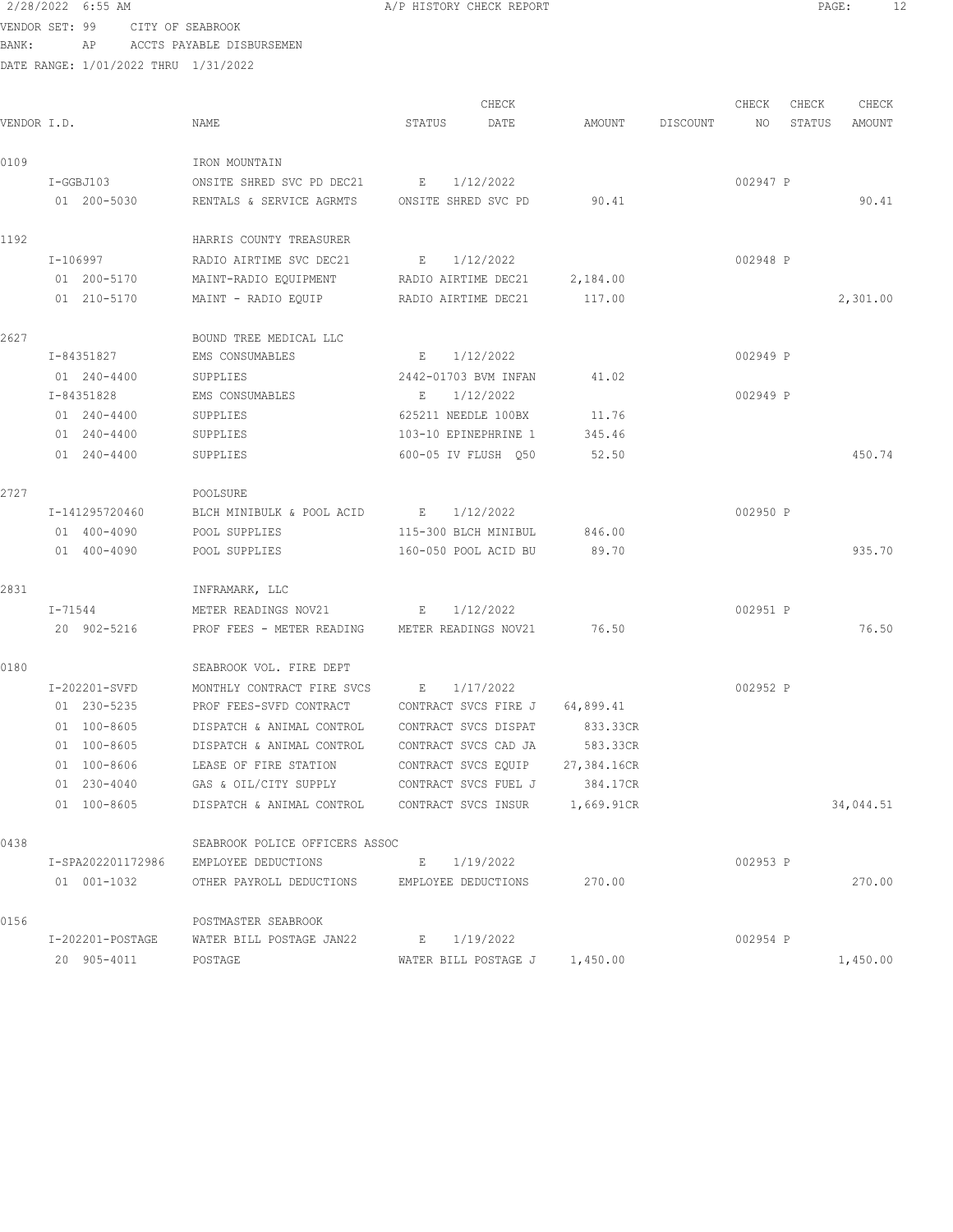2/28/2022 6:55 AM **A/P HISTORY CHECK REPORT PAGE:** 12 VENDOR SET: 99 CITY OF SEABROOK

BANK: AP ACCTS PAYABLE DISBURSEMEN

|             |                    |                                                    |                                | CHECK     |                               |          | CHECK    | CHECK  | CHECK     |
|-------------|--------------------|----------------------------------------------------|--------------------------------|-----------|-------------------------------|----------|----------|--------|-----------|
| VENDOR I.D. |                    | NAME                                               | STATUS                         | DATE      | AMOUNT                        | DISCOUNT | NO       | STATUS | AMOUNT    |
| 0109        |                    | IRON MOUNTAIN                                      |                                |           |                               |          |          |        |           |
|             | I-GGBJ103          | ONSITE SHRED SVC PD DEC21 E                        |                                | 1/12/2022 |                               |          | 002947 P |        |           |
|             | 01 200-5030        | RENTALS & SERVICE AGRMTS ONSITE SHRED SVC PD       |                                |           | 90.41                         |          |          |        | 90.41     |
| 1192        |                    | HARRIS COUNTY TREASURER                            |                                |           |                               |          |          |        |           |
|             | I-106997           | RADIO AIRTIME SVC DEC21                            | <b>E</b>                       | 1/12/2022 |                               |          | 002948 P |        |           |
|             | 01 200-5170        | MAINT-RADIO EQUIPMENT RADIO AIRTIME DEC21 2,184.00 |                                |           |                               |          |          |        |           |
|             | 01 210-5170        | MAINT - RADIO EOUIP RADIO AIRTIME DEC21 117.00     |                                |           |                               |          |          |        | 2,301.00  |
| 2627        |                    | BOUND TREE MEDICAL LLC                             |                                |           |                               |          |          |        |           |
|             | I-84351827         | EMS CONSUMABLES                                    | E                              | 1/12/2022 |                               |          | 002949 P |        |           |
|             | 01 240-4400        | SUPPLIES                                           | 2442-01703 BVM INFAN           |           | 41.02                         |          |          |        |           |
|             | I-84351828         | EMS CONSUMABLES                                    | E                              | 1/12/2022 |                               |          | 002949 P |        |           |
|             | 01 240-4400        | SUPPLIES                                           | 625211 NEEDLE 100BX            |           | 11.76                         |          |          |        |           |
|             | 01 240-4400        | SUPPLIES                                           | 103-10 EPINEPHRINE 1           |           | 345.46                        |          |          |        |           |
|             | 01 240-4400        | SUPPLIES                                           | 600-05 IV FLUSH 050            |           | 52.50                         |          |          |        | 450.74    |
| 2727        |                    | POOLSURE                                           |                                |           |                               |          |          |        |           |
|             | I-141295720460     | BLCH MINIBULK & POOL ACID                          |                                | 1/12/2022 |                               |          | 002950 P |        |           |
|             | 01 400-4090        | POOL SUPPLIES                                      | 115-300 BLCH MINIBUL           |           | 846.00                        |          |          |        |           |
|             | 01 400-4090        | POOL SUPPLIES                                      | 160-050 POOL ACID BU           |           | 89.70                         |          |          |        | 935.70    |
| 2831        |                    | INFRAMARK, LLC                                     |                                |           |                               |          |          |        |           |
|             | I-71544            | METER READINGS NOV21                               | E                              | 1/12/2022 |                               |          | 002951 P |        |           |
|             | 20 902-5216        | PROF FEES - METER READING                          | METER READINGS NOV21           |           | 76.50                         |          |          |        | 76.50     |
| 0180        |                    | SEABROOK VOL. FIRE DEPT                            |                                |           |                               |          |          |        |           |
|             | I-202201-SVFD      | MONTHLY CONTRACT FIRE SVCS                         | $E_{\rm{1}}$                   | 1/17/2022 |                               |          | 002952 P |        |           |
|             | 01 230-5235        | PROF FEES-SVFD CONTRACT                            | CONTRACT SVCS FIRE J 64,899.41 |           |                               |          |          |        |           |
|             | 01 100-8605        | DISPATCH & ANIMAL CONTROL                          | CONTRACT SVCS DISPAT           |           | 833.33CR                      |          |          |        |           |
|             | 01 100-8605        | DISPATCH & ANIMAL CONTROL                          | CONTRACT SVCS CAD JA           |           | 583.33CR                      |          |          |        |           |
|             | 01 100-8606        | LEASE OF FIRE STATION                              | CONTRACT SVCS EQUIP            |           | 27,384.16CR                   |          |          |        |           |
|             | 01 230-4040        | GAS & OIL/CITY SUPPLY                              |                                |           | CONTRACT SVCS FUEL J 384.17CR |          |          |        |           |
|             | 01 100-8605        | DISPATCH & ANIMAL CONTROL                          | CONTRACT SVCS INSUR 1,669.91CR |           |                               |          |          |        | 34,044.51 |
| 0438        |                    | SEABROOK POLICE OFFICERS ASSOC                     |                                |           |                               |          |          |        |           |
|             | I-SPA202201172986  | EMPLOYEE DEDUCTIONS                                | E 1/19/2022                    |           |                               |          | 002953 P |        |           |
|             | 01 001-1032        | OTHER PAYROLL DEDUCTIONS                           | EMPLOYEE DEDUCTIONS            |           | 270.00                        |          |          |        | 270.00    |
| 0156        |                    | POSTMASTER SEABROOK                                |                                |           |                               |          |          |        |           |
|             | $I-202201-POSTAGE$ | WATER BILL POSTAGE JAN22                           | E 1/19/2022                    |           |                               |          | 002954 P |        |           |
|             | 20 905-4011        | POSTAGE                                            | WATER BILL POSTAGE J 1,450.00  |           |                               |          |          |        | 1,450.00  |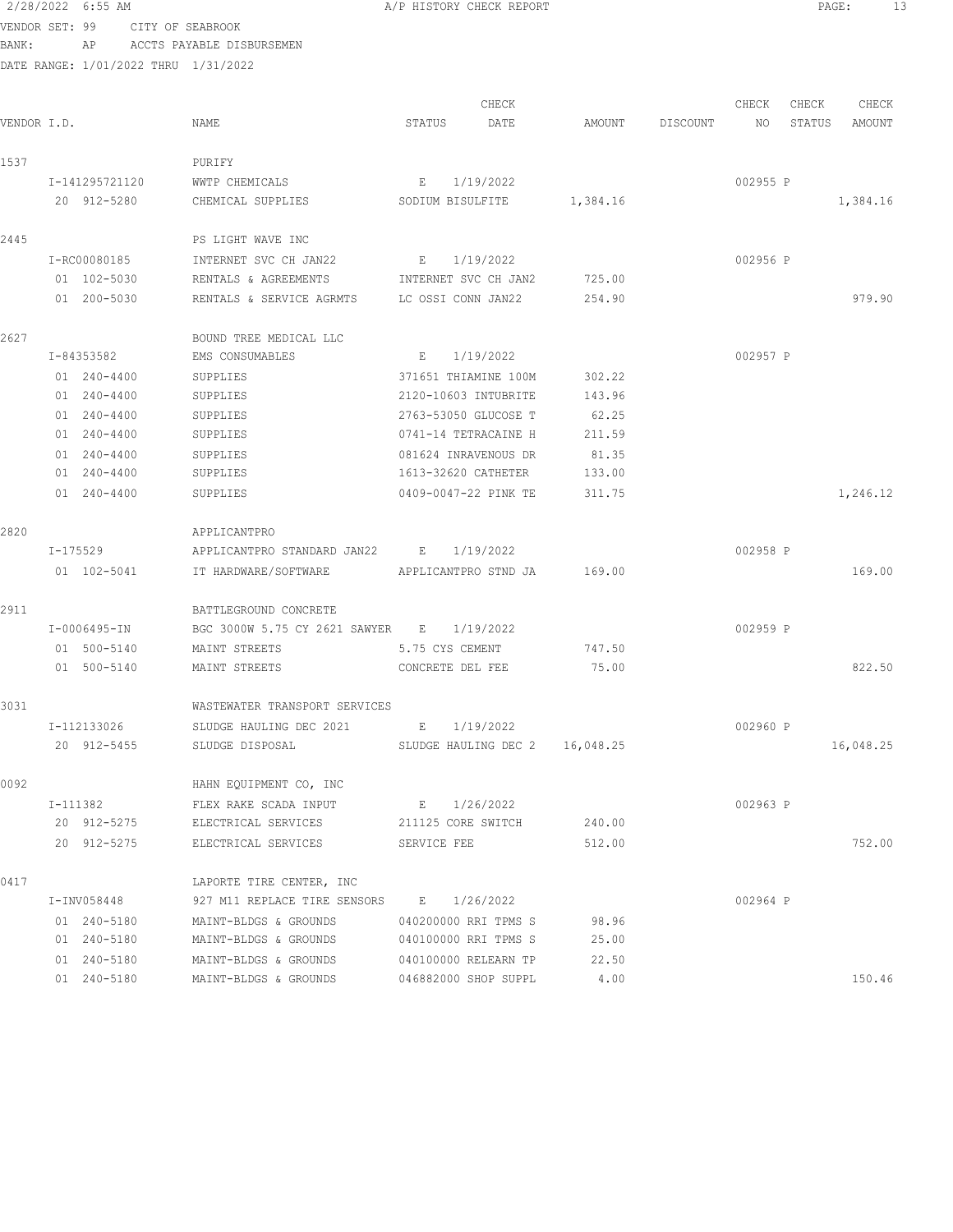2/28/2022 6:55 AM A/P HISTORY CHECK REPORT PAGE: 13 VENDOR SET: 99 CITY OF SEABROOK BANK: AP ACCTS PAYABLE DISBURSEMEN DATE RANGE: 1/01/2022 THRU 1/31/2022

CHECK CHECK CHECK CHECK CHECK CHECK CHECK CHECK CHECK CHECK CHECK CHECK CHECK CHECK CHECK CHECK CHECK CHECK CHECK CHECK CHECK CHECK CHECK CHECK CHECK CHECK CHECK CHECK CHECK CHECK CHECK CHECK CHECK CHECK CHECK CHECK CHECK VENDOR I.D. NAME STATUS DATE AMOUNT DISCOUNT NO STATUS AMOUNT 1537 PURIFY I-141295721120 WWTP CHEMICALS E 1/19/2022 002955 P 20 912-5280 CHEMICAL SUPPLIES SODIUM BISULFITE 1,384.16 1,384.16 1,384.16 2445 PS LIGHT WAVE INC I-RC00080185 INTERNET SVC CH JAN22 E 1/19/2022 002956 P 01 102-5030 RENTALS & AGREEMENTS INTERNET SVC CH JAN2 725.00 01 200-5030 RENTALS & SERVICE AGRMTS LC OSSI CONN JAN22 254.90 254.90 979.90 2627 BOUND TREE MEDICAL LLC I-84353582 EMS CONSUMABLES E 1/19/2022 002957 P 01 240-4400 SUPPLIES 371651 THIAMINE 100M 302.22 01 240-4400 SUPPLIES 2120-10603 INTUBRITE 143.96 01 240-4400 SUPPLIES 2763-53050 GLUCOSE T 62.25 01 240-4400 SUPPLIES 0741-14 TETRACAINE H 211.59 01 240-4400 SUPPLIES 081624 INRAVENOUS DR 81.35 01 240-4400 SUPPLIES 1613-32620 CATHETER 133.00 01 240-4400 SUPPLIES 0409-0047-22 PINK TE 311.75 1,246.12 2820 APPLICANTPRO I-175529 APPLICANTPRO STANDARD JAN22 E 1/19/2022 002958 P 01 102-5041 IT HARDWARE/SOFTWARE APPLICANTPRO STND JA 169.00 169.00 2911 BATTLEGROUND CONCRETE I-0006495-IN BGC 3000W 5.75 CY 2621 SAWYER E 1/19/2022 002959 P 01 500-5140 MAINT STREETS 5.75 CYS CEMENT 747.50 01 500-5140 MAINT STREETS CONCRETE DEL FEE 75.00 822.50 3031 WASTEWATER TRANSPORT SERVICES I-112133026 SLUDGE HAULING DEC 2021 E 1/19/2022 002960 P 20 912-5455 SLUDGE DISPOSAL SLUDGE HAULING DEC 2 16,048.25 16,048.25 0092 HAHN EQUIPMENT CO, INC I-111382 FLEX RAKE SCADA INPUT E 1/26/2022 002963 P 20 912-5275 ELECTRICAL SERVICES 211125 CORE SWITCH 240.00 20 912-5275 ELECTRICAL SERVICES SERVICE FEE 512.00 752.00 0417 **LAPORTE TIRE CENTER, INC**  I-INV058448 927 M11 REPLACE TIRE SENSORS E 1/26/2022 002964 P 01 240-5180 MAINT-BLDGS & GROUNDS 040200000 RRI TPMS S 98.96 01 240-5180 MAINT-BLDGS & GROUNDS 040100000 RRI TPMS S 25.00 01 240-5180 MAINT-BLDGS & GROUNDS 040100000 RELEARN TP 22.50 01 240-5180 MAINT-BLDGS & GROUNDS 046882000 SHOP SUPPL 4.00 150.46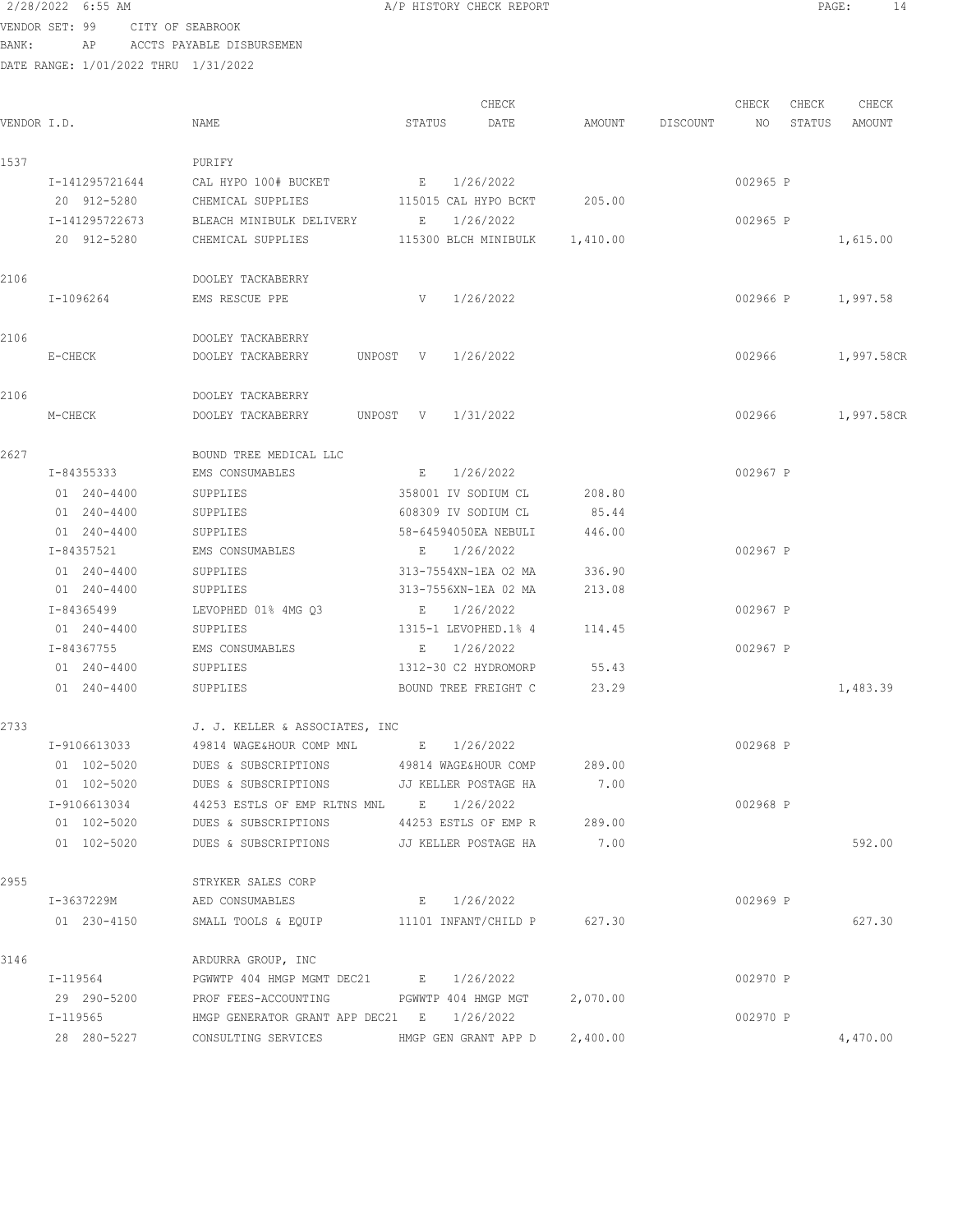2/28/2022 6:55 AM VENDOR SET: 99 C  $BANK:$   $AP$   $A<sup>c</sup>$ DATE RANGE: 1/01/202

| 2/28/2022 6:55 AM                    |                |                  |                           |          |        | A/P HISTORY CHECK REPORT |          |          |          |        | 14<br>PAGE: |  |
|--------------------------------------|----------------|------------------|---------------------------|----------|--------|--------------------------|----------|----------|----------|--------|-------------|--|
| VENDOR SET: 99                       |                | CITY OF SEABROOK |                           |          |        |                          |          |          |          |        |             |  |
| BANK:                                | AP             |                  | ACCTS PAYABLE DISBURSEMEN |          |        |                          |          |          |          |        |             |  |
| DATE RANGE: 1/01/2022 THRU 1/31/2022 |                |                  |                           |          |        |                          |          |          |          |        |             |  |
|                                      |                |                  |                           |          |        | CHECK                    |          |          | CHECK    | CHECK  | CHECK       |  |
| VENDOR I.D.                          |                |                  | NAME                      |          | STATUS | DATE                     | AMOUNT   | DISCOUNT | NO       | STATUS | AMOUNT      |  |
| 1537                                 |                |                  | PURIFY                    |          |        |                          |          |          |          |        |             |  |
|                                      | I-141295721644 |                  | CAL HYPO 100# BUCKET      |          | E      | 1/26/2022                |          |          | 002965 P |        |             |  |
|                                      | 20 912-5280    |                  | CHEMICAL SUPPLIES         |          |        | 115015 CAL HYPO BCKT     | 205.00   |          |          |        |             |  |
|                                      | I-141295722673 |                  | BLEACH MINIBULK DELIVERY  |          | E      | 1/26/2022                |          |          | 002965 P |        |             |  |
|                                      | 20 912-5280    |                  | CHEMICAL SUPPLIES         |          |        | 115300 BLCH MINIBULK     | 1,410.00 |          |          |        | 1,615.00    |  |
| 2106                                 |                |                  | DOOLEY TACKABERRY         |          |        |                          |          |          |          |        |             |  |
|                                      | I-1096264      |                  | EMS RESCUE PPE            |          | V      | 1/26/2022                |          |          | 002966 P |        | 1,997.58    |  |
| 2106                                 |                |                  | DOOLEY TACKABERRY         |          |        |                          |          |          |          |        |             |  |
|                                      | E-CHECK        |                  | DOOLEY TACKABERRY         | UNPOST V |        | 1/26/2022                |          |          | 002966   |        | 1,997.58CR  |  |
| 2106                                 |                |                  | DOOLEY TACKABERRY         |          |        |                          |          |          |          |        |             |  |

| 2627               | BOUND TREE MEDICAL LLC |                          |        |          |          |
|--------------------|------------------------|--------------------------|--------|----------|----------|
| I-84355333         | EMS CONSUMABLES        | 1/26/2022<br>F.          |        | 002967 P |          |
| $240 - 4400$<br>01 | SUPPLIES               | 358001 IV SODIUM CL      | 208.80 |          |          |
| 240-4400<br>01     | SUPPLIES               | 608309 IV SODIUM CL      | 85.44  |          |          |
| $01240 - 4400$     | SUPPLIES               | 58-64594050EA NEBULI     | 446.00 |          |          |
| I-84357521         | EMS CONSUMABLES        | 1/26/2022<br>E.          |        | 002967 P |          |
| 01 240-4400        | SUPPLIES               | 313-7554XN-1EA 02 MA     | 336.90 |          |          |
| 01 240-4400        | SUPPLIES               | 313-7556XN-1EA 02 MA     | 213.08 |          |          |
| I-84365499         | LEVOPHED 01% 4MG 03    | 1/26/2022<br>F.          |        | 002967 P |          |
| $01240 - 4400$     | SUPPLIES               | 1315-1 LEVOPHED.1% 4     | 114.45 |          |          |
| I-84367755         | EMS CONSUMABLES        | 1/26/2022<br>$F_{\rm c}$ |        | 002967 P |          |
| 240-4400<br>01     | SUPPLIES               | 1312-30 C2 HYDROMORP     | 55.43  |          |          |
| 240-4400<br>01     | SUPPLIES               | BOUND TREE FREIGHT C     | 23.29  |          | 1,483.39 |

M-CHECK DOOLEY TACKABERRY UNPOST V 1/31/2022 002966 1,997.58CR

| 2733 |              | J. J. KELLER & ASSOCIATES, INC         |                      |          |          |          |
|------|--------------|----------------------------------------|----------------------|----------|----------|----------|
|      | I-9106613033 | 49814 WAGE&HOUR COMP MNL B 1/26/2022   |                      |          | 002968 P |          |
|      | 01 102-5020  | DUES & SUBSCRIPTIONS                   | 49814 WAGE&HOUR COMP | 289.00   |          |          |
|      | 01 102-5020  | DUES & SUBSCRIPTIONS                   | JJ KELLER POSTAGE HA | 7.00     |          |          |
|      | I-9106613034 | 44253 ESTLS OF EMP RLTNS MNL           | E 1/26/2022          |          | 002968 P |          |
|      | 01 102-5020  | DUES & SUBSCRIPTIONS                   | 44253 ESTLS OF EMP R | 289.00   |          |          |
|      | 01 102-5020  | DUES & SUBSCRIPTIONS                   | JJ KELLER POSTAGE HA | 7.00     |          | 592.00   |
| 2955 |              | STRYKER SALES CORP                     |                      |          |          |          |
|      | I-3637229M   | AED CONSUMABLES                        | E 1/26/2022          |          | 002969 P |          |
|      | 01 230-4150  | SMALL TOOLS & EQUIP                    | 11101 INFANT/CHILD P | 627.30   |          | 627.30   |
| 3146 |              | ARDURRA GROUP, INC                     |                      |          |          |          |
|      | I-119564     | PGWWTP 404 HMGP MGMT DEC21 E 1/26/2022 |                      |          | 002970 P |          |
|      | 29 290-5200  | PROF FEES-ACCOUNTING                   | PGWWTP 404 HMGP MGT  | 2,070.00 |          |          |
|      | I-119565     | HMGP GENERATOR GRANT APP DEC21 E       | 1/26/2022            |          | 002970 P |          |
|      | 28 280-5227  | CONSULTING SERVICES                    | HMGP GEN GRANT APP D | 2,400.00 |          | 4,470.00 |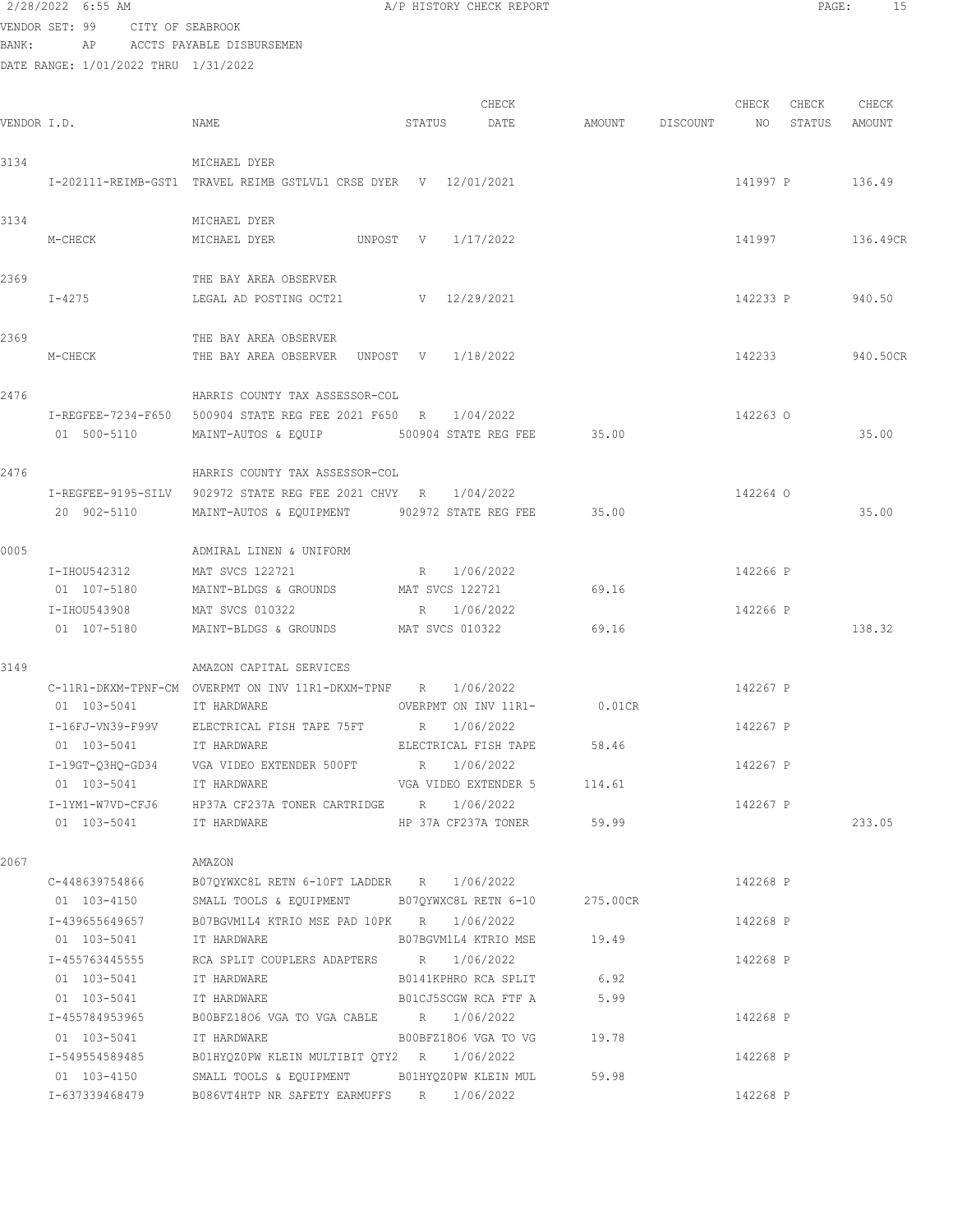#### 2/28/2022 6:55 AM **A/P HISTORY CHECK REPORT PAGE:** 15 VENDOR SET: 99 CITY OF SEABROOK

BANK: AP ACCTS PAYABLE DISBURSEMEN

| VENDOR I.D. |                         | NAME                                                            | STATUS          | CHECK<br>DATE               | AMOUNT   | DISCOUNT NO | CHECK    | CHECK<br>STATUS | CHECK<br>AMOUNT |
|-------------|-------------------------|-----------------------------------------------------------------|-----------------|-----------------------------|----------|-------------|----------|-----------------|-----------------|
| 3134        |                         | MICHAEL DYER                                                    |                 |                             |          |             |          |                 |                 |
|             |                         | I-202111-REIMB-GST1 TRAVEL REIMB GSTLVL1 CRSE DYER V 12/01/2021 |                 |                             |          |             | 141997 P |                 | 136.49          |
| 3134        | M-CHECK                 | MICHAEL DYER<br>MICHAEL DYER<br>UNPOST V 1/17/2022              |                 |                             |          |             | 141997   |                 | 136.49CR        |
|             |                         |                                                                 |                 |                             |          |             |          |                 |                 |
| 2369        |                         | THE BAY AREA OBSERVER                                           |                 |                             |          |             |          |                 |                 |
|             | I-4275                  | LEGAL AD POSTING OCT21                                          | V 12/29/2021    |                             |          |             | 142233 P |                 | 940.50          |
| 2369        |                         | THE BAY AREA OBSERVER                                           |                 |                             |          |             |          |                 |                 |
|             | M-CHECK                 | THE BAY AREA OBSERVER UNPOST V 1/18/2022                        |                 |                             |          |             | 142233   |                 | 940.50CR        |
| 2476        |                         | HARRIS COUNTY TAX ASSESSOR-COL                                  |                 |                             |          |             |          |                 |                 |
|             |                         | I-REGFEE-7234-F650 500904 STATE REG FEE 2021 F650 R 1/04/2022   |                 |                             |          |             | 142263 0 |                 |                 |
|             | 01 500-5110             | MAINT-AUTOS & EQUIP                                             |                 | 500904 STATE REG FEE 35.00  |          |             |          |                 | 35.00           |
| 2476        |                         | HARRIS COUNTY TAX ASSESSOR-COL                                  |                 |                             |          |             |          |                 |                 |
|             |                         | I-REGFEE-9195-SILV 902972 STATE REG FEE 2021 CHVY R 1/04/2022   |                 |                             |          |             | 142264 0 |                 |                 |
|             | 20 902-5110             | MAINT-AUTOS & EQUIPMENT 902972 STATE REG FEE                    |                 |                             | 35.00    |             |          |                 | 35.00           |
| 0005        |                         | ADMIRAL LINEN & UNIFORM                                         |                 |                             |          |             |          |                 |                 |
|             | I-IHOU542312            | MAT SVCS 122721                                                 | R 1/06/2022     |                             |          |             | 142266 P |                 |                 |
|             | 01 107-5180             | MAINT-BLDGS & GROUNDS                                           | MAT SVCS 122721 |                             | 69.16    |             |          |                 |                 |
|             | I-IHOU543908            | MAT SVCS 010322                                                 | R 1/06/2022     |                             |          |             | 142266 P |                 |                 |
|             | 01 107-5180             | MAINT-BLDGS & GROUNDS                                           | MAT SVCS 010322 |                             | 69.16    |             |          |                 | 138.32          |
| 3149        |                         | AMAZON CAPITAL SERVICES                                         |                 |                             |          |             |          |                 |                 |
|             |                         | C-11R1-DKXM-TPNF-CM OVERPMT ON INV 11R1-DKXM-TPNF R 1/06/2022   |                 |                             |          |             | 142267 P |                 |                 |
|             | 01 103-5041             | IT HARDWARE                                                     |                 | OVERPMT ON INV 11R1- 0.01CR |          |             |          |                 |                 |
|             |                         | I-16FJ-VN39-F99V ELECTRICAL FISH TAPE 75FT R 1/06/2022          |                 |                             |          |             | 142267 P |                 |                 |
|             | 01 103-5041             | IT HARDWARE                                                     |                 | ELECTRICAL FISH TAPE 58.46  |          |             |          |                 |                 |
|             |                         |                                                                 |                 |                             |          |             | 142267 P |                 |                 |
|             | 01 103-5041             | IT HARDWARE                                                     |                 | VGA VIDEO EXTENDER 5        | 114.61   |             |          |                 |                 |
|             |                         | I-1YM1-W7VD-CFJ6 HP37A CF237A TONER CARTRIDGE R 1/06/2022       |                 |                             |          |             | 142267 P |                 |                 |
|             | 01 103-5041 IT HARDWARE |                                                                 |                 | HP 37A CF237A TONER 59.99   |          |             |          |                 | 233.05          |
| 2067        |                         | AMAZON                                                          |                 |                             |          |             |          |                 |                 |
|             |                         | C-448639754866 B07QYWXC8L RETN 6-10FT LADDER R 1/06/2022        |                 |                             |          |             | 142268 P |                 |                 |
|             |                         | 01 103-4150 SMALL TOOLS & EQUIPMENT B07QYWXC8L RETN 6-10        |                 |                             | 275.00CR |             |          |                 |                 |
|             |                         | I-439655649657 B07BGVM1L4 KTRIO MSE PAD 10PK R 1/06/2022        |                 |                             |          |             | 142268 P |                 |                 |
|             | 01 103-5041             | IT HARDWARE 607BGVM1L4 KTRIO MSE 19.49                          |                 |                             |          |             |          |                 |                 |
|             | I-455763445555          | RCA SPLIT COUPLERS ADAPTERS R 1/06/2022                         |                 |                             |          |             | 142268 P |                 |                 |
|             | 01 103-5041             | IT HARDWARE                                                     |                 | B0141KPHRO RCA SPLIT 6.92   |          |             |          |                 |                 |
|             | 01 103-5041             | IT HARDWARE                                                     |                 | B01CJ5SCGW RCA FTF A        | 5.99     |             |          |                 |                 |
|             | I-455784953965          | B00BFZ1806 VGA TO VGA CABLE R 1/06/2022                         |                 |                             |          |             | 142268 P |                 |                 |
|             | 01 103-5041             | IT HARDWARE                                                     |                 | B00BFZ1806 VGA TO VG        | 19.78    |             |          |                 |                 |
|             | I-549554589485          | B01HYQZ0PW KLEIN MULTIBIT QTY2 R 1/06/2022                      |                 |                             |          |             | 142268 P |                 |                 |
|             | 01 103-4150             | SMALL TOOLS & EQUIPMENT BO1HYQZOPW KLEIN MUL                    |                 |                             | 59.98    |             |          |                 |                 |
|             | I-637339468479          | B086VT4HTP NR SAFETY EARMUFFS R 1/06/2022                       |                 |                             |          |             | 142268 P |                 |                 |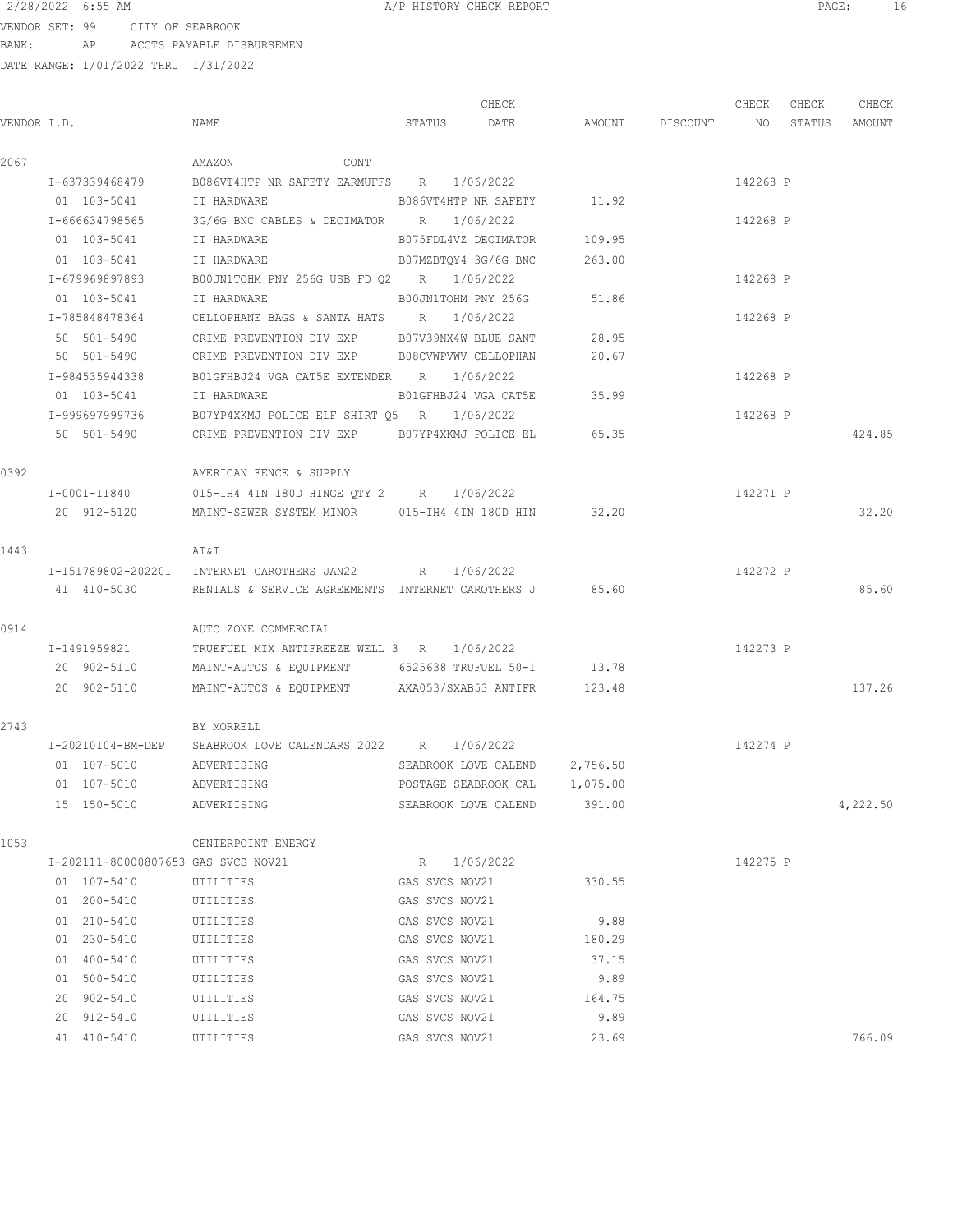VENDOR SET: 99 CITY OF SEABROOK BANK: AP ACCTS PAYABLE DISBURSEMEN

|             |                                     |                                                            |                      | CHECK                         |                                  | CHECK    | CHECK | CHECK    |
|-------------|-------------------------------------|------------------------------------------------------------|----------------------|-------------------------------|----------------------------------|----------|-------|----------|
| VENDOR I.D. |                                     | NAME                                                       |                      | STATUS DATE                   | AMOUNT DISCOUNT NO STATUS AMOUNT |          |       |          |
| 2067        |                                     | AMAZON<br>CONT                                             |                      |                               |                                  |          |       |          |
|             | I-637339468479                      | B086VT4HTP NR SAFETY EARMUFFS R 1/06/2022                  |                      |                               |                                  | 142268 P |       |          |
|             | 01 103-5041                         | IT HARDWARE                                                |                      | B086VT4HTP NR SAFETY 11.92    |                                  |          |       |          |
|             | I-666634798565                      | 3G/6G BNC CABLES & DECIMATOR $R = 1/06/2022$               |                      |                               |                                  | 142268 P |       |          |
|             | 01 103-5041                         | IT HARDWARE                                                |                      | B075FDL4VZ DECIMATOR 109.95   |                                  |          |       |          |
|             | 01 103-5041                         | IT HARDWARE                                                | B07MZBTOY4 3G/6G BNC |                               | 263.00                           |          |       |          |
|             | I-679969897893                      | B00JN1TOHM PNY 256G USB FD Q2 R 1/06/2022                  |                      |                               |                                  | 142268 P |       |          |
|             | 01 103-5041                         | <b>TT HARDWARE</b>                                         |                      | BOOJN1TOHM PNY 256G           | 51.86                            |          |       |          |
|             | I-785848478364                      | CELLOPHANE BAGS & SANTA HATS R 1/06/2022                   |                      |                               |                                  | 142268 P |       |          |
|             | 50 501-5490                         | CRIME PREVENTION DIV EXP B07V39NX4W BLUE SANT              |                      |                               | 28.95                            |          |       |          |
|             | 50 501-5490                         | CRIME PREVENTION DIV EXP B08CVWPVWV CELLOPHAN              |                      |                               | 20.67                            |          |       |          |
|             | I-984535944338                      | B01GFHBJ24 VGA CAT5E EXTENDER R 1/06/2022                  |                      |                               |                                  | 142268 P |       |          |
|             | 01 103-5041                         | IT HARDWARE                                                |                      | B01GFHBJ24 VGA CAT5E          | 35.99                            |          |       |          |
|             | I-999697999736                      | B07YP4XKMJ POLICE ELF SHIRT Q5 R 1/06/2022                 |                      |                               |                                  | 142268 P |       |          |
|             | 50 501-5490                         | CRIME PREVENTION DIV EXP B07YP4XKMJ POLICE EL              |                      |                               | 65.35                            |          |       | 424.85   |
| 0392        |                                     | AMERICAN FENCE & SUPPLY                                    |                      |                               |                                  |          |       |          |
|             | I-0001-11840                        | 015-IH4 4IN 180D HINGE QTY 2 R 1/06/2022                   |                      |                               |                                  | 142271 P |       |          |
|             | 20 912-5120                         | MAINT-SEWER SYSTEM MINOR 015-IH4 4IN 180D HIN              |                      |                               | 32.20                            |          |       | 32.20    |
| 1443        |                                     | AΤ&Τ                                                       |                      |                               |                                  |          |       |          |
|             |                                     | I-151789802-202201 INTERNET CAROTHERS JAN22 R 1/06/2022    |                      |                               |                                  | 142272 P |       |          |
|             | 41 410-5030                         | RENTALS & SERVICE AGREEMENTS INTERNET CAROTHERS J 85.60    |                      |                               |                                  |          |       | 85.60    |
| 0914        |                                     | AUTO ZONE COMMERCIAL                                       |                      |                               |                                  |          |       |          |
|             | I-1491959821                        | TRUEFUEL MIX ANTIFREEZE WELL 3 R 1/06/2022                 |                      |                               |                                  | 142273 P |       |          |
|             | 20 902-5110                         | MAINT-AUTOS & EQUIPMENT 6525638 TRUFUEL 50-1               |                      |                               | 13.78                            |          |       |          |
|             | 20 902-5110                         | MAINT-AUTOS & EQUIPMENT AXA053/SXAB53 ANTIFR 123.48        |                      |                               |                                  |          |       | 137.26   |
| 2743        |                                     | BY MORRELL                                                 |                      |                               |                                  |          |       |          |
|             |                                     | I-20210104-BM-DEP SEABROOK LOVE CALENDARS 2022 R 1/06/2022 |                      |                               |                                  | 142274 P |       |          |
|             | 01 107-5010 ADVERTISING             |                                                            |                      | SEABROOK LOVE CALEND 2,756.50 |                                  |          |       |          |
|             |                                     | 01  107-5010    ADVERTISING                                |                      | POSTAGE SEABROOK CAL 1,075.00 |                                  |          |       |          |
|             | 15 150-5010 ADVERTISING             |                                                            |                      | SEABROOK LOVE CALEND 391.00   |                                  |          |       | 4,222.50 |
| 1053        |                                     | CENTERPOINT ENERGY                                         |                      |                               |                                  |          |       |          |
|             | I-202111-80000807653 GAS SVCS NOV21 |                                                            | R 1/06/2022          |                               |                                  | 142275 P |       |          |
|             | 01 107-5410                         | UTILITIES                                                  | GAS SVCS NOV21       |                               | 330.55                           |          |       |          |
|             | 01 200-5410                         | UTILITIES                                                  | GAS SVCS NOV21       |                               |                                  |          |       |          |
|             | 01 210-5410                         | UTILITIES                                                  | GAS SVCS NOV21       |                               | 9.88                             |          |       |          |
|             | 01 230-5410                         | UTILITIES                                                  | GAS SVCS NOV21       |                               | 180.29                           |          |       |          |
|             | 01 400-5410                         | UTILITIES                                                  | GAS SVCS NOV21       |                               | 37.15                            |          |       |          |
|             | 01 500-5410                         | UTILITIES                                                  | GAS SVCS NOV21       |                               | 9.89                             |          |       |          |
|             | 20 902-5410                         | UTILITIES                                                  | GAS SVCS NOV21       |                               | 164.75                           |          |       |          |
|             | 20 912-5410                         | UTILITIES                                                  | GAS SVCS NOV21       |                               | 9.89                             |          |       |          |
|             | 41 410-5410                         | UTILITIES                                                  | GAS SVCS NOV21       |                               | 23.69                            |          |       | 766.09   |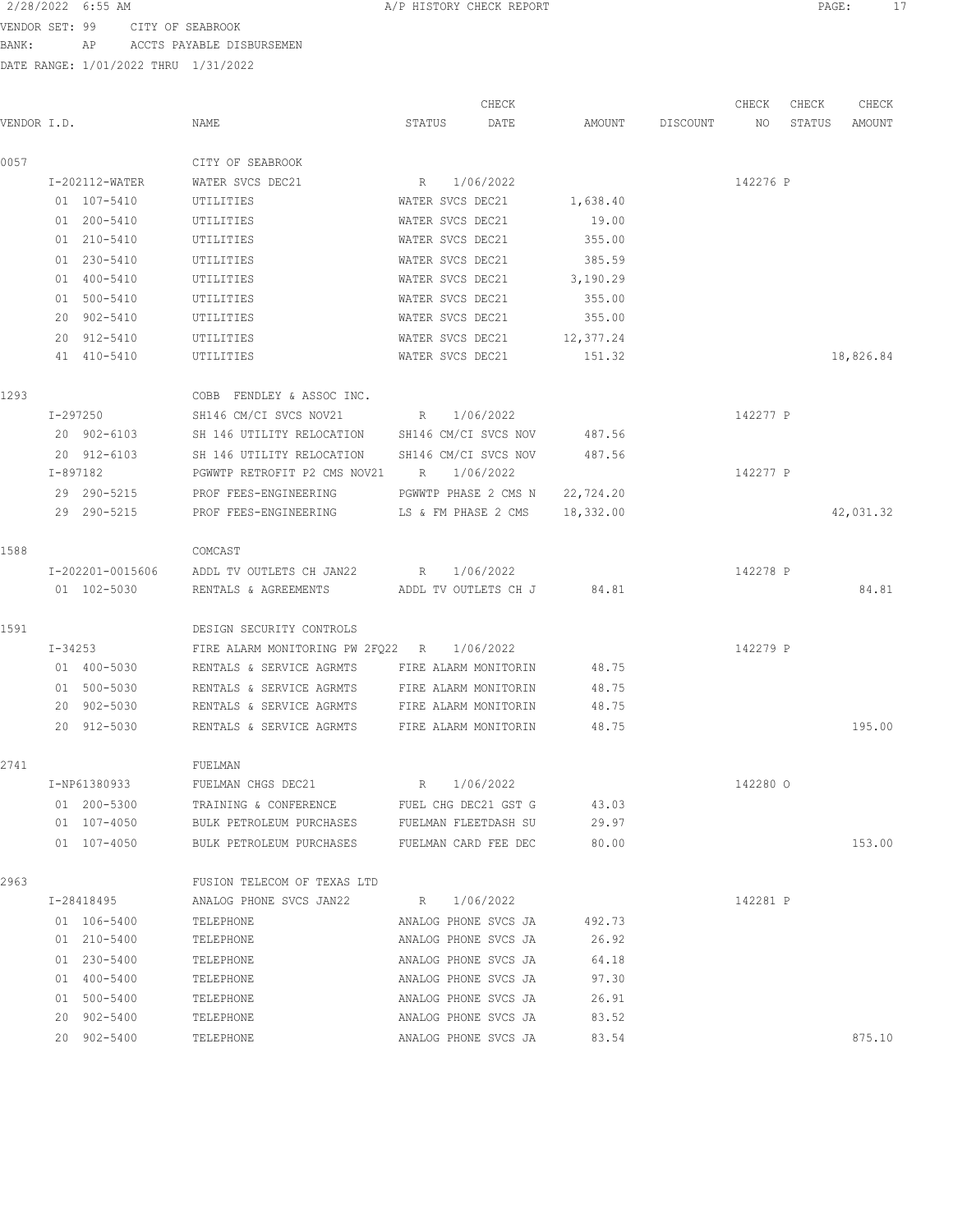VENDOR SET: 99 CITY OF SEABROOK

BANK: AP ACCTS PAYABLE DISBURSEMEN

| VENDOR I.D. |                  | NAME                                                | CHECK<br>STATUS<br>DATE            | AMOUNT    | DISCOUNT | CHECK<br>NO. | CHECK<br>STATUS | CHECK<br>AMOUNT |
|-------------|------------------|-----------------------------------------------------|------------------------------------|-----------|----------|--------------|-----------------|-----------------|
|             |                  |                                                     |                                    |           |          |              |                 |                 |
| 0057        | I-202112-WATER   | CITY OF SEABROOK                                    |                                    |           |          |              |                 |                 |
|             | 01 107-5410      | WATER SVCS DEC21<br>UTILITIES                       | 1/06/2022<br>R<br>WATER SVCS DEC21 | 1,638.40  |          | 142276 P     |                 |                 |
|             | 01 200-5410      | UTILITIES                                           | WATER SVCS DEC21                   | 19.00     |          |              |                 |                 |
|             | 01 210-5410      | UTILITIES                                           | WATER SVCS DEC21                   | 355.00    |          |              |                 |                 |
|             | 01 230-5410      | UTILITIES                                           | WATER SVCS DEC21                   | 385.59    |          |              |                 |                 |
|             | 01 400-5410      | UTILITIES                                           | WATER SVCS DEC21                   | 3,190.29  |          |              |                 |                 |
|             | 01 500-5410      | UTILITIES                                           | WATER SVCS DEC21                   | 355.00    |          |              |                 |                 |
|             | 20 902-5410      | UTILITIES                                           | WATER SVCS DEC21                   | 355.00    |          |              |                 |                 |
|             | 20 912-5410      | UTILITIES                                           | WATER SVCS DEC21                   | 12,377.24 |          |              |                 |                 |
|             | 41 410-5410      | UTILITIES                                           | WATER SVCS DEC21                   | 151.32    |          |              |                 | 18,826.84       |
| 1293        |                  | COBB FENDLEY & ASSOC INC.                           |                                    |           |          |              |                 |                 |
|             | I-297250         | SH146 CM/CI SVCS NOV21                              | 1/06/2022<br>R                     |           |          | 142277 P     |                 |                 |
|             | 20 902-6103      | SH 146 UTILITY RELOCATION SH146 CM/CI SVCS NOV      |                                    | 487.56    |          |              |                 |                 |
|             | 20 912-6103      | SH 146 UTILITY RELOCATION                           | SH146 CM/CI SVCS NOV               | 487.56    |          |              |                 |                 |
|             | I-897182         | PGWWTP RETROFIT P2 CMS NOV21 R 1/06/2022            |                                    |           |          | 142277 P     |                 |                 |
|             | 29 290-5215      | PROF FEES-ENGINEERING                               | PGWWTP PHASE 2 CMS N 22,724.20     |           |          |              |                 |                 |
|             | 29 290-5215      | PROF FEES-ENGINEERING LS & FM PHASE 2 CMS 18,332.00 |                                    |           |          |              |                 | 42,031.32       |
| 1588        |                  | COMCAST                                             |                                    |           |          |              |                 |                 |
|             | I-202201-0015606 | ADDL TV OUTLETS CH JAN22                            | 1/06/2022<br>R                     |           |          | 142278 P     |                 |                 |
|             | 01 102-5030      | RENTALS & AGREEMENTS ADDL TV OUTLETS CH J           |                                    | 84.81     |          |              |                 | 84.81           |
| 1591        |                  | DESIGN SECURITY CONTROLS                            |                                    |           |          |              |                 |                 |
|             | I-34253          | FIRE ALARM MONITORING PW 2FQ22 R                    | 1/06/2022                          |           |          | 142279 P     |                 |                 |
|             | 01 400-5030      | RENTALS & SERVICE AGRMTS                            | FIRE ALARM MONITORIN               | 48.75     |          |              |                 |                 |
|             | 01 500-5030      | RENTALS & SERVICE AGRMTS                            | FIRE ALARM MONITORIN               | 48.75     |          |              |                 |                 |
|             | 20 902-5030      | RENTALS & SERVICE AGRMTS                            | FIRE ALARM MONITORIN               | 48.75     |          |              |                 |                 |
|             | 20 912-5030      | RENTALS & SERVICE AGRMTS                            | FIRE ALARM MONITORIN               | 48.75     |          |              |                 | 195.00          |
| 2741        |                  | FUELMAN                                             |                                    |           |          |              |                 |                 |
|             | I-NP61380933     | FUELMAN CHGS DEC21                                  | 1/06/2022<br>R                     |           |          | 142280 0     |                 |                 |
|             | 01 200-5300      | TRAINING & CONFERENCE                               | FUEL CHG DEC21 GST G               | 43.03     |          |              |                 |                 |
|             | 01 107-4050      | BULK PETROLEUM PURCHASES FUELMAN FLEETDASH SU       |                                    | 29.97     |          |              |                 |                 |
|             | 01 107-4050      | BULK PETROLEUM PURCHASES                            | FUELMAN CARD FEE DEC               | 80.00     |          |              |                 | 153.00          |
| 2963        |                  | FUSION TELECOM OF TEXAS LTD                         |                                    |           |          |              |                 |                 |
|             | I-28418495       | ANALOG PHONE SVCS JAN22                             | 1/06/2022<br>R                     |           |          | 142281 P     |                 |                 |
|             | 01 106-5400      | TELEPHONE                                           | ANALOG PHONE SVCS JA               | 492.73    |          |              |                 |                 |
|             | 01 210-5400      | TELEPHONE                                           | ANALOG PHONE SVCS JA               | 26.92     |          |              |                 |                 |
|             | 01 230-5400      | TELEPHONE                                           | ANALOG PHONE SVCS JA               | 64.18     |          |              |                 |                 |
|             | 01 400-5400      | TELEPHONE                                           | ANALOG PHONE SVCS JA               | 97.30     |          |              |                 |                 |
|             | 01 500-5400      | TELEPHONE                                           | ANALOG PHONE SVCS JA               | 26.91     |          |              |                 |                 |
|             | 20 902-5400      | TELEPHONE                                           | ANALOG PHONE SVCS JA               | 83.52     |          |              |                 |                 |
|             | 20 902-5400      | TELEPHONE                                           | ANALOG PHONE SVCS JA               | 83.54     |          |              |                 | 875.10          |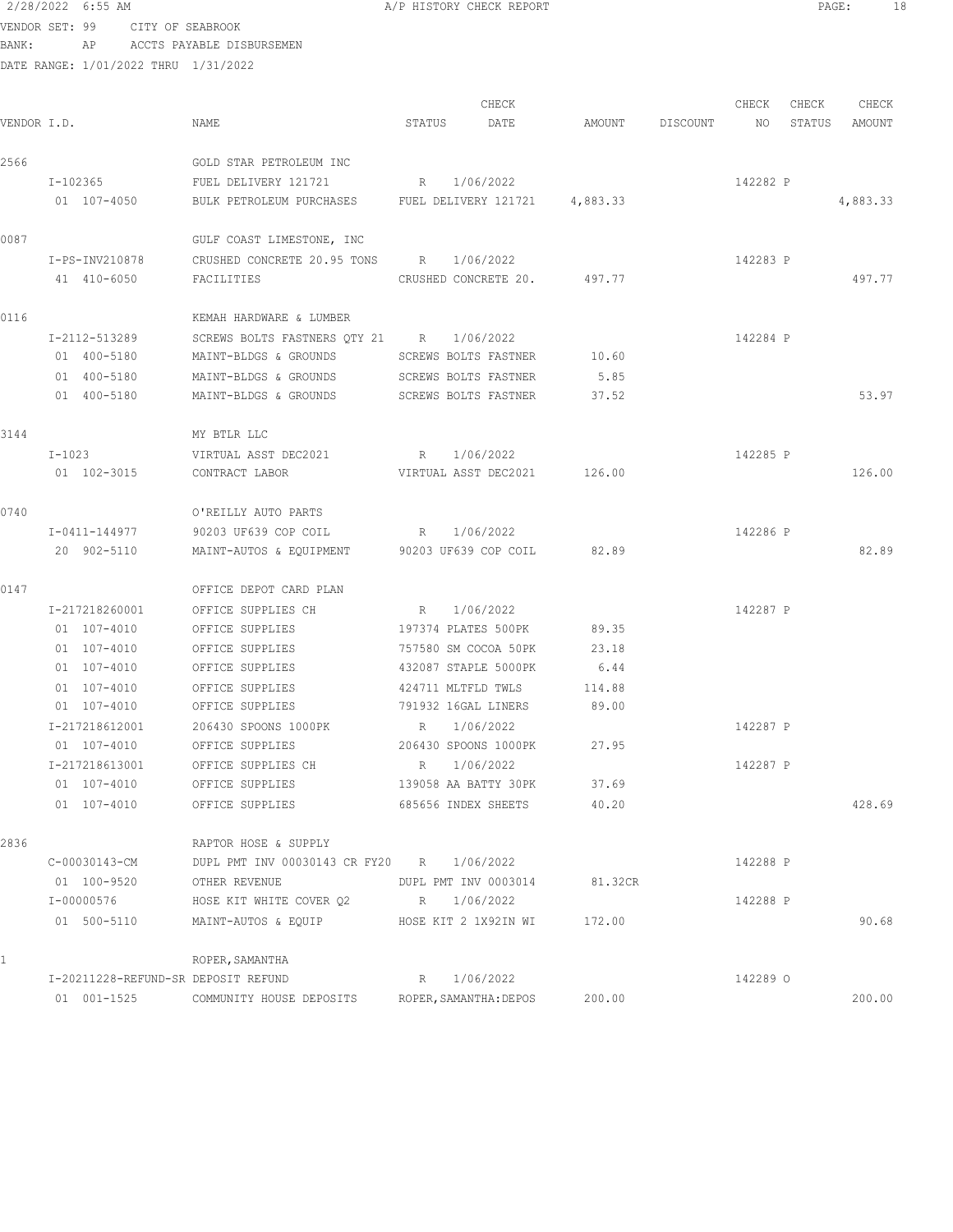# 2/28/2022 6:55 AM A/P HISTORY CHECK REPORT PAGE: 18 VENDOR SET: 99 CITY OF SEABROOK

BANK: AP ACCTS PAYABLE DISBURSEMEN

| VENDOR I.D. |                 | NAME                                                   | STATUS | CHECK<br>DATE               |         | AMOUNT DISCOUNT NO | CHECK    | CHECK<br>STATUS | CHECK<br>AMOUNT |
|-------------|-----------------|--------------------------------------------------------|--------|-----------------------------|---------|--------------------|----------|-----------------|-----------------|
| 2566        |                 | GOLD STAR PETROLEUM INC                                |        |                             |         |                    |          |                 |                 |
|             | I-102365        | FUEL DELIVERY 121721                                   | R      | 1/06/2022                   |         |                    | 142282 P |                 |                 |
|             | 01 107-4050     | BULK PETROLEUM PURCHASES FUEL DELIVERY 121721 4,883.33 |        |                             |         |                    |          |                 | 4,883.33        |
| 0087        |                 | GULF COAST LIMESTONE, INC                              |        |                             |         |                    |          |                 |                 |
|             | I-PS-INV210878  | CRUSHED CONCRETE 20.95 TONS R 1/06/2022                |        |                             |         |                    | 142283 P |                 |                 |
|             | 41 410-6050     | FACILITIES                                             |        | CRUSHED CONCRETE 20. 497.77 |         |                    |          |                 | 497.77          |
| 0116        |                 | KEMAH HARDWARE & LUMBER                                |        |                             |         |                    |          |                 |                 |
|             | I-2112-513289   | SCREWS BOLTS FASTNERS QTY 21 R 1/06/2022               |        |                             |         |                    | 142284 P |                 |                 |
|             | 01 400-5180     | MAINT-BLDGS & GROUNDS                                  |        | SCREWS BOLTS FASTNER        | 10.60   |                    |          |                 |                 |
|             | 01 400-5180     | MAINT-BLDGS & GROUNDS                                  |        | SCREWS BOLTS FASTNER        | 5.85    |                    |          |                 |                 |
|             | 01 400-5180     | MAINT-BLDGS & GROUNDS SCREWS BOLTS FASTNER             |        |                             | 37.52   |                    |          |                 | 53.97           |
| 3144        |                 | MY BTLR LLC                                            |        |                             |         |                    |          |                 |                 |
|             | I-1023          | VIRTUAL ASST DEC2021                                   |        | R 1/06/2022                 |         |                    | 142285 P |                 |                 |
|             | 01 102-3015     | CONTRACT LABOR                                         |        | VIRTUAL ASST DEC2021 126.00 |         |                    |          |                 | 126.00          |
| 0740        |                 | O'REILLY AUTO PARTS                                    |        |                             |         |                    |          |                 |                 |
|             | I-0411-144977   | 90203 UF639 COP COIL                                   |        | R 1/06/2022                 |         |                    | 142286 P |                 |                 |
|             | 20 902-5110     | MAINT-AUTOS & EQUIPMENT 90203 UF639 COP COIL           |        |                             | 82.89   |                    |          |                 | 82.89           |
| 0147        |                 | OFFICE DEPOT CARD PLAN                                 |        |                             |         |                    |          |                 |                 |
|             | I-217218260001  | OFFICE SUPPLIES CH                                     |        | R 1/06/2022                 |         |                    | 142287 P |                 |                 |
|             | 01 107-4010     | OFFICE SUPPLIES                                        |        | 197374 PLATES 500PK 89.35   |         |                    |          |                 |                 |
|             | 01 107-4010     | OFFICE SUPPLIES                                        |        | 757580 SM COCOA 50PK        | 23.18   |                    |          |                 |                 |
|             | 01 107-4010     | OFFICE SUPPLIES                                        |        | 432087 STAPLE 5000PK        | 6.44    |                    |          |                 |                 |
|             | $01 107 - 4010$ | OFFICE SUPPLIES                                        |        | 424711 MLTFLD TWLS          | 114.88  |                    |          |                 |                 |
|             | 01 107-4010     | OFFICE SUPPLIES                                        |        | 791932 16GAL LINERS         | 89.00   |                    |          |                 |                 |
|             | I-217218612001  | 206430 SPOONS 1000PK                                   | R      | 1/06/2022                   |         |                    | 142287 P |                 |                 |
|             | 01 107-4010     | OFFICE SUPPLIES                                        |        | 206430 SPOONS 1000PK        | 27.95   |                    |          |                 |                 |
|             | I-217218613001  | OFFICE SUPPLIES CH                                     | R      | 1/06/2022                   |         |                    | 142287 P |                 |                 |
|             | 01 107-4010     | OFFICE SUPPLIES                                        |        | 139058 AA BATTY 30PK        | 37.69   |                    |          |                 |                 |
|             | 01 107-4010     | OFFICE SUPPLIES                                        |        | 685656 INDEX SHEETS         | 40.20   |                    |          |                 | 428.69          |
| 2836        |                 | RAPTOR HOSE & SUPPLY                                   |        |                             |         |                    |          |                 |                 |
|             | C-00030143-CM   | DUPL PMT INV 00030143 CR FY20 R 1/06/2022              |        |                             |         |                    | 142288 P |                 |                 |
|             | 01 100-9520     | OTHER REVENUE                                          |        | DUPL PMT INV 0003014        | 81.32CR |                    |          |                 |                 |
|             | I-00000576      | HOSE KIT WHITE COVER $Q2$ R 1/06/2022                  |        |                             |         |                    | 142288 P |                 |                 |
|             | 01 500-5110     | MAINT-AUTOS & EQUIP HOSE KIT 2 1X92IN WI               |        |                             | 172.00  |                    |          |                 | 90.68           |
|             |                 | ROPER, SAMANTHA                                        |        |                             |         |                    |          |                 |                 |

|  |                                     | ROPER, SAMANTHA          |                        |        |          |        |
|--|-------------------------------------|--------------------------|------------------------|--------|----------|--------|
|  | T-20211228-REFUND-SR DEPOSTT REFUND |                          | R 1/06/2022            |        | 142289 0 |        |
|  | 01 001-1525                         | COMMUNITY HOUSE DEPOSITS | ROPER, SAMANTHA: DEPOS | 200.00 |          | 200.00 |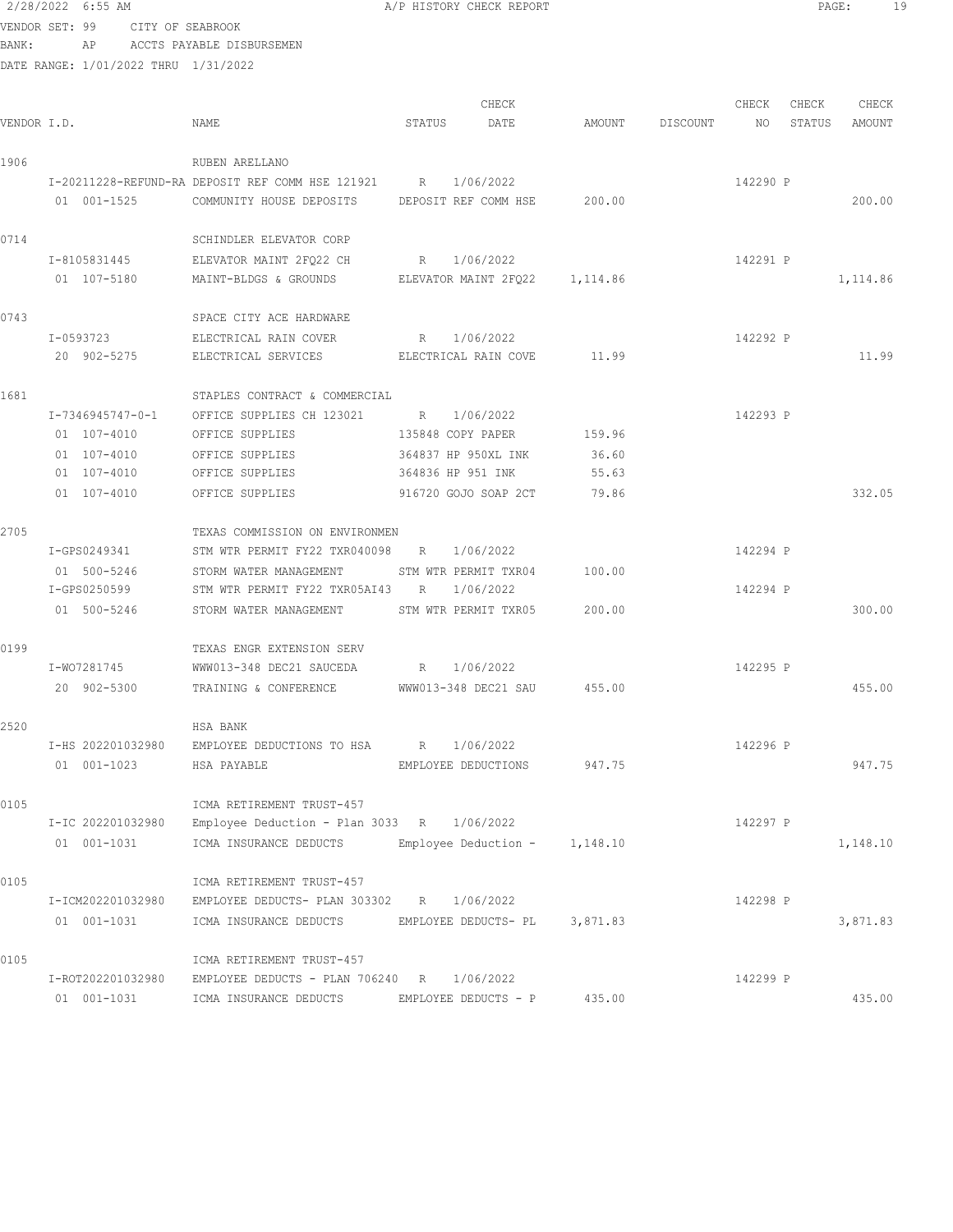VENDOR SET: 99 CITY OF SEABROOK BANK: AP ACCTS PAYABLE DISBURSEMEN DATE RANGE: 1/01/2022 THRU 1/31/2022 CHECK CHECK CHECK CHECK CHECK CHECK CHECK CHECK CHECK CHECK CHECK CHECK CHECK CHECK CHECK CHECK CHECK CHECK CHECK CHECK CHECK CHECK CHECK CHECK CHECK CHECK CHECK CHECK CHECK CHECK CHECK CHECK CHECK CHECK CHECK CHECK CHECK VENDOR I.D. NAME STATUS DATE AMOUNT DISCOUNT NO STATUS AMOUNT 1906 RUBEN ARELLANO I-20211228-REFUND-RA DEPOSIT REF COMM HSE 121921 R 1/06/2022 142290 P 01 001-1525 COMMUNITY HOUSE DEPOSITS DEPOSIT REF COMM HSE 200.00 200.00 200.00 0714 SCHINDLER ELEVATOR CORP I-8105831445 ELEVATOR MAINT 2FQ22 CH R 1/06/2022 142291 P 01 107-5180 MAINT-BLDGS & GROUNDS ELEVATOR MAINT 2FQ22 1,114.86 1,114.86 0743 SPACE CITY ACE HARDWARE I-0593723 ELECTRICAL RAIN COVER R 1/06/2022 2 142292 P 20 902-5275 ELECTRICAL SERVICES ELECTRICAL RAIN COVE 11.99 11.99 1681 STAPLES CONTRACT & COMMERCIAL I-7346945747-0-1 OFFICE SUPPLIES CH 123021 R 1/06/2022 142293 P 01 107-4010 OFFICE SUPPLIES 135848 COPY PAPER 159.96 01 107-4010 OFFICE SUPPLIES 364837 HP 950XL INK 36.60 01 107-4010 OFFICE SUPPLIES 364836 HP 951 INK 55.63 01 107-4010 OFFICE SUPPLIES 916720 GOJO SOAP 2CT 79.86 332.05 2705 TEXAS COMMISSION ON ENVIRONMEN I-GPS0249341 STM WTR PERMIT FY22 TXR040098 R 1/06/2022 142294 P 01 500-5246 STORM WATER MANAGEMENT STM WTR PERMIT TXR04 100.00 I-GPS0250599 STM WTR PERMIT FY22 TXR05AI43 R 1/06/2022 142294 P 01 500-5246 STORM WATER MANAGEMENT STM WTR PERMIT TXR05 200.00 300.00 300.00 0199 TEXAS ENGR EXTENSION SERV I-WO7281745 WWW013-348 DEC21 SAUCEDA R 1/06/2022 142295 P 20 902-5300 TRAINING & CONFERENCE WWW013-348 DEC21 SAU 455.00 455.00 2520 HSA BANK I-HS 202201032980 EMPLOYEE DEDUCTIONS TO HSA R 1/06/2022 142296 P 01 001-1023 HSA PAYABLE EMPLOYEE DEDUCTIONS 947.75 947.75 947.75 0105 ICMA RETIREMENT TRUST-457 I-IC 202201032980 Employee Deduction - Plan 3033 R 1/06/2022 142297 P 01 001-1031 ICMA INSURANCE DEDUCTS Employee Deduction - 1,148.10 1,148.10 0105 ICMA RETIREMENT TRUST-457 I-ICM202201032980 EMPLOYEE DEDUCTS- PLAN 303302 R 1/06/2022 142298 P 01 001-1031 ICMA INSURANCE DEDUCTS EMPLOYEE DEDUCTS- PL 3,871.83 3,871.83 0105 ICMA RETIREMENT TRUST-457 I-ROT202201032980 EMPLOYEE DEDUCTS - PLAN 706240 R 1/06/2022 142299 P 01 001-1031 ICMA INSURANCE DEDUCTS EMPLOYEE DEDUCTS - P 435.00 435.00 435.00

2/28/2022 6:55 AM A/P HISTORY CHECK REPORT PAGE: 19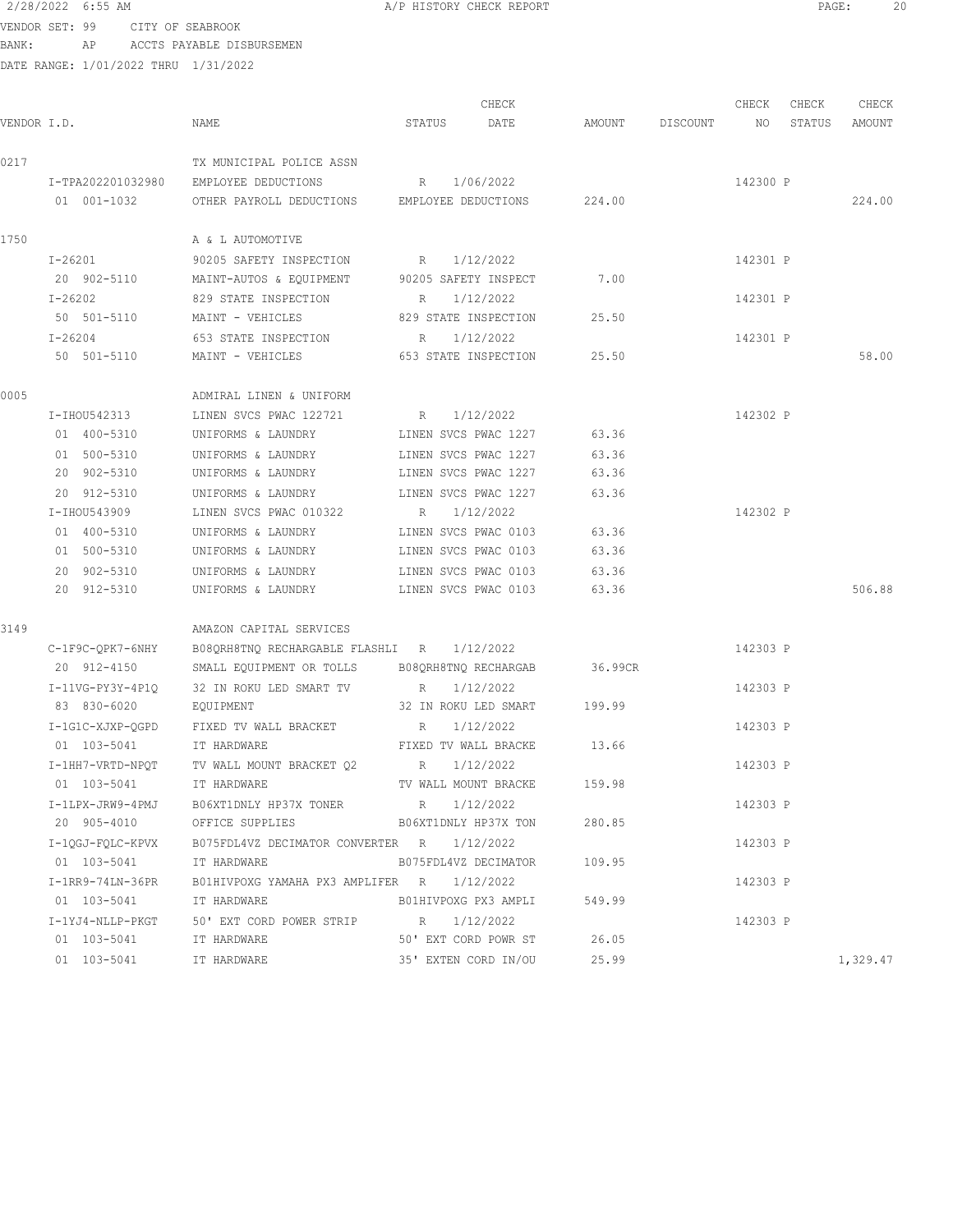#### 2/28/2022 6:55 AM A/P HISTORY CHECK REPORT PAGE: 20 VENDOR SET: 99 CITY OF SEABROOK

BANK: AP ACCTS PAYABLE DISBURSEMEN

|             |                    |                                              |                      | CHECK                      |         |                 | CHECK    | CHECK  | CHECK    |
|-------------|--------------------|----------------------------------------------|----------------------|----------------------------|---------|-----------------|----------|--------|----------|
| VENDOR I.D. |                    | NAME                                         | STATUS               | DATE                       |         | AMOUNT DISCOUNT | NO       | STATUS | AMOUNT   |
| 0217        |                    | TX MUNICIPAL POLICE ASSN                     |                      |                            |         |                 |          |        |          |
|             | I-TPA202201032980  | EMPLOYEE DEDUCTIONS                          |                      | R 1/06/2022                |         |                 | 142300 P |        |          |
|             | 01 001-1032        | OTHER PAYROLL DEDUCTIONS EMPLOYEE DEDUCTIONS |                      |                            | 224.00  |                 |          |        | 224.00   |
| 1750        |                    | A & L AUTOMOTIVE                             |                      |                            |         |                 |          |        |          |
|             | I-26201            | 90205 SAFETY INSPECTION                      | $R_{\rm c}$          | 1/12/2022                  |         |                 | 142301 P |        |          |
|             | 20 902-5110        | MAINT-AUTOS & EQUIPMENT 90205 SAFETY INSPECT |                      |                            | 7.00    |                 |          |        |          |
|             | $I - 26202$        | 829 STATE INSPECTION                         | R                    | 1/12/2022                  |         |                 | 142301 P |        |          |
|             | 50 501-5110        | MAINT - VEHICLES                             | 829 STATE INSPECTION |                            | 25.50   |                 |          |        |          |
|             | $I - 26204$        | 653 STATE INSPECTION                         | R                    | 1/12/2022                  |         |                 | 142301 P |        |          |
|             | 50 501-5110        | MAINT - VEHICLES 653 STATE INSPECTION        |                      |                            | 25.50   |                 |          |        | 58.00    |
| 0005        |                    | ADMIRAL LINEN & UNIFORM                      |                      |                            |         |                 |          |        |          |
|             | I-IHOU542313       | LINEN SVCS PWAC 122721                       | R 1/12/2022          |                            |         |                 | 142302 P |        |          |
|             | 01 400-5310        | UNIFORMS & LAUNDRY                           | LINEN SVCS PWAC 1227 |                            | 63.36   |                 |          |        |          |
|             | 01 500-5310        | UNIFORMS & LAUNDRY                           | LINEN SVCS PWAC 1227 |                            | 63.36   |                 |          |        |          |
|             | 20 902-5310        | UNIFORMS & LAUNDRY                           | LINEN SVCS PWAC 1227 |                            | 63.36   |                 |          |        |          |
|             | 20 912-5310        | UNIFORMS & LAUNDRY                           | LINEN SVCS PWAC 1227 |                            | 63.36   |                 |          |        |          |
|             | I-IHOU543909       | LINEN SVCS PWAC 010322                       | R                    | 1/12/2022                  |         |                 | 142302 P |        |          |
|             | 01 400-5310        | UNIFORMS & LAUNDRY                           | LINEN SVCS PWAC 0103 |                            | 63.36   |                 |          |        |          |
|             | 01 500-5310        | UNIFORMS & LAUNDRY                           | LINEN SVCS PWAC 0103 |                            | 63.36   |                 |          |        |          |
|             | 20 902-5310        | UNIFORMS & LAUNDRY                           | LINEN SVCS PWAC 0103 |                            | 63.36   |                 |          |        |          |
|             | 20 912-5310        | UNIFORMS & LAUNDRY                           | LINEN SVCS PWAC 0103 |                            | 63.36   |                 |          |        | 506.88   |
| 3149        |                    | AMAZON CAPITAL SERVICES                      |                      |                            |         |                 |          |        |          |
|             | C-1F9C-QPK7-6NHY   | B08QRH8TNQ RECHARGABLE FLASHLI R             |                      | 1/12/2022                  |         |                 | 142303 P |        |          |
|             | 20 912-4150        | SMALL EQUIPMENT OR TOLLS                     | B08QRH8TNQ RECHARGAB |                            | 36.99CR |                 |          |        |          |
|             | $I-11VG-PY3Y-4P1Q$ | 32 IN ROKU LED SMART TV                      | R                    | 1/12/2022                  |         |                 | 142303 P |        |          |
|             | 83 830-6020        | EQUIPMENT                                    |                      | 32 IN ROKU LED SMART       | 199.99  |                 |          |        |          |
|             | I-1G1C-XJXP-QGPD   | FIXED TV WALL BRACKET                        | R                    | 1/12/2022                  |         |                 | 142303 P |        |          |
|             | 01 103-5041        | IT HARDWARE                                  |                      | FIXED TV WALL BRACKE 13.66 |         |                 |          |        |          |
|             | I-1HH7-VRTD-NPQT   | TV WALL MOUNT BRACKET 02 R                   |                      | 1/12/2022                  |         |                 | 142303 P |        |          |
|             | 01 103-5041        | IT HARDWARE                                  | TV WALL MOUNT BRACKE |                            | 159.98  |                 |          |        |          |
|             | I-1LPX-JRW9-4PMJ   | B06XT1DNLY HP37X TONER R 1/12/2022           |                      |                            |         |                 | 142303 P |        |          |
|             | 20 905-4010        | OFFICE SUPPLIES                              |                      | B06XT1DNLY HP37X TON       | 280.85  |                 |          |        |          |
|             | I-10GJ-FOLC-KPVX   | B075FDL4VZ DECIMATOR CONVERTER R             |                      | 1/12/2022                  |         |                 | 142303 P |        |          |
|             | 01 103-5041        | IT HARDWARE                                  |                      | B075FDL4VZ DECIMATOR       | 109.95  |                 |          |        |          |
|             | I-1RR9-74LN-36PR   | BO1HIVPOXG YAMAHA PX3 AMPLIFER R 1/12/2022   |                      |                            |         |                 | 142303 P |        |          |
|             | 01 103-5041        | IT HARDWARE                                  |                      | BO1HIVPOXG PX3 AMPLI       | 549.99  |                 |          |        |          |
|             | I-1YJ4-NLLP-PKGT   | 50' EXT CORD POWER STRIP                     | R 1/12/2022          |                            |         |                 | 142303 P |        |          |
|             | 01 103-5041        | IT HARDWARE                                  |                      | 50' EXT CORD POWR ST       | 26.05   |                 |          |        |          |
|             | 01 103-5041        | IT HARDWARE                                  |                      | 35' EXTEN CORD IN/OU       | 25.99   |                 |          |        | 1,329.47 |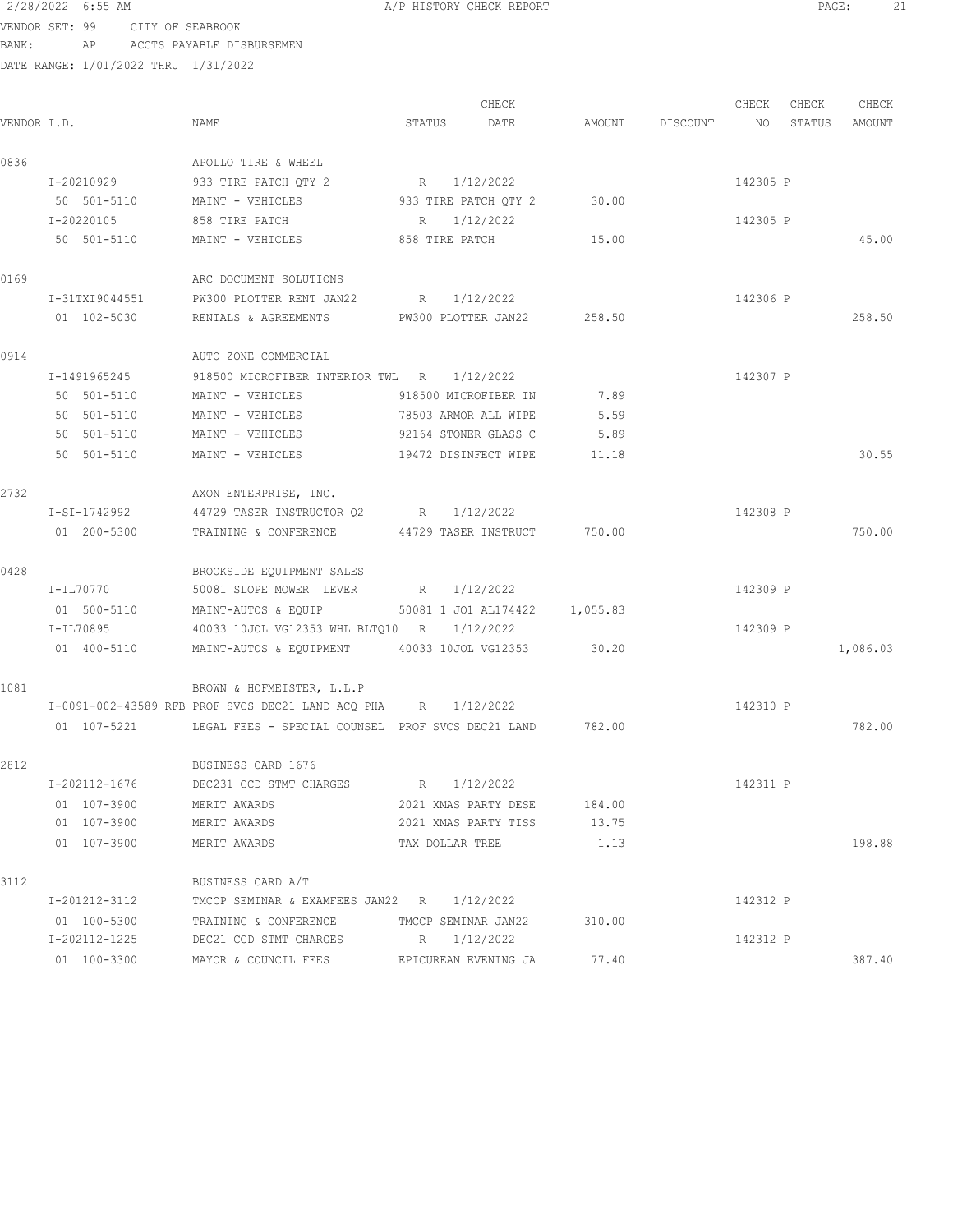#### 2/28/2022 6:55 AM **A/P HISTORY CHECK REPORT PAGE:** 21 VENDOR SET: 99 CITY OF SEABROOK

BANK: AP ACCTS PAYABLE DISBURSEMEN

| VENDOR I.D. |                | NAME                                                                 | STATUS               | CHECK<br>DATE        |        | AMOUNT DISCOUNT NO | CHECK    | CHECK<br>STATUS | CHECK<br>AMOUNT |
|-------------|----------------|----------------------------------------------------------------------|----------------------|----------------------|--------|--------------------|----------|-----------------|-----------------|
| 0836        |                | APOLLO TIRE & WHEEL                                                  |                      |                      |        |                    |          |                 |                 |
|             | I-20210929     | 933 TIRE PATCH QTY 2                                                 | R                    | 1/12/2022            |        |                    | 142305 P |                 |                 |
|             | 50 501-5110    | MAINT - VEHICLES 6933 TIRE PATCH QTY 2 30.00                         |                      |                      |        |                    |          |                 |                 |
|             | I-20220105     | 858 TIRE PATCH                                                       | R 1/12/2022          |                      |        |                    | 142305 P |                 |                 |
|             | 50 501-5110    | MAINT - VEHICLES 658 TIRE PATCH 15.00                                |                      |                      |        |                    |          |                 | 45.00           |
| 0169        |                | ARC DOCUMENT SOLUTIONS                                               |                      |                      |        |                    |          |                 |                 |
|             | I-31TXI9044551 | PW300 PLOTTER RENT JAN22                                             | R 1/12/2022          |                      |        |                    | 142306 P |                 |                 |
|             | 01 102-5030    | RENTALS & AGREEMENTS PW300 PLOTTER JAN22 258.50                      |                      |                      |        |                    |          |                 | 258.50          |
| 0914        |                | AUTO ZONE COMMERCIAL                                                 |                      |                      |        |                    |          |                 |                 |
|             | I-1491965245   | 918500 MICROFIBER INTERIOR TWL R 1/12/2022                           |                      |                      |        |                    | 142307 P |                 |                 |
|             | 50 501-5110    | MAINT - VEHICLES                                                     | 918500 MICROFIBER IN |                      | 7.89   |                    |          |                 |                 |
|             | 50 501-5110    | MAINT - VEHICLES                                                     | 78503 ARMOR ALL WIPE |                      | 5.59   |                    |          |                 |                 |
|             | 50 501-5110    | MAINT - VEHICLES                                                     | 92164 STONER GLASS C |                      | 5.89   |                    |          |                 |                 |
|             | 50 501-5110    | MAINT - VEHICLES<br>19472 DISINFECT WIPE                             |                      |                      | 11.18  |                    |          |                 | 30.55           |
| 2732        |                | AXON ENTERPRISE, INC.                                                |                      |                      |        |                    |          |                 |                 |
|             | I-SI-1742992   | 44729 TASER INSTRUCTOR Q2 R 1/12/2022                                |                      |                      |        |                    | 142308 P |                 |                 |
|             | 01 200-5300    | TRAINING & CONFERENCE 44729 TASER INSTRUCT 750.00                    |                      |                      |        |                    |          |                 | 750.00          |
| 0428        |                | BROOKSIDE EQUIPMENT SALES                                            |                      |                      |        |                    |          |                 |                 |
|             | I-IL70770      | 50081 SLOPE MOWER LEVER R 1/12/2022                                  |                      |                      |        |                    | 142309 P |                 |                 |
|             | 01 500-5110    | MAINT-AUTOS & EQUIP 50081 1 JO1 AL174422 1,055.83                    |                      |                      |        |                    |          |                 |                 |
|             | I-IL70895      | 40033 10JOL VG12353 WHL BLTQ10 R 1/12/2022                           |                      |                      |        |                    | 142309 P |                 |                 |
|             | 01 400-5110    | MAINT-AUTOS & EQUIPMENT 40033 10JOL VG12353                          |                      |                      | 30.20  |                    |          |                 | 1,086.03        |
| 1081        |                | BROWN & HOFMEISTER, L.L.P                                            |                      |                      |        |                    |          |                 |                 |
|             |                | I-0091-002-43589 RFB PROF SVCS DEC21 LAND ACQ PHA R 1/12/2022        |                      |                      |        |                    | 142310 P |                 |                 |
|             |                | 01 107-5221 LEGAL FEES - SPECIAL COUNSEL PROF SVCS DEC21 LAND 782.00 |                      |                      |        |                    |          |                 | 782.00          |
| 2812        |                | BUSINESS CARD 1676                                                   |                      |                      |        |                    |          |                 |                 |
|             | I-202112-1676  | DEC231 CCD STMT CHARGES BR 1/12/2022                                 |                      |                      |        |                    | 142311 P |                 |                 |
|             | 01 107-3900    | MERIT AWARDS                                                         |                      | 2021 XMAS PARTY DESE | 184.00 |                    |          |                 |                 |
|             | 01 107-3900    | MERIT AWARDS                                                         |                      | 2021 XMAS PARTY TISS | 13.75  |                    |          |                 |                 |
|             | 01 107-3900    | MERIT AWARDS                                                         | TAX DOLLAR TREE      |                      | 1.13   |                    |          |                 | 198.88          |
| 3112        |                | BUSINESS CARD A/T                                                    |                      |                      |        |                    |          |                 |                 |
|             | I-201212-3112  | TMCCP SEMINAR & EXAMFEES JAN22 R 1/12/2022                           |                      |                      |        |                    | 142312 P |                 |                 |
|             | 01 100-5300    | TRAINING & CONFERENCE                                                | TMCCP SEMINAR JAN22  |                      | 310.00 |                    |          |                 |                 |
|             | I-202112-1225  | DEC21 CCD STMT CHARGES                                               |                      | R 1/12/2022          |        |                    | 142312 P |                 |                 |
|             | 01 100-3300    | MAYOR & COUNCIL FEES                                                 |                      | EPICUREAN EVENING JA | 77.40  |                    |          |                 | 387.40          |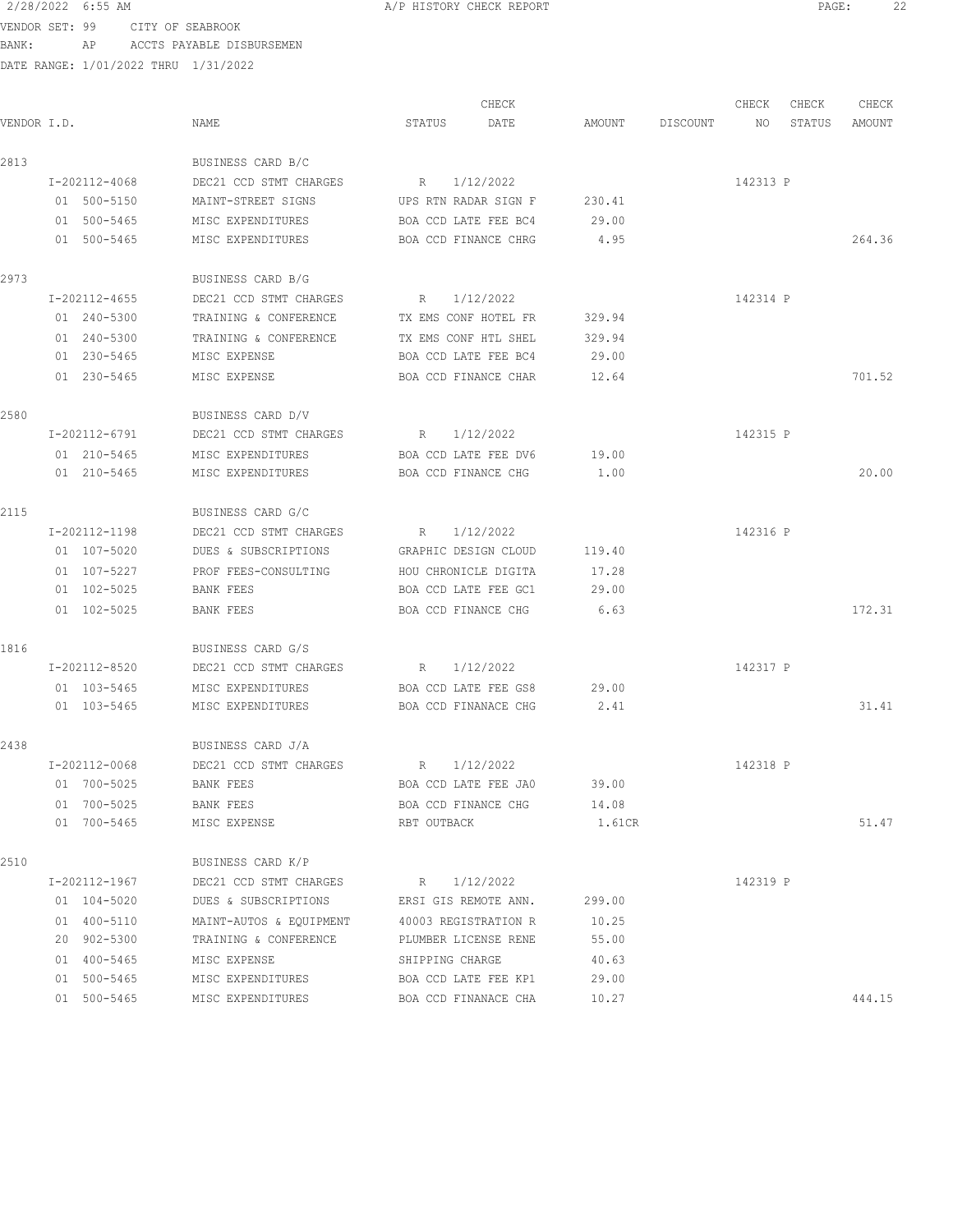VENDOR SET: 99 CITY OF SEABROOK BANK: AP ACCTS PAYABLE DISBURSEMEN

|             |               |             |                         |                      | CHECK                |        |          | CHECK    | CHECK  | CHECK  |
|-------------|---------------|-------------|-------------------------|----------------------|----------------------|--------|----------|----------|--------|--------|
| VENDOR I.D. |               |             | NAME                    | STATUS               | DATE                 | AMOUNT | DISCOUNT | NO       | STATUS | AMOUNT |
| 2813        |               |             | BUSINESS CARD B/C       |                      |                      |        |          |          |        |        |
|             | I-202112-4068 |             | DEC21 CCD STMT CHARGES  | R 1/12/2022          |                      |        |          | 142313 P |        |        |
|             | 01 500-5150   |             | MAINT-STREET SIGNS      |                      | UPS RTN RADAR SIGN F | 230.41 |          |          |        |        |
|             | 01 500-5465   |             | MISC EXPENDITURES       |                      | BOA CCD LATE FEE BC4 | 29.00  |          |          |        |        |
|             | 01 500-5465   |             | MISC EXPENDITURES       |                      | BOA CCD FINANCE CHRG | 4.95   |          |          |        | 264.36 |
| 2973        |               |             | BUSINESS CARD B/G       |                      |                      |        |          |          |        |        |
|             | I-202112-4655 |             | DEC21 CCD STMT CHARGES  | R 1/12/2022          |                      |        |          | 142314 P |        |        |
|             | 01 240-5300   |             | TRAINING & CONFERENCE   | TX EMS CONF HOTEL FR |                      | 329.94 |          |          |        |        |
|             | 01 240-5300   |             | TRAINING & CONFERENCE   | TX EMS CONF HTL SHEL |                      | 329.94 |          |          |        |        |
|             | 01 230-5465   |             | MISC EXPENSE            |                      | BOA CCD LATE FEE BC4 | 29.00  |          |          |        |        |
|             | 01 230-5465   |             | MISC EXPENSE            |                      | BOA CCD FINANCE CHAR | 12.64  |          |          |        | 701.52 |
| 2580        |               |             | BUSINESS CARD D/V       |                      |                      |        |          |          |        |        |
|             | I-202112-6791 |             | DEC21 CCD STMT CHARGES  | R 1/12/2022          |                      |        |          | 142315 P |        |        |
|             | 01 210-5465   |             | MISC EXPENDITURES       |                      | BOA CCD LATE FEE DV6 | 19.00  |          |          |        |        |
|             | 01 210-5465   |             | MISC EXPENDITURES       |                      | BOA CCD FINANCE CHG  | 1.00   |          |          |        | 20.00  |
| 2115        |               |             | BUSINESS CARD G/C       |                      |                      |        |          |          |        |        |
|             | I-202112-1198 |             | DEC21 CCD STMT CHARGES  | R 1/12/2022          |                      |        |          | 142316 P |        |        |
|             | 01 107-5020   |             | DUES & SUBSCRIPTIONS    | GRAPHIC DESIGN CLOUD |                      | 119.40 |          |          |        |        |
|             | 01 107-5227   |             | PROF FEES-CONSULTING    | HOU CHRONICLE DIGITA |                      | 17.28  |          |          |        |        |
|             | 01 102-5025   |             | BANK FEES               |                      | BOA CCD LATE FEE GC1 | 29.00  |          |          |        |        |
|             | 01 102-5025   |             | BANK FEES               |                      | BOA CCD FINANCE CHG  | 6.63   |          |          |        | 172.31 |
| 1816        |               |             | BUSINESS CARD G/S       |                      |                      |        |          |          |        |        |
|             | I-202112-8520 |             | DEC21 CCD STMT CHARGES  | R                    | 1/12/2022            |        |          | 142317 P |        |        |
|             | 01 103-5465   |             | MISC EXPENDITURES       |                      | BOA CCD LATE FEE GS8 | 29.00  |          |          |        |        |
|             | 01 103-5465   |             | MISC EXPENDITURES       |                      | BOA CCD FINANACE CHG | 2.41   |          |          |        | 31.41  |
| 2438        |               |             | BUSINESS CARD J/A       |                      |                      |        |          |          |        |        |
|             | I-202112-0068 |             | DEC21 CCD STMT CHARGES  | R                    | 1/12/2022            |        |          | 142318 P |        |        |
|             | 01 700-5025   |             | BANK FEES               |                      | BOA CCD LATE FEE JA0 | 39.00  |          |          |        |        |
|             | 01 700-5025   |             | BANK FEES               |                      | BOA CCD FINANCE CHG  | 14.08  |          |          |        |        |
|             |               | 01 700-5465 | MISC EXPENSE            | RBT OUTBACK          |                      | 1.61CR |          |          |        | 51.47  |
| 2510        |               |             | BUSINESS CARD K/P       |                      |                      |        |          |          |        |        |
|             | I-202112-1967 |             | DEC21 CCD STMT CHARGES  |                      | R 1/12/2022          |        |          | 142319 P |        |        |
|             | 01 104-5020   |             | DUES & SUBSCRIPTIONS    |                      | ERSI GIS REMOTE ANN. | 299.00 |          |          |        |        |
|             | 01 400-5110   |             | MAINT-AUTOS & EQUIPMENT |                      | 40003 REGISTRATION R | 10.25  |          |          |        |        |
|             | 20 902-5300   |             | TRAINING & CONFERENCE   |                      | PLUMBER LICENSE RENE | 55.00  |          |          |        |        |
|             | 01 400-5465   |             | MISC EXPENSE            | SHIPPING CHARGE      |                      | 40.63  |          |          |        |        |
|             | 01 500-5465   |             | MISC EXPENDITURES       |                      | BOA CCD LATE FEE KP1 | 29.00  |          |          |        |        |
|             | 01 500-5465   |             | MISC EXPENDITURES       |                      | BOA CCD FINANACE CHA | 10.27  |          |          |        | 444.15 |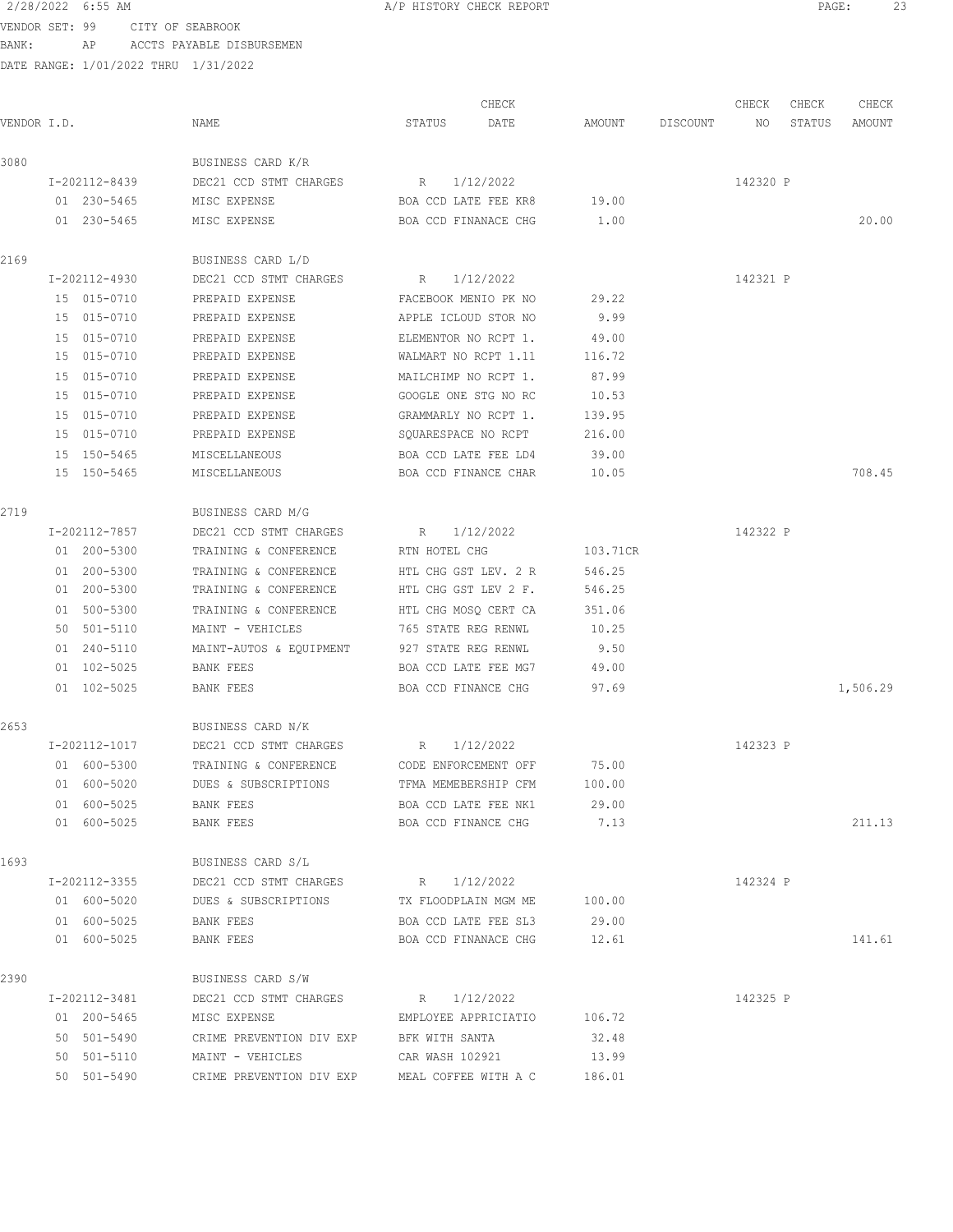VENDOR SET: 99 CITY OF SEABROOK BANK: AP ACCTS PAYABLE DISBURSEMEN

|             |               |                                         |                      | CHECK                       |          |          | CHECK    | CHECK  | CHECK    |
|-------------|---------------|-----------------------------------------|----------------------|-----------------------------|----------|----------|----------|--------|----------|
| VENDOR I.D. |               | NAME                                    | STATUS               | DATE                        | AMOUNT   | DISCOUNT | NO       | STATUS | AMOUNT   |
| 3080        |               | BUSINESS CARD K/R                       |                      |                             |          |          |          |        |          |
|             | I-202112-8439 | DEC21 CCD STMT CHARGES                  | R                    | 1/12/2022                   |          |          | 142320 P |        |          |
|             | 01 230-5465   | MISC EXPENSE                            |                      | BOA CCD LATE FEE KR8        | 19.00    |          |          |        |          |
|             | 01 230-5465   | MISC EXPENSE                            |                      | BOA CCD FINANACE CHG        | 1.00     |          |          |        | 20.00    |
| 2169        |               | BUSINESS CARD L/D                       |                      |                             |          |          |          |        |          |
|             | I-202112-4930 | DEC21 CCD STMT CHARGES                  | R                    | 1/12/2022                   |          |          | 142321 P |        |          |
|             | 15 015-0710   | PREPAID EXPENSE                         |                      | FACEBOOK MENIO PK NO        | 29.22    |          |          |        |          |
|             | 15 015-0710   | PREPAID EXPENSE                         |                      | APPLE ICLOUD STOR NO        | 9.99     |          |          |        |          |
|             | 15 015-0710   | PREPAID EXPENSE                         | ELEMENTOR NO RCPT 1. |                             | 49.00    |          |          |        |          |
|             | 15 015-0710   | PREPAID EXPENSE                         |                      | WALMART NO RCPT 1.11        | 116.72   |          |          |        |          |
|             | 15 015-0710   | PREPAID EXPENSE                         | MAILCHIMP NO RCPT 1. |                             | 87.99    |          |          |        |          |
|             | 15 015-0710   | PREPAID EXPENSE                         |                      | GOOGLE ONE STG NO RC        | 10.53    |          |          |        |          |
|             | 15 015-0710   | PREPAID EXPENSE                         |                      | GRAMMARLY NO RCPT 1.        | 139.95   |          |          |        |          |
|             | 15 015-0710   | PREPAID EXPENSE                         | SQUARESPACE NO RCPT  |                             | 216.00   |          |          |        |          |
|             | 15 150-5465   | MISCELLANEOUS                           |                      | BOA CCD LATE FEE LD4        | 39.00    |          |          |        |          |
|             | 15 150-5465   | MISCELLANEOUS                           |                      | BOA CCD FINANCE CHAR        | 10.05    |          |          |        | 708.45   |
| 2719        |               | BUSINESS CARD M/G                       |                      |                             |          |          |          |        |          |
|             | I-202112-7857 | DEC21 CCD STMT CHARGES                  | R                    | 1/12/2022                   |          |          | 142322 P |        |          |
|             | 01 200-5300   | TRAINING & CONFERENCE                   | RTN HOTEL CHG        |                             | 103.71CR |          |          |        |          |
|             | 01 200-5300   | TRAINING & CONFERENCE                   |                      | HTL CHG GST LEV. 2 R        | 546.25   |          |          |        |          |
|             | 01 200-5300   | TRAINING & CONFERENCE                   | HTL CHG GST LEV 2 F. |                             | 546.25   |          |          |        |          |
|             | 01 500-5300   | TRAINING & CONFERENCE                   | HTL CHG MOSQ CERT CA |                             | 351.06   |          |          |        |          |
|             | 50 501-5110   | MAINT - VEHICLES                        | 765 STATE REG RENWL  |                             | 10.25    |          |          |        |          |
|             | 01 240-5110   | MAINT-AUTOS & EQUIPMENT                 | 927 STATE REG RENWL  |                             | 9.50     |          |          |        |          |
|             | 01 102-5025   | BANK FEES                               | BOA CCD LATE FEE MG7 |                             | 49.00    |          |          |        |          |
|             | 01 102-5025   | BANK FEES                               | BOA CCD FINANCE CHG  |                             | 97.69    |          |          |        | 1,506.29 |
| 2653        |               | BUSINESS CARD N/K                       |                      |                             |          |          |          |        |          |
|             | I-202112-1017 | DEC21 CCD STMT CHARGES                  | R                    | 1/12/2022                   |          |          | 142323 P |        |          |
|             | 01 600-5300   | TRAINING & CONFERENCE                   |                      | CODE ENFORCEMENT OFF        | 75.00    |          |          |        |          |
|             | 01 600-5020   | DUES & SUBSCRIPTIONS                    |                      | TFMA MEMEBERSHIP CFM        | 100.00   |          |          |        |          |
|             | 01 600-5025   | BANK FEES                               |                      | BOA CCD LATE FEE NK1        | 29.00    |          |          |        |          |
|             | 01 600-5025   | BANK FEES                               |                      | BOA CCD FINANCE CHG 7.13    |          |          |          |        | 211.13   |
| 1693        |               | BUSINESS CARD S/L                       |                      |                             |          |          |          |        |          |
|             | I-202112-3355 | DEC21 CCD STMT CHARGES                  |                      | R 1/12/2022                 |          |          | 142324 P |        |          |
|             | 01 600-5020   | DUES & SUBSCRIPTIONS                    | TX FLOODPLAIN MGM ME |                             | 100.00   |          |          |        |          |
|             | 01 600-5025   | BANK FEES                               | BOA CCD LATE FEE SL3 |                             | 29.00    |          |          |        |          |
|             | 01 600-5025   | BANK FEES                               | BOA CCD FINANACE CHG |                             | 12.61    |          |          |        | 141.61   |
| 2390        |               | BUSINESS CARD S/W                       |                      |                             |          |          |          |        |          |
|             | I-202112-3481 | DEC21 CCD STMT CHARGES                  | R 1/12/2022          |                             |          |          | 142325 P |        |          |
|             | 01 200-5465   | MISC EXPENSE                            |                      | EMPLOYEE APPRICIATIO 106.72 |          |          |          |        |          |
|             | 50 501-5490   | CRIME PREVENTION DIV EXP BFK WITH SANTA |                      |                             | 32.48    |          |          |        |          |
|             | 50 501-5110   | MAINT - VEHICLES                        |                      | CAR WASH 102921             | 13.99    |          |          |        |          |
|             | 50 501-5490   | CRIME PREVENTION DIV EXP                |                      | MEAL COFFEE WITH A C        | 186.01   |          |          |        |          |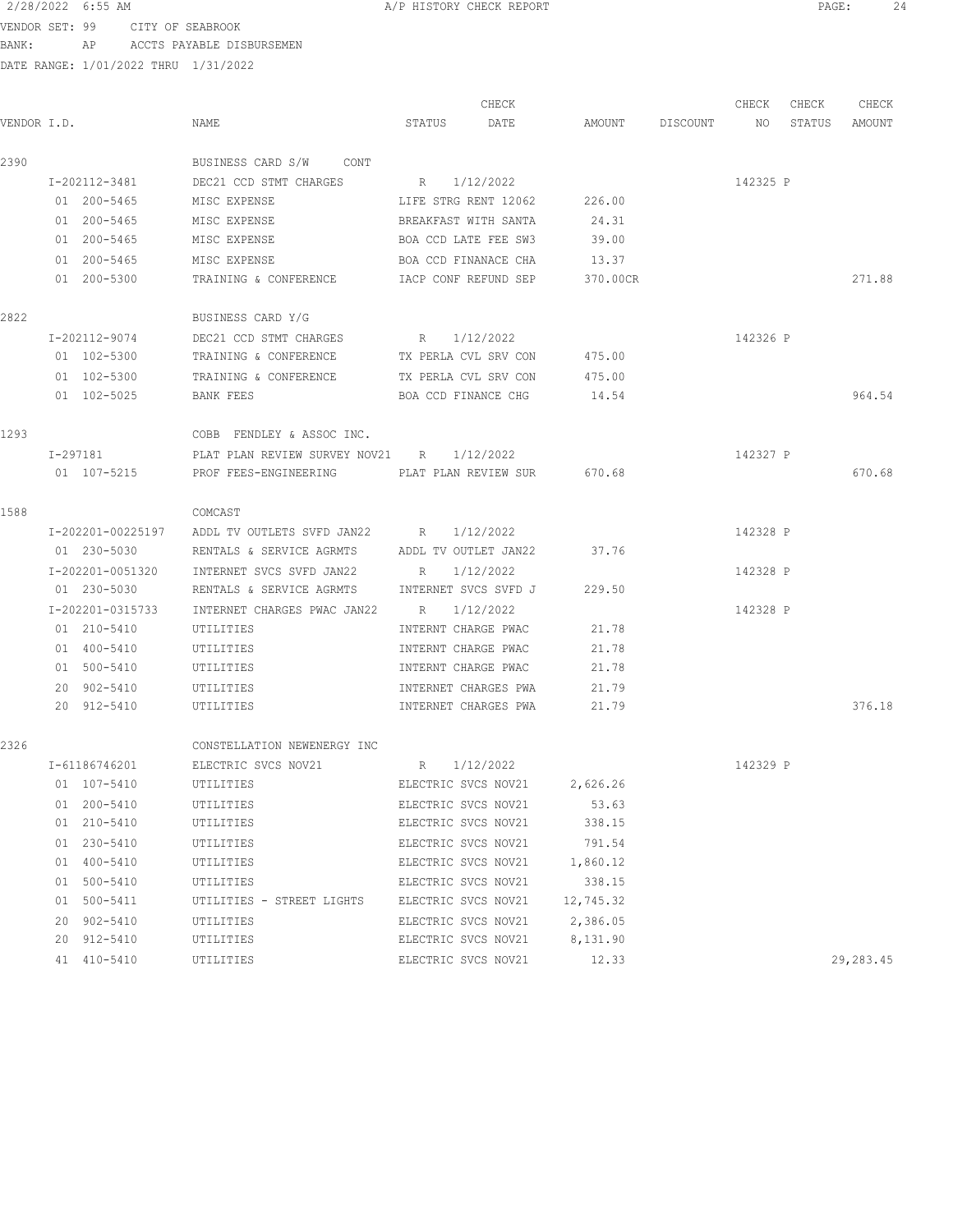VENDOR SET: 99 CITY OF SEABROOK

BANK: AP ACCTS PAYABLE DISBURSEMEN

|  | /P HISTORY CHECK REPORT |  |  |
|--|-------------------------|--|--|
|  |                         |  |  |

|             |                   |                                             |                      | CHECK     |                              | CHECK    | CHECK  | CHECK     |
|-------------|-------------------|---------------------------------------------|----------------------|-----------|------------------------------|----------|--------|-----------|
| VENDOR I.D. |                   | NAME                                        | STATUS               | DATE      | AMOUNT DISCOUNT              | NO.      | STATUS | AMOUNT    |
| 2390        |                   | BUSINESS CARD S/W CONT                      |                      |           |                              |          |        |           |
|             | I-202112-3481     | DEC21 CCD STMT CHARGES                      | R 1/12/2022          |           |                              | 142325 P |        |           |
|             | 01 200-5465       | MISC EXPENSE                                | LIFE STRG RENT 12062 |           | 226.00                       |          |        |           |
|             | 01 200-5465       | MISC EXPENSE                                | BREAKFAST WITH SANTA |           | 24.31                        |          |        |           |
|             | 01 200-5465       | MISC EXPENSE                                | BOA CCD LATE FEE SW3 |           | 39.00                        |          |        |           |
|             | 01 200-5465       | MISC EXPENSE                                | BOA CCD FINANACE CHA |           | 13.37                        |          |        |           |
|             | 01 200-5300       | TRAINING & CONFERENCE                       | IACP CONF REFUND SEP |           | 370.00CR                     |          |        | 271.88    |
| 2822        |                   | BUSINESS CARD Y/G                           |                      |           |                              |          |        |           |
|             | I-202112-9074     | DEC21 CCD STMT CHARGES                      | R 1/12/2022          |           |                              | 142326 P |        |           |
|             | 01 102-5300       | TRAINING & CONFERENCE TX PERLA CVL SRV CON  |                      |           | 475.00                       |          |        |           |
|             | 01 102-5300       | TRAINING & CONFERENCE TX PERLA CVL SRV CON  |                      |           | 475.00                       |          |        |           |
|             | 01 102-5025       | BANK FEES                                   | BOA CCD FINANCE CHG  |           | 14.54                        |          |        | 964.54    |
| 1293        |                   | COBB FENDLEY & ASSOC INC.                   |                      |           |                              |          |        |           |
|             | I-297181          | PLAT PLAN REVIEW SURVEY NOV21 R 1/12/2022   |                      |           |                              | 142327 P |        |           |
|             | 01 107-5215       | PROF FEES-ENGINEERING TELAT PLAN REVIEW SUR |                      |           | 670.68                       |          |        | 670.68    |
| 1588        |                   | COMCAST                                     |                      |           |                              |          |        |           |
|             | I-202201-00225197 | ADDL TV OUTLETS SVFD JAN22 R 1/12/2022      |                      |           |                              | 142328 P |        |           |
|             | 01 230-5030       | RENTALS & SERVICE AGRMTS                    | ADDL TV OUTLET JAN22 |           | 37.76                        |          |        |           |
|             | I-202201-0051320  | INTERNET SVCS SVFD JAN22                    | $R_{\rm c}$          | 1/12/2022 |                              | 142328 P |        |           |
|             | 01 230-5030       | RENTALS & SERVICE AGRMTS                    | INTERNET SVCS SVFD J |           | 229.50                       |          |        |           |
|             | I-202201-0315733  | INTERNET CHARGES PWAC JAN22 R               |                      | 1/12/2022 |                              | 142328 P |        |           |
|             | 01 210-5410       | UTILITIES                                   | INTERNT CHARGE PWAC  |           | 21.78                        |          |        |           |
|             | 01 400-5410       | UTILITIES                                   | INTERNT CHARGE PWAC  |           | 21.78                        |          |        |           |
|             | 01 500-5410       | UTILITIES                                   | INTERNT CHARGE PWAC  |           | 21.78                        |          |        |           |
|             | 20 902-5410       | UTILITIES                                   | INTERNET CHARGES PWA |           | 21.79                        |          |        |           |
|             | 20 912-5410       | UTILITIES                                   | INTERNET CHARGES PWA |           | 21.79                        |          |        | 376.18    |
| 2326        |                   | CONSTELLATION NEWENERGY INC                 |                      |           |                              |          |        |           |
|             | I-61186746201     | ELECTRIC SVCS NOV21 R                       |                      | 1/12/2022 |                              | 142329 P |        |           |
|             | 01 107-5410       | UTILITIES                                   |                      |           | ELECTRIC SVCS NOV21 2,626.26 |          |        |           |
|             | 01 200-5410       | UTILITIES                                   | ELECTRIC SVCS NOV21  |           | 53.63                        |          |        |           |
|             | 01 210-5410       | UTILITIES                                   | ELECTRIC SVCS NOV21  |           | 338.15                       |          |        |           |
|             | 01 230-5410       | UTILITIES                                   | ELECTRIC SVCS NOV21  |           | 791.54                       |          |        |           |
|             | 01 400-5410       | UTILITIES                                   | ELECTRIC SVCS NOV21  |           | 1,860.12                     |          |        |           |
|             | 01 500-5410       | UTILITIES                                   | ELECTRIC SVCS NOV21  |           | 338.15                       |          |        |           |
|             | 01 500-5411       | UTILITIES - STREET LIGHTS                   | ELECTRIC SVCS NOV21  |           | 12,745.32                    |          |        |           |
|             | 20 902-5410       | UTILITIES                                   | ELECTRIC SVCS NOV21  |           | 2,386.05                     |          |        |           |
|             | 20 912-5410       | UTILITIES                                   | ELECTRIC SVCS NOV21  |           | 8,131.90                     |          |        |           |
|             | 41 410-5410       | UTILITIES                                   | ELECTRIC SVCS NOV21  |           | 12.33                        |          |        | 29,283.45 |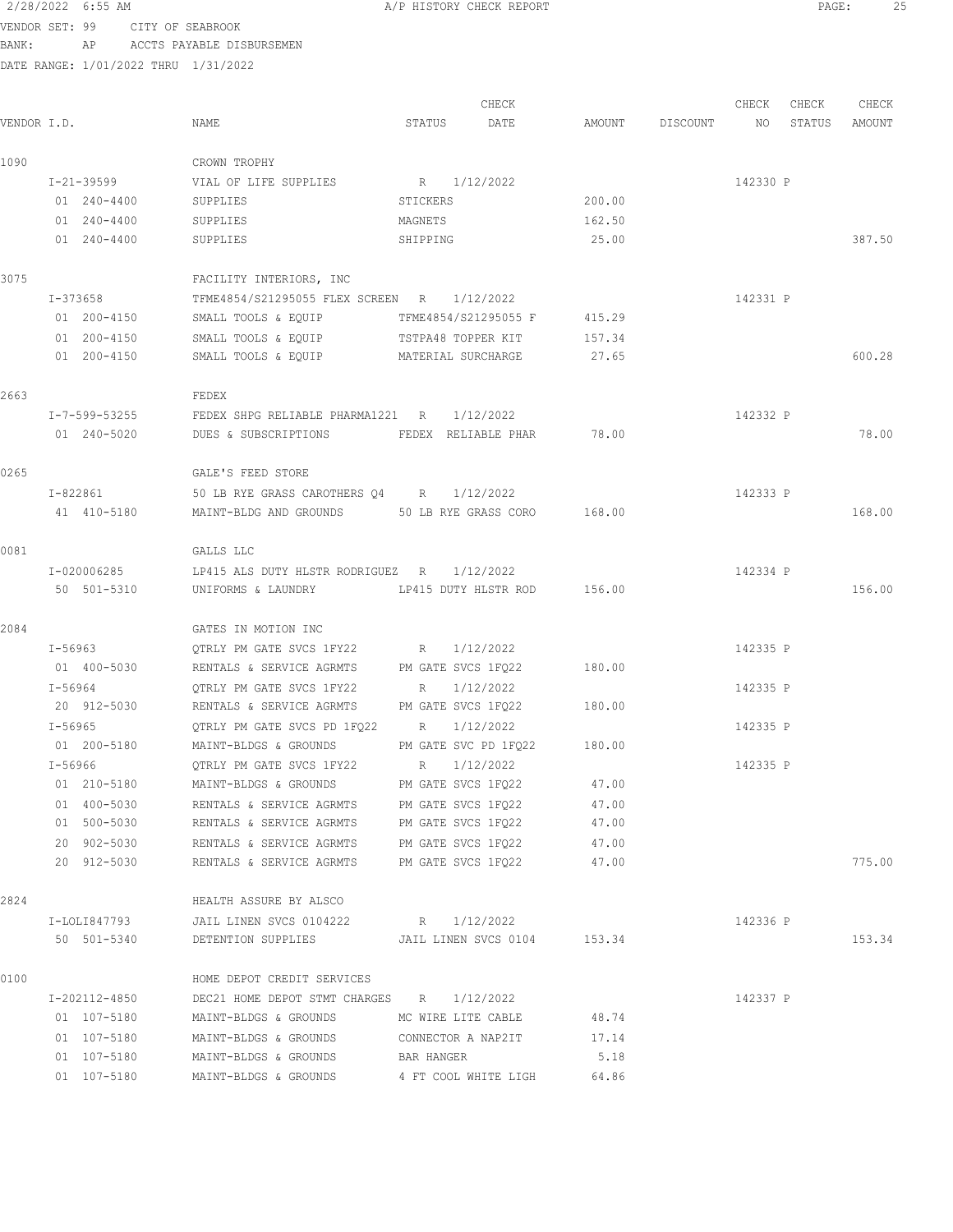| 2/28/2022 | 6:55 AM |  |
|-----------|---------|--|
|           |         |  |

A/P HISTORY CHECK REPORT PAGE: 25

VENDOR SET: 99 CITY OF SEABROOK BANK: AP ACCTS PAYABLE DISBURSEMEN

| VENDOR I.D. |               | NAME                                           | STATUS               | CHECK<br>DATE               | AMOUNT | DISCOUNT | CHECK<br>NO | CHECK<br>STATUS | CHECK<br>AMOUNT |
|-------------|---------------|------------------------------------------------|----------------------|-----------------------------|--------|----------|-------------|-----------------|-----------------|
|             |               |                                                |                      |                             |        |          |             |                 |                 |
| 1090        |               | CROWN TROPHY                                   |                      |                             |        |          |             |                 |                 |
|             | I-21-39599    | VIAL OF LIFE SUPPLIES                          | R 1/12/2022          |                             |        |          | 142330 P    |                 |                 |
|             | 01 240-4400   | SUPPLIES                                       | STICKERS             |                             | 200.00 |          |             |                 |                 |
|             | 01 240-4400   | SUPPLIES                                       | MAGNETS              |                             | 162.50 |          |             |                 |                 |
|             | 01 240-4400   | SUPPLIES                                       | SHIPPING             |                             | 25.00  |          |             |                 | 387.50          |
| 3075        |               | FACILITY INTERIORS, INC                        |                      |                             |        |          |             |                 |                 |
|             | I-373658      | TFME4854/S21295055 FLEX SCREEN R 1/12/2022     |                      |                             |        |          | 142331 P    |                 |                 |
|             | 01 200-4150   | SMALL TOOLS & EQUIP                            | TFME4854/S21295055 F |                             | 415.29 |          |             |                 |                 |
|             | 01 200-4150   | SMALL TOOLS & EQUIP                            | TSTPA48 TOPPER KIT   |                             | 157.34 |          |             |                 |                 |
|             | 01 200-4150   | SMALL TOOLS & EQUIP MATERIAL SURCHARGE         |                      |                             | 27.65  |          |             |                 | 600.28          |
| 2663        |               | FEDEX                                          |                      |                             |        |          |             |                 |                 |
|             | I-7-599-53255 | FEDEX SHPG RELIABLE PHARMA1221 R 1/12/2022     |                      |                             |        |          | 142332 P    |                 |                 |
|             | 01 240-5020   | DUES & SUBSCRIPTIONS FEDEX RELIABLE PHAR       |                      |                             | 78.00  |          |             |                 | 78.00           |
| 0265        |               | GALE'S FEED STORE                              |                      |                             |        |          |             |                 |                 |
|             | I-822861      | 50 LB RYE GRASS CAROTHERS Q4 R 1/12/2022       |                      |                             |        |          | 142333 P    |                 |                 |
|             | 41 410-5180   | MAINT-BLDG AND GROUNDS 50 LB RYE GRASS CORO    |                      |                             | 168.00 |          |             |                 | 168.00          |
| 0081        |               | GALLS LLC                                      |                      |                             |        |          |             |                 |                 |
|             | I-020006285   | LP415 ALS DUTY HLSTR RODRIGUEZ R 1/12/2022     |                      |                             |        |          | 142334 P    |                 |                 |
|             | 50 501-5310   | UNIFORMS & LAUNDRY                             |                      | LP415 DUTY HLSTR ROD 156.00 |        |          |             |                 | 156.00          |
| 2084        |               | GATES IN MOTION INC                            |                      |                             |        |          |             |                 |                 |
|             | I-56963       | QTRLY PM GATE SVCS 1FY22                       | R 1/12/2022          |                             |        |          | 142335 P    |                 |                 |
|             | 01 400-5030   | RENTALS & SERVICE AGRMTS                       | PM GATE SVCS 1FQ22   |                             | 180.00 |          |             |                 |                 |
|             | I-56964       | QTRLY PM GATE SVCS 1FY22                       | R                    | 1/12/2022                   |        |          | 142335 P    |                 |                 |
|             | 20 912-5030   | RENTALS & SERVICE AGRMTS PM GATE SVCS 1FQ22    |                      |                             | 180.00 |          |             |                 |                 |
|             | I-56965       | QTRLY PM GATE SVCS PD 1FQ22 R                  |                      | 1/12/2022                   |        |          | 142335 P    |                 |                 |
|             | 01 200-5180   | MAINT-BLDGS & GROUNDS                          |                      | PM GATE SVC PD 1FQ22 180.00 |        |          |             |                 |                 |
|             | I-56966       | OTRLY PM GATE SVCS 1FY22 R 1/12/2022           |                      |                             |        |          | 142335 P    |                 |                 |
|             | 01 210-5180   | MAINT-BLDGS & GROUNDS                          | PM GATE SVCS 1FQ22   |                             | 47.00  |          |             |                 |                 |
|             | 01 400-5030   | RENTALS & SERVICE AGRMTS PM GATE SVCS 1FQ22    |                      |                             | 47.00  |          |             |                 |                 |
|             | 01 500-5030   | RENTALS & SERVICE AGRMTS PM GATE SVCS 1FQ22    |                      |                             | 47.00  |          |             |                 |                 |
|             | 20 902-5030   | RENTALS & SERVICE AGRMTS PM GATE SVCS 1FQ22    |                      |                             | 47.00  |          |             |                 |                 |
|             | 20 912-5030   | RENTALS & SERVICE AGRMTS PM GATE SVCS 1FQ22    |                      |                             | 47.00  |          |             |                 | 775.00          |
| 2824        |               | HEALTH ASSURE BY ALSCO                         |                      |                             |        |          |             |                 |                 |
|             | I-LOLI847793  | JAIL LINEN SVCS 0104222                        | R 1/12/2022          |                             |        |          | 142336 P    |                 |                 |
|             | 50 501-5340   | DETENTION SUPPLIES JAIL LINEN SVCS 0104 153.34 |                      |                             |        |          |             |                 | 153.34          |
| 0100        |               | HOME DEPOT CREDIT SERVICES                     |                      |                             |        |          |             |                 |                 |
|             | I-202112-4850 | DEC21 HOME DEPOT STMT CHARGES R 1/12/2022      |                      |                             |        |          | 142337 P    |                 |                 |
|             | 01 107-5180   | MAINT-BLDGS & GROUNDS MC WIRE LITE CABLE 48.74 |                      |                             |        |          |             |                 |                 |
|             | 01 107-5180   | MAINT-BLDGS & GROUNDS CONNECTOR A NAP2IT 17.14 |                      |                             |        |          |             |                 |                 |
|             | 01 107-5180   | MAINT-BLDGS & GROUNDS BAR HANGER               |                      |                             | 5.18   |          |             |                 |                 |
|             | 01 107-5180   | MAINT-BLDGS & GROUNDS                          |                      | 4 FT COOL WHITE LIGH        | 64.86  |          |             |                 |                 |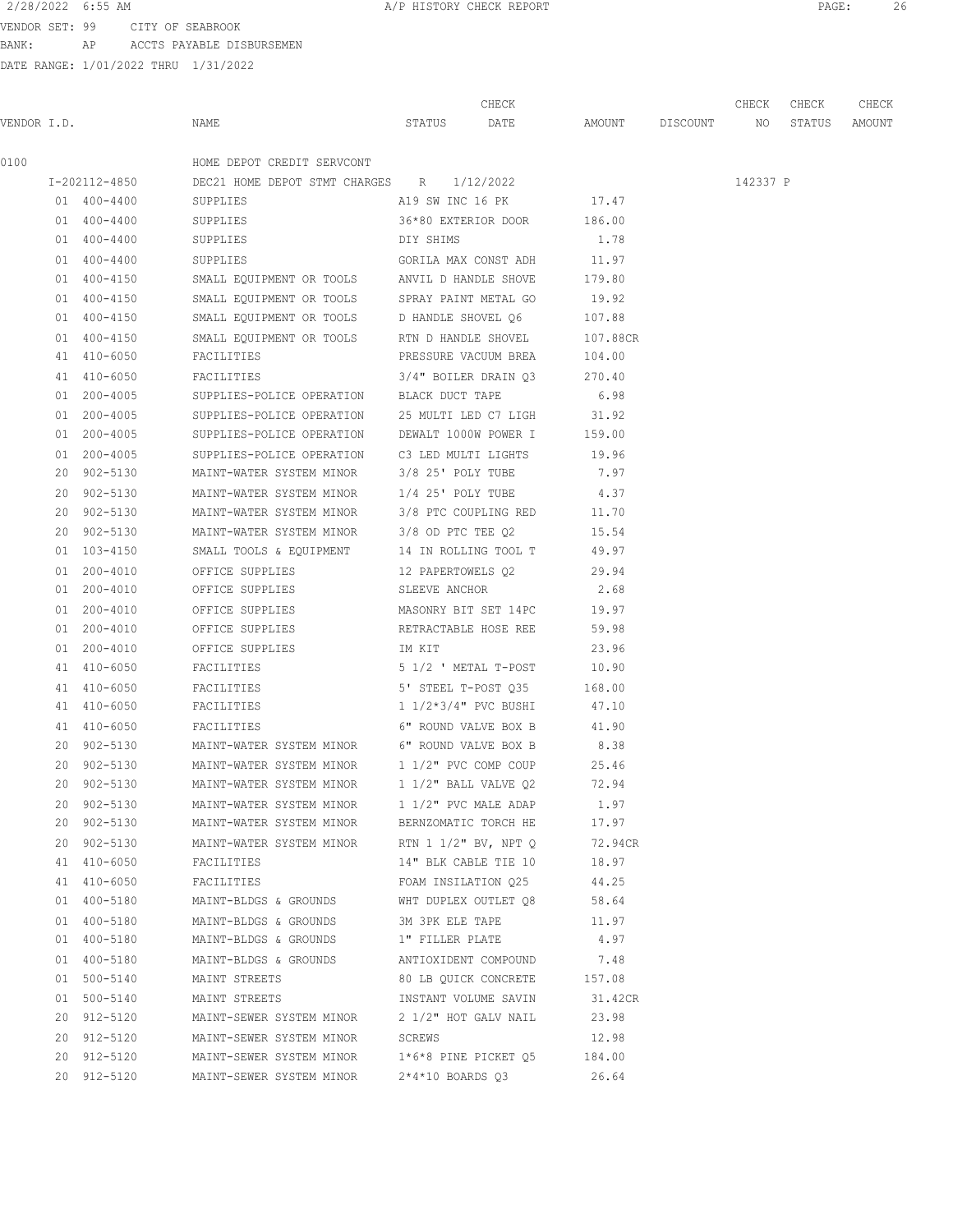## 2/28/2022 6:55 AM **PAGE:** 26

VENDOR SET: 99 CITY OF SEABROOK BANK: AP ACCTS PAYABLE DISBURSEMEN

|      |               |                                                       |                         | CHECK                       |                    | CHECK    | CHECK  | CHECK  |
|------|---------------|-------------------------------------------------------|-------------------------|-----------------------------|--------------------|----------|--------|--------|
|      | VENDOR I.D.   | NAME                                                  | STATUS                  | DATE                        | AMOUNT DISCOUNT NO |          | STATUS | AMOUNT |
| 0100 |               | HOME DEPOT CREDIT SERVCONT                            |                         |                             |                    |          |        |        |
|      | I-202112-4850 | DEC21 HOME DEPOT STMT CHARGES R 1/12/2022             |                         |                             |                    | 142337 P |        |        |
|      | 01 400-4400   | SUPPLIES                                              |                         | A19 SW INC 16 PK 17.47      |                    |          |        |        |
|      | 01 400-4400   | SUPPLIES                                              |                         | 36*80 EXTERIOR DOOR 186.00  |                    |          |        |        |
|      | 01 400-4400   | SUPPLIES                                              | DIY SHIMS               |                             | 1.78               |          |        |        |
|      | 01 400-4400   | SUPPLIES                                              |                         | GORILA MAX CONST ADH        | 11.97              |          |        |        |
|      | 01 400-4150   | SMALL EQUIPMENT OR TOOLS ANVIL D HANDLE SHOVE         |                         |                             | 179.80             |          |        |        |
|      | 01 400-4150   | SMALL EQUIPMENT OR TOOLS SPRAY PAINT METAL GO         |                         |                             | 19.92              |          |        |        |
|      | 01 400-4150   | SMALL EQUIPMENT OR TOOLS D HANDLE SHOVEL Q6           |                         |                             | 107.88             |          |        |        |
|      | 01 400-4150   | SMALL EQUIPMENT OR TOOLS RTN D HANDLE SHOVEL 107.88CR |                         |                             |                    |          |        |        |
|      | 41 410-6050   | FACILITIES                                            |                         | PRESSURE VACUUM BREA 104.00 |                    |          |        |        |
|      | 41 410-6050   | FACILITIES $3/4$ " BOILER DRAIN Q3 270.40             |                         |                             |                    |          |        |        |
|      | 01 200-4005   | SUPPLIES-POLICE OPERATION BLACK DUCT TAPE             |                         |                             | 6.98               |          |        |        |
|      | 01 200-4005   | SUPPLIES-POLICE OPERATION 25 MULTI LED C7 LIGH 31.92  |                         |                             |                    |          |        |        |
|      | 01 200-4005   | SUPPLIES-POLICE OPERATION DEWALT 1000W POWER I 159.00 |                         |                             |                    |          |        |        |
|      | 01 200-4005   | SUPPLIES-POLICE OPERATION C3 LED MULTI LIGHTS         |                         |                             | 19.96              |          |        |        |
|      | 20 902-5130   | MAINT-WATER SYSTEM MINOR 3/8 25' POLY TUBE            |                         |                             | 7.97               |          |        |        |
|      | 20 902-5130   | MAINT-WATER SYSTEM MINOR                              | 1/4 25' POLY TUBE       |                             | 4.37               |          |        |        |
|      | 20 902-5130   | MAINT-WATER SYSTEM MINOR                              |                         | 3/8 PTC COUPLING RED        | 11.70              |          |        |        |
|      | 20 902-5130   | MAINT-WATER SYSTEM MINOR 3/8 OD PTC TEE Q2            |                         |                             | 15.54              |          |        |        |
|      | 01 103-4150   | SMALL TOOLS & EQUIPMENT 14 IN ROLLING TOOL T          |                         |                             | 49.97              |          |        |        |
|      | 01 200-4010   | OFFICE SUPPLIES 12 PAPERTOWELS Q2 29.94               |                         |                             |                    |          |        |        |
|      | 01 200-4010   | OFFICE SUPPLIES<br>SLEEVE ANCHOR                      |                         |                             | 2.68               |          |        |        |
|      | 01 200-4010   | OFFICE SUPPLIES                                       |                         | MASONRY BIT SET 14PC 19.97  |                    |          |        |        |
|      | 01 200-4010   | OFFICE SUPPLIES                                       |                         | RETRACTABLE HOSE REE        | 59.98              |          |        |        |
|      | 01 200-4010   | OFFICE SUPPLIES                                       | IM KIT                  |                             | 23.96              |          |        |        |
|      | 41 410-6050   | FACILITIES                                            |                         | 5 1/2 ' METAL T-POST 10.90  |                    |          |        |        |
|      | 41 410-6050   | FACILITIES                                            |                         | 5' STEEL T-POST Q35 168.00  |                    |          |        |        |
|      | 41 410-6050   | FACILITIES                                            |                         | 1 1/2*3/4" PVC BUSHI        | 47.10              |          |        |        |
|      | 41 410-6050   | FACILITIES                                            | 6" ROUND VALVE BOX B    |                             | 41.90              |          |        |        |
|      | 20 902-5130   | MAINT-WATER SYSTEM MINOR 6" ROUND VALVE BOX B         |                         |                             | 8.38               |          |        |        |
|      | 20 902-5130   | MAINT-WATER SYSTEM MINOR                              |                         | $1\ 1/2$ " PVC COMP COUP    | 25.46              |          |        |        |
|      | 20 902-5130   | MAINT-WATER SYSTEM MINOR                              | $1\ 1/2"$ BALL VALVE Q2 |                             | 72.94              |          |        |        |
|      | 20 902-5130   | MAINT-WATER SYSTEM MINOR                              | 1 1/2" PVC MALE ADAP    |                             | 1.97               |          |        |        |
|      | 20 902-5130   | MAINT-WATER SYSTEM MINOR                              | BERNZOMATIC TORCH HE    |                             | 17.97              |          |        |        |
|      | 20 902-5130   | MAINT-WATER SYSTEM MINOR RTN 1 1/2" BV, NPT Q         |                         |                             | 72.94CR            |          |        |        |
|      | 41 410-6050   | FACILITIES                                            |                         | 14" BLK CABLE TIE 10        | 18.97              |          |        |        |
|      | 41 410-6050   | FACILITIES                                            |                         | FOAM INSILATION Q25         | 44.25              |          |        |        |
|      | 01 400-5180   | MAINT-BLDGS & GROUNDS                                 |                         | WHT DUPLEX OUTLET Q8        | 58.64              |          |        |        |
|      | 01 400-5180   | MAINT-BLDGS & GROUNDS                                 | 3M 3PK ELE TAPE         |                             | 11.97              |          |        |        |
|      | 01 400-5180   | MAINT-BLDGS & GROUNDS                                 | 1" FILLER PLATE         |                             | 4.97               |          |        |        |
|      | 01 400-5180   | MAINT-BLDGS & GROUNDS                                 |                         | ANTIOXIDENT COMPOUND        | 7.48               |          |        |        |
|      | 01 500-5140   | MAINT STREETS                                         |                         | 80 LB QUICK CONCRETE        | 157.08             |          |        |        |
|      | 01 500-5140   | MAINT STREETS                                         |                         | INSTANT VOLUME SAVIN        | 31.42CR            |          |        |        |
|      | 20 912-5120   | MAINT-SEWER SYSTEM MINOR                              |                         | 2 1/2" HOT GALV NAIL        | 23.98              |          |        |        |
|      | 20 912-5120   | MAINT-SEWER SYSTEM MINOR                              | SCREWS                  |                             | 12.98              |          |        |        |
|      | 20 912-5120   | MAINT-SEWER SYSTEM MINOR 1*6*8 PINE PICKET Q5 184.00  |                         |                             |                    |          |        |        |
|      | 20 912-5120   | MAINT-SEWER SYSTEM MINOR                              |                         | 2*4*10 BOARDS Q3            | 26.64              |          |        |        |
|      |               |                                                       |                         |                             |                    |          |        |        |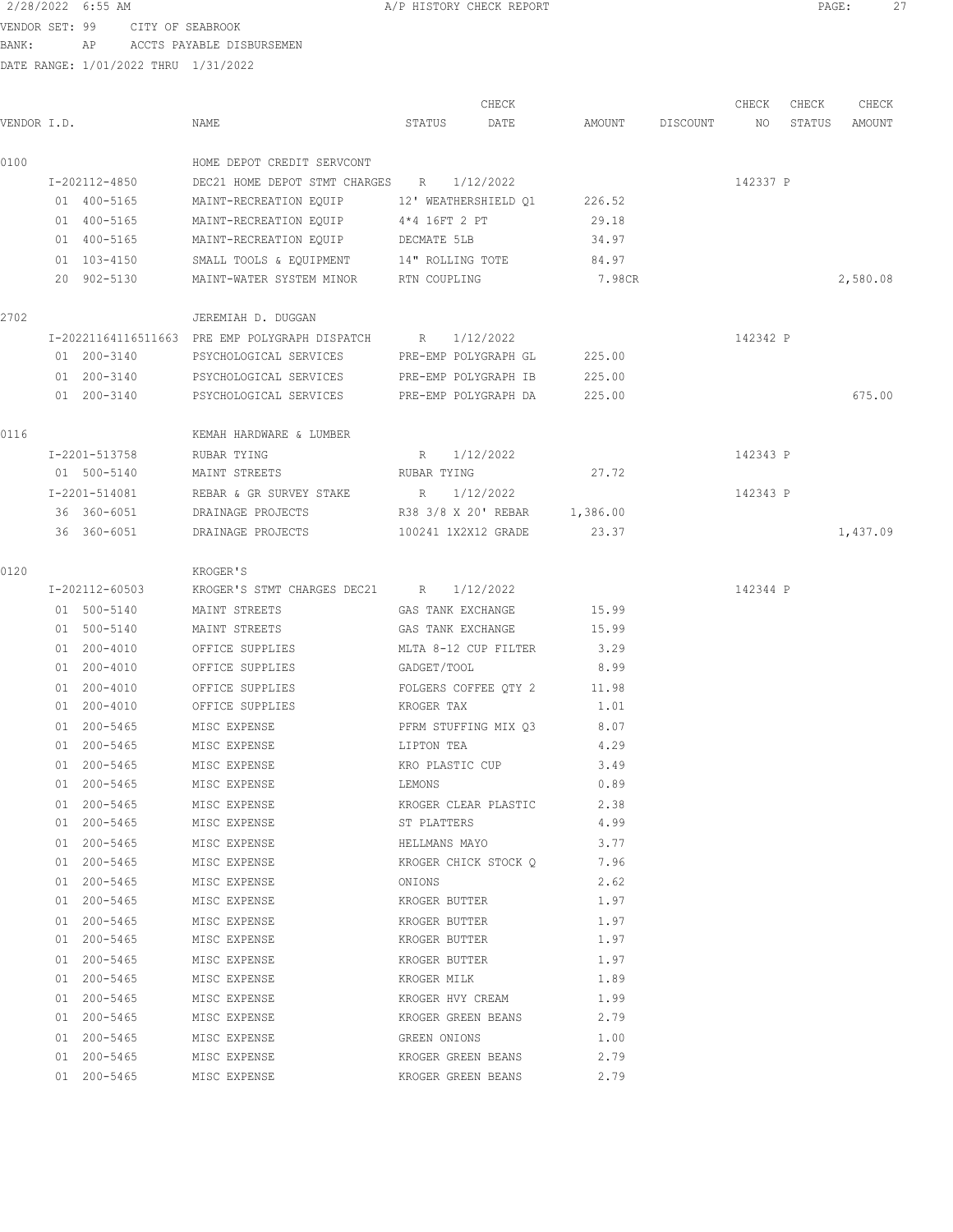VENDOR SET: 99 CITY OF SEABROOK BANK: AP ACCTS PAYABLE DISBURSEMEN

|             |                |                                                            |                   | CHECK                        |        |                 | CHECK    | CHECK  | CHECK    |
|-------------|----------------|------------------------------------------------------------|-------------------|------------------------------|--------|-----------------|----------|--------|----------|
| VENDOR I.D. |                | NAME                                                       | STATUS            | DATE                         |        | AMOUNT DISCOUNT | NO       | STATUS | AMOUNT   |
| 0100        |                | HOME DEPOT CREDIT SERVCONT                                 |                   |                              |        |                 |          |        |          |
|             | I-202112-4850  | DEC21 HOME DEPOT STMT CHARGES R                            |                   | 1/12/2022                    |        |                 | 142337 P |        |          |
|             | 01 400-5165    | MAINT-RECREATION EQUIP                                     |                   | 12' WEATHERSHIELD O1         | 226.52 |                 |          |        |          |
|             | 01 400-5165    | MAINT-RECREATION EQUIP                                     | 4*4 16FT 2 PT     |                              | 29.18  |                 |          |        |          |
|             | 01 400-5165    | MAINT-RECREATION EQUIP                                     | DECMATE 5LB       |                              | 34.97  |                 |          |        |          |
|             | 01 103-4150    | SMALL TOOLS & EQUIPMENT 14" ROLLING TOTE                   |                   |                              | 84.97  |                 |          |        |          |
|             | 20 902-5130    | MAINT-WATER SYSTEM MINOR FTN COUPLING                      |                   |                              | 7.98CR |                 |          |        | 2,580.08 |
| 2702        |                | JEREMIAH D. DUGGAN                                         |                   |                              |        |                 |          |        |          |
|             |                | I-20221164116511663 PRE EMP POLYGRAPH DISPATCH R 1/12/2022 |                   |                              |        |                 | 142342 P |        |          |
|             | 01 200-3140    | PSYCHOLOGICAL SERVICES PRE-EMP POLYGRAPH GL                |                   |                              | 225.00 |                 |          |        |          |
|             | 01 200-3140    | PSYCHOLOGICAL SERVICES PRE-EMP POLYGRAPH IB                |                   |                              | 225.00 |                 |          |        |          |
|             | 01 200-3140    | PSYCHOLOGICAL SERVICES                                     |                   | PRE-EMP POLYGRAPH DA         | 225.00 |                 |          |        | 675.00   |
| 0116        |                | KEMAH HARDWARE & LUMBER                                    |                   |                              |        |                 |          |        |          |
|             |                |                                                            |                   |                              |        |                 |          |        |          |
|             | I-2201-513758  | RUBAR TYING                                                |                   | R 1/12/2022                  |        |                 | 142343 P |        |          |
|             | 01 500-5140    | MAINT STREETS                                              | RUBAR TYING       |                              | 27.72  |                 |          |        |          |
|             | I-2201-514081  | REBAR & GR SURVEY STAKE                                    | R                 | 1/12/2022                    |        |                 | 142343 P |        |          |
|             | 36 360-6051    | DRAINAGE PROJECTS                                          |                   | R38 3/8 X 20' REBAR 1,386.00 |        |                 |          |        |          |
|             | 36 360-6051    | DRAINAGE PROJECTS                                          |                   | 100241 1X2X12 GRADE          | 23.37  |                 |          |        | 1,437.09 |
| 0120        |                | KROGER'S                                                   |                   |                              |        |                 |          |        |          |
|             | I-202112-60503 | KROGER'S STMT CHARGES DEC21 R                              |                   | 1/12/2022                    |        |                 | 142344 P |        |          |
|             | 01 500-5140    | MAINT STREETS                                              | GAS TANK EXCHANGE |                              | 15.99  |                 |          |        |          |
|             | 01 500-5140    | MAINT STREETS                                              | GAS TANK EXCHANGE |                              | 15.99  |                 |          |        |          |
|             | 01 200-4010    | OFFICE SUPPLIES                                            |                   | MLTA 8-12 CUP FILTER         | 3.29   |                 |          |        |          |
|             | 01 200-4010    | OFFICE SUPPLIES                                            | GADGET/TOOL       |                              | 8.99   |                 |          |        |          |
|             | 01 200-4010    | OFFICE SUPPLIES                                            |                   | FOLGERS COFFEE QTY 2         | 11.98  |                 |          |        |          |
|             | 01 200-4010    | OFFICE SUPPLIES                                            | KROGER TAX        |                              | 1.01   |                 |          |        |          |
|             | 01 200-5465    | MISC EXPENSE                                               |                   | PFRM STUFFING MIX Q3         | 8.07   |                 |          |        |          |
|             | 01 200-5465    | MISC EXPENSE                                               | LIPTON TEA        |                              | 4.29   |                 |          |        |          |
|             | 01 200-5465    | MISC EXPENSE                                               |                   | KRO PLASTIC CUP              | 3.49   |                 |          |        |          |
|             | 01 200-5465    | MISC EXPENSE                                               | LEMONS            |                              | 0.89   |                 |          |        |          |
|             | 01 200-5465    | MISC EXPENSE                                               |                   | KROGER CLEAR PLASTIC         | 2.38   |                 |          |        |          |
|             | 01 200-5465    | MISC EXPENSE                                               | ST PLATTERS       |                              | 4.99   |                 |          |        |          |
|             | 01 200-5465    | MISC EXPENSE                                               |                   | HELLMANS MAYO                | 3.77   |                 |          |        |          |
|             | 01 200-5465    | MISC EXPENSE                                               |                   | KROGER CHICK STOCK Q         | 7.96   |                 |          |        |          |
|             | 01 200-5465    | MISC EXPENSE                                               | ONIONS            |                              | 2.62   |                 |          |        |          |
|             | 01 200-5465    | MISC EXPENSE                                               | KROGER BUTTER     |                              | 1.97   |                 |          |        |          |
|             | 01 200-5465    | MISC EXPENSE                                               | KROGER BUTTER     |                              | 1.97   |                 |          |        |          |
|             | 01 200-5465    | MISC EXPENSE                                               | KROGER BUTTER     |                              | 1.97   |                 |          |        |          |
|             | 01 200-5465    | MISC EXPENSE                                               | KROGER BUTTER     |                              | 1.97   |                 |          |        |          |
|             | 01 200-5465    | MISC EXPENSE                                               | KROGER MILK       |                              | 1.89   |                 |          |        |          |
|             | 01 200-5465    | MISC EXPENSE                                               |                   | KROGER HVY CREAM             | 1.99   |                 |          |        |          |
|             | 01 200-5465    | MISC EXPENSE                                               |                   | KROGER GREEN BEANS           | 2.79   |                 |          |        |          |
|             | 01 200-5465    | MISC EXPENSE                                               | GREEN ONIONS      |                              | 1.00   |                 |          |        |          |
|             | 01 200-5465    | MISC EXPENSE                                               |                   | KROGER GREEN BEANS           | 2.79   |                 |          |        |          |
|             | 01 200-5465    | MISC EXPENSE                                               |                   | KROGER GREEN BEANS           | 2.79   |                 |          |        |          |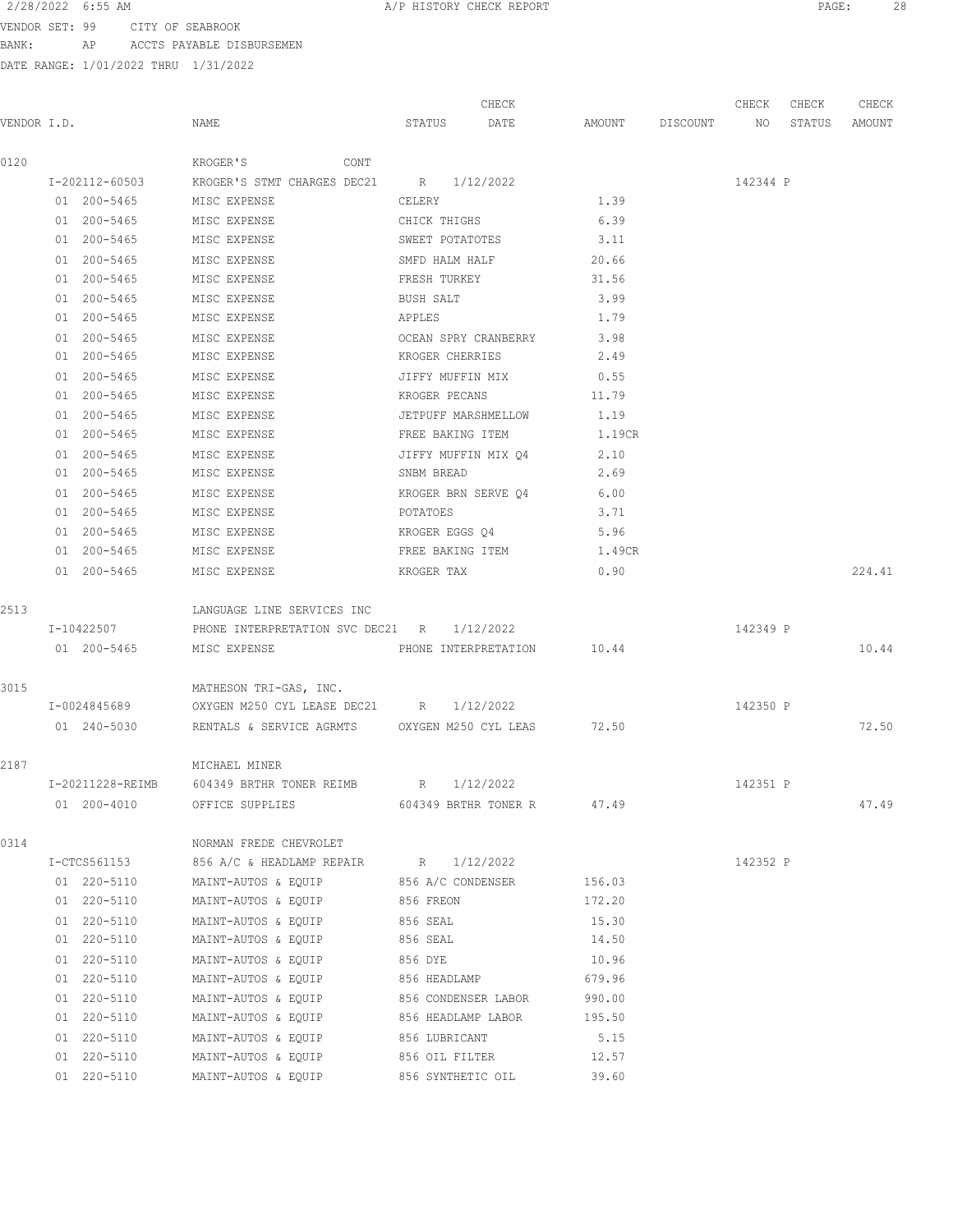VENDOR SET: 99 CITY OF SEABROOK BANK: AP ACCTS PAYABLE DISBURSEMEN

|             |                  |                                                     |                     | CHECK                      |                    | CHECK    | CHECK  | CHECK  |
|-------------|------------------|-----------------------------------------------------|---------------------|----------------------------|--------------------|----------|--------|--------|
| VENDOR I.D. |                  | NAME                                                | STATUS              | DATE                       | AMOUNT DISCOUNT NO |          | STATUS | AMOUNT |
| 0120        |                  | KROGER'S<br><b>CONT</b>                             |                     |                            |                    |          |        |        |
|             | I-202112-60503   | KROGER'S STMT CHARGES DEC21 R 1/12/2022             |                     |                            |                    | 142344 P |        |        |
|             | 01 200-5465      | MISC EXPENSE                                        | CELERY              |                            | 1.39               |          |        |        |
|             | 01 200-5465      | MISC EXPENSE                                        | CHICK THIGHS        |                            | 6.39               |          |        |        |
|             | 01 200-5465      | MISC EXPENSE                                        | SWEET POTATOTES     |                            | 3.11               |          |        |        |
|             | 01 200-5465      | MISC EXPENSE                                        | SMFD HALM HALF      |                            | 20.66              |          |        |        |
|             | 01 200-5465      | MISC EXPENSE                                        | FRESH TURKEY        |                            | 31.56              |          |        |        |
|             | 01 200-5465      | MISC EXPENSE                                        | BUSH SALT           |                            | 3.99               |          |        |        |
|             | 01 200-5465      | MISC EXPENSE                                        | APPLES              |                            | 1.79               |          |        |        |
|             | 01 200-5465      | MISC EXPENSE                                        |                     | OCEAN SPRY CRANBERRY       | 3.98               |          |        |        |
|             | 01 200-5465      | MISC EXPENSE                                        | KROGER CHERRIES     |                            | 2.49               |          |        |        |
|             | 01 200-5465      | MISC EXPENSE                                        |                     | JIFFY MUFFIN MIX 0.55      |                    |          |        |        |
|             | 01 200-5465      | MISC EXPENSE                                        |                     | KROGER PECANS              | 11.79              |          |        |        |
|             | 01 200-5465      | MISC EXPENSE                                        | JETPUFF MARSHMELLOW |                            | 1.19               |          |        |        |
|             | 01 200-5465      | MISC EXPENSE                                        | FREE BAKING ITEM    |                            | 1.19CR             |          |        |        |
|             | 01 200-5465      | MISC EXPENSE                                        | JIFFY MUFFIN MIX Q4 |                            | 2.10               |          |        |        |
|             | 01 200-5465      | MISC EXPENSE                                        | SNBM BREAD          |                            | 2.69               |          |        |        |
|             | 01 200-5465      | MISC EXPENSE                                        |                     | KROGER BRN SERVE Q4        | 6.00               |          |        |        |
|             | 01 200-5465      | MISC EXPENSE                                        | POTATOES            |                            | 3.71               |          |        |        |
|             | 01 200-5465      | MISC EXPENSE                                        | KROGER EGGS Q4      |                            | 5.96               |          |        |        |
|             | 01 200-5465      | MISC EXPENSE                                        | FREE BAKING ITEM    |                            | 1.49CR             |          |        |        |
|             | 01 200-5465      | MISC EXPENSE                                        | KROGER TAX          |                            | 0.90               |          |        | 224.41 |
| 2513        |                  | LANGUAGE LINE SERVICES INC                          |                     |                            |                    |          |        |        |
|             | I-10422507       | PHONE INTERPRETATION SVC DEC21 R 1/12/2022          |                     |                            |                    | 142349 P |        |        |
|             | 01 200-5465      | MISC EXPENSE                                        |                     | PHONE INTERPRETATION 10.44 |                    |          |        | 10.44  |
| 3015        |                  | MATHESON TRI-GAS, INC.                              |                     |                            |                    |          |        |        |
|             | I-0024845689     | OXYGEN M250 CYL LEASE DEC21 R 1/12/2022             |                     |                            |                    | 142350 P |        |        |
|             | 01 240-5030      | RENTALS & SERVICE AGRMTS OXYGEN M250 CYL LEAS 72.50 |                     |                            |                    |          |        | 72.50  |
| 2187        |                  | MICHAEL MINER                                       |                     |                            |                    |          |        |        |
|             | I-20211228-REIMB | 604349 BRTHR TONER REIMB R 1/12/2022                |                     |                            |                    | 142351 P |        |        |
|             | 01 200-4010      | OFFICE SUPPLIES                                     |                     | 604349 BRTHR TONER R       | 47.49              |          |        | 47.49  |
| 0314        |                  | NORMAN FREDE CHEVROLET                              |                     |                            |                    |          |        |        |
|             | I-CTCS561153     | 856 A/C & HEADLAMP REPAIR R 1/12/2022               |                     |                            |                    | 142352 P |        |        |
|             | 01 220-5110      | MAINT-AUTOS & EQUIP                                 | 856 A/C CONDENSER   |                            | 156.03             |          |        |        |
|             | 01 220-5110      | MAINT-AUTOS & EQUIP                                 | 856 FREON           |                            | 172.20             |          |        |        |
|             | 01 220-5110      | MAINT-AUTOS & EQUIP                                 | 856 SEAL            |                            | 15.30              |          |        |        |
|             | 01 220-5110      | MAINT-AUTOS & EQUIP                                 | 856 SEAL            |                            | 14.50              |          |        |        |
|             | 01 220-5110      | MAINT-AUTOS & EQUIP                                 | 856 DYE             |                            | 10.96              |          |        |        |
|             | 01 220-5110      | MAINT-AUTOS & EQUIP                                 | 856 HEADLAMP        |                            | 679.96             |          |        |        |
|             | 01 220-5110      | MAINT-AUTOS & EQUIP                                 | 856 CONDENSER LABOR |                            | 990.00             |          |        |        |
|             | 01 220-5110      | MAINT-AUTOS & EQUIP                                 | 856 HEADLAMP LABOR  |                            | 195.50             |          |        |        |
|             | 01 220-5110      | MAINT-AUTOS & EQUIP                                 | 856 LUBRICANT       |                            | 5.15               |          |        |        |
|             | 01 220-5110      | MAINT-AUTOS & EQUIP                                 | 856 OIL FILTER      |                            | 12.57              |          |        |        |
|             | 01 220-5110      | MAINT-AUTOS & EQUIP                                 | 856 SYNTHETIC OIL   |                            | 39.60              |          |        |        |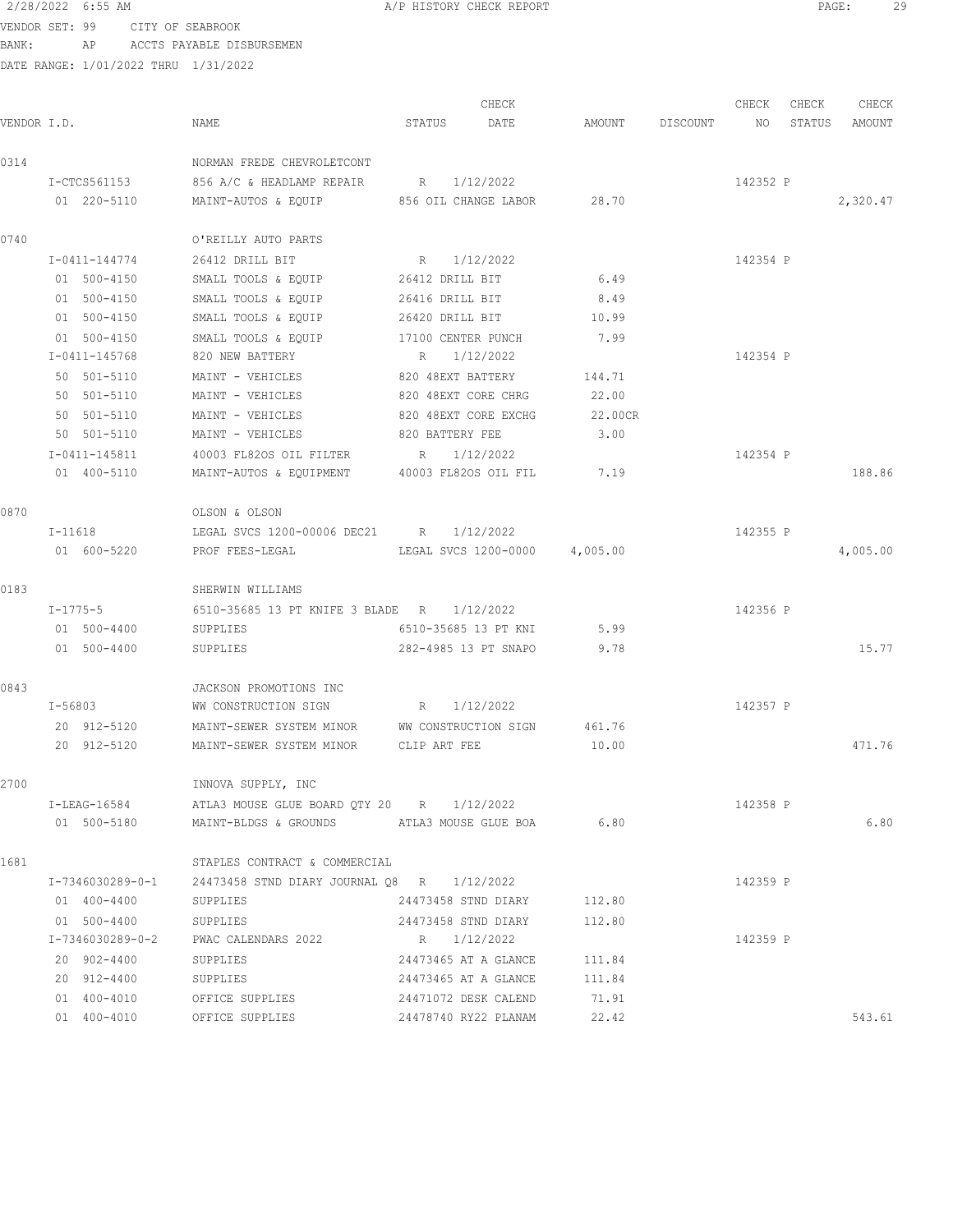VENDOR SET: 99 CITY OF SEABROOK BANK: AP ACCTS PAYABLE DISBURSEMEN

|             |                  |                                                             |                      | CHECK                         |         |          | CHECK    | CHECK  | CHECK    |
|-------------|------------------|-------------------------------------------------------------|----------------------|-------------------------------|---------|----------|----------|--------|----------|
| VENDOR I.D. |                  | NAME                                                        | STATUS               | DATE                          | AMOUNT  | DISCOUNT | NO       | STATUS | AMOUNT   |
| 0314        |                  | NORMAN FREDE CHEVROLETCONT                                  |                      |                               |         |          |          |        |          |
|             | I-CTCS561153     | 856 A/C & HEADLAMP REPAIR                                   | $R_{\rm c}$          | 1/12/2022                     |         |          | 142352 P |        |          |
|             | 01 220-5110      | MAINT-AUTOS & EOUIP                                         |                      | 856 OIL CHANGE LABOR          | 28.70   |          |          |        | 2,320.47 |
| 0740        |                  | O'REILLY AUTO PARTS                                         |                      |                               |         |          |          |        |          |
|             | I-0411-144774    | 26412 DRILL BIT                                             | R 1/12/2022          |                               |         |          | 142354 P |        |          |
|             | 01 500-4150      | SMALL TOOLS & EQUIP 26412 DRILL BIT                         |                      |                               | 6.49    |          |          |        |          |
|             | 01 500-4150      | SMALL TOOLS & EQUIP                                         | 26416 DRILL BIT      |                               | 8.49    |          |          |        |          |
|             | 01 500-4150      | SMALL TOOLS & EQUIP                                         | 26420 DRILL BIT      |                               | 10.99   |          |          |        |          |
|             | 01 500-4150      | SMALL TOOLS & EQUIP                                         | 17100 CENTER PUNCH   |                               | 7.99    |          |          |        |          |
|             | I-0411-145768    | 820 NEW BATTERY                                             | R                    | 1/12/2022                     |         |          | 142354 P |        |          |
|             | 50 501-5110      | MAINT - VEHICLES                                            | 820 48EXT BATTERY    |                               | 144.71  |          |          |        |          |
|             | 50 501-5110      | MAINT - VEHICLES                                            | 820 48EXT CORE CHRG  |                               | 22.00   |          |          |        |          |
|             | 50 501-5110      | MAINT - VEHICLES                                            | 820 48EXT CORE EXCHG |                               | 22.00CR |          |          |        |          |
|             | 50 501-5110      | MAINT - VEHICLES                                            | 820 BATTERY FEE      |                               | 3.00    |          |          |        |          |
|             | I-0411-145811    | 40003 FL82OS OIL FILTER                                     | R                    | 1/12/2022                     |         |          | 142354 P |        |          |
|             | 01 400-5110      | MAINT-AUTOS & EQUIPMENT 40003 FL82OS OIL FIL                |                      |                               | 7.19    |          |          |        | 188.86   |
| 0870        |                  | OLSON & OLSON                                               |                      |                               |         |          |          |        |          |
|             | I-11618          | LEGAL SVCS 1200-00006 DEC21 R 1/12/2022                     |                      |                               |         |          | 142355 P |        |          |
|             | 01 600-5220      | PROF FEES-LEGAL                                             |                      | LEGAL SVCS 1200-0000 4,005.00 |         |          |          |        | 4,005.00 |
| 0183        |                  | SHERWIN WILLIAMS                                            |                      |                               |         |          |          |        |          |
|             | $I - 1775 - 5$   | 6510-35685 13 PT KNIFE 3 BLADE R 1/12/2022                  |                      |                               |         |          | 142356 P |        |          |
|             | 01 500-4400      | SUPPLIES                                                    |                      | 6510-35685 13 PT KNI          | 5.99    |          |          |        |          |
|             | 01 500-4400      | SUPPLIES                                                    |                      | 282-4985 13 PT SNAPO          | 9.78    |          |          |        | 15.77    |
| 0843        |                  | JACKSON PROMOTIONS INC                                      |                      |                               |         |          |          |        |          |
|             | $I - 56803$      | WW CONSTRUCTION SIGN                                        | $R \sim R$           | 1/12/2022                     |         |          | 142357 P |        |          |
|             | 20 912-5120      | MAINT-SEWER SYSTEM MINOR WW CONSTRUCTION SIGN               |                      |                               | 461.76  |          |          |        |          |
|             | 20 912-5120      | MAINT-SEWER SYSTEM MINOR                                    | CLIP ART FEE         |                               | 10.00   |          |          |        | 471.76   |
| 2700        |                  | INNOVA SUPPLY, INC                                          |                      |                               |         |          |          |        |          |
|             | I-LEAG-16584     | ATLA3 MOUSE GLUE BOARD QTY 20 R 1/12/2022                   |                      |                               |         |          | 142358 P |        |          |
|             | 01 500-5180      | MAINT-BLDGS & GROUNDS ATLA3 MOUSE GLUE BOA                  |                      |                               | 6.80    |          |          |        | 6.80     |
| 1681        |                  | STAPLES CONTRACT & COMMERCIAL                               |                      |                               |         |          |          |        |          |
|             |                  | I-7346030289-0-1 24473458 STND DIARY JOURNAL Q8 R 1/12/2022 |                      |                               |         |          | 142359 P |        |          |
|             | 01 400-4400      | SUPPLIES                                                    |                      | 24473458 STND DIARY 112.80    |         |          |          |        |          |
|             | 01 500-4400      | <b>SUPPLIES</b>                                             |                      | 24473458 STND DIARY           | 112.80  |          |          |        |          |
|             | I-7346030289-0-2 | PWAC CALENDARS 2022 R 1/12/2022                             |                      |                               |         |          | 142359 P |        |          |
|             | 20 902-4400      | SUPPLIES                                                    |                      | 24473465 AT A GLANCE 111.84   |         |          |          |        |          |
|             | 20 912-4400      | SUPPLIES                                                    |                      | 24473465 AT A GLANCE 111.84   |         |          |          |        |          |
|             | 01 400-4010      | OFFICE SUPPLIES                                             |                      | 24471072 DESK CALEND          | 71.91   |          |          |        |          |
|             | 01 400-4010      | OFFICE SUPPLIES                                             | 24478740 RY22 PLANAM |                               | 22.42   |          |          |        | 543.61   |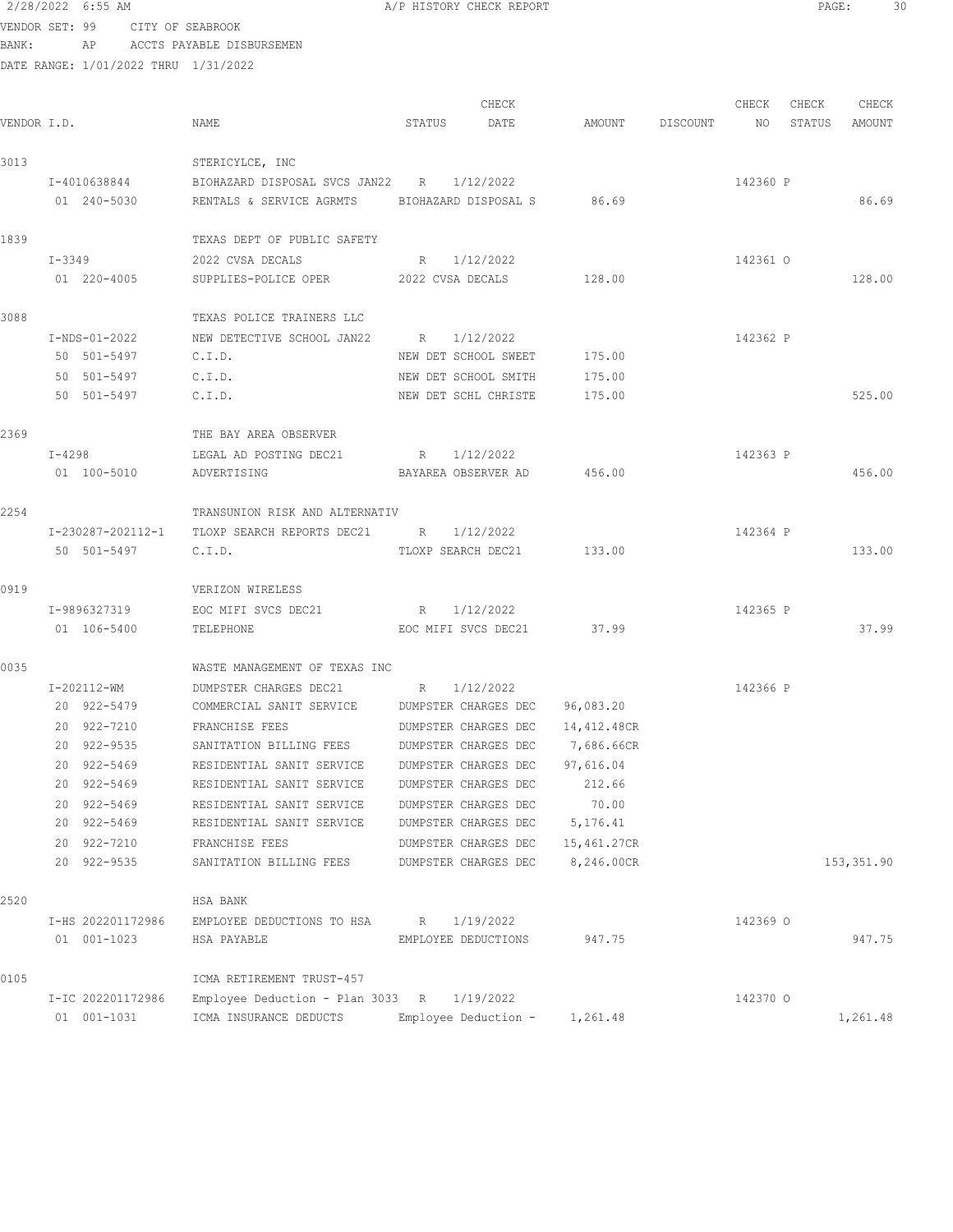### 2/28/2022 6:55 AM **A/P HISTORY CHECK REPORT PAGE:** 30 VENDOR SET: 99 CITY OF SEABROOK BANK: AP ACCTS PAYABLE DISBURSEMEN

| VENDOR I.D. |                   | NAME                                           | STATUS               | CHECK<br>DATE              | AMOUNT      | DISCOUNT | CHECK<br>NO. | CHECK<br>STATUS | CHECK<br>AMOUNT |
|-------------|-------------------|------------------------------------------------|----------------------|----------------------------|-------------|----------|--------------|-----------------|-----------------|
| 3013        |                   | STERICYLCE, INC                                |                      |                            |             |          |              |                 |                 |
|             | I-4010638844      | BIOHAZARD DISPOSAL SVCS JAN22 R                |                      | 1/12/2022                  |             |          | 142360 P     |                 |                 |
|             | 01 240-5030       | RENTALS & SERVICE AGRMTS BIOHAZARD DISPOSAL S  |                      |                            | 86.69       |          |              |                 | 86.69           |
| 1839        |                   | TEXAS DEPT OF PUBLIC SAFETY                    |                      |                            |             |          |              |                 |                 |
|             | $I - 3349$        | 2022 CVSA DECALS                               | R 1/12/2022          |                            |             |          | 142361 0     |                 |                 |
|             | 01 220-4005       | SUPPLIES-POLICE OPER 2022 CVSA DECALS          |                      |                            | 128.00      |          |              |                 | 128.00          |
| 3088        |                   | TEXAS POLICE TRAINERS LLC                      |                      |                            |             |          |              |                 |                 |
|             | I-NDS-01-2022     | NEW DETECTIVE SCHOOL JAN22                     | R                    | 1/12/2022                  |             |          | 142362 P     |                 |                 |
|             | 50 501-5497       | C.I.D.                                         | NEW DET SCHOOL SWEET |                            | 175.00      |          |              |                 |                 |
|             | 50 501-5497       | C.I.D.                                         |                      | NEW DET SCHOOL SMITH       | 175.00      |          |              |                 |                 |
|             | 50 501-5497       | C.I.D.                                         | NEW DET SCHL CHRISTE |                            | 175.00      |          |              |                 | 525.00          |
| 2369        |                   | THE BAY AREA OBSERVER                          |                      |                            |             |          |              |                 |                 |
|             | $I - 4298$        | LEGAL AD POSTING DEC21                         | R                    | 1/12/2022                  |             |          | 142363 P     |                 |                 |
|             | 01 100-5010       | ADVERTISING                                    |                      | BAYAREA OBSERVER AD 456.00 |             |          |              |                 | 456.00          |
| 2254        |                   | TRANSUNION RISK AND ALTERNATIV                 |                      |                            |             |          |              |                 |                 |
|             |                   | I-230287-202112-1 TLOXP SEARCH REPORTS DEC21 R |                      | 1/12/2022                  |             |          | 142364 P     |                 |                 |
|             | 50 501-5497       | C.I.D.                                         | TLOXP SEARCH DEC21   |                            | 133.00      |          |              |                 | 133.00          |
| 0919        |                   | VERIZON WIRELESS                               |                      |                            |             |          |              |                 |                 |
|             | I-9896327319      | EOC MIFI SVCS DEC21                            | R                    | 1/12/2022                  |             |          | 142365 P     |                 |                 |
|             | 01 106-5400       | TELEPHONE                                      | EOC MIFI SVCS DEC21  |                            | 37.99       |          |              |                 | 37.99           |
| 0035        |                   | WASTE MANAGEMENT OF TEXAS INC                  |                      |                            |             |          |              |                 |                 |
|             | I-202112-WM       | DUMPSTER CHARGES DEC21                         | R                    | 1/12/2022                  |             |          | 142366 P     |                 |                 |
|             | 20 922-5479       | COMMERCIAL SANIT SERVICE                       |                      | DUMPSTER CHARGES DEC       | 96,083.20   |          |              |                 |                 |
|             | 20 922-7210       | FRANCHISE FEES                                 |                      | DUMPSTER CHARGES DEC       | 14,412.48CR |          |              |                 |                 |
|             | 20 922-9535       | SANITATION BILLING FEES DUMPSTER CHARGES DEC   |                      |                            | 7,686.66CR  |          |              |                 |                 |
|             | 20 922-5469       | RESIDENTIAL SANIT SERVICE DUMPSTER CHARGES DEC |                      |                            | 97,616.04   |          |              |                 |                 |
|             | 922-5469          | RESIDENTIAL SANIT SERVICE                      |                      | DUMPSTER CHARGES DEC       | 212.66      |          |              |                 |                 |
|             | 20 922-5469       | RESIDENTIAL SANIT SERVICE                      |                      | DUMPSTER CHARGES DEC       | 70.00       |          |              |                 |                 |
|             | 20 922-5469       | RESIDENTIAL SANIT SERVICE                      |                      | DUMPSTER CHARGES DEC       | 5,176.41    |          |              |                 |                 |
|             | 20 922-7210       | FRANCHISE FEES                                 |                      | DUMPSTER CHARGES DEC       | 15,461.27CR |          |              |                 |                 |
|             | 20 922-9535       | SANITATION BILLING FEES                        |                      | DUMPSTER CHARGES DEC       | 8,246.00CR  |          |              |                 | 153, 351.90     |
| 2520        |                   | HSA BANK                                       |                      |                            |             |          |              |                 |                 |
|             | I-HS 202201172986 | EMPLOYEE DEDUCTIONS TO HSA                     | R                    | 1/19/2022                  |             |          | 142369 0     |                 |                 |
|             | 01 001-1023       | HSA PAYABLE                                    | EMPLOYEE DEDUCTIONS  |                            | 947.75      |          |              |                 | 947.75          |
| 0105        |                   | ICMA RETIREMENT TRUST-457                      |                      |                            |             |          |              |                 |                 |
|             | I-IC 202201172986 | Employee Deduction - Plan 3033 R               |                      | 1/19/2022                  |             |          | 142370 0     |                 |                 |
|             | 01 001-1031       | ICMA INSURANCE DEDUCTS                         |                      | Employee Deduction -       | 1,261.48    |          |              |                 | 1,261.48        |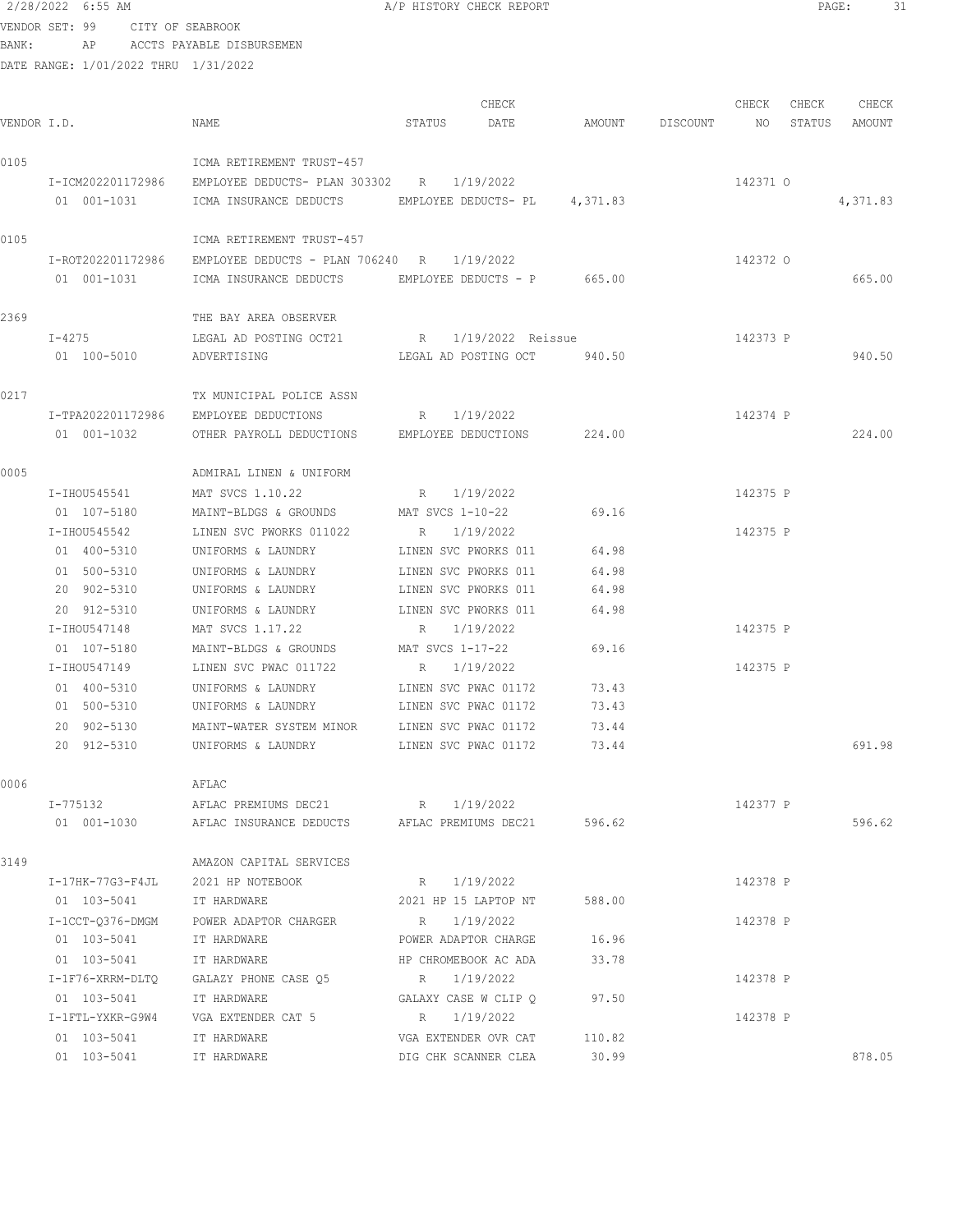VENDOR SET: 99 CITY OF SEABROOK BANK: AP ACCTS PAYABLE DISBURSEMEN DATE RANGE: 1/01/2022 THRU 1/31/2022 CHECK CHECK CHECK CHECK CHECK CHECK CHECK CHECK CHECK CHECK CHECK CHECK CHECK CHECK CHECK CHECK CHECK CHECK CHECK CHECK CHECK CHECK CHECK CHECK CHECK CHECK CHECK CHECK CHECK CHECK CHECK CHECK CHECK CHECK CHECK CHECK CHECK VENDOR I.D. NAME STATUS DATE AMOUNT DISCOUNT NO STATUS AMOUNT 0105 ICMA RETIREMENT TRUST-457 I-ICM202201172986 EMPLOYEE DEDUCTS- PLAN 303302 R 1/19/2022 142371 O 01 001-1031 ICMA INSURANCE DEDUCTS EMPLOYEE DEDUCTS- PL  $4,371.83$  4,371.83 0105 ICMA RETIREMENT TRUST-457 I-ROT202201172986 EMPLOYEE DEDUCTS - PLAN 706240 R 1/19/2022 142372 O 01 001-1031 ICMA INSURANCE DEDUCTS EMPLOYEE DEDUCTS - P 665.00 665.00 665.00 2369 THE BAY AREA OBSERVER I-4275 LEGAL AD POSTING OCT21 R 1/19/2022 Reissue 142373 P 01 100-5010 ADVERTISING LEGAL AD POSTING OCT 940.50 940.50 0217 TX MUNICIPAL POLICE ASSN I-TPA202201172986 EMPLOYEE DEDUCTIONS R 1/19/2022 142374 P 01 001-1032 OTHER PAYROLL DEDUCTIONS EMPLOYEE DEDUCTIONS 224.00 224.00 0005 ADMIRAL LINEN & UNIFORM I-IHOU545541 MAT SVCS 1.10.22 R 1/19/2022 142375 P 01 107-5180 MAINT-BLDGS & GROUNDS MAT SVCS 1-10-22 69.16 I-IHOU545542 LINEN SVC PWORKS 011022 R 1/19/2022 142375 P 01 400-5310 UNIFORMS & LAUNDRY LINEN SVC PWORKS 011 64.98 01 500-5310 UNIFORMS & LAUNDRY LINEN SVC PWORKS 011 64.98 20 902-5310 UNIFORMS & LAUNDRY LINEN SVC PWORKS 011 64.98 20 912-5310 UNIFORMS & LAUNDRY LINEN SVC PWORKS 011 64.98 I-IHOU547148 MAT SVCS 1.17.22 R 1/19/2022 142375 P 01 107-5180 MAINT-BLDGS & GROUNDS MAT SVCS 1-17-22 69.16 I-IHOU547149 LINEN SVC PWAC 011722 R 1/19/2022 142375 P 01 400-5310 UNIFORMS & LAUNDRY LINEN SVC PWAC 01172 73.43 01 500-5310 UNIFORMS & LAUNDRY LINEN SVC PWAC 01172 73.43 20 902-5130 MAINT-WATER SYSTEM MINOR LINEN SVC PWAC 01172 73.44 20 912-5310 UNIFORMS & LAUNDRY LINEN SVC PWAC 01172 73.44 691.98 0006 AFLAC I-775132 AFLAC PREMIUMS DEC21 R 1/19/2022 142377 P 01 001-1030 AFLAC INSURANCE DEDUCTS AFLAC PREMIUMS DEC21 596.62 596.62 3149 AMAZON CAPITAL SERVICES I-17HK-77G3-F4JL 2021 HP NOTEBOOK R 1/19/2022 142378 P 01 103-5041 IT HARDWARE 2021 HP 15 LAPTOP NT 588.00 I-1CCT-Q376-DMGM POWER ADAPTOR CHARGER R 1/19/2022 142378 P 01 103-5041 IT HARDWARE **POWER ADAPTOR CHARGE** 16.96 01 103-5041 IT HARDWARE HP CHROMEBOOK AC ADA 33.78 I-1F76-XRRM-DLTQ GALAZY PHONE CASE Q5 R 1/19/2022 142378 P

01 103-5041 IT HARDWARE GALAXY CASE W CLIP Q 97.50

01 103-5041 IT HARDWARE VGA EXTENDER OVR CAT 110.82

I-1FTL-YXKR-G9W4 VGA EXTENDER CAT 5 R 1/19/2022 142378 P

2/28/2022 6:55 AM A/P HISTORY CHECK REPORT PAGE: 31

01 103-5041 IT HARDWARE DIG CHK SCANNER CLEA 30.99 878.05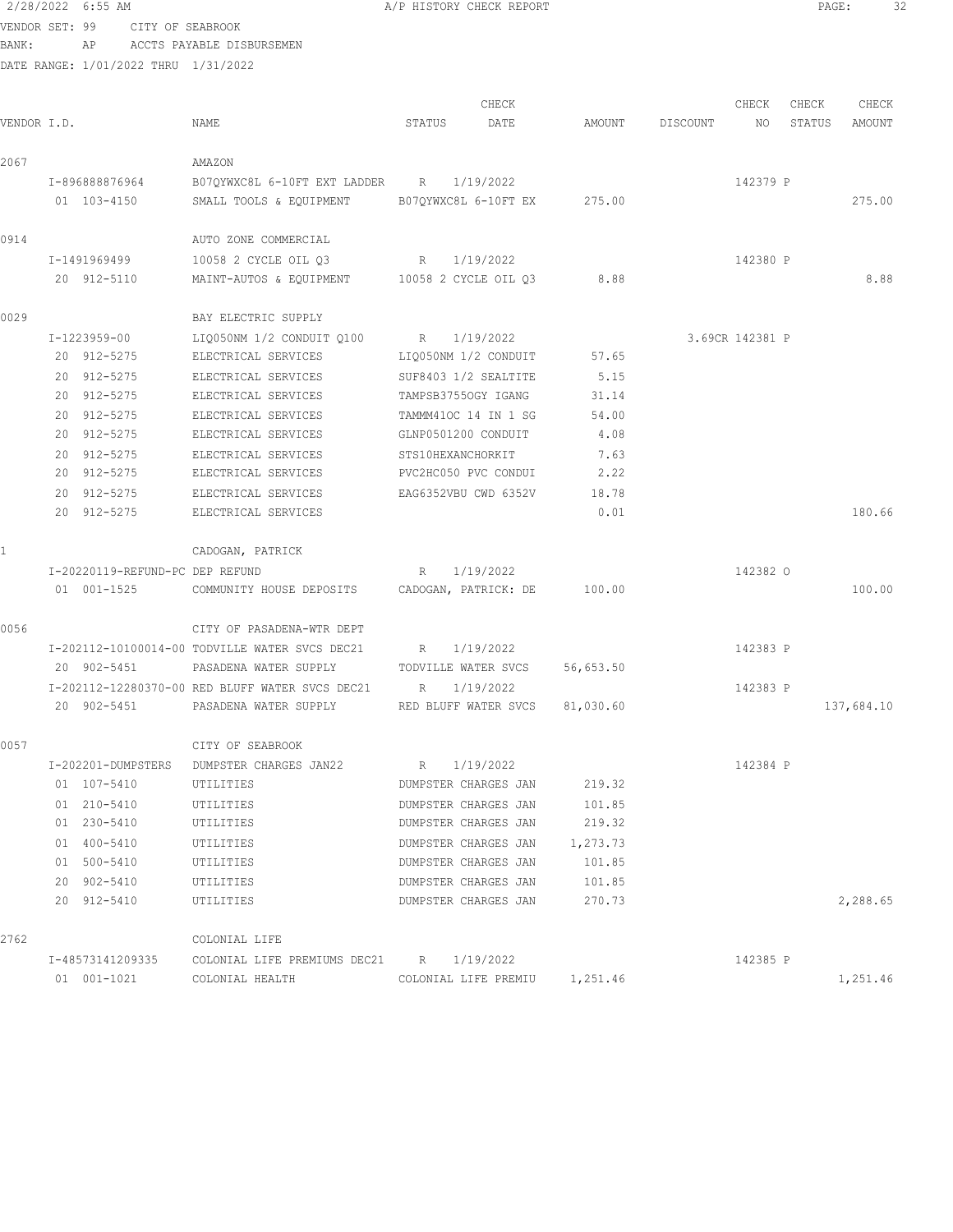2/28/2022 6:55 AM A/P HISTORY CHECK REPORT PAGE: 32 VENDOR SET: 99 CITY OF SEABROOK

BANK: AP ACCTS PAYABLE DISBURSEMEN

| VENDOR I.D. |                                 | NAME                                            | CHECK<br>STATUS<br>DATE     | AMOUNT    | DISCOUNT | CHECK<br>NO     | CHECK<br>STATUS | CHECK<br>AMOUNT |
|-------------|---------------------------------|-------------------------------------------------|-----------------------------|-----------|----------|-----------------|-----------------|-----------------|
| 2067        |                                 | AMAZON                                          |                             |           |          |                 |                 |                 |
|             | I-896888876964                  | B070YWXC8L 6-10FT EXT LADDER R 1/19/2022        |                             |           |          | 142379 P        |                 |                 |
|             | 01 103-4150                     | SMALL TOOLS & EQUIPMENT                         | B07QYWXC8L 6-10FT EX        | 275.00    |          |                 |                 | 275.00          |
| 0914        |                                 | AUTO ZONE COMMERCIAL                            |                             |           |          |                 |                 |                 |
|             | I-1491969499                    | 10058 2 CYCLE OIL 03                            | 1/19/2022<br>R              |           |          | 142380 P        |                 |                 |
|             | 20 912-5110                     | MAINT-AUTOS & EQUIPMENT 10058 2 CYCLE OIL 03    |                             | 8.88      |          |                 |                 | 8.88            |
| 0029        |                                 | BAY ELECTRIC SUPPLY                             |                             |           |          |                 |                 |                 |
|             | I-1223959-00                    | LIQ050NM 1/2 CONDUIT Q100                       | R 1/19/2022                 |           |          | 3.69CR 142381 P |                 |                 |
|             | 20 912-5275                     | ELECTRICAL SERVICES                             | LIQ050NM 1/2 CONDUIT        | 57.65     |          |                 |                 |                 |
|             | 20 912-5275                     | ELECTRICAL SERVICES                             | SUF8403 1/2 SEALTITE        | 5.15      |          |                 |                 |                 |
|             | 20 912-5275                     | ELECTRICAL SERVICES                             | TAMPSB37550GY IGANG         | 31.14     |          |                 |                 |                 |
|             | 20 912-5275                     | ELECTRICAL SERVICES                             | TAMMM410C 14 IN 1 SG        | 54.00     |          |                 |                 |                 |
|             | 20 912-5275                     | ELECTRICAL SERVICES                             | GLNP0501200 CONDUIT         | 4.08      |          |                 |                 |                 |
|             | 20 912-5275                     | ELECTRICAL SERVICES                             | STS10HEXANCHORKIT           | 7.63      |          |                 |                 |                 |
|             | 20 912-5275                     | ELECTRICAL SERVICES                             | PVC2HC050 PVC CONDUI        | 2.22      |          |                 |                 |                 |
|             | 20 912-5275                     | ELECTRICAL SERVICES                             | EAG6352VBU CWD 6352V        | 18.78     |          |                 |                 |                 |
|             | 20 912-5275                     | ELECTRICAL SERVICES                             |                             | 0.01      |          |                 |                 | 180.66          |
|             |                                 | CADOGAN, PATRICK                                |                             |           |          |                 |                 |                 |
|             | I-20220119-REFUND-PC DEP REFUND |                                                 | 1/19/2022<br>R              |           |          | 142382 0        |                 |                 |
|             | 01 001-1525                     | COMMUNITY HOUSE DEPOSITS                        | CADOGAN, PATRICK: DE 100.00 |           |          |                 |                 | 100.00          |
| 0056        |                                 | CITY OF PASADENA-WTR DEPT                       |                             |           |          |                 |                 |                 |
|             |                                 | I-202112-10100014-00 TODVILLE WATER SVCS DEC21  | 1/19/2022<br>R              |           |          | 142383 P        |                 |                 |
|             | 20 902-5451                     | PASADENA WATER SUPPLY                           | TODVILLE WATER SVCS         | 56,653.50 |          |                 |                 |                 |
|             |                                 | I-202112-12280370-00 RED BLUFF WATER SVCS DEC21 | 1/19/2022<br>$R_{\rm c}$    |           |          | 142383 P        |                 |                 |
|             | 20 902-5451                     | PASADENA WATER SUPPLY                           | RED BLUFF WATER SVCS        | 81,030.60 |          |                 |                 | 137,684.10      |
| 0057        |                                 | CITY OF SEABROOK                                |                             |           |          |                 |                 |                 |
|             | I-202201-DUMPSTERS              | DUMPSTER CHARGES JAN22                          | R 1/19/2022                 |           |          | 142384 P        |                 |                 |
|             | 01 107-5410                     | UTILITIES                                       | DUMPSTER CHARGES JAN 219.32 |           |          |                 |                 |                 |
|             | 01 210-5410                     | UTILITIES                                       | DUMPSTER CHARGES JAN        | 101.85    |          |                 |                 |                 |
|             | 01 230-5410                     | UTILITIES                                       | DUMPSTER CHARGES JAN        | 219.32    |          |                 |                 |                 |
|             | 01 400-5410                     | UTILITIES                                       | DUMPSTER CHARGES JAN        | 1,273.73  |          |                 |                 |                 |
|             | 01 500-5410                     | UTILITIES                                       | DUMPSTER CHARGES JAN        | 101.85    |          |                 |                 |                 |
|             | 20 902-5410                     | UTILITIES                                       | DUMPSTER CHARGES JAN        | 101.85    |          |                 |                 |                 |
|             | 20 912-5410                     | UTILITIES                                       | DUMPSTER CHARGES JAN        | 270.73    |          |                 |                 | 2,288.65        |
| 2762        |                                 | COLONIAL LIFE                                   |                             |           |          |                 |                 |                 |
|             | I-48573141209335                | COLONIAL LIFE PREMIUMS DEC21 R 1/19/2022        |                             |           |          | 142385 P        |                 |                 |
|             | 01 001-1021                     | COLONIAL HEALTH                                 | COLONIAL LIFE PREMIU        | 1,251.46  |          |                 |                 | 1,251.46        |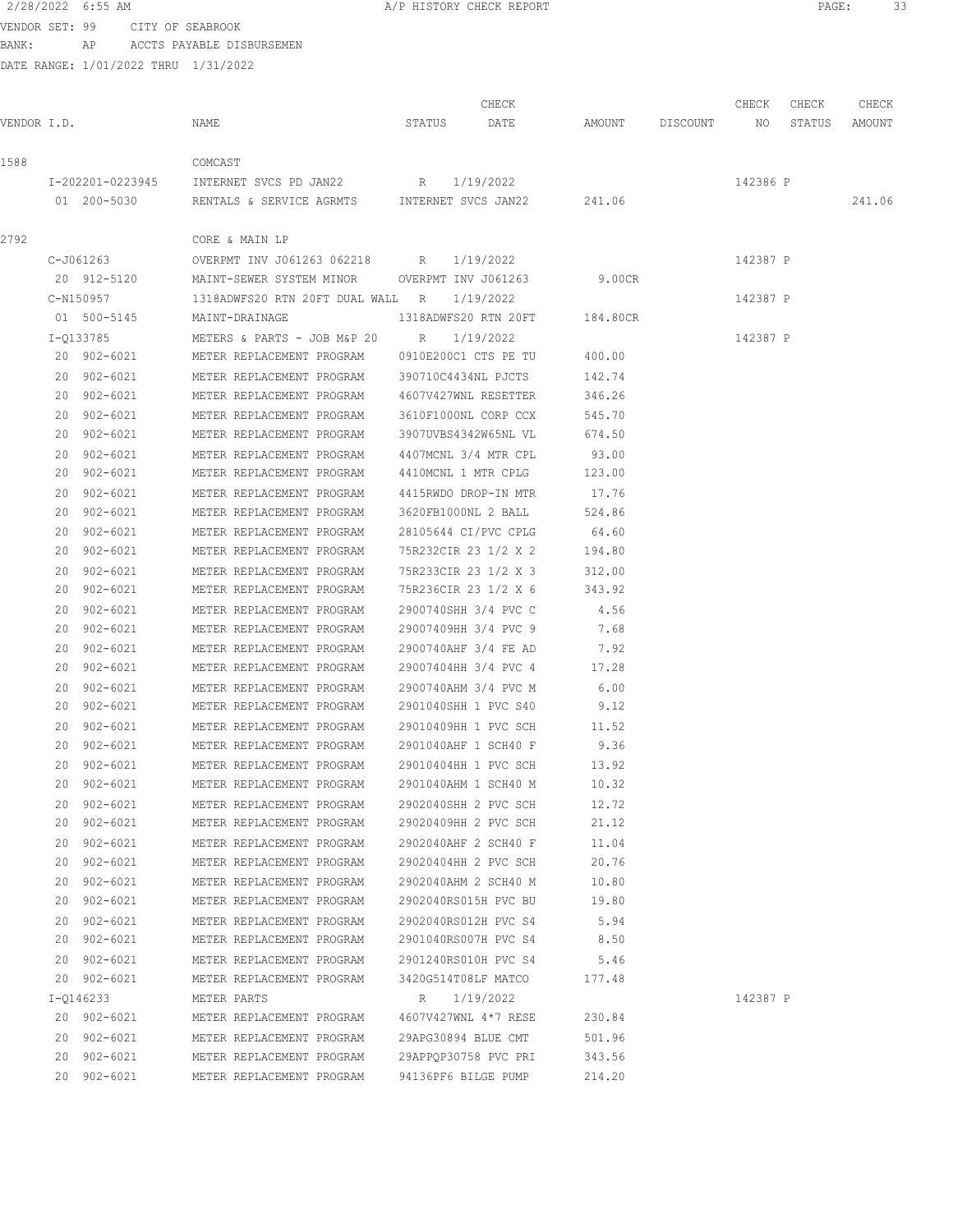VENDOR SET: 99 CITY OF SEABROOK BANK: AP ACCTS PAYABLE DISBURSEMEN

| VENDOR I.D. |             | NAME                                                                   | STATUS DATE          | CHECK | AMOUNT DISCOUNT NO STATUS | CHECK    | CHECK | CHECK<br>AMOUNT |
|-------------|-------------|------------------------------------------------------------------------|----------------------|-------|---------------------------|----------|-------|-----------------|
| 1588        |             | COMCAST                                                                |                      |       |                           |          |       |                 |
|             |             | I-202201-0223945 INTERNET SVCS PD JAN22 R 1/19/2022                    |                      |       |                           | 142386 P |       |                 |
|             |             | 01  200-5030   RENTALS & SERVICE AGRMTS   INTERNET SVCS JAN22   241.06 |                      |       |                           |          |       | 241.06          |
| 2792        |             | CORE & MAIN LP                                                         |                      |       |                           |          |       |                 |
|             | C-J061263   | OVERPMT INV J061263 062218 R 1/19/2022                                 |                      |       |                           | 142387 P |       |                 |
|             |             | 20 912-5120 MAINT-SEWER SYSTEM MINOR OVERPMT INV J061263 9.00CR        |                      |       |                           |          |       |                 |
|             |             | C-N150957 1318ADWFS20 RTN 20FT DUAL WALL R 1/19/2022                   |                      |       |                           | 142387 P |       |                 |
|             |             | 01 500-5145 MAINT-DRAINAGE 1318ADWFS20 RTN 20FT 184.80CR               |                      |       |                           |          |       |                 |
|             |             | I-Q133785 METERS & PARTS - JOB M&P 20 R 1/19/2022                      |                      |       |                           | 142387 P |       |                 |
|             |             | 20 902-6021 METER REPLACEMENT PROGRAM 0910E200C1 CTS PE TU 400.00      |                      |       |                           |          |       |                 |
|             | 20 902-6021 | METER REPLACEMENT PROGRAM 390710C4434NL PJCTS 142.74                   |                      |       |                           |          |       |                 |
|             | 20 902-6021 | METER REPLACEMENT PROGRAM 4607V427WNL RESETTER 346.26                  |                      |       |                           |          |       |                 |
|             | 20 902-6021 | METER REPLACEMENT PROGRAM 3610F1000NL CORP CCX                         |                      |       | 545.70                    |          |       |                 |
|             | 20 902-6021 | METER REPLACEMENT PROGRAM 3907UVBS4342W65NL VL                         |                      |       | 674.50                    |          |       |                 |
|             | 20 902-6021 | METER REPLACEMENT PROGRAM 4407MCNL 3/4 MTR CPL                         |                      |       | 93.00                     |          |       |                 |
|             | 20 902-6021 | METER REPLACEMENT PROGRAM 4410MCNL 1 MTR CPLG                          |                      |       | 123.00                    |          |       |                 |
|             | 20 902-6021 | METER REPLACEMENT PROGRAM 4415RWDO DROP-IN MTR                         |                      |       | 17.76                     |          |       |                 |
|             | 20 902-6021 | METER REPLACEMENT PROGRAM 3620FB1000NL 2 BALL                          |                      |       | 524.86                    |          |       |                 |
|             | 20 902-6021 | METER REPLACEMENT PROGRAM 28105644 CI/PVC CPLG 64.60                   |                      |       |                           |          |       |                 |
|             | 20 902-6021 |                                                                        |                      |       |                           |          |       |                 |
|             | 20 902-6021 | METER REPLACEMENT PROGRAM 75R233CIR 23 1/2 X 3 312.00                  |                      |       |                           |          |       |                 |
|             | 20 902-6021 | METER REPLACEMENT PROGRAM 75R236CIR 23 1/2 X 6 343.92                  |                      |       |                           |          |       |                 |
|             | 20 902-6021 | METER REPLACEMENT PROGRAM 2900740SHH 3/4 PVC C 4.56                    |                      |       |                           |          |       |                 |
|             | 20 902-6021 | METER REPLACEMENT PROGRAM 29007409HH 3/4 PVC 9 7.68                    |                      |       |                           |          |       |                 |
|             | 20 902-6021 | METER REPLACEMENT PROGRAM 2900740AHF 3/4 FE AD                         |                      |       | 7.92                      |          |       |                 |
|             | 20 902-6021 | METER REPLACEMENT PROGRAM 29007404HH 3/4 PVC 4                         |                      |       | 17.28                     |          |       |                 |
|             | 20 902-6021 | METER REPLACEMENT PROGRAM 2900740AHM 3/4 PVC M                         |                      |       | 6.00                      |          |       |                 |
|             | 20 902-6021 | METER REPLACEMENT PROGRAM 2901040SHH 1 PVC S40                         |                      |       | 9.12                      |          |       |                 |
|             | 20 902-6021 | METER REPLACEMENT PROGRAM 29010409HH 1 PVC SCH                         |                      |       | 11.52                     |          |       |                 |
|             |             | 20 902-6021 METER REPLACEMENT PROGRAM 2901040AHF 1 SCH40 F             |                      |       | 9.36                      |          |       |                 |
|             | 20 902-6021 | METER REPLACEMENT PROGRAM 29010404HH 1 PVC SCH 13.92                   |                      |       |                           |          |       |                 |
|             | 20 902-6021 | METER REPLACEMENT PROGRAM                                              | 2901040AHM 1 SCH40 M |       | 10.32                     |          |       |                 |
|             | 20 902-6021 | METER REPLACEMENT PROGRAM                                              | 2902040SHH 2 PVC SCH |       | 12.72                     |          |       |                 |
|             | 20 902-6021 | METER REPLACEMENT PROGRAM                                              |                      |       | 21.12                     |          |       |                 |
|             | 20 902-6021 | METER REPLACEMENT PROGRAM                                              | 2902040AHF 2 SCH40 F |       | 11.04                     |          |       |                 |
|             | 20 902-6021 | METER REPLACEMENT PROGRAM                                              |                      |       | 20.76                     |          |       |                 |
|             | 20 902-6021 | METER REPLACEMENT PROGRAM                                              | 2902040AHM 2 SCH40 M |       | 10.80                     |          |       |                 |
|             | 20 902-6021 | METER REPLACEMENT PROGRAM 2902040RS015H PVC BU                         |                      |       | 19.80                     |          |       |                 |
|             | 20 902-6021 | METER REPLACEMENT PROGRAM                                              | 2902040RS012H PVC S4 |       | 5.94                      |          |       |                 |
|             | 20 902-6021 | METER REPLACEMENT PROGRAM 2901040RS007H PVC S4                         |                      |       | 8.50                      |          |       |                 |
|             | 20 902-6021 | METER REPLACEMENT PROGRAM 2901240RS010H PVC S4                         |                      |       | 5.46                      |          |       |                 |
|             | 20 902-6021 | METER REPLACEMENT PROGRAM 3420G514T08LF MATCO                          |                      |       | 177.48                    |          |       |                 |
|             | I-Q146233   | METER PARTS                                                            | R 1/19/2022          |       |                           | 142387 P |       |                 |
|             | 20 902-6021 | METER REPLACEMENT PROGRAM                                              | 4607V427WNL 4*7 RESE |       | 230.84                    |          |       |                 |
|             | 20 902-6021 | METER REPLACEMENT PROGRAM                                              | 29APG30894 BLUE CMT  |       | 501.96                    |          |       |                 |
|             | 20 902-6021 | METER REPLACEMENT PROGRAM                                              | 29APPQP30758 PVC PRI |       | 343.56                    |          |       |                 |
|             | 20 902-6021 | METER REPLACEMENT PROGRAM                                              | 94136PF6 BILGE PUMP  |       | 214.20                    |          |       |                 |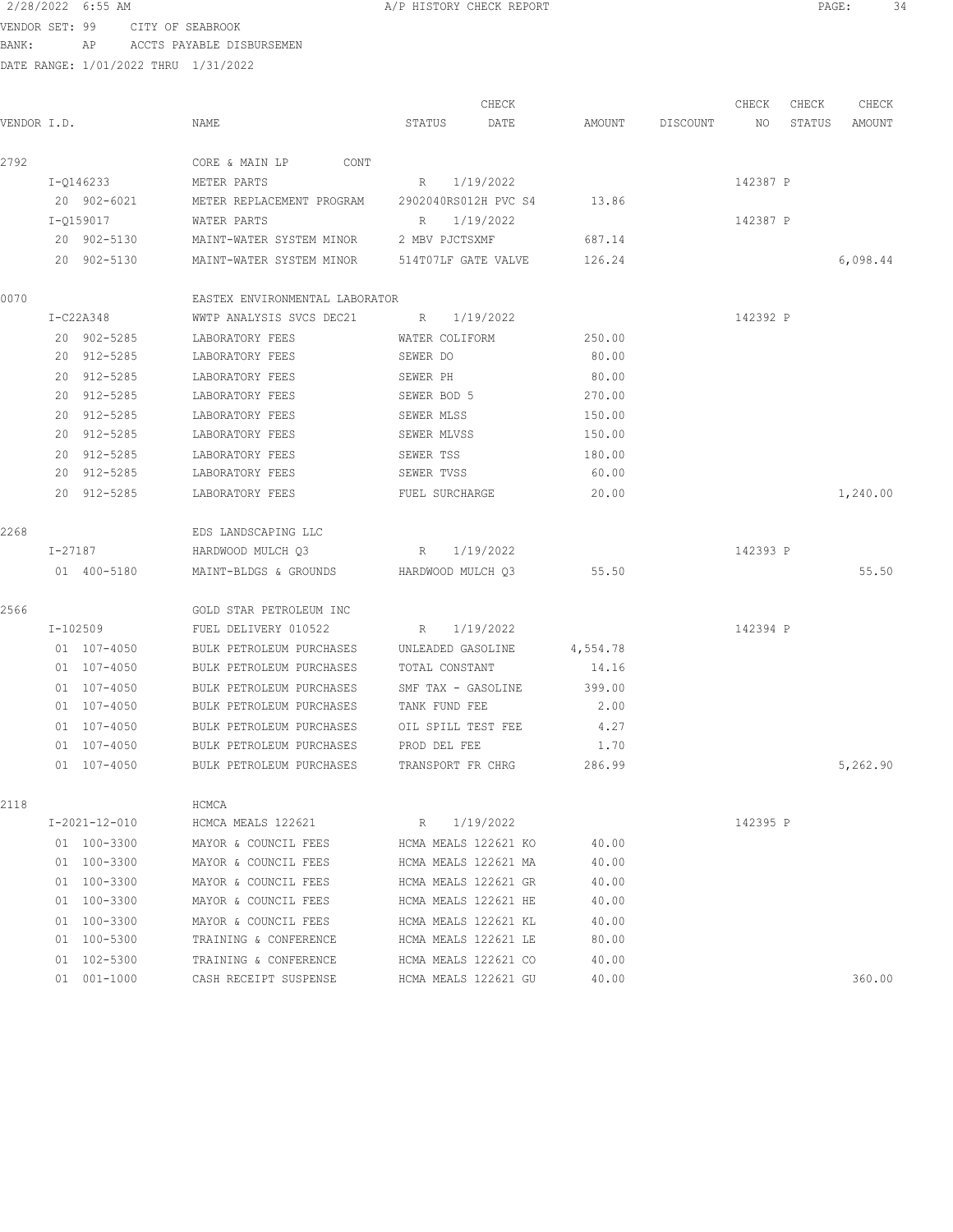#### 2/28/2022 6:55 AM A/P HISTORY CHECK REPORT PAGE: 34 VENDOR SET: 99 CITY OF SEABROOK

BANK: AP ACCTS PAYABLE DISBURSEMEN

| VENDOR I.D. |    |                       | NAME                                           | STATUS             | CHECK<br>DATE        | AMOUNT   | DISCOUNT | CHECK<br>NO | CHECK<br>STATUS | CHECK<br>AMOUNT |
|-------------|----|-----------------------|------------------------------------------------|--------------------|----------------------|----------|----------|-------------|-----------------|-----------------|
| 2792        |    |                       | CORE & MAIN LP<br>CONT                         |                    |                      |          |          |             |                 |                 |
|             |    | I-Q146233             | METER PARTS                                    | R                  | 1/19/2022            |          |          | 142387 P    |                 |                 |
|             |    | 20 902-6021           | METER REPLACEMENT PROGRAM 2902040RS012H PVC S4 |                    |                      | 13.86    |          |             |                 |                 |
|             |    | I-0159017             | WATER PARTS                                    | R                  | 1/19/2022            |          |          | 142387 P    |                 |                 |
|             |    | 20 902-5130           | MAINT-WATER SYSTEM MINOR                       | 2 MBV PJCTSXMF     |                      | 687.14   |          |             |                 |                 |
|             |    | 20 902-5130           | MAINT-WATER SYSTEM MINOR 514T07LF GATE VALVE   |                    |                      | 126.24   |          |             |                 | 6,098.44        |
| 0070        |    |                       | EASTEX ENVIRONMENTAL LABORATOR                 |                    |                      |          |          |             |                 |                 |
|             |    | $I-C22A348$           | WWTP ANALYSIS SVCS DEC21                       | R 1/19/2022        |                      |          |          | 142392 P    |                 |                 |
|             |    | 20 902-5285           | LABORATORY FEES                                | WATER COLIFORM     |                      | 250.00   |          |             |                 |                 |
|             |    | 20 912-5285           | LABORATORY FEES                                | SEWER DO           |                      | 80.00    |          |             |                 |                 |
|             |    | 20 912-5285           | LABORATORY FEES                                | SEWER PH           |                      | 80.00    |          |             |                 |                 |
|             |    | 20 912-5285           | LABORATORY FEES                                | SEWER BOD 5        |                      | 270.00   |          |             |                 |                 |
|             |    | 20 912-5285           | LABORATORY FEES                                | SEWER MLSS         |                      | 150.00   |          |             |                 |                 |
|             |    | 20 912-5285           | LABORATORY FEES                                | SEWER MLVSS        |                      | 150.00   |          |             |                 |                 |
|             |    | 20 912-5285           | LABORATORY FEES                                | SEWER TSS          |                      | 180.00   |          |             |                 |                 |
|             |    | 20 912-5285           | LABORATORY FEES                                | SEWER TVSS         |                      | 60.00    |          |             |                 |                 |
|             |    | 20 912-5285           | LABORATORY FEES                                | FUEL SURCHARGE     |                      | 20.00    |          |             |                 | 1,240.00        |
| 2268        |    |                       | EDS LANDSCAPING LLC                            |                    |                      |          |          |             |                 |                 |
|             |    | I-27187               | HARDWOOD MULCH Q3                              | R                  | 1/19/2022            |          |          | 142393 P    |                 |                 |
|             |    | 01 400-5180           | MAINT-BLDGS & GROUNDS                          | HARDWOOD MULCH Q3  |                      | 55.50    |          |             |                 | 55.50           |
| 2566        |    |                       | GOLD STAR PETROLEUM INC                        |                    |                      |          |          |             |                 |                 |
|             |    | I-102509              | FUEL DELIVERY 010522                           | R                  | 1/19/2022            |          |          | 142394 P    |                 |                 |
|             |    | 01 107-4050           | BULK PETROLEUM PURCHASES                       | UNLEADED GASOLINE  |                      | 4,554.78 |          |             |                 |                 |
|             |    | 01 107-4050           | BULK PETROLEUM PURCHASES                       | TOTAL CONSTANT     |                      | 14.16    |          |             |                 |                 |
|             |    | $01 107 - 4050$       | BULK PETROLEUM PURCHASES                       | SMF TAX - GASOLINE |                      | 399.00   |          |             |                 |                 |
|             |    | 01 107-4050           | BULK PETROLEUM PURCHASES                       | TANK FUND FEE      |                      | 2.00     |          |             |                 |                 |
|             |    | 01 107-4050           | BULK PETROLEUM PURCHASES                       | OIL SPILL TEST FEE |                      | 4.27     |          |             |                 |                 |
|             |    | 01 107-4050           | BULK PETROLEUM PURCHASES                       | PROD DEL FEE       |                      | 1.70     |          |             |                 |                 |
|             |    | 01 107-4050           | BULK PETROLEUM PURCHASES                       | TRANSPORT FR CHRG  |                      | 286.99   |          |             |                 | 5,262.90        |
| 2118        |    |                       | HCMCA                                          |                    |                      |          |          |             |                 |                 |
|             |    | $I - 2021 - 12 - 010$ | HCMCA MEALS 122621                             | R                  | 1/19/2022            |          |          | 142395 P    |                 |                 |
|             |    | 01 100-3300           | MAYOR & COUNCIL FEES                           |                    | HCMA MEALS 122621 KO | 40.00    |          |             |                 |                 |
|             |    | 01 100-3300           | MAYOR & COUNCIL FEES                           |                    | HCMA MEALS 122621 MA | 40.00    |          |             |                 |                 |
|             |    | 01 100-3300           | MAYOR & COUNCIL FEES                           |                    | HCMA MEALS 122621 GR | 40.00    |          |             |                 |                 |
|             |    | 01 100-3300           | MAYOR & COUNCIL FEES                           |                    | HCMA MEALS 122621 HE | 40.00    |          |             |                 |                 |
|             | 01 | 100-3300              | MAYOR & COUNCIL FEES                           |                    | HCMA MEALS 122621 KL | 40.00    |          |             |                 |                 |
|             |    | 01 100-5300           | TRAINING & CONFERENCE                          |                    | HCMA MEALS 122621 LE | 80.00    |          |             |                 |                 |
|             | 01 | 102-5300              | TRAINING & CONFERENCE                          |                    | HCMA MEALS 122621 CO | 40.00    |          |             |                 |                 |
|             |    | 01 001-1000           | CASH RECEIPT SUSPENSE                          |                    | HCMA MEALS 122621 GU | 40.00    |          |             |                 | 360.00          |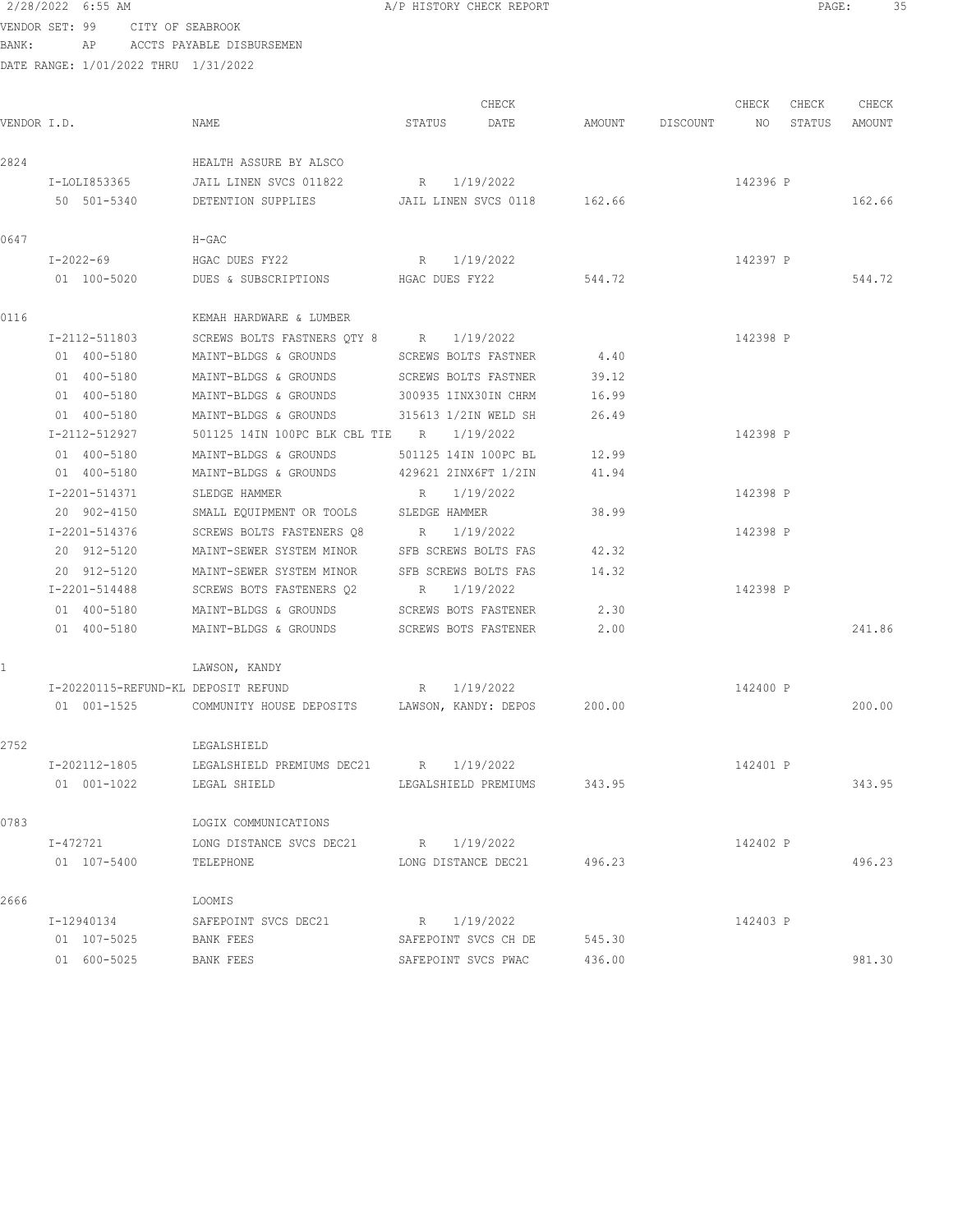|                | 2/28/2022 6:55 AM            |                                      |                                                                                        |        | A/P HISTORY CHECK REPORT    |        |                    |          | PAGE:  | 35     |  |
|----------------|------------------------------|--------------------------------------|----------------------------------------------------------------------------------------|--------|-----------------------------|--------|--------------------|----------|--------|--------|--|
| VENDOR SET: 99 |                              | CITY OF SEABROOK                     |                                                                                        |        |                             |        |                    |          |        |        |  |
| BANK:          |                              | AP ACCTS PAYABLE DISBURSEMEN         |                                                                                        |        |                             |        |                    |          |        |        |  |
|                |                              | DATE RANGE: 1/01/2022 THRU 1/31/2022 |                                                                                        |        |                             |        |                    |          |        |        |  |
|                |                              |                                      |                                                                                        |        |                             |        |                    |          |        |        |  |
|                |                              |                                      |                                                                                        |        | CHECK                       |        |                    | CHECK    | CHECK  | CHECK  |  |
| VENDOR I.D.    |                              | NAME                                 |                                                                                        | STATUS | DATE                        |        | AMOUNT DISCOUNT NO |          | STATUS | AMOUNT |  |
|                |                              |                                      |                                                                                        |        |                             |        |                    |          |        |        |  |
| 2824           |                              |                                      | HEALTH ASSURE BY ALSCO                                                                 |        |                             |        |                    |          |        |        |  |
|                |                              |                                      | I-LOLI853365 JAIL LINEN SVCS 011822                                                    |        | R 1/19/2022                 |        |                    | 142396 P |        |        |  |
|                |                              |                                      | 50 501-5340 DETENTION SUPPLIES JAIL LINEN SVCS 0118 162.66                             |        |                             |        |                    |          |        | 162.66 |  |
| 0647           |                              | $H-GAC$                              |                                                                                        |        |                             |        |                    |          |        |        |  |
|                | I-2022-69                    |                                      | HGAC DUES FY22                                                                         |        | R 1/19/2022                 |        |                    | 142397 P |        |        |  |
|                | 01 100-5020                  |                                      | DUES & SUBSCRIPTIONS                                                                   |        | HGAC DUES FY22              | 544.72 |                    |          |        | 544.72 |  |
|                |                              |                                      |                                                                                        |        |                             |        |                    |          |        |        |  |
| 0116           |                              |                                      | KEMAH HARDWARE & LUMBER                                                                |        |                             |        |                    |          |        |        |  |
|                | I-2112-511803                |                                      | SCREWS BOLTS FASTNERS QTY 8 R 1/19/2022                                                |        |                             |        |                    | 142398 P |        |        |  |
|                | 01 400-5180                  |                                      | MAINT-BLDGS & GROUNDS                                                                  |        | SCREWS BOLTS FASTNER        | 4.40   |                    |          |        |        |  |
|                | 01 400-5180                  |                                      | MAINT-BLDGS & GROUNDS                                                                  |        | SCREWS BOLTS FASTNER        | 39.12  |                    |          |        |        |  |
|                | 01 400-5180                  |                                      | MAINT-BLDGS & GROUNDS                                                                  |        | 300935 1INX30IN CHRM        | 16.99  |                    |          |        |        |  |
|                | 01 400-5180                  |                                      | MAINT-BLDGS & GROUNDS                                                                  |        | 315613 1/2IN WELD SH        | 26.49  |                    |          |        |        |  |
|                | I-2112-512927                |                                      | 501125 14IN 100PC BLK CBL TIE R 1/19/2022                                              |        |                             |        |                    | 142398 P |        |        |  |
|                | 01 400-5180                  |                                      | MAINT-BLDGS & GROUNDS                                                                  |        | 501125 14IN 100PC BL        | 12.99  |                    |          |        |        |  |
|                | 01 400-5180                  |                                      | MAINT-BLDGS & GROUNDS                                                                  |        | 429621 2INX6FT 1/2IN        | 41.94  |                    |          |        |        |  |
|                | I-2201-514371                |                                      | SLEDGE HAMMER                                                                          |        | R 1/19/2022                 |        |                    | 142398 P |        |        |  |
|                | 20 902-4150                  |                                      | SMALL EQUIPMENT OR TOOLS SLEDGE HAMMER                                                 |        |                             | 38.99  |                    |          |        |        |  |
|                | I-2201-514376                |                                      | SCREWS BOLTS FASTENERS Q8                                                              |        | R 1/19/2022                 |        |                    | 142398 P |        |        |  |
|                | 20 912-5120                  |                                      | MAINT-SEWER SYSTEM MINOR SFB SCREWS BOLTS FAS                                          |        |                             | 42.32  |                    |          |        |        |  |
|                | 20 912-5120<br>I-2201-514488 |                                      | MAINT-SEWER SYSTEM MINOR                                                               |        | SFB SCREWS BOLTS FAS        | 14.32  |                    | 142398 P |        |        |  |
|                | 01 400-5180                  |                                      | SCREWS BOTS FASTENERS $Q2$ R $1/19/2022$<br>MAINT-BLDGS & GROUNDS SCREWS BOTS FASTENER |        |                             | 2.30   |                    |          |        |        |  |
|                | 01 400-5180                  |                                      | MAINT-BLDGS & GROUNDS SCREWS BOTS FASTENER                                             |        |                             | 2.00   |                    |          |        | 241.86 |  |
|                |                              |                                      |                                                                                        |        |                             |        |                    |          |        |        |  |
| 1              |                              |                                      | LAWSON, KANDY                                                                          |        |                             |        |                    |          |        |        |  |
|                |                              | I-20220115-REFUND-KL DEPOSIT REFUND  |                                                                                        |        | R 1/19/2022                 |        |                    | 142400 P |        |        |  |
|                | 01 001-1525                  |                                      | COMMUNITY HOUSE DEPOSITS LAWSON, KANDY: DEPOS                                          |        |                             | 200.00 |                    |          |        | 200.00 |  |
|                |                              |                                      |                                                                                        |        |                             |        |                    |          |        |        |  |
| 2752           |                              | LEGALSHIELD                          |                                                                                        |        |                             |        |                    |          |        |        |  |
|                | I-202112-1805                |                                      | LEGALSHIELD PREMIUMS DEC21 R 1/19/2022                                                 |        |                             |        |                    | 142401 P |        |        |  |
|                | 01 001-1022                  |                                      | LEGAL SHIELD                                                                           |        | LEGALSHIELD PREMIUMS 343.95 |        |                    |          |        | 343.95 |  |
|                |                              |                                      |                                                                                        |        |                             |        |                    |          |        |        |  |
| 0783           |                              |                                      | LOGIX COMMUNICATIONS                                                                   |        |                             |        |                    |          |        |        |  |
|                | I-472721                     |                                      | LONG DISTANCE SVCS DEC21 R 1/19/2022                                                   |        |                             |        |                    | 142402 P |        |        |  |
|                | 01 107-5400                  | TELEPHONE                            |                                                                                        |        | LONG DISTANCE DEC21 496.23  |        |                    |          |        | 496.23 |  |
| 2666           |                              | LOOMIS                               |                                                                                        |        |                             |        |                    |          |        |        |  |
|                | I-12940134                   |                                      | SAFEPOINT SVCS DEC21                                                                   |        | R 1/19/2022                 |        |                    | 142403 P |        |        |  |
|                | 01 107-5025                  | BANK FEES                            |                                                                                        |        | SAFEPOINT SVCS CH DE 545.30 |        |                    |          |        |        |  |
|                |                              |                                      |                                                                                        |        |                             |        |                    |          |        |        |  |

01 600-5025 BANK FEES SAFEPOINT SVCS PWAC 436.00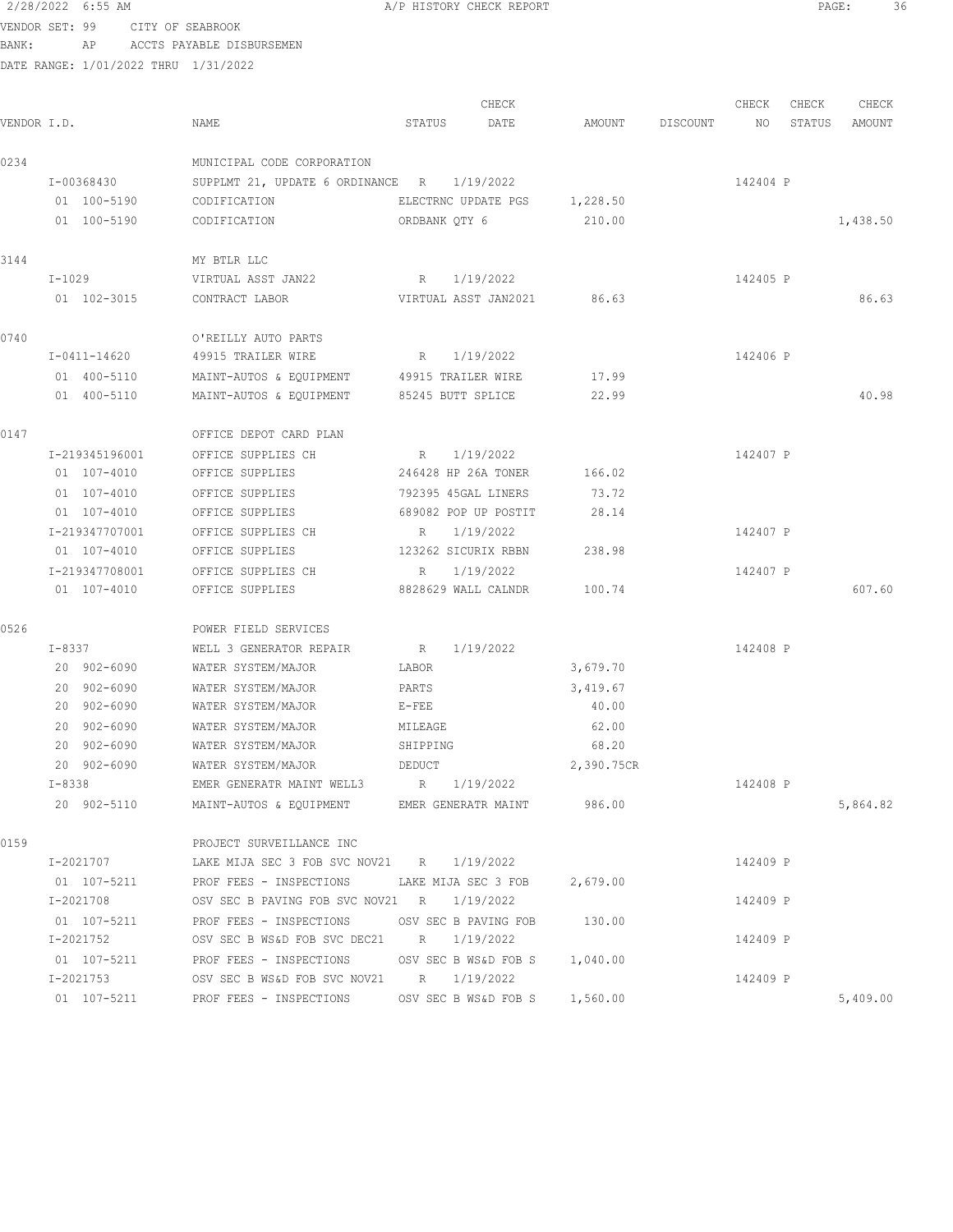VENDOR SET: 99 CITY OF SEABROOK

BANK: AP ACCTS PAYABLE DISBURSEMEN

| VENDOR I.D. |                            | NAME                                                        | STATUS             | CHECK<br>DATE                | AMOUNT     | DISCOUNT | CHECK<br>NO | CHECK<br>STATUS | CHECK<br>AMOUNT |
|-------------|----------------------------|-------------------------------------------------------------|--------------------|------------------------------|------------|----------|-------------|-----------------|-----------------|
| 0234        |                            | MUNICIPAL CODE CORPORATION                                  |                    |                              |            |          |             |                 |                 |
|             | I-00368430                 | SUPPLMT 21, UPDATE 6 ORDINANCE R 1/19/2022                  |                    |                              |            |          | 142404 P    |                 |                 |
|             | 01 100-5190                | CODIFICATION                                                |                    | ELECTRNC UPDATE PGS 1,228.50 |            |          |             |                 |                 |
|             | 01 100-5190                | CODIFICATION                                                | ORDBANK QTY 6      |                              | 210.00     |          |             |                 | 1,438.50        |
| 3144        |                            | MY BTLR LLC                                                 |                    |                              |            |          |             |                 |                 |
|             | $I-1029$                   | VIRTUAL ASST JAN22                                          | R                  | 1/19/2022                    |            |          | 142405 P    |                 |                 |
|             | 01 102-3015                | CONTRACT LABOR                                              |                    | VIRTUAL ASST JAN2021         | 86.63      |          |             |                 | 86.63           |
| 0740        |                            | O'REILLY AUTO PARTS                                         |                    |                              |            |          |             |                 |                 |
|             | I-0411-14620               | 49915 TRAILER WIRE                                          |                    | R 1/19/2022                  |            |          | 142406 P    |                 |                 |
|             | 01 400-5110                | MAINT-AUTOS & EQUIPMENT 49915 TRAILER WIRE                  |                    |                              | 17.99      |          |             |                 |                 |
|             | 01 400-5110                | MAINT-AUTOS & EQUIPMENT                                     |                    | 85245 BUTT SPLICE            | 22.99      |          |             |                 | 40.98           |
| 0147        |                            | OFFICE DEPOT CARD PLAN                                      |                    |                              |            |          |             |                 |                 |
|             | I-219345196001             | OFFICE SUPPLIES CH                                          | $R_{\rm c}$        | 1/19/2022                    |            |          | 142407 P    |                 |                 |
|             | 01 107-4010                | OFFICE SUPPLIES                                             |                    | 246428 HP 26A TONER          | 166.02     |          |             |                 |                 |
|             | 01 107-4010                | OFFICE SUPPLIES                                             |                    | 792395 45GAL LINERS          | 73.72      |          |             |                 |                 |
|             | 01 107-4010                | OFFICE SUPPLIES                                             |                    | 689082 POP UP POSTIT         | 28.14      |          |             |                 |                 |
|             | I-219347707001             | OFFICE SUPPLIES CH                                          | $R_{\odot}$        | 1/19/2022                    |            |          | 142407 P    |                 |                 |
|             | 01 107-4010                | OFFICE SUPPLIES                                             |                    | 123262 SICURIX RBBN          | 238.98     |          |             |                 |                 |
|             | I-219347708001             | OFFICE SUPPLIES CH                                          | $R_{\rm c}$        | 1/19/2022                    |            |          | 142407 P    |                 |                 |
|             | 01 107-4010                | OFFICE SUPPLIES                                             |                    | 8828629 WALL CALNDR          | 100.74     |          |             |                 | 607.60          |
| 0526        |                            | POWER FIELD SERVICES                                        |                    |                              |            |          |             |                 |                 |
|             | I-8337                     | WELL 3 GENERATOR REPAIR                                     | $R_{\rm{max}}$     | 1/19/2022                    |            |          | 142408 P    |                 |                 |
|             | 20 902-6090                | WATER SYSTEM/MAJOR                                          | LABOR              |                              | 3,679.70   |          |             |                 |                 |
|             | 20 902-6090                | WATER SYSTEM/MAJOR                                          | PARTS              |                              | 3,419.67   |          |             |                 |                 |
|             | 20 902-6090                | WATER SYSTEM/MAJOR                                          | E-FEE              |                              | 40.00      |          |             |                 |                 |
|             | 20 902-6090<br>20 902-6090 | WATER SYSTEM/MAJOR<br>WATER SYSTEM/MAJOR                    | MILEAGE            |                              | 62.00      |          |             |                 |                 |
|             | 20 902-6090                |                                                             | SHIPPING<br>DEDUCT |                              | 68.20      |          |             |                 |                 |
|             | $I - 8338$                 | WATER SYSTEM/MAJOR<br>EMER GENERATR MAINT WELL3 R 1/19/2022 |                    |                              | 2,390.75CR |          | 142408 P    |                 |                 |
|             | 20 902-5110                | MAINT-AUTOS & EQUIPMENT EMER GENERATR MAINT 986.00          |                    |                              |            |          |             |                 | 5,864.82        |
| 0159        |                            | PROJECT SURVEILLANCE INC                                    |                    |                              |            |          |             |                 |                 |
|             | I-2021707                  | LAKE MIJA SEC 3 FOB SVC NOV21 R 1/19/2022                   |                    |                              |            |          | 142409 P    |                 |                 |
|             |                            | 01 107-5211 PROF FEES - INSPECTIONS LAKE MIJA SEC 3 FOB     |                    |                              | 2,679.00   |          |             |                 |                 |
|             | I-2021708                  | OSV SEC B PAVING FOB SVC NOV21 R 1/19/2022                  |                    |                              |            |          | 142409 P    |                 |                 |
|             | 01 107-5211                | PROF FEES - INSPECTIONS OSV SEC B PAVING FOB 130.00         |                    |                              |            |          |             |                 |                 |
|             | I-2021752                  | OSV SEC B WS&D FOB SVC DEC21 R 1/19/2022                    |                    |                              |            |          | 142409 P    |                 |                 |
|             | 01 107-5211                | PROF FEES - INSPECTIONS OSV SEC B WS&D FOB S 1,040.00       |                    |                              |            |          |             |                 |                 |
|             | I-2021753                  | OSV SEC B WS&D FOB SVC NOV21 R 1/19/2022                    |                    |                              |            |          | 142409 P    |                 |                 |
|             | 01 107-5211                | PROF FEES - INSPECTIONS OSV SEC B WS&D FOB S 1,560.00       |                    |                              |            |          |             |                 | 5,409.00        |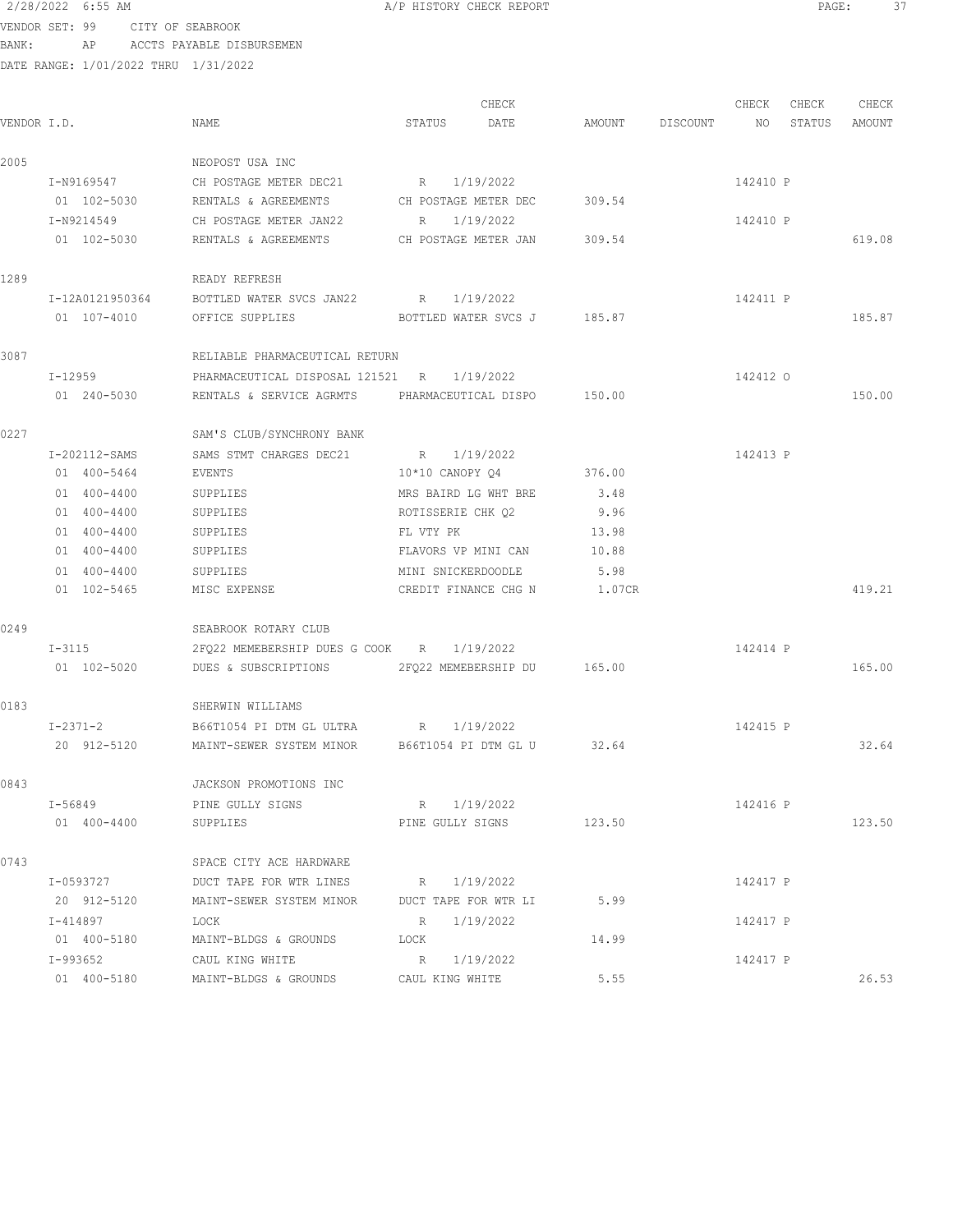2/28/2022 6:55 AM A/P HISTORY CHECK REPORT PAGE: 37 VENDOR SET: 99 CITY OF SEABROOK BANK: AP ACCTS PAYABLE DISBURSEMEN DATE RANGE: 1/01/2022 THRU 1/31/2022

|  | A/P HISTORY CHECK REPORT |  |
|--|--------------------------|--|
|  |                          |  |
|  |                          |  |

CHECK CHECK CHECK CHECK CHECK CHECK CHECK CHECK CHECK CHECK CHECK CHECK CHECK CHECK CHECK CHECK CHECK CHECK CHECK CHECK CHECK CHECK CHECK CHECK CHECK CHECK CHECK CHECK CHECK CHECK CHECK CHECK CHECK CHECK CHECK CHECK CHECK VENDOR I.D. NAME STATUS DATE AMOUNT DISCOUNT NO STATUS AMOUNT 2005 NEOPOST USA INC I-N9169547 CH POSTAGE METER DEC21 R 1/19/2022 142410 P 01 102-5030 RENTALS & AGREEMENTS CH POSTAGE METER DEC 309.54 I-N9214549 CH POSTAGE METER JAN22 R 1/19/2022 142410 P 01 102-5030 RENTALS & AGREEMENTS CH POSTAGE METER JAN 309.54 619.08 1289 READY REFRESH I-12A0121950364 BOTTLED WATER SVCS JAN22 R 1/19/2022 142411 P 01 107-4010 OFFICE SUPPLIES BOTTLED WATER SVCS J 185.87 3087 RELIABLE PHARMACEUTICAL RETURN I-12959 PHARMACEUTICAL DISPOSAL 121521 R 1/19/2022 142412 O 01 240-5030 RENTALS & SERVICE AGRMTS PHARMACEUTICAL DISPO 150.00 150.00 150.00 0227 SAM'S CLUB/SYNCHRONY BANK I-202112-SAMS SAMS STMT CHARGES DEC21 R 1/19/2022 142413 P 01 400-5464 EVENTS 10\*10 CANOPY Q4 376.00 01 400-4400 SUPPLIES MRS BAIRD LG WHT BRE 3.48 01 400-4400 SUPPLIES ROTISSERIE CHK Q2 9.96 01 400-4400 SUPPLIES FL VTY PK 13.98 01 400-4400 SUPPLIES FLAVORS VP MINI CAN 10.88 01 400-4400 SUPPLIES MINI SNICKERDOODLE 5.98 01 102-5465 MISC EXPENSE CREDIT FINANCE CHG N 1.07CR 419.21 0249 SEABROOK ROTARY CLUB I-3115 2FQ22 MEMEBERSHIP DUES G COOK R 1/19/2022 142414 P 01 102-5020 DUES & SUBSCRIPTIONS 2FQ22 MEMEBERSHIP DU 165.00 165.00 0183 SHERWIN WILLIAMS I-2371-2 B66T1054 PI DTM GL ULTRA R 1/19/2022 142415 P 20 912-5120 MAINT-SEWER SYSTEM MINOR B66T1054 PI DTM GL U 32.64 32.64 0843 JACKSON PROMOTIONS INC I-56849 PINE GULLY SIGNS R 1/19/2022 R 1/19/2021 142416 P 01 400-4400 SUPPLIES PINE GULLY SIGNS 123.50 123.50 0743 SPACE CITY ACE HARDWARE I-0593727 DUCT TAPE FOR WTR LINES R 1/19/2022 142417 P 20 912-5120 MAINT-SEWER SYSTEM MINOR DUCT TAPE FOR WTR LI 5.99 I-414897 LOCK R 1/19/2022 142417 P 01 400-5180 MAINT-BLDGS & GROUNDS LOCK 14.99 I-993652 CAUL KING WHITE R 1/19/2022 R 1/19/2021 142417 P 01 400-5180 MAINT-BLDGS & GROUNDS CAUL KING WHITE 5.55 55 26.53 26.53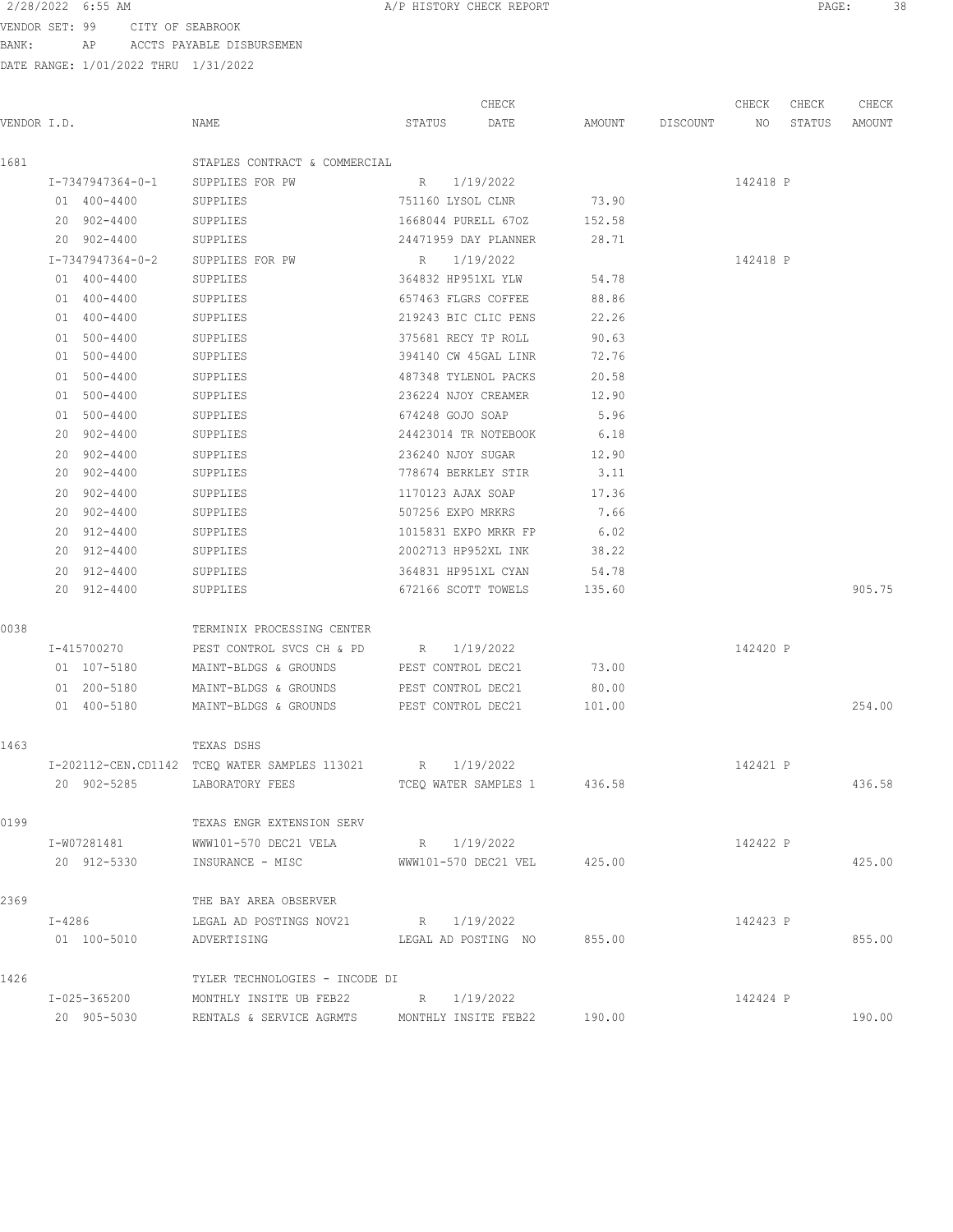VENDOR SET: 99 CITY OF SEABROOK BANK: AP ACCTS PAYABLE DISBURSEMEN

| VENDOR I.D.<br>NAME<br>DATE<br>AMOUNT DISCOUNT<br>STATUS<br>NO<br>STATUS<br>1681<br>STAPLES CONTRACT & COMMERCIAL<br>I-7347947364-0-1<br>SUPPLIES FOR PW<br>R 1/19/2022<br>142418 P<br>73.90<br>01 400-4400<br>SUPPLIES<br>751160 LYSOL CLNR<br>20 902-4400<br>1668044 PURELL 670Z<br>SUPPLIES<br>152.58<br>20 902-4400<br>SUPPLIES<br>24471959 DAY PLANNER<br>28.71<br>I-7347947364-0-2<br>SUPPLIES FOR PW<br>R 1/19/2022<br>142418 P<br>54.78<br>01 400-4400<br>SUPPLIES<br>364832 HP951XL YLW<br>01 400-4400<br>657463 FLGRS COFFEE<br>88.86<br>SUPPLIES<br>01 400-4400<br>219243 BIC CLIC PENS<br>22.26<br>SUPPLIES<br>01 500-4400<br>SUPPLIES<br>375681 RECY TP ROLL<br>90.63<br>01 500-4400<br>394140 CW 45GAL LINR<br>72.76<br>SUPPLIES<br>01 500-4400<br>487348 TYLENOL PACKS<br>20.58<br>SUPPLIES<br>01 500-4400<br>SUPPLIES<br>236224 NJOY CREAMER<br>12.90<br>01 500-4400<br>674248 GOJO SOAP<br>5.96<br>SUPPLIES<br>20 902-4400<br>SUPPLIES<br>24423014 TR NOTEBOOK<br>6.18<br>20 902-4400<br>236240 NJOY SUGAR<br>12.90<br>SUPPLIES<br>20 902-4400<br>SUPPLIES<br>778674 BERKLEY STIR<br>3.11<br>20 902-4400<br>SUPPLIES<br>1170123 AJAX SOAP<br>17.36<br>20 902-4400<br>SUPPLIES<br>507256 EXPO MRKRS<br>7.66<br>20 912-4400<br>6.02<br>SUPPLIES<br>1015831 EXPO MRKR FP<br>20 912-4400<br>2002713 HP952XL INK<br>38.22<br>SUPPLIES<br>20 912-4400<br>364831 HP951XL CYAN<br>SUPPLIES<br>54.78<br>20 912-4400<br>672166 SCOTT TOWELS<br>SUPPLIES<br>135.60 | AMOUNT |
|--------------------------------------------------------------------------------------------------------------------------------------------------------------------------------------------------------------------------------------------------------------------------------------------------------------------------------------------------------------------------------------------------------------------------------------------------------------------------------------------------------------------------------------------------------------------------------------------------------------------------------------------------------------------------------------------------------------------------------------------------------------------------------------------------------------------------------------------------------------------------------------------------------------------------------------------------------------------------------------------------------------------------------------------------------------------------------------------------------------------------------------------------------------------------------------------------------------------------------------------------------------------------------------------------------------------------------------------------------------------------------------------------------------------------------------------------------------------------|--------|
|                                                                                                                                                                                                                                                                                                                                                                                                                                                                                                                                                                                                                                                                                                                                                                                                                                                                                                                                                                                                                                                                                                                                                                                                                                                                                                                                                                                                                                                                          |        |
|                                                                                                                                                                                                                                                                                                                                                                                                                                                                                                                                                                                                                                                                                                                                                                                                                                                                                                                                                                                                                                                                                                                                                                                                                                                                                                                                                                                                                                                                          |        |
|                                                                                                                                                                                                                                                                                                                                                                                                                                                                                                                                                                                                                                                                                                                                                                                                                                                                                                                                                                                                                                                                                                                                                                                                                                                                                                                                                                                                                                                                          |        |
|                                                                                                                                                                                                                                                                                                                                                                                                                                                                                                                                                                                                                                                                                                                                                                                                                                                                                                                                                                                                                                                                                                                                                                                                                                                                                                                                                                                                                                                                          |        |
|                                                                                                                                                                                                                                                                                                                                                                                                                                                                                                                                                                                                                                                                                                                                                                                                                                                                                                                                                                                                                                                                                                                                                                                                                                                                                                                                                                                                                                                                          |        |
|                                                                                                                                                                                                                                                                                                                                                                                                                                                                                                                                                                                                                                                                                                                                                                                                                                                                                                                                                                                                                                                                                                                                                                                                                                                                                                                                                                                                                                                                          |        |
|                                                                                                                                                                                                                                                                                                                                                                                                                                                                                                                                                                                                                                                                                                                                                                                                                                                                                                                                                                                                                                                                                                                                                                                                                                                                                                                                                                                                                                                                          |        |
|                                                                                                                                                                                                                                                                                                                                                                                                                                                                                                                                                                                                                                                                                                                                                                                                                                                                                                                                                                                                                                                                                                                                                                                                                                                                                                                                                                                                                                                                          |        |
|                                                                                                                                                                                                                                                                                                                                                                                                                                                                                                                                                                                                                                                                                                                                                                                                                                                                                                                                                                                                                                                                                                                                                                                                                                                                                                                                                                                                                                                                          |        |
|                                                                                                                                                                                                                                                                                                                                                                                                                                                                                                                                                                                                                                                                                                                                                                                                                                                                                                                                                                                                                                                                                                                                                                                                                                                                                                                                                                                                                                                                          |        |
|                                                                                                                                                                                                                                                                                                                                                                                                                                                                                                                                                                                                                                                                                                                                                                                                                                                                                                                                                                                                                                                                                                                                                                                                                                                                                                                                                                                                                                                                          |        |
|                                                                                                                                                                                                                                                                                                                                                                                                                                                                                                                                                                                                                                                                                                                                                                                                                                                                                                                                                                                                                                                                                                                                                                                                                                                                                                                                                                                                                                                                          |        |
|                                                                                                                                                                                                                                                                                                                                                                                                                                                                                                                                                                                                                                                                                                                                                                                                                                                                                                                                                                                                                                                                                                                                                                                                                                                                                                                                                                                                                                                                          |        |
|                                                                                                                                                                                                                                                                                                                                                                                                                                                                                                                                                                                                                                                                                                                                                                                                                                                                                                                                                                                                                                                                                                                                                                                                                                                                                                                                                                                                                                                                          |        |
|                                                                                                                                                                                                                                                                                                                                                                                                                                                                                                                                                                                                                                                                                                                                                                                                                                                                                                                                                                                                                                                                                                                                                                                                                                                                                                                                                                                                                                                                          |        |
|                                                                                                                                                                                                                                                                                                                                                                                                                                                                                                                                                                                                                                                                                                                                                                                                                                                                                                                                                                                                                                                                                                                                                                                                                                                                                                                                                                                                                                                                          |        |
|                                                                                                                                                                                                                                                                                                                                                                                                                                                                                                                                                                                                                                                                                                                                                                                                                                                                                                                                                                                                                                                                                                                                                                                                                                                                                                                                                                                                                                                                          |        |
|                                                                                                                                                                                                                                                                                                                                                                                                                                                                                                                                                                                                                                                                                                                                                                                                                                                                                                                                                                                                                                                                                                                                                                                                                                                                                                                                                                                                                                                                          |        |
|                                                                                                                                                                                                                                                                                                                                                                                                                                                                                                                                                                                                                                                                                                                                                                                                                                                                                                                                                                                                                                                                                                                                                                                                                                                                                                                                                                                                                                                                          |        |
|                                                                                                                                                                                                                                                                                                                                                                                                                                                                                                                                                                                                                                                                                                                                                                                                                                                                                                                                                                                                                                                                                                                                                                                                                                                                                                                                                                                                                                                                          |        |
|                                                                                                                                                                                                                                                                                                                                                                                                                                                                                                                                                                                                                                                                                                                                                                                                                                                                                                                                                                                                                                                                                                                                                                                                                                                                                                                                                                                                                                                                          |        |
|                                                                                                                                                                                                                                                                                                                                                                                                                                                                                                                                                                                                                                                                                                                                                                                                                                                                                                                                                                                                                                                                                                                                                                                                                                                                                                                                                                                                                                                                          |        |
|                                                                                                                                                                                                                                                                                                                                                                                                                                                                                                                                                                                                                                                                                                                                                                                                                                                                                                                                                                                                                                                                                                                                                                                                                                                                                                                                                                                                                                                                          |        |
|                                                                                                                                                                                                                                                                                                                                                                                                                                                                                                                                                                                                                                                                                                                                                                                                                                                                                                                                                                                                                                                                                                                                                                                                                                                                                                                                                                                                                                                                          | 905.75 |
| 0038<br>TERMINIX PROCESSING CENTER                                                                                                                                                                                                                                                                                                                                                                                                                                                                                                                                                                                                                                                                                                                                                                                                                                                                                                                                                                                                                                                                                                                                                                                                                                                                                                                                                                                                                                       |        |
| 142420 P<br>I-415700270<br>PEST CONTROL SVCS CH & PD R 1/19/2022                                                                                                                                                                                                                                                                                                                                                                                                                                                                                                                                                                                                                                                                                                                                                                                                                                                                                                                                                                                                                                                                                                                                                                                                                                                                                                                                                                                                         |        |
| 73.00<br>01 107-5180<br>MAINT-BLDGS & GROUNDS<br>PEST CONTROL DEC21                                                                                                                                                                                                                                                                                                                                                                                                                                                                                                                                                                                                                                                                                                                                                                                                                                                                                                                                                                                                                                                                                                                                                                                                                                                                                                                                                                                                      |        |
| 01 200-5180<br>PEST CONTROL DEC21<br>MAINT-BLDGS & GROUNDS<br>80.00                                                                                                                                                                                                                                                                                                                                                                                                                                                                                                                                                                                                                                                                                                                                                                                                                                                                                                                                                                                                                                                                                                                                                                                                                                                                                                                                                                                                      |        |
| 01 400-5180<br>MAINT-BLDGS & GROUNDS PEST CONTROL DEC21 101.00                                                                                                                                                                                                                                                                                                                                                                                                                                                                                                                                                                                                                                                                                                                                                                                                                                                                                                                                                                                                                                                                                                                                                                                                                                                                                                                                                                                                           | 254.00 |
| 1463<br>TEXAS DSHS                                                                                                                                                                                                                                                                                                                                                                                                                                                                                                                                                                                                                                                                                                                                                                                                                                                                                                                                                                                                                                                                                                                                                                                                                                                                                                                                                                                                                                                       |        |
| I-202112-CEN.CD1142 TCEQ WATER SAMPLES 113021 R 1/19/2022<br>142421 P                                                                                                                                                                                                                                                                                                                                                                                                                                                                                                                                                                                                                                                                                                                                                                                                                                                                                                                                                                                                                                                                                                                                                                                                                                                                                                                                                                                                    |        |
| 20 902-5285<br>LABORATORY FEES<br>TCEQ WATER SAMPLES 1<br>436.58                                                                                                                                                                                                                                                                                                                                                                                                                                                                                                                                                                                                                                                                                                                                                                                                                                                                                                                                                                                                                                                                                                                                                                                                                                                                                                                                                                                                         | 436.58 |
| 0199<br>TEXAS ENGR EXTENSION SERV                                                                                                                                                                                                                                                                                                                                                                                                                                                                                                                                                                                                                                                                                                                                                                                                                                                                                                                                                                                                                                                                                                                                                                                                                                                                                                                                                                                                                                        |        |
| R 1/19/2022<br>I-W07281481<br>WWW101-570 DEC21 VELA<br>142422 P                                                                                                                                                                                                                                                                                                                                                                                                                                                                                                                                                                                                                                                                                                                                                                                                                                                                                                                                                                                                                                                                                                                                                                                                                                                                                                                                                                                                          |        |
| WWW101-570 DEC21 VEL 425.00<br>20 912-5330<br>INSURANCE - MISC                                                                                                                                                                                                                                                                                                                                                                                                                                                                                                                                                                                                                                                                                                                                                                                                                                                                                                                                                                                                                                                                                                                                                                                                                                                                                                                                                                                                           | 425.00 |
| 2369<br>THE BAY AREA OBSERVER                                                                                                                                                                                                                                                                                                                                                                                                                                                                                                                                                                                                                                                                                                                                                                                                                                                                                                                                                                                                                                                                                                                                                                                                                                                                                                                                                                                                                                            |        |
| $I-4286$<br>LEGAL AD POSTINGS NOV21 R 1/19/2022<br>142423 P                                                                                                                                                                                                                                                                                                                                                                                                                                                                                                                                                                                                                                                                                                                                                                                                                                                                                                                                                                                                                                                                                                                                                                                                                                                                                                                                                                                                              |        |
| 01 100-5010<br>LEGAL AD POSTING NO 855.00<br>ADVERTISING                                                                                                                                                                                                                                                                                                                                                                                                                                                                                                                                                                                                                                                                                                                                                                                                                                                                                                                                                                                                                                                                                                                                                                                                                                                                                                                                                                                                                 | 855.00 |
| 1426<br>TYLER TECHNOLOGIES - INCODE DI                                                                                                                                                                                                                                                                                                                                                                                                                                                                                                                                                                                                                                                                                                                                                                                                                                                                                                                                                                                                                                                                                                                                                                                                                                                                                                                                                                                                                                   |        |
| I-025-365200<br>MONTHLY INSITE UB FEB22 $R = 1/19/2022$<br>142424 P                                                                                                                                                                                                                                                                                                                                                                                                                                                                                                                                                                                                                                                                                                                                                                                                                                                                                                                                                                                                                                                                                                                                                                                                                                                                                                                                                                                                      |        |
| 20 905-5030 RENTALS & SERVICE AGRMTS MONTHLY INSITE FEB22 190.00                                                                                                                                                                                                                                                                                                                                                                                                                                                                                                                                                                                                                                                                                                                                                                                                                                                                                                                                                                                                                                                                                                                                                                                                                                                                                                                                                                                                         | 190.00 |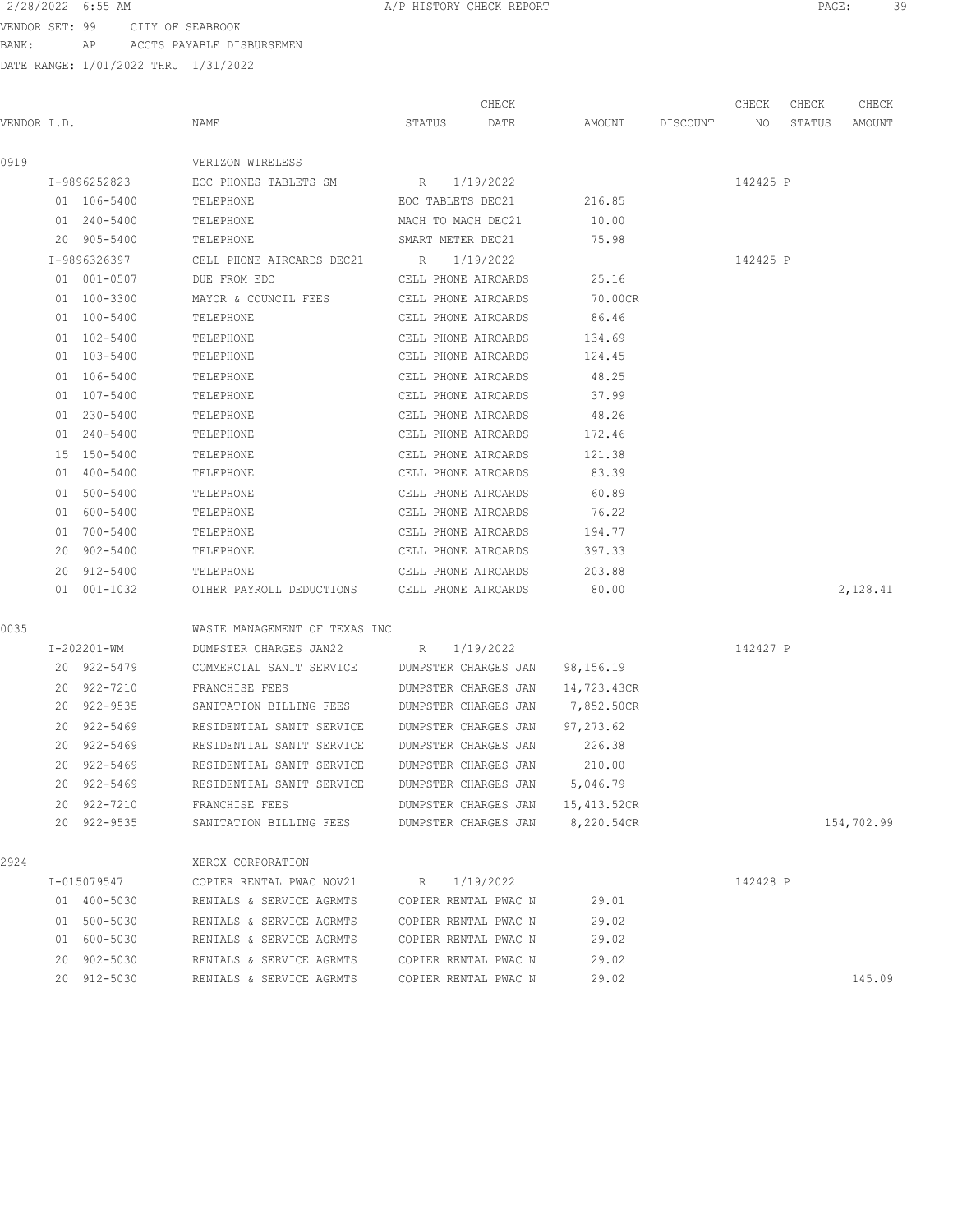VENDOR SET: 99 CITY OF SEABROOK BANK: AP ACCTS PAYABLE DISBURSEMEN

|             |              |                                                      |                                              | CHECK                          |                |          | CHECK    | CHECK  | CHECK      |
|-------------|--------------|------------------------------------------------------|----------------------------------------------|--------------------------------|----------------|----------|----------|--------|------------|
| VENDOR I.D. |              | NAME                                                 | STATUS                                       | DATE                           | AMOUNT         | DISCOUNT | NO       | STATUS | AMOUNT     |
| 0919        |              | VERIZON WIRELESS                                     |                                              |                                |                |          |          |        |            |
|             | I-9896252823 | EOC PHONES TABLETS SM                                | R 1/19/2022                                  |                                |                |          | 142425 P |        |            |
|             | 01 106-5400  | TELEPHONE                                            | EOC TABLETS DEC21                            |                                | 216.85         |          |          |        |            |
|             | 01 240-5400  | TELEPHONE                                            | MACH TO MACH DEC21                           |                                | 10.00          |          |          |        |            |
|             | 20 905-5400  | TELEPHONE                                            | SMART METER DEC21                            |                                | 75.98          |          |          |        |            |
|             | I-9896326397 | CELL PHONE AIRCARDS DEC21 R 1/19/2022                |                                              |                                |                |          | 142425 P |        |            |
|             | 01 001-0507  | DUE FROM EDC                                         | CELL PHONE AIRCARDS                          |                                | 25.16          |          |          |        |            |
|             | 01 100-3300  | MAYOR & COUNCIL FEES CELL PHONE AIRCARDS             |                                              |                                | 70.00CR        |          |          |        |            |
|             | 01 100-5400  | TELEPHONE                                            | CELL PHONE AIRCARDS                          |                                | 86.46          |          |          |        |            |
|             | 01 102-5400  | TELEPHONE                                            | CELL PHONE AIRCARDS                          |                                | 134.69         |          |          |        |            |
|             | 01 103-5400  | TELEPHONE                                            | CELL PHONE AIRCARDS                          |                                | 124.45         |          |          |        |            |
|             | 01 106-5400  | TELEPHONE                                            | CELL PHONE AIRCARDS                          |                                | 48.25          |          |          |        |            |
|             | 01 107-5400  | TELEPHONE                                            | CELL PHONE AIRCARDS                          |                                | 37.99          |          |          |        |            |
|             | 01 230-5400  | TELEPHONE                                            | CELL PHONE AIRCARDS                          |                                | 48.26          |          |          |        |            |
|             | 01 240-5400  | TELEPHONE                                            | CELL PHONE AIRCARDS                          |                                | 172.46         |          |          |        |            |
|             | 15 150-5400  | TELEPHONE                                            | CELL PHONE AIRCARDS                          |                                | 121.38         |          |          |        |            |
|             | 01 400-5400  | TELEPHONE                                            | CELL PHONE AIRCARDS                          |                                | 83.39          |          |          |        |            |
|             | 01 500-5400  | TELEPHONE                                            | CELL PHONE AIRCARDS                          |                                | 60.89          |          |          |        |            |
|             | 01 600-5400  | TELEPHONE                                            | CELL PHONE AIRCARDS                          |                                | 76.22          |          |          |        |            |
|             | 01 700-5400  | TELEPHONE                                            | CELL PHONE AIRCARDS                          |                                | 194.77         |          |          |        |            |
|             | 20 902-5400  | TELEPHONE                                            | CELL PHONE AIRCARDS                          |                                | 397.33         |          |          |        |            |
|             | 20 912-5400  | TELEPHONE                                            | CELL PHONE AIRCARDS                          |                                | 203.88         |          |          |        |            |
|             | 01 001-1032  | OTHER PAYROLL DEDUCTIONS CELL PHONE AIRCARDS         |                                              |                                | 80.00          |          |          |        | 2,128.41   |
| 0035        |              | WASTE MANAGEMENT OF TEXAS INC                        |                                              |                                |                |          |          |        |            |
|             | I-202201-WM  | DUMPSTER CHARGES JAN22 R                             |                                              | 1/19/2022                      |                |          | 142427 P |        |            |
|             | 20 922-5479  | COMMERCIAL SANIT SERVICE                             |                                              | DUMPSTER CHARGES JAN 98,156.19 |                |          |          |        |            |
|             | 20 922-7210  | FRANCHISE FEES                                       | DUMPSTER CHARGES JAN                         |                                | 14,723.43CR    |          |          |        |            |
|             | 20 922-9535  | SANITATION BILLING FEES                              | DUMPSTER CHARGES JAN                         |                                | 7,852.50CR     |          |          |        |            |
|             | 20 922-5469  | RESIDENTIAL SANIT SERVICE DUMPSTER CHARGES JAN       |                                              |                                | 97,273.62      |          |          |        |            |
|             | 20 922-5469  | RESIDENTIAL SANIT SERVICE DUMPSTER CHARGES JAN       |                                              |                                | 226.38         |          |          |        |            |
|             | 20 922-5469  | RESIDENTIAL SANIT SERVICE                            | DUMPSTER CHARGES JAN                         |                                | 210.00         |          |          |        |            |
|             | 20 922-5469  | RESIDENTIAL SANIT SERVICE                            | DUMPSTER CHARGES JAN                         |                                | 5,046.79       |          |          |        |            |
|             | 20 922-7210  | FRANCHISE FEES                                       | DUMPSTER CHARGES JAN                         |                                | 15,413.52CR    |          |          |        |            |
|             | 20 922-9535  | SANITATION BILLING FEES                              | DUMPSTER CHARGES JAN                         |                                | 8,220.54CR     |          |          |        | 154,702.99 |
| 2924        |              | XEROX CORPORATION                                    |                                              |                                |                |          |          |        |            |
|             | I-015079547  | COPIER RENTAL PWAC NOV21                             | R                                            | 1/19/2022                      |                |          | 142428 P |        |            |
|             | 01 400-5030  | RENTALS & SERVICE AGRMTS                             | COPIER RENTAL PWAC N                         |                                | 29.01          |          |          |        |            |
|             | 01 500-5030  |                                                      |                                              |                                |                |          |          |        |            |
|             | 01 600-5030  | RENTALS & SERVICE AGRMTS<br>RENTALS & SERVICE AGRMTS | COPIER RENTAL PWAC N<br>COPIER RENTAL PWAC N |                                | 29.02<br>29.02 |          |          |        |            |
|             | 20 902-5030  | RENTALS & SERVICE AGRMTS                             | COPIER RENTAL PWAC N                         |                                | 29.02          |          |          |        |            |
|             | 20 912-5030  | RENTALS & SERVICE AGRMTS                             | COPIER RENTAL PWAC N                         |                                | 29.02          |          |          |        | 145.09     |
|             |              |                                                      |                                              |                                |                |          |          |        |            |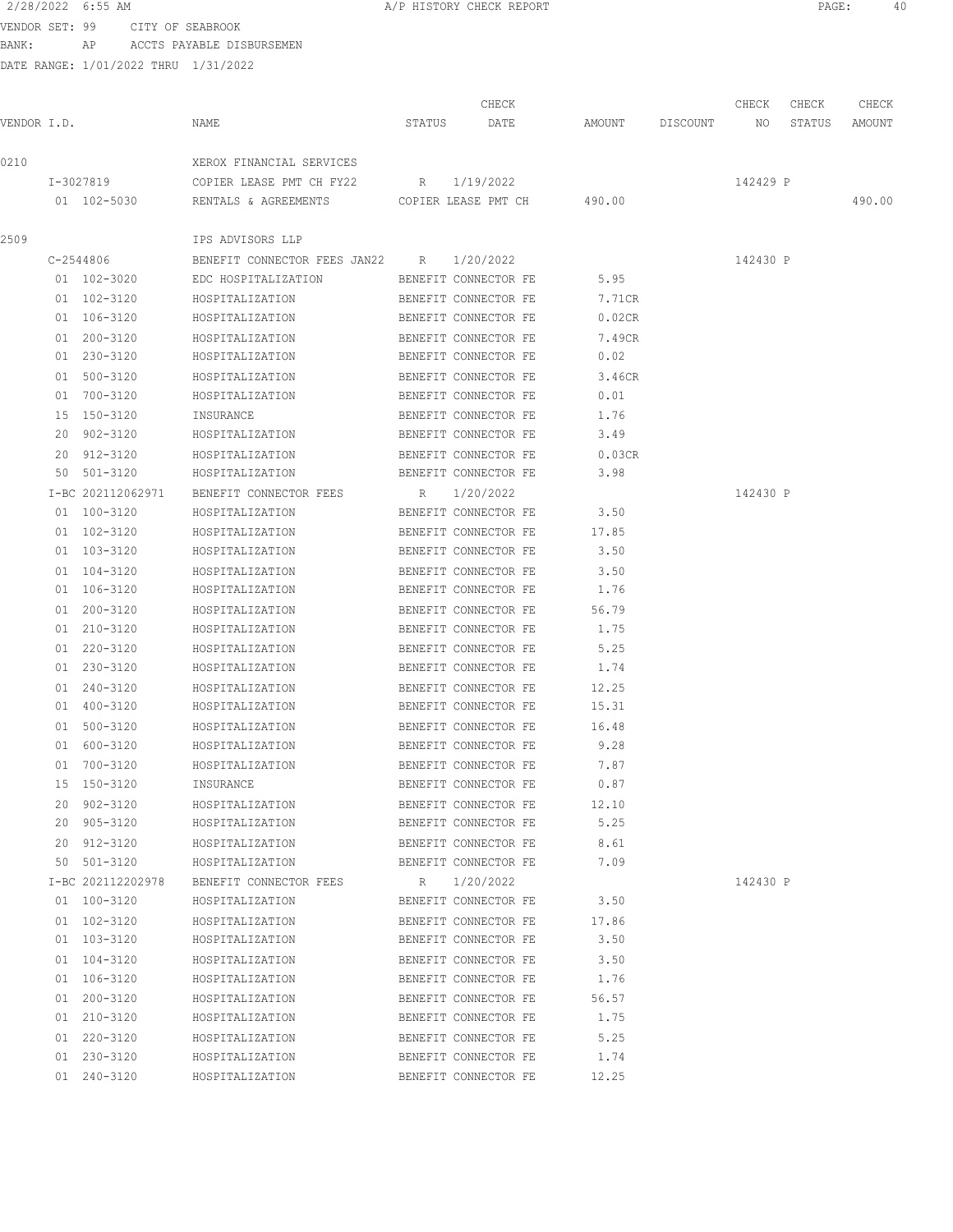BANK: AP ACCTS PAYABLE DISBURSEMEN

0210 XEROX FINANCIAL SERVICES

DATE RANGE: 1/01/2022 THRU 1/31/2022

2/28/2022 6:55 AM **A/P HISTORY CHECK REPORT PAGE:** 40 CHECK CHECK CHECK CHECK CHECK CHECK CHECK CHECK CHECK CHECK CHECK CHECK CHECK CHECK CHECK CHECK CHECK CHECK CHECK CHECK CHECK CHECK CHECK CHECK CHECK CHECK CHECK CHECK CHECK CHECK CHECK CHECK CHECK CHECK CHECK CHECK CHECK VENDOR I.D. NAME STATUS DATE AMOUNT DISCOUNT NO STATUS AMOUNT I-3027819 COPIER LEASE PMT CH FY22 R 1/19/2022 142429 P 01 102-5030 RENTALS & AGREEMENTS COPIER LEASE PMT CH 490.00 490.00

|             | IPS ADVISORS LLP                                     |                      |                             |          |
|-------------|------------------------------------------------------|----------------------|-----------------------------|----------|
| C-2544806   | BENEFIT CONNECTOR FEES JAN22 R 1/20/2022             |                      |                             | 142430 P |
|             | 01 102-3020 EDC HOSPITALIZATION                      | BENEFIT CONNECTOR FE | 5.95                        |          |
| 01 102-3120 | HOSPITALIZATION                                      | BENEFIT CONNECTOR FE | 7.71CR                      |          |
| 01 106-3120 | HOSPITALIZATION                                      | BENEFIT CONNECTOR FE | 0.02CR                      |          |
| 01 200-3120 | HOSPITALIZATION                                      | BENEFIT CONNECTOR FE | 7.49CR                      |          |
| 01 230-3120 | HOSPITALIZATION                                      | BENEFIT CONNECTOR FE | 0.02                        |          |
| 01 500-3120 | HOSPITALIZATION                                      | BENEFIT CONNECTOR FE | 3.46CR                      |          |
|             | 01 700-3120 HOSPITALIZATION                          | BENEFIT CONNECTOR FE | 0.01                        |          |
| 15 150-3120 | INSURANCE                                            | BENEFIT CONNECTOR FE | 1.76                        |          |
|             | 20 902-3120 HOSPITALIZATION                          | BENEFIT CONNECTOR FE | 3.49                        |          |
|             | 20 912-3120 HOSPITALIZATION                          |                      | BENEFIT CONNECTOR FE 0.03CR |          |
|             | 50 501-3120 HOSPITALIZATION                          | BENEFIT CONNECTOR FE | 3.98                        |          |
|             | I-BC 202112062971 BENEFIT CONNECTOR FEES             | R 1/20/2022          |                             | 142430 P |
| 01 100-3120 | HOSPITALIZATION                                      | BENEFIT CONNECTOR FE | 3.50                        |          |
| 01 102-3120 | HOSPITALIZATION                                      | BENEFIT CONNECTOR FE | 17.85                       |          |
| 01 103-3120 | HOSPITALIZATION                                      | BENEFIT CONNECTOR FE | 3.50                        |          |
| 01 104-3120 | HOSPITALIZATION                                      | BENEFIT CONNECTOR FE | 3.50                        |          |
| 01 106-3120 | HOSPITALIZATION                                      | BENEFIT CONNECTOR FE | 1.76                        |          |
| 01 200-3120 | HOSPITALIZATION                                      | BENEFIT CONNECTOR FE | 56.79                       |          |
|             | 01 210-3120 HOSPITALIZATION                          | BENEFIT CONNECTOR FE | 1.75                        |          |
|             | 01 220-3120 HOSPITALIZATION                          | BENEFIT CONNECTOR FE | 5.25                        |          |
|             | 01 230-3120 HOSPITALIZATION                          | BENEFIT CONNECTOR FE | 1.74                        |          |
|             | 01 240-3120 HOSPITALIZATION                          | BENEFIT CONNECTOR FE | 12.25                       |          |
|             | 01 400-3120 HOSPITALIZATION                          | BENEFIT CONNECTOR FE | 15.31                       |          |
| 01 500-3120 | HOSPITALIZATION                                      | BENEFIT CONNECTOR FE | 16.48                       |          |
| 01 600-3120 | HOSPITALIZATION                                      | BENEFIT CONNECTOR FE | 9.28                        |          |
| 01 700-3120 | HOSPITALIZATION                                      | BENEFIT CONNECTOR FE | 7.87                        |          |
| 15 150-3120 | INSURANCE                                            | BENEFIT CONNECTOR FE | 0.87                        |          |
| 20 902-3120 | HOSPITALIZATION                                      | BENEFIT CONNECTOR FE | 12.10                       |          |
| 20 905-3120 | HOSPITALIZATION                                      | BENEFIT CONNECTOR FE | 5.25                        |          |
|             | 20 912-3120 HOSPITALIZATION                          | BENEFIT CONNECTOR FE | 8.61                        |          |
|             | 50 501-3120 HOSPITALIZATION                          | BENEFIT CONNECTOR FE | 7.09                        |          |
|             | I-BC 202112202978 BENEFIT CONNECTOR FEES R 1/20/2022 |                      |                             | 142430 P |
| 01 100-3120 | HOSPITALIZATION                                      | BENEFIT CONNECTOR FE | 3.50                        |          |
| 01 102-3120 | HOSPITALIZATION                                      | BENEFIT CONNECTOR FE | 17.86                       |          |
| 01 103-3120 | HOSPITALIZATION                                      | BENEFIT CONNECTOR FE | 3.50                        |          |
| 01 104-3120 | HOSPITALIZATION                                      | BENEFIT CONNECTOR FE | 3.50                        |          |
| 01 106-3120 | HOSPITALIZATION                                      | BENEFIT CONNECTOR FE | 1.76                        |          |
| 01 200-3120 | HOSPITALIZATION                                      | BENEFIT CONNECTOR FE | 56.57                       |          |
| 01 210-3120 | HOSPITALIZATION                                      | BENEFIT CONNECTOR FE | 1.75                        |          |
| 01 220-3120 | HOSPITALIZATION                                      | BENEFIT CONNECTOR FE | 5.25                        |          |
| 01 230-3120 | HOSPITALIZATION                                      | BENEFIT CONNECTOR FE | 1.74                        |          |
| 01 240-3120 | HOSPITALIZATION                                      | BENEFIT CONNECTOR FE | 12.25                       |          |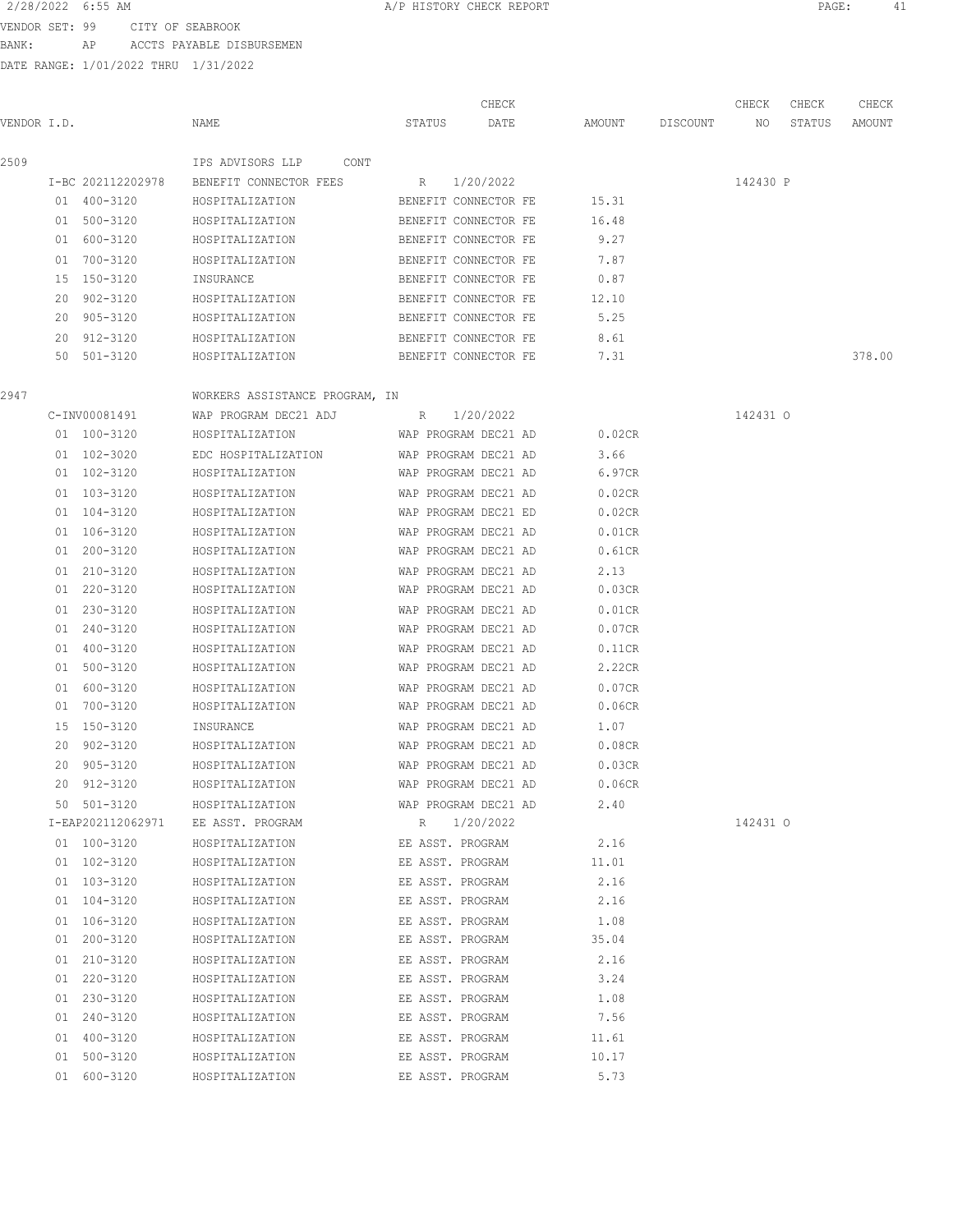VENDOR SET: 99 CITY OF SEABROOK

BANK: AP ACCTS PAYABLE DISBURSEMEN

| HISTORY | CHECK REPORT |  |
|---------|--------------|--|
|         |              |  |

|             |                   |                                |                      | CHECK     |        |          | CHECK    | CHECK  | CHECK  |
|-------------|-------------------|--------------------------------|----------------------|-----------|--------|----------|----------|--------|--------|
| VENDOR I.D. |                   | NAME                           | STATUS               | DATE      | AMOUNT | DISCOUNT | NO.      | STATUS | AMOUNT |
| 2509        |                   | IPS ADVISORS LLP<br>CONT       |                      |           |        |          |          |        |        |
|             | I-BC 202112202978 | BENEFIT CONNECTOR FEES         | R                    | 1/20/2022 |        |          | 142430 P |        |        |
|             | 01 400-3120       | HOSPITALIZATION                | BENEFIT CONNECTOR FE |           | 15.31  |          |          |        |        |
|             | 01 500-3120       | HOSPITALIZATION                | BENEFIT CONNECTOR FE |           | 16.48  |          |          |        |        |
|             | 01 600-3120       | HOSPITALIZATION                | BENEFIT CONNECTOR FE |           | 9.27   |          |          |        |        |
|             | 01 700-3120       | HOSPITALIZATION                | BENEFIT CONNECTOR FE |           | 7.87   |          |          |        |        |
|             | 15 150-3120       | INSURANCE                      | BENEFIT CONNECTOR FE |           | 0.87   |          |          |        |        |
|             | 20 902-3120       | HOSPITALIZATION                | BENEFIT CONNECTOR FE |           | 12.10  |          |          |        |        |
|             | 20 905-3120       | HOSPITALIZATION                | BENEFIT CONNECTOR FE |           | 5.25   |          |          |        |        |
|             | 20 912-3120       | HOSPITALIZATION                | BENEFIT CONNECTOR FE |           | 8.61   |          |          |        |        |
|             | 50 501-3120       | HOSPITALIZATION                | BENEFIT CONNECTOR FE |           | 7.31   |          |          |        | 378.00 |
| 2947        |                   | WORKERS ASSISTANCE PROGRAM, IN |                      |           |        |          |          |        |        |
|             | C-INV00081491     | WAP PROGRAM DEC21 ADJ          | R                    | 1/20/2022 |        |          | 142431 0 |        |        |
|             | 01 100-3120       | HOSPITALIZATION                | WAP PROGRAM DEC21 AD |           | 0.02CR |          |          |        |        |
|             | 01 102-3020       | EDC HOSPITALIZATION            | WAP PROGRAM DEC21 AD |           | 3.66   |          |          |        |        |
|             | 01 102-3120       | HOSPITALIZATION                | WAP PROGRAM DEC21 AD |           | 6.97CR |          |          |        |        |
|             | 01 103-3120       | HOSPITALIZATION                | WAP PROGRAM DEC21 AD |           | 0.02CR |          |          |        |        |
|             | 01 104-3120       | HOSPITALIZATION                | WAP PROGRAM DEC21 ED |           | 0.02CR |          |          |        |        |
|             | 01 106-3120       | HOSPITALIZATION                | WAP PROGRAM DEC21 AD |           | 0.01CR |          |          |        |        |
|             | 01 200-3120       | HOSPITALIZATION                | WAP PROGRAM DEC21 AD |           | 0.61CR |          |          |        |        |
|             | 01 210-3120       | HOSPITALIZATION                | WAP PROGRAM DEC21 AD |           | 2.13   |          |          |        |        |
|             | 01 220-3120       | HOSPITALIZATION                | WAP PROGRAM DEC21 AD |           | 0.03CR |          |          |        |        |
|             | 01 230-3120       | HOSPITALIZATION                | WAP PROGRAM DEC21 AD |           | 0.01CR |          |          |        |        |
|             | 01 240-3120       | HOSPITALIZATION                | WAP PROGRAM DEC21 AD |           | 0.07CR |          |          |        |        |
|             | 01 400-3120       | HOSPITALIZATION                | WAP PROGRAM DEC21 AD |           | 0.11CR |          |          |        |        |
|             | 01 500-3120       | HOSPITALIZATION                | WAP PROGRAM DEC21 AD |           | 2.22CR |          |          |        |        |
|             | 01 600-3120       | HOSPITALIZATION                | WAP PROGRAM DEC21 AD |           | 0.07CR |          |          |        |        |
|             | 01 700-3120       | HOSPITALIZATION                | WAP PROGRAM DEC21 AD |           | 0.06CR |          |          |        |        |
| 15          | 150-3120          | INSURANCE                      | WAP PROGRAM DEC21 AD |           | 1.07   |          |          |        |        |
| 20          | 902-3120          | HOSPITALIZATION                | WAP PROGRAM DEC21 AD |           | 0.08CR |          |          |        |        |
| 20          | 905-3120          | HOSPITALIZATION                | WAP PROGRAM DEC21 AD |           | 0.03CR |          |          |        |        |
|             | 20 912-3120       | HOSPITALIZATION                | WAP PROGRAM DEC21 AD |           | 0.06CR |          |          |        |        |
|             | 50 501-3120       | HOSPITALIZATION                | WAP PROGRAM DEC21 AD |           | 2.40   |          |          |        |        |
|             | I-EAP202112062971 | EE ASST. PROGRAM               | R                    | 1/20/2022 |        |          | 142431 0 |        |        |
|             | 01 100-3120       | HOSPITALIZATION                | EE ASST. PROGRAM     |           | 2.16   |          |          |        |        |
|             | 01 102-3120       | HOSPITALIZATION                | EE ASST. PROGRAM     |           | 11.01  |          |          |        |        |
|             | 01 103-3120       | HOSPITALIZATION                | EE ASST. PROGRAM     |           | 2.16   |          |          |        |        |
|             | 01 104-3120       | HOSPITALIZATION                | EE ASST. PROGRAM     |           | 2.16   |          |          |        |        |
|             | 01 106-3120       | HOSPITALIZATION                | EE ASST. PROGRAM     |           | 1.08   |          |          |        |        |
|             | 01 200-3120       | HOSPITALIZATION                | EE ASST. PROGRAM     |           | 35.04  |          |          |        |        |
|             | 01 210-3120       | HOSPITALIZATION                | EE ASST. PROGRAM     |           | 2.16   |          |          |        |        |
|             | 01 220-3120       | HOSPITALIZATION                | EE ASST. PROGRAM     |           | 3.24   |          |          |        |        |
|             | 01 230-3120       | HOSPITALIZATION                | EE ASST. PROGRAM     |           | 1.08   |          |          |        |        |
|             | 01 240-3120       | HOSPITALIZATION                | EE ASST. PROGRAM     |           | 7.56   |          |          |        |        |
|             | 01 400-3120       | HOSPITALIZATION                | EE ASST. PROGRAM     |           | 11.61  |          |          |        |        |
|             | 01 500-3120       | HOSPITALIZATION                | EE ASST. PROGRAM     |           | 10.17  |          |          |        |        |
|             | 01 600-3120       | HOSPITALIZATION                | EE ASST. PROGRAM     |           | 5.73   |          |          |        |        |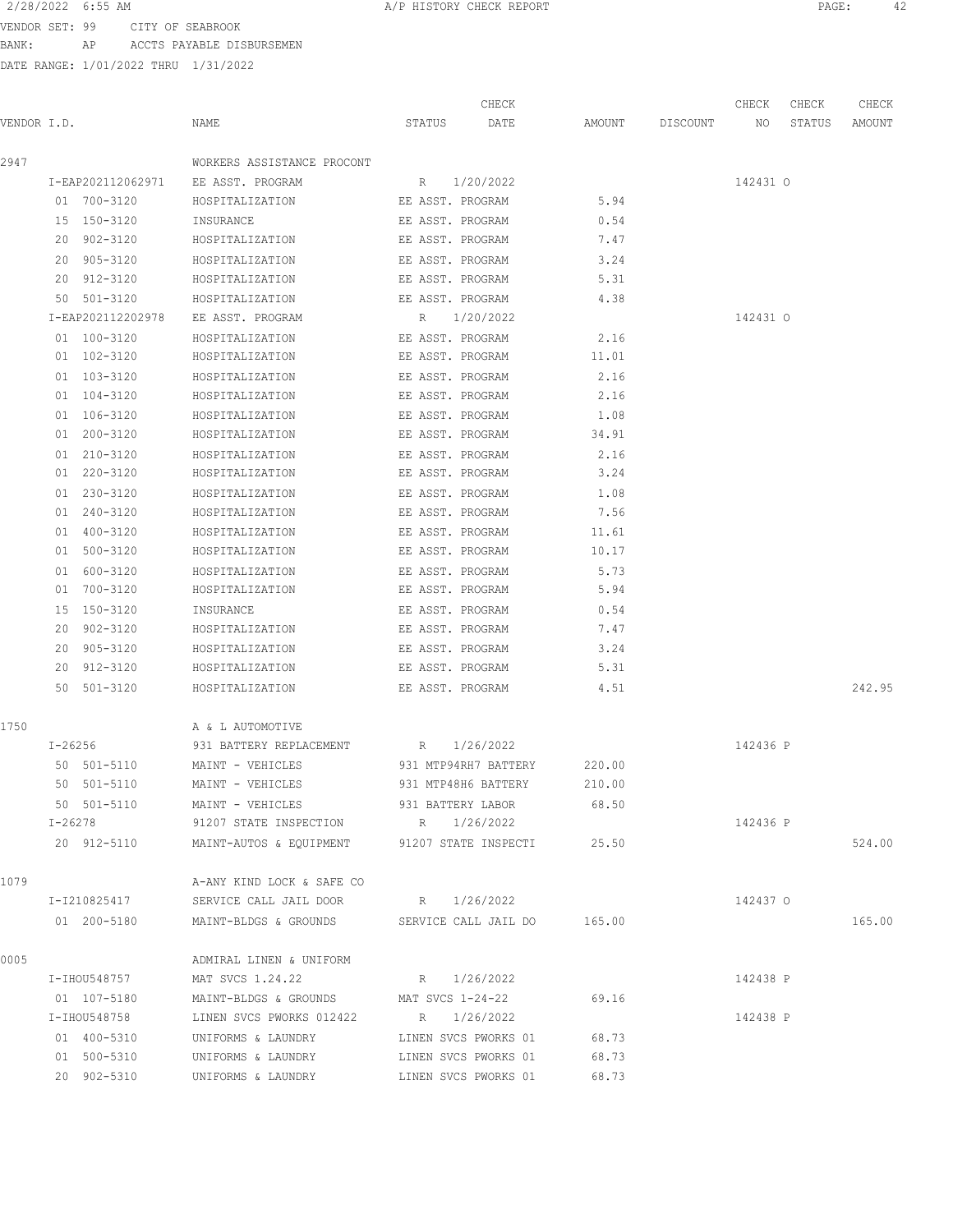VENDOR SET: 99 CITY OF SEABROOK BANK: AP ACCTS PAYABLE DISBURSEMEN

| VENDOR I.D. |                   | NAME                                                                     | STATUS           | CHECK<br>DATE        | AMOUNT DISCOUNT NO | CHECK    | CHECK<br>STATUS | CHECK<br>AMOUNT |
|-------------|-------------------|--------------------------------------------------------------------------|------------------|----------------------|--------------------|----------|-----------------|-----------------|
|             |                   |                                                                          |                  |                      |                    |          |                 |                 |
| 2947        |                   | WORKERS ASSISTANCE PROCONT                                               |                  |                      |                    |          |                 |                 |
|             | I-EAP202112062971 | EE ASST. PROGRAM                                                         | R 1/20/2022      |                      |                    | 142431 0 |                 |                 |
|             | 01 700-3120       | HOSPITALIZATION EE ASST. PROGRAM                                         |                  |                      | 5.94               |          |                 |                 |
|             | 15 150-3120       | INSURANCE                                                                | EE ASST. PROGRAM |                      | 0.54               |          |                 |                 |
|             | 20 902-3120       | HOSPITALIZATION                                                          | EE ASST. PROGRAM |                      | 7.47               |          |                 |                 |
|             | 20 905-3120       | HOSPITALIZATION                                                          | EE ASST. PROGRAM |                      | 3.24               |          |                 |                 |
|             | 20 912-3120       | HOSPITALIZATION                                                          | EE ASST. PROGRAM |                      | 5.31               |          |                 |                 |
|             | 50 501-3120       | HOSPITALIZATION                                                          | EE ASST. PROGRAM |                      | 4.38               |          |                 |                 |
|             | I-EAP202112202978 | EE ASST. PROGRAM                                                         |                  | R 1/20/2022          |                    | 142431 0 |                 |                 |
|             | 01 100-3120       | HOSPITALIZATION                                                          | EE ASST. PROGRAM |                      | 2.16               |          |                 |                 |
|             | 01 102-3120       | HOSPITALIZATION                                                          | EE ASST. PROGRAM |                      | 11.01              |          |                 |                 |
|             | 01 103-3120       | HOSPITALIZATION                                                          |                  | EE ASST. PROGRAM     | 2.16               |          |                 |                 |
|             | 01 104-3120       | HOSPITALIZATION                                                          |                  | EE ASST. PROGRAM     | 2.16               |          |                 |                 |
|             | 01 106-3120       | HOSPITALIZATION                                                          |                  | EE ASST. PROGRAM     | 1.08               |          |                 |                 |
|             | 01 200-3120       | HOSPITALIZATION                                                          |                  | EE ASST. PROGRAM     | 34.91              |          |                 |                 |
|             | 01 210-3120       | HOSPITALIZATION                                                          |                  | EE ASST. PROGRAM     | 2.16               |          |                 |                 |
|             | 01 220-3120       | HOSPITALIZATION                                                          |                  | EE ASST. PROGRAM     | 3.24               |          |                 |                 |
|             | 01 230-3120       | HOSPITALIZATION                                                          | EE ASST. PROGRAM |                      | 1.08               |          |                 |                 |
|             | 01 240-3120       | HOSPITALIZATION                                                          | EE ASST. PROGRAM |                      | 7.56               |          |                 |                 |
|             | 01 400-3120       | HOSPITALIZATION                                                          | EE ASST. PROGRAM |                      | 11.61              |          |                 |                 |
|             | 01 500-3120       | HOSPITALIZATION                                                          | EE ASST. PROGRAM |                      | 10.17              |          |                 |                 |
|             | 01 600-3120       | HOSPITALIZATION                                                          | EE ASST. PROGRAM |                      | 5.73               |          |                 |                 |
|             | 01 700-3120       | HOSPITALIZATION                                                          | EE ASST. PROGRAM |                      | 5.94               |          |                 |                 |
|             | 15 150-3120       | INSURANCE                                                                | EE ASST. PROGRAM |                      | 0.54               |          |                 |                 |
|             | 20 902-3120       | HOSPITALIZATION                                                          | EE ASST. PROGRAM |                      | 7.47               |          |                 |                 |
|             | 20 905-3120       | HOSPITALIZATION                                                          | EE ASST. PROGRAM |                      | 3.24               |          |                 |                 |
|             | 20 912-3120       | HOSPITALIZATION                                                          | EE ASST. PROGRAM |                      | 5.31               |          |                 |                 |
|             | 50 501-3120       | HOSPITALIZATION                                                          | EE ASST. PROGRAM |                      | 4.51               |          |                 | 242.95          |
| 1750        |                   | A & L AUTOMOTIVE                                                         |                  |                      |                    |          |                 |                 |
|             | I-26256           | 931 BATTERY REPLACEMENT R 1/26/2022                                      |                  |                      |                    | 142436 P |                 |                 |
|             | 50 501-5110       | MAINT - VEHICLES                                                         |                  | 931 MTP94RH7 BATTERY | 220.00             |          |                 |                 |
|             | 50 501-5110       | MAINT - VEHICLES                                                         |                  | 931 MTP48H6 BATTERY  | 210.00             |          |                 |                 |
|             | 50 501-5110       |                                                                          |                  |                      | 68.50              |          |                 |                 |
|             | I-26278           | MAINT - VEHICLES 631 BATTERY LABOR<br>91207 STATE INSPECTION R 1/26/2022 |                  |                      |                    | 142436 P |                 |                 |
|             | 20 912-5110       | MAINT-AUTOS & EQUIPMENT 91207 STATE INSPECTI 25.50                       |                  |                      |                    |          |                 | 524.00          |
|             |                   |                                                                          |                  |                      |                    |          |                 |                 |
| 1079        |                   | A-ANY KIND LOCK & SAFE CO                                                |                  |                      |                    |          |                 |                 |
|             |                   | I-I210825417 SERVICE CALL JAIL DOOR                                      | R 1/26/2022      |                      |                    | 142437 0 |                 |                 |
|             | 01 200-5180       | MAINT-BLDGS & GROUNDS SERVICE CALL JAIL DO 165.00                        |                  |                      |                    |          |                 | 165.00          |
| 0005        |                   | ADMIRAL LINEN & UNIFORM                                                  |                  |                      |                    |          |                 |                 |
|             | I-IHOU548757      | MAT SVCS 1.24.22                                                         |                  | R 1/26/2022          |                    | 142438 P |                 |                 |
|             | 01 107-5180       | MAINT-BLDGS & GROUNDS MAT SVCS 1-24-22                                   |                  |                      | 69.16              |          |                 |                 |
|             | I-IHOU548758      | LINEN SVCS PWORKS 012422                                                 |                  | R 1/26/2022          |                    | 142438 P |                 |                 |
|             | 01 400-5310       | UNIFORMS & LAUNDRY                                                       |                  | LINEN SVCS PWORKS 01 | 68.73              |          |                 |                 |
|             | 01 500-5310       | UNIFORMS & LAUNDRY                                                       |                  | LINEN SVCS PWORKS 01 | 68.73              |          |                 |                 |
|             | 20 902-5310       | UNIFORMS & LAUNDRY                                                       |                  | LINEN SVCS PWORKS 01 | 68.73              |          |                 |                 |
|             |                   |                                                                          |                  |                      |                    |          |                 |                 |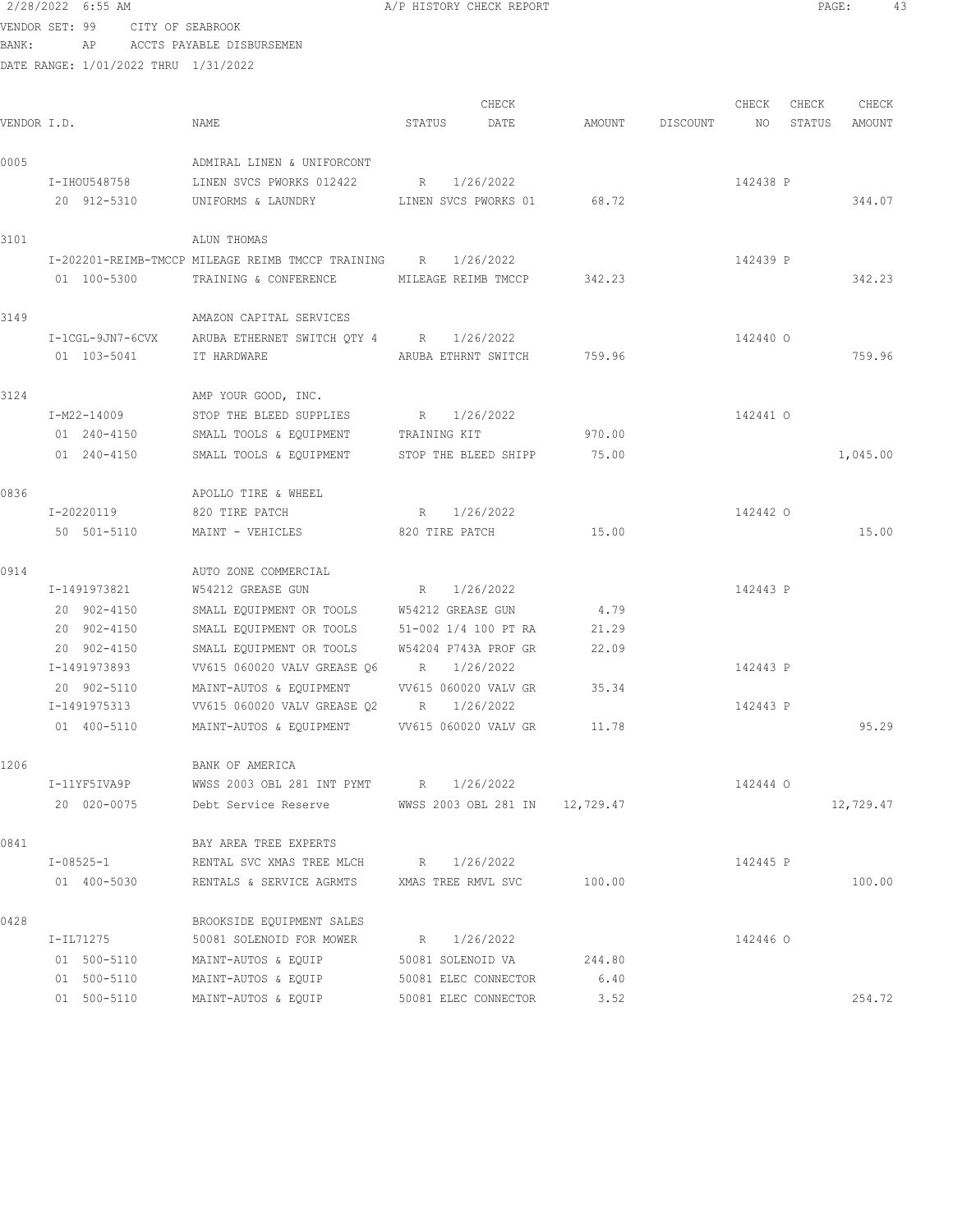| BANK:       |                            |             | AP ACCTS PAYABLE DISBURSEMEN                                                  |                             |       |        |             |          |        |           |
|-------------|----------------------------|-------------|-------------------------------------------------------------------------------|-----------------------------|-------|--------|-------------|----------|--------|-----------|
|             |                            |             | DATE RANGE: 1/01/2022 THRU 1/31/2022                                          |                             |       |        |             |          |        |           |
|             |                            |             |                                                                               |                             | CHECK |        |             | CHECK    | CHECK  | CHECK     |
| VENDOR I.D. |                            |             | NAME                                                                          | STATUS DATE                 |       | AMOUNT | DISCOUNT NO |          | STATUS | AMOUNT    |
| 0005        |                            |             | ADMIRAL LINEN & UNIFORCONT                                                    |                             |       |        |             |          |        |           |
|             | I-IHOU548758               |             | LINEN SVCS PWORKS 012422                                                      | R 1/26/2022                 |       |        |             | 142438 P |        |           |
|             | 20 912-5310                |             | UNIFORMS & LAUNDRY LINEN SVCS PWORKS 01 68.72                                 |                             |       |        |             |          |        | 344.07    |
| 3101        |                            |             | ALUN THOMAS                                                                   |                             |       |        |             |          |        |           |
|             |                            |             | I-202201-REIMB-TMCCP MILEAGE REIMB TMCCP TRAINING R 1/26/2022                 |                             |       |        |             | 142439 P |        |           |
|             |                            | 01 100-5300 | TRAINING & CONFERENCE MILEAGE REIMB TMCCP 342.23                              |                             |       |        |             |          |        | 342.23    |
| 3149        |                            |             | AMAZON CAPITAL SERVICES                                                       |                             |       |        |             |          |        |           |
|             |                            |             | I-1CGL-9JN7-6CVX ARUBA ETHERNET SWITCH QTY 4 R 1/26/2022                      |                             |       |        |             | 142440 0 |        |           |
|             | 01 103-5041                |             | IT HARDWARE<br>ARUBA ETHRNT SWITCH 759.96                                     |                             |       |        |             |          |        | 759.96    |
| 3124        |                            |             | AMP YOUR GOOD, INC.                                                           |                             |       |        |             |          |        |           |
|             |                            |             |                                                                               |                             |       |        |             |          |        |           |
|             | I-M22-14009<br>01 240-4150 |             | STOP THE BLEED SUPPLIES                                                       | R 1/26/2022<br>TRAINING KIT |       | 970.00 |             | 142441 0 |        |           |
|             | 01 240-4150                |             | SMALL TOOLS & EQUIPMENT<br>SMALL TOOLS & EQUIPMENT STOP THE BLEED SHIPP 75.00 |                             |       |        |             |          |        | 1,045.00  |
|             |                            |             |                                                                               |                             |       |        |             |          |        |           |
| 0836        |                            |             | APOLLO TIRE & WHEEL                                                           |                             |       |        |             |          |        |           |
|             | I-20220119                 |             | 820 TIRE PATCH                                                                | R 1/26/2022                 |       |        |             | 142442 0 |        |           |
|             | 50 501-5110                |             | MAINT - VEHICLES 620 TIRE PATCH 15.00                                         |                             |       |        |             |          |        | 15.00     |
| 0914        |                            |             | AUTO ZONE COMMERCIAL                                                          |                             |       |        |             |          |        |           |
|             | I-1491973821               |             | W54212 GREASE GUN                                                             | R 1/26/2022                 |       |        |             | 142443 P |        |           |
|             | 20 902-4150                |             | SMALL EQUIPMENT OR TOOLS W54212 GREASE GUN                                    |                             |       | 4.79   |             |          |        |           |
|             | 20 902-4150                |             | SMALL EQUIPMENT OR TOOLS 51-002 1/4 100 PT RA                                 |                             |       | 21.29  |             |          |        |           |
|             | 20 902-4150                |             | SMALL EQUIPMENT OR TOOLS                                                      | W54204 P743A PROF GR        |       | 22.09  |             |          |        |           |
|             | I-1491973893               |             | VV615 060020 VALV GREASE 06 R 1/26/2022                                       |                             |       |        |             | 142443 P |        |           |
|             | 20 902-5110                |             | MAINT-AUTOS & EQUIPMENT VV615 060020 VALV GR 35.34                            |                             |       |        |             |          |        |           |
|             | I-1491975313               |             | VV615 060020 VALV GREASE Q2                                                   | R 1/26/2022                 |       |        |             | 142443 P |        |           |
|             | 01 400-5110                |             | MAINT-AUTOS & EQUIPMENT VV615 060020 VALV GR                                  |                             |       | 11.78  |             |          |        | 95.29     |
| 1206        |                            |             | BANK OF AMERICA                                                               |                             |       |        |             |          |        |           |
|             | I-11YF5IVA9P               |             | WWSS 2003 OBL 281 INT PYMT R 1/26/2022                                        |                             |       |        |             | 142444 0 |        |           |
|             | 20 020-0075                |             | Debt Service Reserve MWSS 2003 OBL 281 IN 12,729.47                           |                             |       |        |             |          |        | 12,729.47 |
| 0841        |                            |             | BAY AREA TREE EXPERTS                                                         |                             |       |        |             |          |        |           |
|             | I-08525-1                  |             | RENTAL SVC XMAS TREE MLCH R 1/26/2022                                         |                             |       |        |             | 142445 P |        |           |
|             | 01 400-5030                |             | RENTALS & SERVICE AGRMTS XMAS TREE RMVL SVC                                   |                             |       | 100.00 |             |          |        | 100.00    |
| 0428        |                            |             | BROOKSIDE EQUIPMENT SALES                                                     |                             |       |        |             |          |        |           |
|             | I-IL71275                  |             | 50081 SOLENOID FOR MOWER                                                      | R 1/26/2022                 |       |        |             | 142446 0 |        |           |
|             | 01 500-5110                |             | MAINT-AUTOS & EQUIP                                                           | 50081 SOLENOID VA           |       | 244.80 |             |          |        |           |
|             | 01 500-5110                |             | MAINT-AUTOS & EQUIP 50081 ELEC CONNECTOR                                      |                             |       | 6.40   |             |          |        |           |
|             | 01 500-5110                |             | MAINT-AUTOS & EQUIP                                                           | 50081 ELEC CONNECTOR        |       | 3.52   |             |          |        | 254.72    |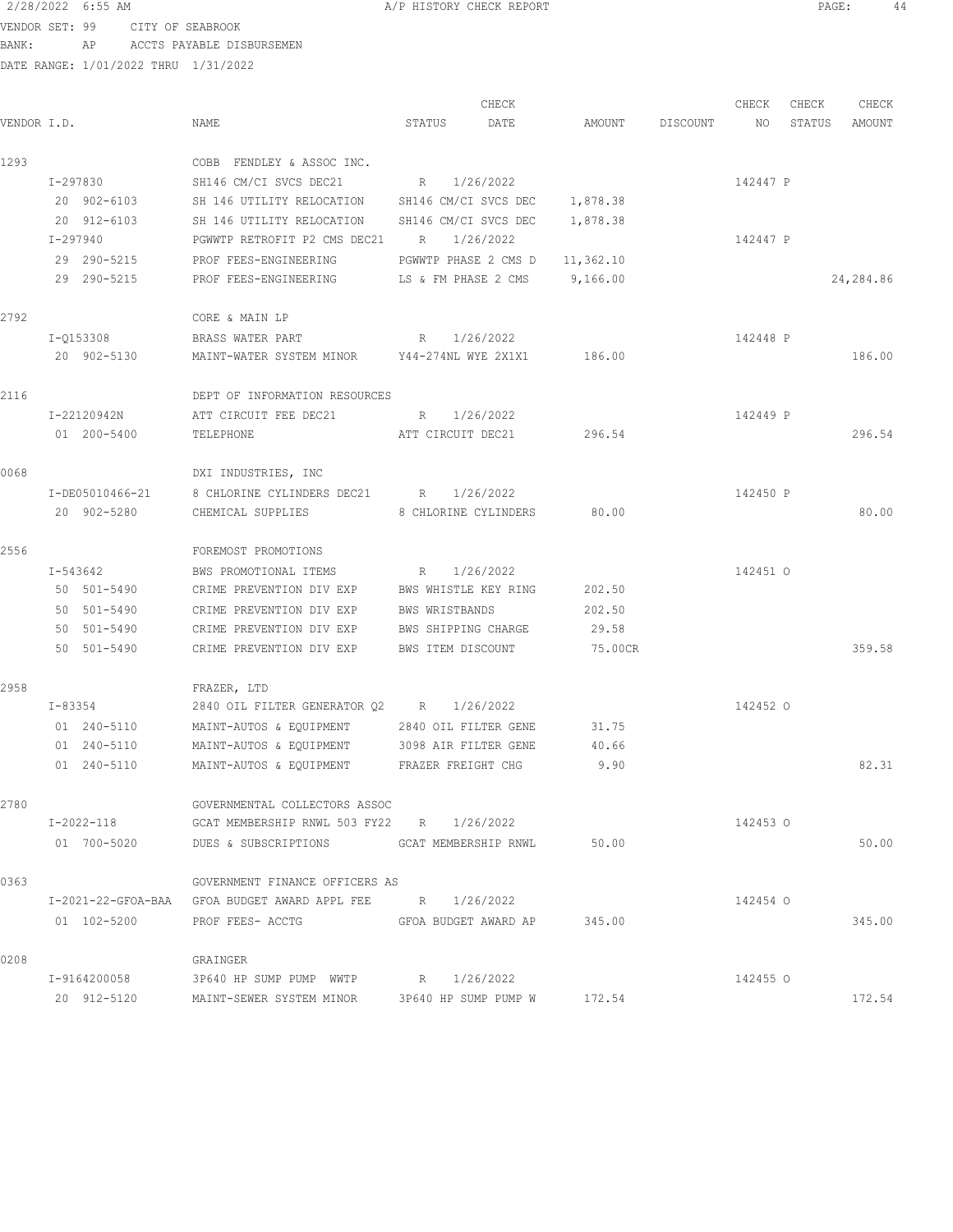VENDOR SET: 99 CITY OF SEABROOK BANK: AP ACCTS PAYABLE DISBURSEMEN

| VENDOR I.D. |                 | NAME                                                      | STATUS               | CHECK<br>DATE               | AMOUNT    | DISCOUNT | CHECK<br>NO | CHECK<br>STATUS | CHECK<br>AMOUNT |
|-------------|-----------------|-----------------------------------------------------------|----------------------|-----------------------------|-----------|----------|-------------|-----------------|-----------------|
| 1293        |                 | COBB FENDLEY & ASSOC INC.                                 |                      |                             |           |          |             |                 |                 |
|             | I-297830        | SH146 CM/CI SVCS DEC21                                    | R                    | 1/26/2022                   |           |          | 142447 P    |                 |                 |
|             | 20 902-6103     | SH 146 UTILITY RELOCATION                                 | SH146 CM/CI SVCS DEC |                             | 1,878.38  |          |             |                 |                 |
|             | 20 912-6103     | SH 146 UTILITY RELOCATION                                 | SH146 CM/CI SVCS DEC |                             | 1,878.38  |          |             |                 |                 |
|             | I-297940        | PGWWTP RETROFIT P2 CMS DEC21                              | R                    | 1/26/2022                   |           |          | 142447 P    |                 |                 |
|             | 29 290-5215     | PROF FEES-ENGINEERING                                     | PGWWTP PHASE 2 CMS D |                             | 11,362.10 |          |             |                 |                 |
|             | 29 290-5215     | PROF FEES-ENGINEERING                                     | LS & FM PHASE 2 CMS  |                             | 9,166.00  |          |             |                 | 24,284.86       |
| 2792        |                 | CORE & MAIN LP                                            |                      |                             |           |          |             |                 |                 |
|             | I-0153308       | BRASS WATER PART                                          | R                    | 1/26/2022                   |           |          | 142448 P    |                 |                 |
|             | 20 902-5130     | MAINT-WATER SYSTEM MINOR Y44-274NL WYE 2X1X1              |                      |                             | 186.00    |          |             |                 | 186.00          |
| 2116        |                 | DEPT OF INFORMATION RESOURCES                             |                      |                             |           |          |             |                 |                 |
|             | I-22120942N     | ATT CIRCUIT FEE DEC21                                     | R                    | 1/26/2022                   |           |          | 142449 P    |                 |                 |
|             | 01 200-5400     | TELEPHONE                                                 | ATT CIRCUIT DEC21    |                             | 296.54    |          |             |                 | 296.54          |
| 0068        |                 | DXI INDUSTRIES, INC                                       |                      |                             |           |          |             |                 |                 |
|             | I-DE05010466-21 | 8 CHLORINE CYLINDERS DEC21 R 1/26/2022                    |                      |                             |           |          | 142450 P    |                 |                 |
|             | 20 902-5280     | CHEMICAL SUPPLIES                                         | 8 CHLORINE CYLINDERS |                             | 80.00     |          |             |                 | 80.00           |
| 2556        |                 | FOREMOST PROMOTIONS                                       |                      |                             |           |          |             |                 |                 |
|             | I-543642        | BWS PROMOTIONAL ITEMS                                     | R                    | 1/26/2022                   |           |          | 142451 0    |                 |                 |
|             | 50 501-5490     | CRIME PREVENTION DIV EXP                                  | BWS WHISTLE KEY RING |                             | 202.50    |          |             |                 |                 |
|             | 50 501-5490     | CRIME PREVENTION DIV EXP                                  | BWS WRISTBANDS       |                             | 202.50    |          |             |                 |                 |
|             | 50 501-5490     | CRIME PREVENTION DIV EXP                                  | BWS SHIPPING CHARGE  |                             | 29.58     |          |             |                 |                 |
|             | 50 501-5490     | CRIME PREVENTION DIV EXP BWS ITEM DISCOUNT                |                      |                             | 75.00CR   |          |             |                 | 359.58          |
| 2958        |                 | FRAZER, LTD                                               |                      |                             |           |          |             |                 |                 |
|             | I-83354         | 2840 OIL FILTER GENERATOR Q2 R                            |                      | 1/26/2022                   |           |          | 142452 0    |                 |                 |
|             | 01 240-5110     | MAINT-AUTOS & EQUIPMENT                                   | 2840 OIL FILTER GENE |                             | 31.75     |          |             |                 |                 |
|             | 01 240-5110     | MAINT-AUTOS & EQUIPMENT                                   | 3098 AIR FILTER GENE |                             | 40.66     |          |             |                 |                 |
|             | 01 240-5110     | MAINT-AUTOS & EQUIPMENT                                   | FRAZER FREIGHT CHG   |                             | 9.90      |          |             |                 | 82.31           |
| 2780        |                 | GOVERNMENTAL COLLECTORS ASSOC                             |                      |                             |           |          |             |                 |                 |
|             | I-2022-118      | GCAT MEMBERSHIP RNWL 503 FY22 R 1/26/2022                 |                      |                             |           |          | 142453 0    |                 |                 |
|             | 01 700-5020     |                                                           |                      |                             | 50.00     |          |             |                 | 50.00           |
| 0363        |                 | GOVERNMENT FINANCE OFFICERS AS                            |                      |                             |           |          |             |                 |                 |
|             |                 | I-2021-22-GFOA-BAA GFOA BUDGET AWARD APPL FEE R 1/26/2022 |                      |                             |           |          | 142454 0    |                 |                 |
|             | 01 102-5200     | PROF FEES- ACCTG                                          |                      | GFOA BUDGET AWARD AP 345.00 |           |          |             |                 | 345.00          |
| 0208        |                 | GRAINGER                                                  |                      |                             |           |          |             |                 |                 |
|             | I-9164200058    | 3P640 HP SUMP PUMP WWTP R 1/26/2022                       |                      |                             |           |          | 142455 0    |                 |                 |
|             | 20 912-5120     | MAINT-SEWER SYSTEM MINOR                                  |                      | 3P640 HP SUMP PUMP W 172.54 |           |          |             |                 | 172.54          |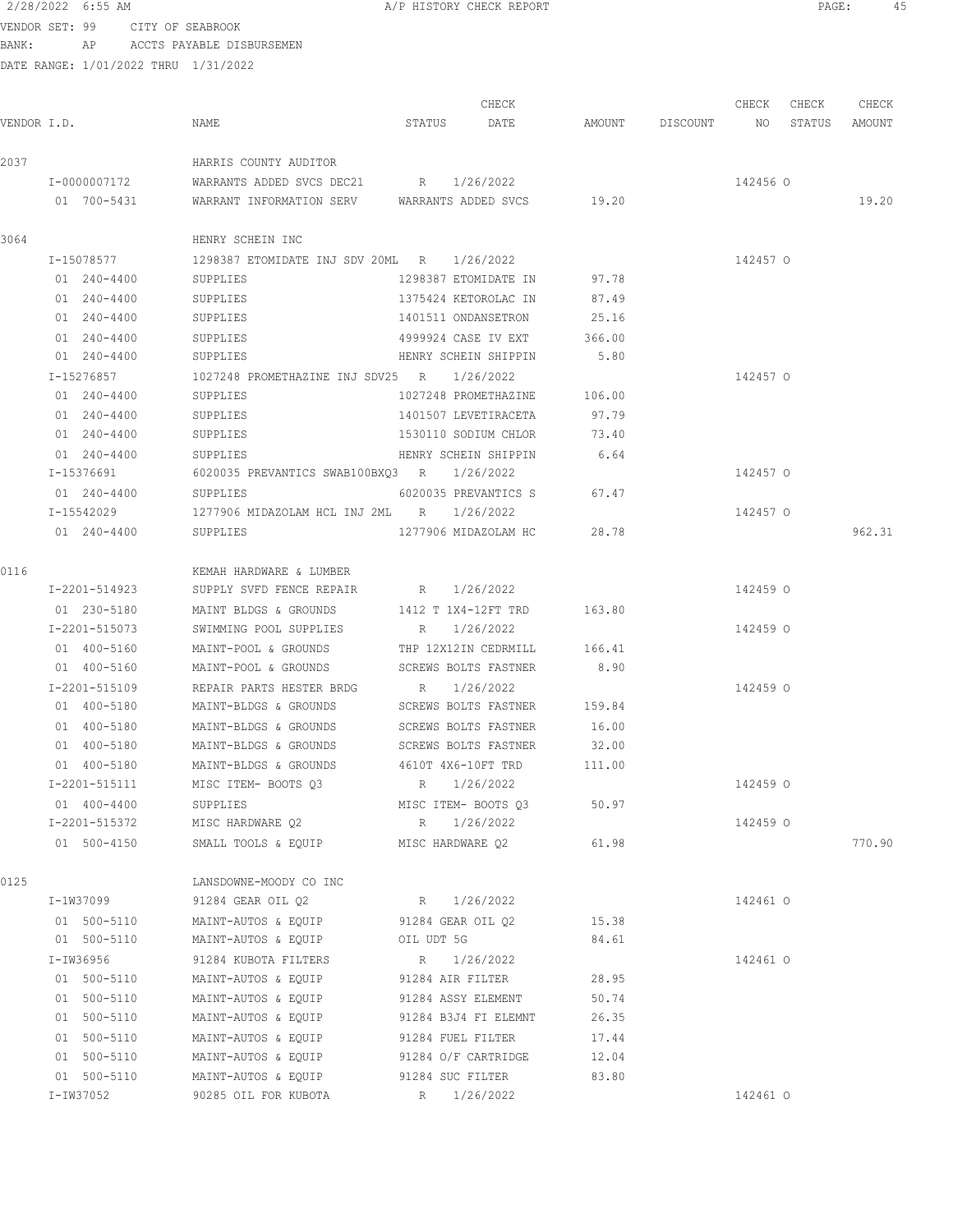VENDOR SET: 99 CITY OF SEABROOK BANK: AP ACCTS PAYABLE DISBURSEMEN

|             |               |                                                    |                      | CHECK                |        |                    | CHECK    | CHECK  | CHECK  |
|-------------|---------------|----------------------------------------------------|----------------------|----------------------|--------|--------------------|----------|--------|--------|
| VENDOR I.D. |               | NAME                                               | STATUS               | DATE                 |        | AMOUNT DISCOUNT NO |          | STATUS | AMOUNT |
| 2037        |               | HARRIS COUNTY AUDITOR                              |                      |                      |        |                    |          |        |        |
|             | I-0000007172  | WARRANTS ADDED SVCS DEC21 R 1/26/2022              |                      |                      |        |                    | 142456 0 |        |        |
|             | 01 700-5431   | WARRANT INFORMATION SERV WARRANTS ADDED SVCS 19.20 |                      |                      |        |                    |          |        | 19.20  |
| 3064        |               | HENRY SCHEIN INC                                   |                      |                      |        |                    |          |        |        |
|             | I-15078577    | 1298387 ETOMIDATE INJ SDV 20ML R 1/26/2022         |                      |                      |        |                    | 142457 0 |        |        |
|             | 01 240-4400   | SUPPLIES                                           | 1298387 ETOMIDATE IN |                      | 97.78  |                    |          |        |        |
|             | 01 240-4400   | SUPPLIES                                           | 1375424 KETOROLAC IN |                      | 87.49  |                    |          |        |        |
|             | 01 240-4400   | SUPPLIES                                           | 1401511 ONDANSETRON  |                      | 25.16  |                    |          |        |        |
|             | 01 240-4400   | SUPPLIES                                           |                      | 4999924 CASE IV EXT  | 366.00 |                    |          |        |        |
|             | 01 240-4400   | SUPPLIES                                           |                      | HENRY SCHEIN SHIPPIN | 5.80   |                    |          |        |        |
|             | I-15276857    | 1027248 PROMETHAZINE INJ SDV25 R 1/26/2022         |                      |                      |        |                    | 142457 0 |        |        |
|             | 01 240-4400   | SUPPLIES                                           |                      | 1027248 PROMETHAZINE | 106.00 |                    |          |        |        |
|             | 01 240-4400   | SUPPLIES                                           |                      | 1401507 LEVETIRACETA | 97.79  |                    |          |        |        |
|             | 01 240-4400   | SUPPLIES                                           | 1530110 SODIUM CHLOR |                      | 73.40  |                    |          |        |        |
|             | 01 240-4400   | SUPPLIES                                           | HENRY SCHEIN SHIPPIN |                      | 6.64   |                    |          |        |        |
|             | I-15376691    | 6020035 PREVANTICS SWAB100BXQ3 R 1/26/2022         |                      |                      |        |                    | 142457 0 |        |        |
|             | 01 240-4400   | SUPPLIES                                           |                      | 6020035 PREVANTICS S | 67.47  |                    |          |        |        |
|             | I-15542029    | 1277906 MIDAZOLAM HCL INJ 2ML R                    |                      | 1/26/2022            |        |                    | 142457 0 |        |        |
|             | 01 240-4400   | SUPPLIES                                           |                      | 1277906 MIDAZOLAM HC | 28.78  |                    |          |        | 962.31 |
| 0116        |               | KEMAH HARDWARE & LUMBER                            |                      |                      |        |                    |          |        |        |
|             | I-2201-514923 | SUPPLY SVFD FENCE REPAIR                           | R 1/26/2022          |                      |        |                    | 142459 0 |        |        |
|             | 01 230-5180   | MAINT BLDGS & GROUNDS                              | 1412 T 1X4-12FT TRD  |                      | 163.80 |                    |          |        |        |
|             | I-2201-515073 | SWIMMING POOL SUPPLIES                             | R 1/26/2022          |                      |        |                    | 142459 0 |        |        |
|             | 01 400-5160   | MAINT-POOL & GROUNDS                               |                      | THP 12X12IN CEDRMILL | 166.41 |                    |          |        |        |
|             | 01 400-5160   | MAINT-POOL & GROUNDS                               |                      | SCREWS BOLTS FASTNER | 8.90   |                    |          |        |        |
|             | I-2201-515109 | REPAIR PARTS HESTER BRDG                           | R 1/26/2022          |                      |        |                    | 142459 0 |        |        |
|             | 01 400-5180   | MAINT-BLDGS & GROUNDS SCREWS BOLTS FASTNER 159.84  |                      |                      |        |                    |          |        |        |
|             | 01 400-5180   | MAINT-BLDGS & GROUNDS SCREWS BOLTS FASTNER         |                      |                      | 16.00  |                    |          |        |        |
|             | 01 400-5180   | MAINT-BLDGS & GROUNDS SCREWS BOLTS FASTNER 32.00   |                      |                      |        |                    |          |        |        |
|             | 01 400-5180   | MAINT-BLDGS & GROUNDS 4610T 4X6-10FT TRD 111.00    |                      |                      |        |                    |          |        |        |
|             | I-2201-515111 | MISC ITEM- BOOTS 03                                | R 1/26/2022          |                      |        |                    | 142459 0 |        |        |
|             | 01 400-4400   | SUPPLIES                                           |                      | MISC ITEM- BOOTS Q3  | 50.97  |                    |          |        |        |
|             | I-2201-515372 | MISC HARDWARE Q2                                   | R 1/26/2022          |                      |        |                    | 142459 0 |        |        |
|             | 01 500-4150   | SMALL TOOLS & EQUIP                                | MISC HARDWARE 02     |                      | 61.98  |                    |          |        | 770.90 |
| 0125        |               | LANSDOWNE-MOODY CO INC                             |                      |                      |        |                    |          |        |        |
|             | I-1W37099     | 91284 GEAR OIL O2                                  | R 1/26/2022          |                      |        |                    | 142461 0 |        |        |
|             | 01 500-5110   | MAINT-AUTOS & EQUIP 91284 GEAR OIL Q2 15.38        |                      |                      |        |                    |          |        |        |
|             | 01 500-5110   | MAINT-AUTOS & EQUIP                                | OIL UDT 5G           |                      | 84.61  |                    |          |        |        |
|             | I-IW36956     | 91284 KUBOTA FILTERS                               | R 1/26/2022          |                      |        |                    | 142461 0 |        |        |
|             | 01 500-5110   | MAINT-AUTOS & EQUIP 91284 AIR FILTER               |                      |                      | 28.95  |                    |          |        |        |
|             | 01 500-5110   | MAINT-AUTOS & EQUIP 91284 ASSY ELEMENT             |                      |                      | 50.74  |                    |          |        |        |
|             | 01 500-5110   | MAINT-AUTOS & EQUIP                                |                      | 91284 B3J4 FI ELEMNT | 26.35  |                    |          |        |        |
|             | 01 500-5110   | MAINT-AUTOS & EQUIP                                | 91284 FUEL FILTER    |                      | 17.44  |                    |          |        |        |
|             | 01 500-5110   | MAINT-AUTOS & EQUIP                                | 91284 O/F CARTRIDGE  |                      | 12.04  |                    |          |        |        |
|             | 01 500-5110   | MAINT-AUTOS & EQUIP                                | 91284 SUC FILTER     |                      | 83.80  |                    |          |        |        |
|             | I-IW37052     | 90285 OIL FOR KUBOTA                               |                      | R 1/26/2022          |        |                    | 142461 0 |        |        |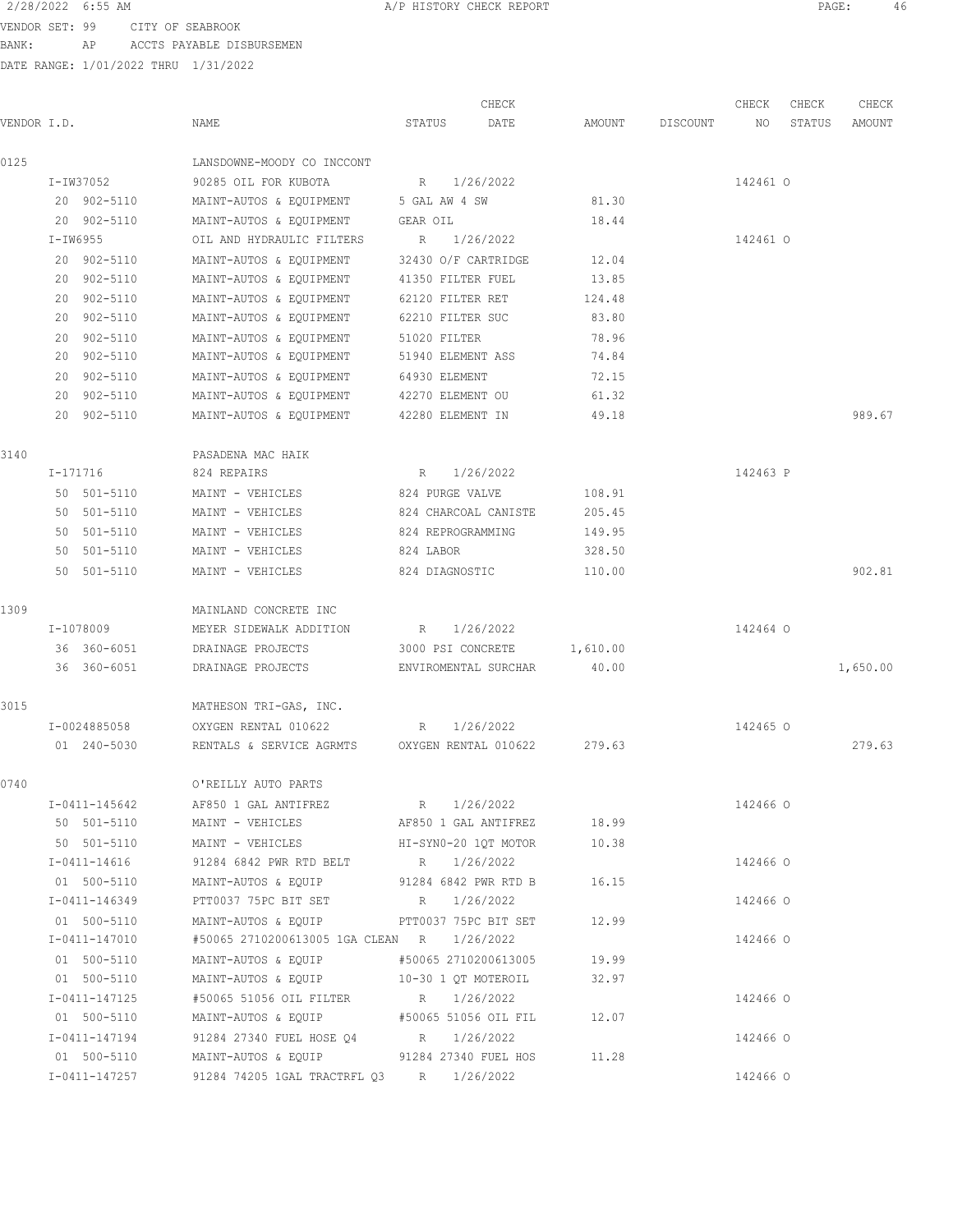VENDOR SET: 99 CITY OF SEABROOK BANK: AP ACCTS PAYABLE DISBURSEMEN

|                |                                          | CHECK                    |          |          | CHECK    | CHECK  | CHECK    |
|----------------|------------------------------------------|--------------------------|----------|----------|----------|--------|----------|
| VENDOR I.D.    | NAME                                     | STATUS<br>DATE           | AMOUNT   | DISCOUNT | NO       | STATUS | AMOUNT   |
| 0125           | LANSDOWNE-MOODY CO INCCONT               |                          |          |          |          |        |          |
| I-IW37052      | 90285 OIL FOR KUBOTA                     | 1/26/2022<br>$R_{\perp}$ |          |          | 142461 0 |        |          |
| 20 902-5110    | MAINT-AUTOS & EQUIPMENT                  | 5 GAL AW 4 SW            | 81.30    |          |          |        |          |
| 20 902-5110    | MAINT-AUTOS & EQUIPMENT                  | GEAR OIL                 | 18.44    |          |          |        |          |
| $I-IW6955$     | OIL AND HYDRAULIC FILTERS                | 1/26/2022<br>R           |          |          | 142461 0 |        |          |
| 20 902-5110    | MAINT-AUTOS & EQUIPMENT                  | 32430 O/F CARTRIDGE      | 12.04    |          |          |        |          |
| 20 902-5110    | MAINT-AUTOS & EQUIPMENT                  | 41350 FILTER FUEL        | 13.85    |          |          |        |          |
| 20 902-5110    | MAINT-AUTOS & EQUIPMENT                  | 62120 FILTER RET         | 124.48   |          |          |        |          |
| 20 902-5110    | MAINT-AUTOS & EQUIPMENT                  | 62210 FILTER SUC         | 83.80    |          |          |        |          |
| 902-5110<br>20 | MAINT-AUTOS & EQUIPMENT                  | 51020 FILTER             | 78.96    |          |          |        |          |
| 20 902-5110    | MAINT-AUTOS & EQUIPMENT                  | 51940 ELEMENT ASS        | 74.84    |          |          |        |          |
| 902-5110<br>20 | MAINT-AUTOS & EQUIPMENT                  | 64930 ELEMENT            | 72.15    |          |          |        |          |
| 20 902-5110    | MAINT-AUTOS & EQUIPMENT                  | 42270 ELEMENT OU         | 61.32    |          |          |        |          |
| 20 902-5110    | MAINT-AUTOS & EQUIPMENT                  | 42280 ELEMENT IN         | 49.18    |          |          |        | 989.67   |
| 3140           | PASADENA MAC HAIK                        |                          |          |          |          |        |          |
| I-171716       | 824 REPAIRS                              | 1/26/2022<br>R           |          |          | 142463 P |        |          |
| 50 501-5110    | MAINT - VEHICLES                         | 824 PURGE VALVE          | 108.91   |          |          |        |          |
| 50 501-5110    | MAINT - VEHICLES                         | 824 CHARCOAL CANISTE     | 205.45   |          |          |        |          |
| 50 501-5110    | MAINT - VEHICLES                         | 824 REPROGRAMMING        | 149.95   |          |          |        |          |
| 50 501-5110    | MAINT - VEHICLES                         | 824 LABOR                | 328.50   |          |          |        |          |
| 50 501-5110    | MAINT - VEHICLES                         | 824 DIAGNOSTIC           | 110.00   |          |          |        | 902.81   |
| 1309           | MAINLAND CONCRETE INC                    |                          |          |          |          |        |          |
| I-1078009      | MEYER SIDEWALK ADDITION                  | 1/26/2022<br>R           |          |          | 142464 0 |        |          |
| 36 360-6051    | DRAINAGE PROJECTS                        | 3000 PSI CONCRETE        | 1,610.00 |          |          |        |          |
| 36 360-6051    | DRAINAGE PROJECTS                        | ENVIROMENTAL SURCHAR     | 40.00    |          |          |        | 1,650.00 |
| 3015           | MATHESON TRI-GAS, INC.                   |                          |          |          |          |        |          |
| I-0024885058   | OXYGEN RENTAL 010622                     | 1/26/2022<br>R           |          |          | 142465 0 |        |          |
| 01 240-5030    | RENTALS & SERVICE AGRMTS                 | OXYGEN RENTAL 010622     | 279.63   |          |          |        | 279.63   |
| 0740           | O'REILLY AUTO PARTS                      |                          |          |          |          |        |          |
| I-0411-145642  | AF850 1 GAL ANTIFREZ                     | R 1/26/2022              |          |          | 142466 0 |        |          |
| 50 501-5110    | MAINT - VEHICLES                         | AF850 1 GAL ANTIFREZ     | 18.99    |          |          |        |          |
| 50 501-5110    | MAINT - VEHICLES MI-SYN0-20 1QT MOTOR    |                          | 10.38    |          |          |        |          |
| I-0411-14616   | 91284 6842 PWR RTD BELT R 1/26/2022      |                          |          |          | 142466 O |        |          |
| 01 500-5110    | MAINT-AUTOS & EQUIP 91284 6842 PWR RTD B |                          | 16.15    |          |          |        |          |
| I-0411-146349  | PTT0037 75PC BIT SET R 1/26/2022         |                          |          |          | 142466 0 |        |          |
| 01 500-5110    | MAINT-AUTOS & EQUIP                      | PTT0037 75PC BIT SET     | 12.99    |          |          |        |          |
| I-0411-147010  | #50065 2710200613005 1GA CLEAN R         | 1/26/2022                |          |          | 142466 O |        |          |
| 01 500-5110    | MAINT-AUTOS & EQUIP                      | #50065 2710200613005     | 19.99    |          |          |        |          |
| 01 500-5110    | MAINT-AUTOS & EQUIP                      | 10-30 1 QT MOTEROIL      | 32.97    |          |          |        |          |
| I-0411-147125  | #50065 51056 OIL FILTER                  | R 1/26/2022              |          |          | 142466 O |        |          |
| 01 500-5110    | MAINT-AUTOS & EQUIP                      | #50065 51056 OIL FIL     | 12.07    |          |          |        |          |
| I-0411-147194  | 91284 27340 FUEL HOSE Q4                 | R 1/26/2022              |          |          | 142466 O |        |          |
| 01 500-5110    | MAINT-AUTOS & EQUIP 91284 27340 FUEL HOS |                          | 11.28    |          |          |        |          |
| I-0411-147257  | 91284 74205 1GAL TRACTRFL Q3 R 1/26/2022 |                          |          |          | 142466 O |        |          |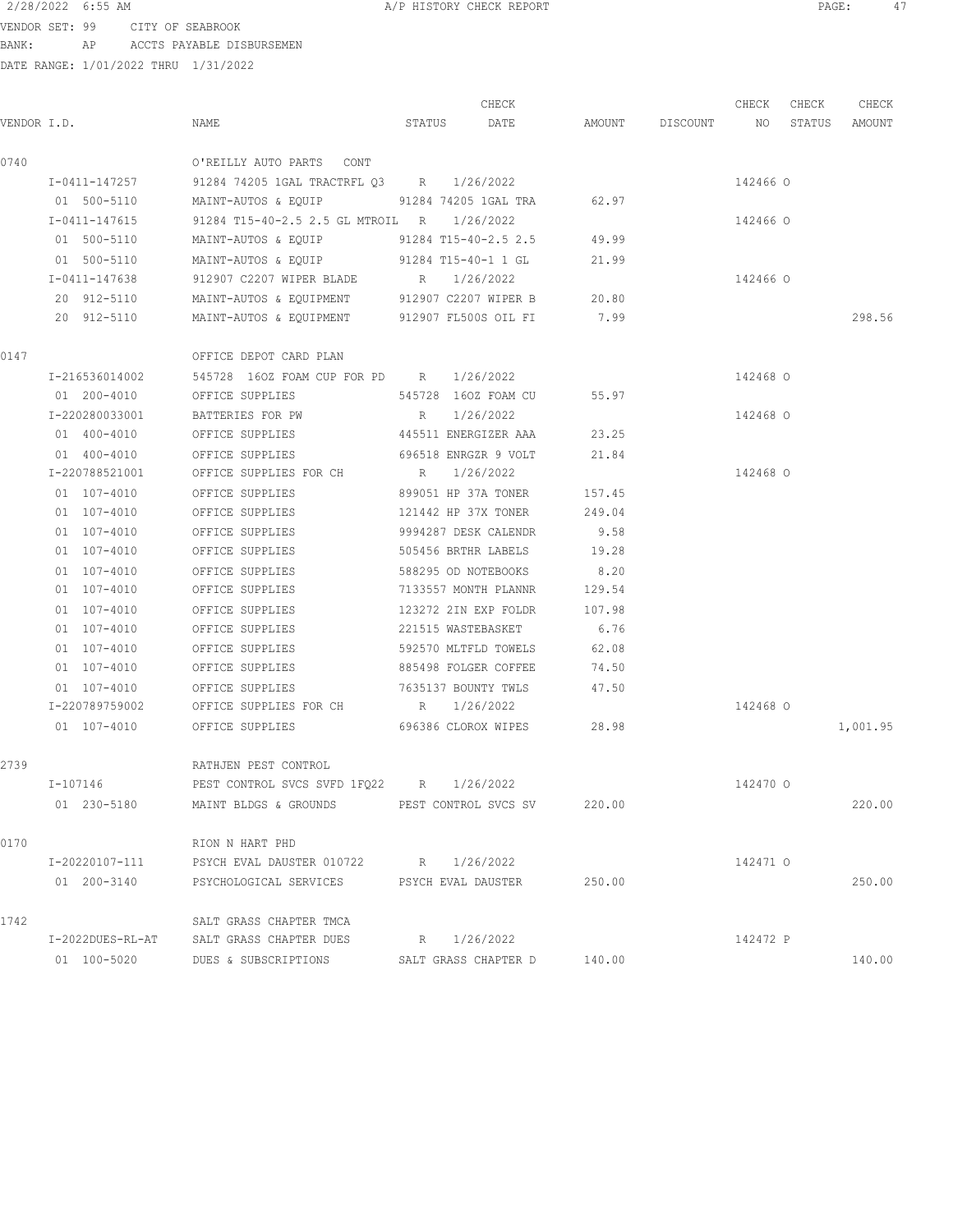VENDOR SET: 99 CITY OF SEABROOK BANK: AP ACCTS PAYABLE DISBURSEMEN

|                |                                                   | CHECK                       |        |                    | CHECK    | CHECK  | CHECK    |
|----------------|---------------------------------------------------|-----------------------------|--------|--------------------|----------|--------|----------|
| VENDOR I.D.    | NAME                                              | STATUS<br>DATE              |        | AMOUNT DISCOUNT NO |          | STATUS | AMOUNT   |
| 0740           | O'REILLY AUTO PARTS CONT                          |                             |        |                    |          |        |          |
| I-0411-147257  | 91284 74205 1GAL TRACTRFL Q3 R                    | 1/26/2022                   |        |                    | 142466 0 |        |          |
| 01 500-5110    | MAINT-AUTOS & EQUIP 91284 74205 1GAL TRA          |                             | 62.97  |                    |          |        |          |
| I-0411-147615  | 91284 T15-40-2.5 2.5 GL MTROIL R                  | 1/26/2022                   |        |                    | 142466 0 |        |          |
| 01 500-5110    | MAINT-AUTOS & EQUIP                               | 91284 T15-40-2.5 2.5        | 49.99  |                    |          |        |          |
| 01 500-5110    | MAINT-AUTOS & EQUIP 91284 T15-40-1 1 GL           |                             | 21.99  |                    |          |        |          |
| I-0411-147638  | 912907 C2207 WIPER BLADE R 1/26/2022              |                             |        |                    | 142466 0 |        |          |
| 20 912-5110    | MAINT-AUTOS & EQUIPMENT 912907 C2207 WIPER B      |                             | 20.80  |                    |          |        |          |
| 20 912-5110    | MAINT-AUTOS & EQUIPMENT 912907 FL500S OIL FI      |                             | 7.99   |                    |          |        | 298.56   |
| 0147           | OFFICE DEPOT CARD PLAN                            |                             |        |                    |          |        |          |
| I-216536014002 | 545728 160Z FOAM CUP FOR PD R 1/26/2022           |                             |        |                    | 142468 0 |        |          |
| 01 200-4010    | OFFICE SUPPLIES                                   | 545728 160Z FOAM CU         | 55.97  |                    |          |        |          |
| I-220280033001 | BATTERIES FOR PW                                  | 1/26/2022<br>R              |        |                    | 142468 0 |        |          |
| 01 400-4010    | OFFICE SUPPLIES                                   | 445511 ENERGIZER AAA        | 23.25  |                    |          |        |          |
| 01 400-4010    | OFFICE SUPPLIES                                   | 696518 ENRGZR 9 VOLT        | 21.84  |                    |          |        |          |
| I-220788521001 | OFFICE SUPPLIES FOR CH                            | 1/26/2022<br>R              |        |                    | 142468 0 |        |          |
| 01 107-4010    | OFFICE SUPPLIES                                   | 899051 HP 37A TONER         | 157.45 |                    |          |        |          |
| 01 107-4010    | OFFICE SUPPLIES                                   | 121442 HP 37X TONER         | 249.04 |                    |          |        |          |
| 01 107-4010    | OFFICE SUPPLIES                                   | 9994287 DESK CALENDR        | 9.58   |                    |          |        |          |
| 01 107-4010    | OFFICE SUPPLIES                                   | 505456 BRTHR LABELS         | 19.28  |                    |          |        |          |
| 01 107-4010    | OFFICE SUPPLIES                                   | 588295 OD NOTEBOOKS         | 8.20   |                    |          |        |          |
| 01 107-4010    | OFFICE SUPPLIES                                   | 7133557 MONTH PLANNR        | 129.54 |                    |          |        |          |
| 01 107-4010    | OFFICE SUPPLIES                                   | 123272 2IN EXP FOLDR        | 107.98 |                    |          |        |          |
| 01 107-4010    | OFFICE SUPPLIES                                   | 221515 WASTEBASKET          | 6.76   |                    |          |        |          |
| 01 107-4010    | OFFICE SUPPLIES                                   | 592570 MLTFLD TOWELS        | 62.08  |                    |          |        |          |
| 01 107-4010    | OFFICE SUPPLIES                                   | 885498 FOLGER COFFEE        | 74.50  |                    |          |        |          |
| 01 107-4010    | OFFICE SUPPLIES                                   | 7635137 BOUNTY TWLS         | 47.50  |                    |          |        |          |
| I-220789759002 | OFFICE SUPPLIES FOR CH                            | R 1/26/2022                 |        |                    | 142468 0 |        |          |
| 01 107-4010    | OFFICE SUPPLIES                                   | 696386 CLOROX WIPES         | 28.98  |                    |          |        | 1,001.95 |
| 2739           | RATHJEN PEST CONTROL                              |                             |        |                    |          |        |          |
| I-107146       | PEST CONTROL SVCS SVFD 1FQ22 R 1/26/2022          |                             |        |                    | 142470 0 |        |          |
| 01 230-5180    | MAINT BLDGS & GROUNDS PEST CONTROL SVCS SV 220.00 |                             |        |                    |          |        | 220.00   |
| 0170           | RION N HART PHD                                   |                             |        |                    |          |        |          |
| I-20220107-111 | PSYCH EVAL DAUSTER 010722 R 1/26/2022             |                             |        |                    | 142471 0 |        |          |
| 01 200-3140    | PSYCHOLOGICAL SERVICES PSYCH EVAL DAUSTER         |                             | 250.00 |                    |          |        | 250.00   |
| 1742           | SALT GRASS CHAPTER TMCA                           |                             |        |                    |          |        |          |
|                | I-2022DUES-RL-AT SALT GRASS CHAPTER DUES          | R 1/26/2022                 |        |                    | 142472 P |        |          |
| 01 100-5020    | DUES & SUBSCRIPTIONS                              | SALT GRASS CHAPTER D 140.00 |        |                    |          |        | 140.00   |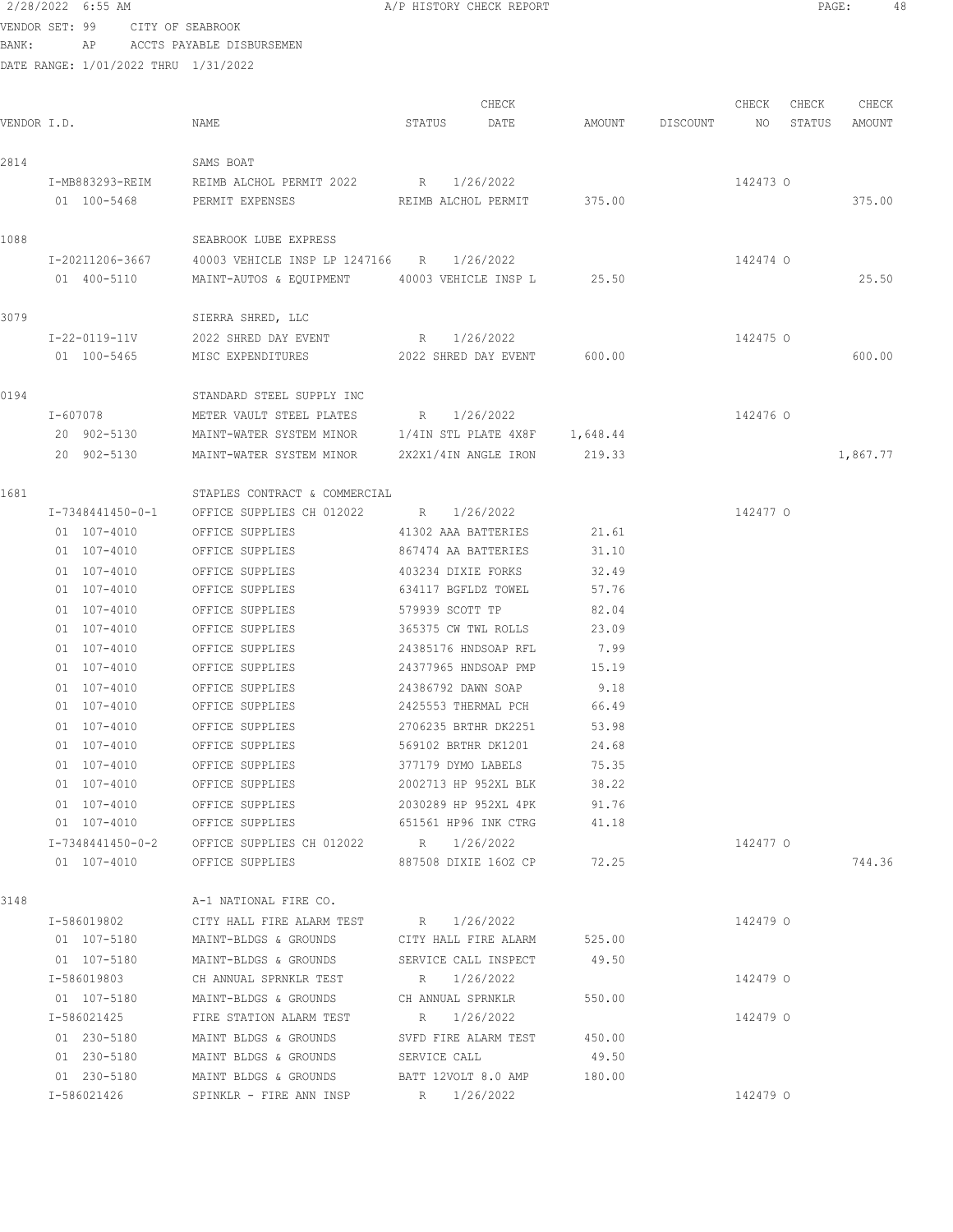2/28/2022 6:55 AM A/P HISTORY CHECK REPORT PAGE: 48 VENDOR SET: 99 CITY OF SEABROOK BANK: AP ACCTS PAYABLE DISBURSEMEN DATE RANGE: 1/01/2022 THRU 1/31/2022 CHECK CHECK CHECK CHECK CHECK CHECK CHECK CHECK CHECK CHECK CHECK CHECK CHECK CHECK CHECK CHECK CHECK CHECK CHECK CHECK CHECK CHECK CHECK CHECK CHECK CHECK CHECK CHECK CHECK CHECK CHECK CHECK CHECK CHECK CHECK CHECK CHECK VENDOR I.D. NAME STATUS DATE AMOUNT DISCOUNT NO STATUS AMOUNT 2814 SAMS BOAT I-MB883293-REIM REIMB ALCHOL PERMIT 2022 R 1/26/2022 142473 O 01 100-5468 PERMIT EXPENSES REIMB ALCHOL PERMIT 375.00 375.00 375.00 1088 SEABROOK LUBE EXPRESS I-20211206-3667 40003 VEHICLE INSP LP 1247166 R 1/26/2022 142474 O 01 400-5110 MAINT-AUTOS & EQUIPMENT 40003 VEHICLE INSP L 25.50 25.50 3079 SIERRA SHRED, LLC I-22-0119-11V 2022 SHRED DAY EVENT R 1/26/2022 142475 O 01 100-5465 MISC EXPENDITURES 2022 SHRED DAY EVENT 600.00 600.00 0194 STANDARD STEEL SUPPLY INC I-607078 METER VAULT STEEL PLATES R 1/26/2022 142476 O 20 902-5130 MAINT-WATER SYSTEM MINOR 1/4IN STL PLATE 4X8F 1,648.44 20 902-5130 MAINT-WATER SYSTEM MINOR 2X2X1/4IN ANGLE IRON 219.33 1,867.77 1681 STAPLES CONTRACT & COMMERCIAL I-7348441450-0-1 OFFICE SUPPLIES CH 012022 R 1/26/2022 142477 O 01 107-4010 OFFICE SUPPLIES 41302 AAA BATTERIES 21.61 01 107-4010 OFFICE SUPPLIES 867474 AA BATTERIES 31.10 01 107-4010 OFFICE SUPPLIES 403234 DIXIE FORKS 32.49

01 107-4010 OFFICE SUPPLIES 634117 BGFLDZ TOWEL 57.76 01 107-4010 OFFICE SUPPLIES 579939 SCOTT TP 82.04 01 107-4010 OFFICE SUPPLIES 365375 CW TWL ROLLS 23.09 01 107-4010 OFFICE SUPPLIES 24385176 HNDSOAP RFL 7.99 01 107-4010 OFFICE SUPPLIES 24377965 HNDSOAP PMP 15.19 01 107-4010 OFFICE SUPPLIES 24386792 DAWN SOAP 9.18 01 107-4010 OFFICE SUPPLIES 2425553 THERMAL PCH 66.49 01 107-4010 OFFICE SUPPLIES 2706235 BRTHR DK2251 53.98 01 107-4010 OFFICE SUPPLIES 569102 BRTHR DK1201 24.68 01 107-4010 OFFICE SUPPLIES 377179 DYMO LABELS 75.35 01 107-4010 OFFICE SUPPLIES 2002713 HP 952XL BLK 38.22 01 107-4010 OFFICE SUPPLIES 2030289 HP 952XL 4PK 91.76 01 107-4010 OFFICE SUPPLIES 651561 HP96 INK CTRG 41.18 I-7348441450-0-2 OFFICE SUPPLIES CH 012022 R 1/26/2022 142477 O 01 107-4010 OFFICE SUPPLIES 887508 DIXIE 1602 CP 72.25 744.36 3148 A-1 NATIONAL FIRE CO. I-586019802 CITY HALL FIRE ALARM TEST R 1/26/2022 142479 O 01 107-5180 MAINT-BLDGS & GROUNDS CITY HALL FIRE ALARM 525.00 01 107-5180 MAINT-BLDGS & GROUNDS SERVICE CALL INSPECT 49.50 I-586019803 CH ANNUAL SPRNKLR TEST R 1/26/2022 142479 O

01 107-5180 MAINT-BLDGS & GROUNDS CH ANNUAL SPRNKLR 550.00 I-586021425 FIRE STATION ALARM TEST R 1/26/2022 142479 O 01 230-5180 MAINT BLDGS & GROUNDS SVFD FIRE ALARM TEST 450.00 01 230-5180 MAINT BLDGS & GROUNDS SERVICE CALL 49.50 01 230-5180 MAINT BLDGS & GROUNDS BATT 12VOLT 8.0 AMP 180.00 I-586021426 SPINKLR - FIRE ANN INSP R 1/26/2022 142479 O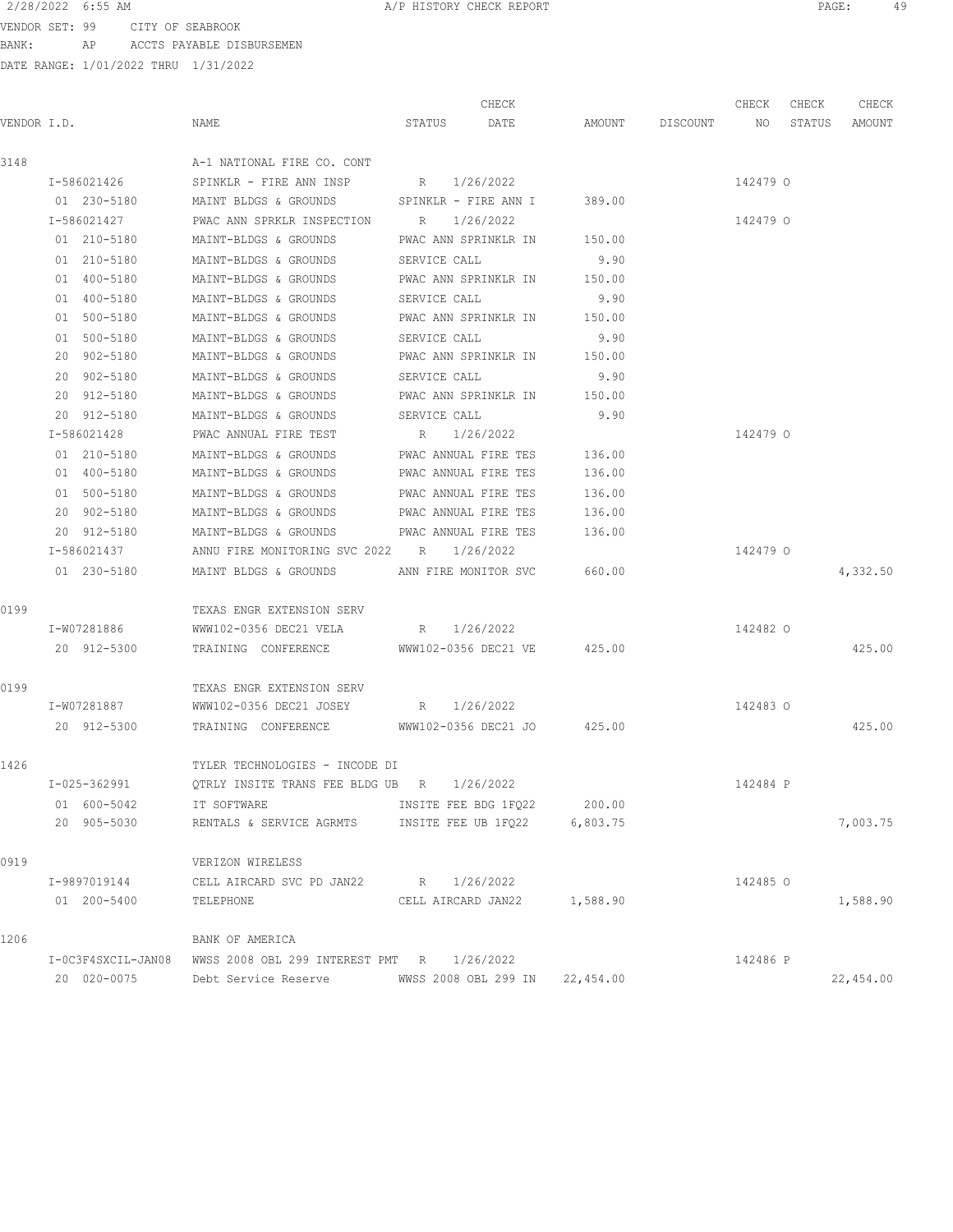VENDOR SET: 99 CITY OF SEABROOK BANK: AP ACCTS PAYABLE DISBURSEMEN

|             |                    |                                                       |                      | CHECK                       |                    | CHECK    | CHECK  | CHECK     |
|-------------|--------------------|-------------------------------------------------------|----------------------|-----------------------------|--------------------|----------|--------|-----------|
| VENDOR I.D. |                    | NAME                                                  | STATUS DATE          |                             | AMOUNT DISCOUNT NO |          | STATUS | AMOUNT    |
| 3148        |                    | A-1 NATIONAL FIRE CO. CONT                            |                      |                             |                    |          |        |           |
|             | I-586021426        | SPINKLR - FIRE ANN INSP                               | R 1/26/2022          |                             |                    | 142479 0 |        |           |
|             | 01 230-5180        | MAINT BLDGS & GROUNDS SPINKLR - FIRE ANN I 389.00     |                      |                             |                    |          |        |           |
|             | I-586021427        | PWAC ANN SPRKLR INSPECTION R 1/26/2022                |                      |                             |                    | 142479 0 |        |           |
|             | 01 210-5180        | MAINT-BLDGS & GROUNDS PWAC ANN SPRINKLR IN 150.00     |                      |                             |                    |          |        |           |
|             | 01 210-5180        | MAINT-BLDGS & GROUNDS                                 | SERVICE CALL         |                             | 9.90               |          |        |           |
|             | 01 400-5180        | MAINT-BLDGS & GROUNDS PWAC ANN SPRINKLR IN 150.00     |                      |                             |                    |          |        |           |
|             | 01 400-5180        | MAINT-BLDGS & GROUNDS                                 | SERVICE CALL         |                             | 9.90               |          |        |           |
|             | 01 500-5180        | MAINT-BLDGS & GROUNDS                                 |                      | PWAC ANN SPRINKLR IN 150.00 |                    |          |        |           |
|             | 01 500-5180        | MAINT-BLDGS & GROUNDS                                 |                      | SERVICE CALL                | 9.90               |          |        |           |
|             | 20 902-5180        | MAINT-BLDGS & GROUNDS                                 |                      | PWAC ANN SPRINKLR IN 150.00 |                    |          |        |           |
|             | 20 902-5180        | MAINT-BLDGS & GROUNDS                                 |                      | SERVICE CALL                | 9.90               |          |        |           |
|             | 20 912-5180        | MAINT-BLDGS & GROUNDS                                 |                      | PWAC ANN SPRINKLR IN 150.00 |                    |          |        |           |
|             | 20 912-5180        | MAINT-BLDGS & GROUNDS                                 | SERVICE CALL         |                             | 9.90               |          |        |           |
|             | I-586021428        | PWAC ANNUAL FIRE TEST                                 | R 1/26/2022          |                             |                    | 142479 0 |        |           |
|             | 01 210-5180        | MAINT-BLDGS & GROUNDS                                 | PWAC ANNUAL FIRE TES |                             | 136.00             |          |        |           |
|             | 01 400-5180        | MAINT-BLDGS & GROUNDS                                 | PWAC ANNUAL FIRE TES |                             | 136.00             |          |        |           |
|             | 01 500-5180        | MAINT-BLDGS & GROUNDS                                 | PWAC ANNUAL FIRE TES |                             | 136.00             |          |        |           |
|             | 20 902-5180        | MAINT-BLDGS & GROUNDS                                 | PWAC ANNUAL FIRE TES |                             | 136.00             |          |        |           |
|             | 20 912-5180        | MAINT-BLDGS & GROUNDS                                 | PWAC ANNUAL FIRE TES |                             | 136.00             |          |        |           |
|             | I-586021437        | ANNU FIRE MONITORING SVC 2022 R 1/26/2022             |                      |                             |                    | 142479 0 |        |           |
|             | 01 230-5180        | MAINT BLDGS & GROUNDS ANN FIRE MONITOR SVC 660.00     |                      |                             |                    |          |        | 4,332.50  |
| 0199        |                    | TEXAS ENGR EXTENSION SERV                             |                      |                             |                    |          |        |           |
|             | I-W07281886        | WWW102-0356 DEC21 VELA R 1/26/2022                    |                      |                             |                    | 142482 0 |        |           |
|             | 20 912-5300        | TRAINING CONFERENCE WWW102-0356 DEC21 VE 425.00       |                      |                             |                    |          |        | 425.00    |
| 0199        |                    | TEXAS ENGR EXTENSION SERV                             |                      |                             |                    |          |        |           |
|             | I-W07281887        | WWW102-0356 DEC21 JOSEY R 1/26/2022                   |                      |                             |                    | 142483 0 |        |           |
|             | 20 912-5300        | TRAINING CONFERENCE WWW102-0356 DEC21 JO 425.00       |                      |                             |                    |          |        | 425.00    |
| 1426        |                    | TYLER TECHNOLOGIES - INCODE DI                        |                      |                             |                    |          |        |           |
|             | I-025-362991       | QTRLY INSITE TRANS FEE BLDG UB $R = 1/26/2022$        |                      |                             |                    | 142484 P |        |           |
|             | 01 600-5042        | IT SOFTWARE                                           | INSITE FEE BDG 1FQ22 |                             | 200.00             |          |        |           |
|             | 20 905-5030        | RENTALS & SERVICE AGRMTS INSITE FEE UB 1FQ22 6,803.75 |                      |                             |                    |          |        | 7,003.75  |
| 0919        |                    | VERIZON WIRELESS                                      |                      |                             |                    |          |        |           |
|             | I-9897019144       | CELL AIRCARD SVC PD JAN22                             | R 1/26/2022          |                             |                    | 142485 0 |        |           |
|             | 01 200-5400        | TELEPHONE                                             |                      | CELL AIRCARD JAN22 1,588.90 |                    |          |        | 1,588.90  |
| 1206        |                    | BANK OF AMERICA                                       |                      |                             |                    |          |        |           |
|             | I-OC3F4SXCIL-JAN08 | WWSS 2008 OBL 299 INTEREST PMT R 1/26/2022            |                      |                             |                    | 142486 P |        |           |
|             | 20 020-0075        | Debt Service Reserve MWSS 2008 OBL 299 IN 22,454.00   |                      |                             |                    |          |        | 22,454.00 |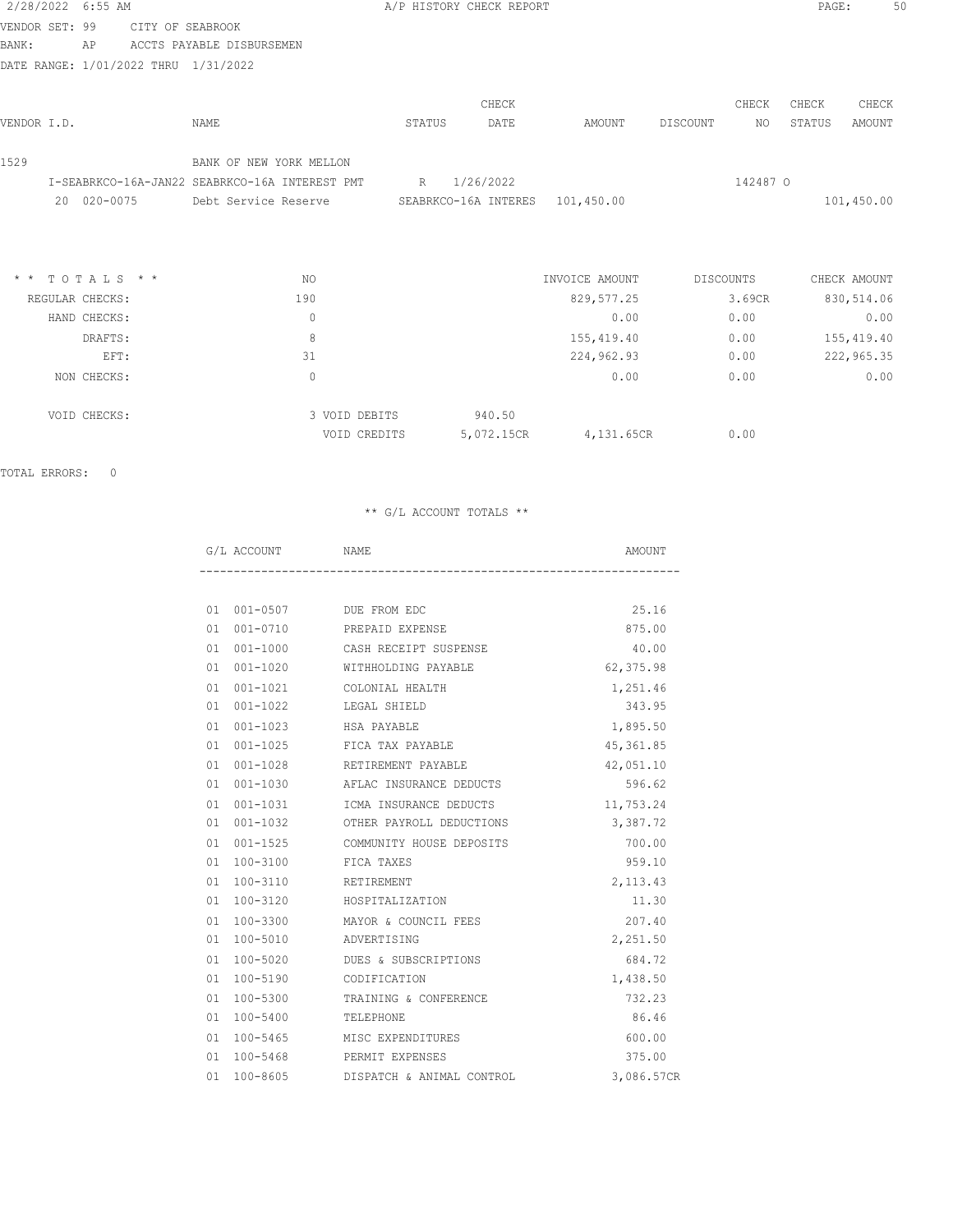| 2/28/2022 6:55 AM |                 |                                                |        | A/P HISTORY CHECK REPORT |                |           |          | PAGE:  | 50           |
|-------------------|-----------------|------------------------------------------------|--------|--------------------------|----------------|-----------|----------|--------|--------------|
| VENDOR SET: 99    |                 | CITY OF SEABROOK                               |        |                          |                |           |          |        |              |
| BANK:             | AP              | ACCTS PAYABLE DISBURSEMEN                      |        |                          |                |           |          |        |              |
|                   |                 | DATE RANGE: 1/01/2022 THRU 1/31/2022           |        |                          |                |           |          |        |              |
|                   |                 |                                                |        |                          |                |           |          |        |              |
|                   |                 |                                                |        | CHECK                    |                |           | CHECK    | CHECK  | CHECK        |
| VENDOR I.D.       |                 | <b>NAME</b>                                    | STATUS | DATE                     | AMOUNT         | DISCOUNT  | NO.      | STATUS | AMOUNT       |
| 1529              |                 | BANK OF NEW YORK MELLON                        |        |                          |                |           |          |        |              |
|                   |                 | I-SEABRKCO-16A-JAN22 SEABRKCO-16A INTEREST PMT | R      | 1/26/2022                |                |           | 142487 0 |        |              |
|                   | 20 020-0075     | Debt Service Reserve                           |        | SEABRKCO-16A INTERES     | 101,450.00     |           |          |        | 101,450.00   |
|                   |                 |                                                |        |                          |                |           |          |        |              |
|                   |                 |                                                |        |                          |                |           |          |        |              |
| $\star$ $\star$   | TOTALS * *      | NO.                                            |        |                          | INVOICE AMOUNT | DISCOUNTS |          |        | CHECK AMOUNT |
|                   | REGULAR CHECKS: | 190                                            |        |                          | 829, 577.25    |           | 3.69CR   |        | 830,514.06   |
|                   | HAND CHECKS:    | $\circ$                                        |        |                          | 0.00           |           | 0.00     |        | 0.00         |
|                   | DRAFTS:         | 8                                              |        |                          | 155,419.40     |           | 0.00     |        | 155,419.40   |
|                   | EFT:            | 31                                             |        |                          | 224,962.93     |           | 0.00     |        | 222,965.35   |
|                   |                 |                                                |        |                          |                |           |          |        |              |

| NON CHECKS:  |               |            | 0.00       | 0.00 | 0.00 |
|--------------|---------------|------------|------------|------|------|
| VOID CHECKS: | 3 VOID DEBITS | 940.50     |            |      |      |
|              | VOID CREDITS  | 5,072.15CR | 4,131.65CR | 0.00 |      |

TOTAL ERRORS: 0

| G/L ACCOUNT | NAME                                 | AMOUNT     |
|-------------|--------------------------------------|------------|
|             |                                      |            |
|             | 01 001-0507 DUE FROM EDC             | 25.16      |
|             | 01 001-0710 PREPAID EXPENSE          | 875.00     |
|             | 01 001-1000 CASH RECEIPT SUSPENSE    | 40.00      |
| 01 001-1020 | WITHHOLDING PAYABLE                  | 62,375.98  |
|             | 01 001-1021 COLONIAL HEALTH          | 1,251.46   |
|             | 01 001-1022 LEGAL SHIELD             | 343.95     |
|             |                                      | 1,895.50   |
|             | 01 001-1025 FICA TAX PAYABLE         | 45, 361.85 |
|             | 01 001-1028 RETIREMENT PAYABLE       | 42,051.10  |
|             | 01 001-1030 AFLAC INSURANCE DEDUCTS  | 596.62     |
|             | 01 001-1031 ICMA INSURANCE DEDUCTS   | 11,753.24  |
|             | 01 001-1032 OTHER PAYROLL DEDUCTIONS | 3,387.72   |
|             | 01 001-1525 COMMUNITY HOUSE DEPOSITS | 700.00     |
|             | 01 100-3100 FICA TAXES               | 959.10     |
|             | 01  100-3110  RETIREMENT             | 2,113.43   |
|             | 01 100-3120 HOSPITALIZATION          | 11.30      |
| 01 100-3300 | MAYOR & COUNCIL FEES                 | 207.40     |
|             | 01 100-5010 ADVERTISING              | 2,251.50   |
|             | 01 100-5020 DUES & SUBSCRIPTIONS     | 684.72     |
|             | 01 100-5190 CODIFICATION             | 1,438.50   |
|             | 01 100-5300 TRAINING & CONFERENCE    | 732.23     |
| 01 100-5400 | TELEPHONE                            | 86.46      |
| 01 100-5465 | MISC EXPENDITURES                    | 600.00     |
|             | 01 100-5468 PERMIT EXPENSES          | 375.00     |
| 01 100-8605 | DISPATCH & ANIMAL CONTROL            | 3,086.57CR |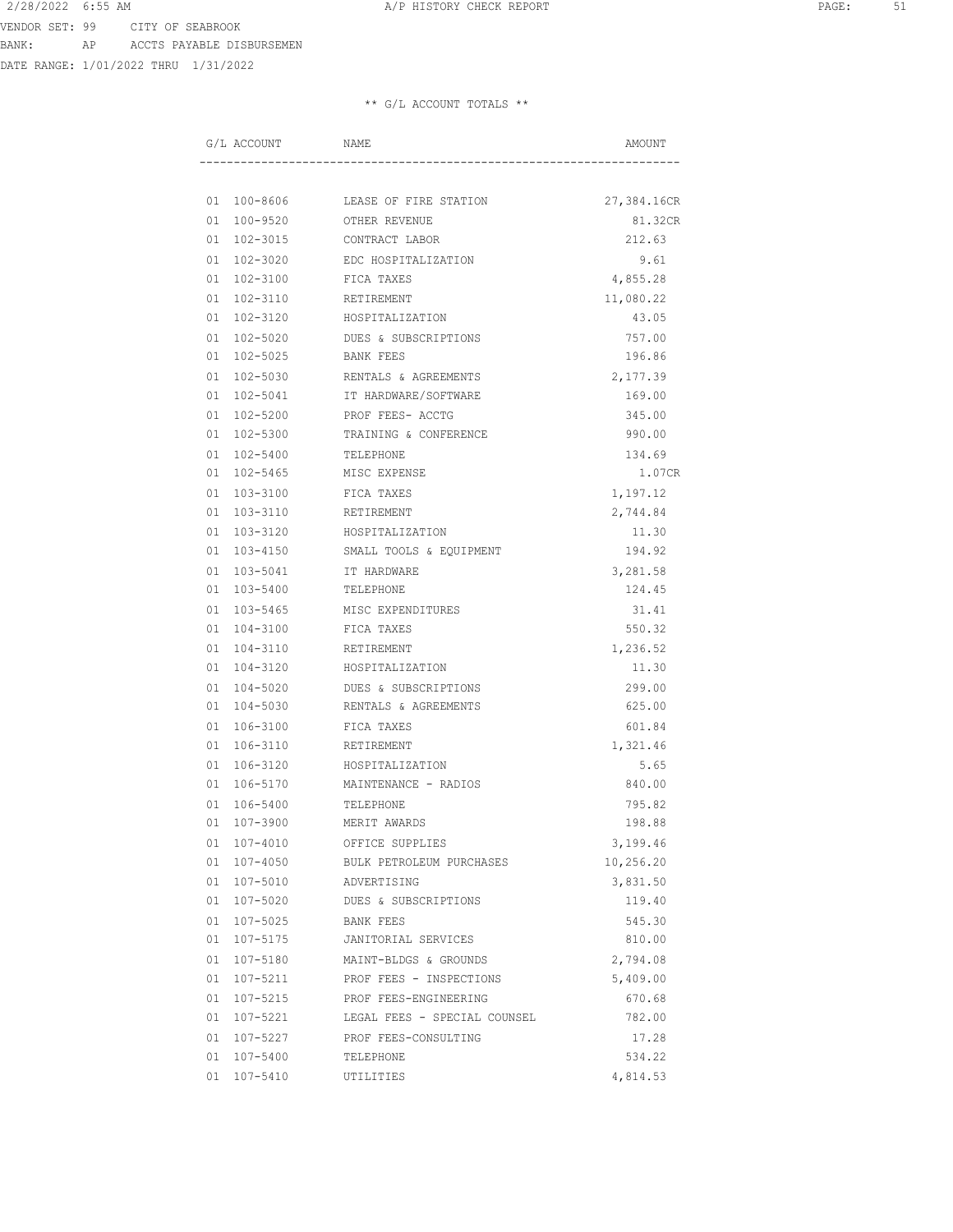DATE RANGE: 1/01/2022 THRU 1/31/2022

| G/L ACCOUNT     | NAME                         | AMOUNT      |
|-----------------|------------------------------|-------------|
|                 |                              |             |
| 01 100-8606     | LEASE OF FIRE STATION        | 27,384.16CR |
| 01 100-9520     | OTHER REVENUE                | 81.32CR     |
| 01 102-3015     | CONTRACT LABOR               | 212.63      |
| 01 102-3020     | EDC HOSPITALIZATION          | 9.61        |
| 01 102-3100     | FICA TAXES                   | 4,855.28    |
| 01 102-3110     | RETIREMENT                   | 11,080.22   |
| 01 102-3120     | HOSPITALIZATION              | 43.05       |
| 01 102-5020     | DUES & SUBSCRIPTIONS         | 757.00      |
| 01 102-5025     | BANK FEES                    | 196.86      |
| 01 102-5030     | RENTALS & AGREEMENTS         | 2,177.39    |
| 01 102-5041     | IT HARDWARE/SOFTWARE         | 169.00      |
| 01 102-5200     | PROF FEES- ACCTG             | 345.00      |
| 01 102-5300     | TRAINING & CONFERENCE        | 990.00      |
| $01 102 - 5400$ | TELEPHONE                    | 134.69      |
| 01 102-5465     | MISC EXPENSE                 | 1.07CR      |
| 01 103-3100     | FICA TAXES                   | 1,197.12    |
| 01 103-3110     | RETIREMENT                   | 2,744.84    |
| 01 103-3120     | HOSPITALIZATION              | 11.30       |
| 01 103-4150     | SMALL TOOLS & EQUIPMENT      | 194.92      |
| 01 103-5041     | IT HARDWARE                  | 3,281.58    |
| 01 103-5400     | TELEPHONE                    | 124.45      |
| 01 103-5465     | MISC EXPENDITURES            | 31.41       |
| 01 104-3100     | FICA TAXES                   | 550.32      |
| 01 104-3110     | RETIREMENT                   | 1,236.52    |
| 01 104-3120     | HOSPITALIZATION              | 11.30       |
| 01 104-5020     | DUES & SUBSCRIPTIONS         | 299.00      |
| 01 104-5030     | RENTALS & AGREEMENTS         | 625.00      |
| 01 106-3100     | FICA TAXES                   | 601.84      |
| 01 106-3110     | RETIREMENT                   | 1,321.46    |
| 01 106-3120     | HOSPITALIZATION              | 5.65        |
| 01 106-5170     | MAINTENANCE - RADIOS         | 840.00      |
| 106-5400<br>01  | TELEPHONE                    | 795.82      |
| 01 107-3900     | MERIT AWARDS                 | 198.88      |
| 01 107-4010     | OFFICE SUPPLIES              | 3,199.46    |
| 01 107-4050     | BULK PETROLEUM PURCHASES     | 10,256.20   |
| 01 107-5010     | ADVERTISING                  | 3,831.50    |
| 01 107-5020     | DUES & SUBSCRIPTIONS         | 119.40      |
| 01 107-5025     | BANK FEES                    | 545.30      |
| 01 107-5175     | JANITORIAL SERVICES          | 810.00      |
| 01 107-5180     | MAINT-BLDGS & GROUNDS        | 2,794.08    |
| 01 107-5211     | PROF FEES - INSPECTIONS      | 5,409.00    |
| 01 107-5215     | PROF FEES-ENGINEERING        | 670.68      |
| 01 107-5221     | LEGAL FEES - SPECIAL COUNSEL | 782.00      |
| 01 107-5227     | PROF FEES-CONSULTING         | 17.28       |
| 01 107-5400     | TELEPHONE                    | 534.22      |
| 01 107-5410     | UTILITIES                    | 4,814.53    |
|                 |                              |             |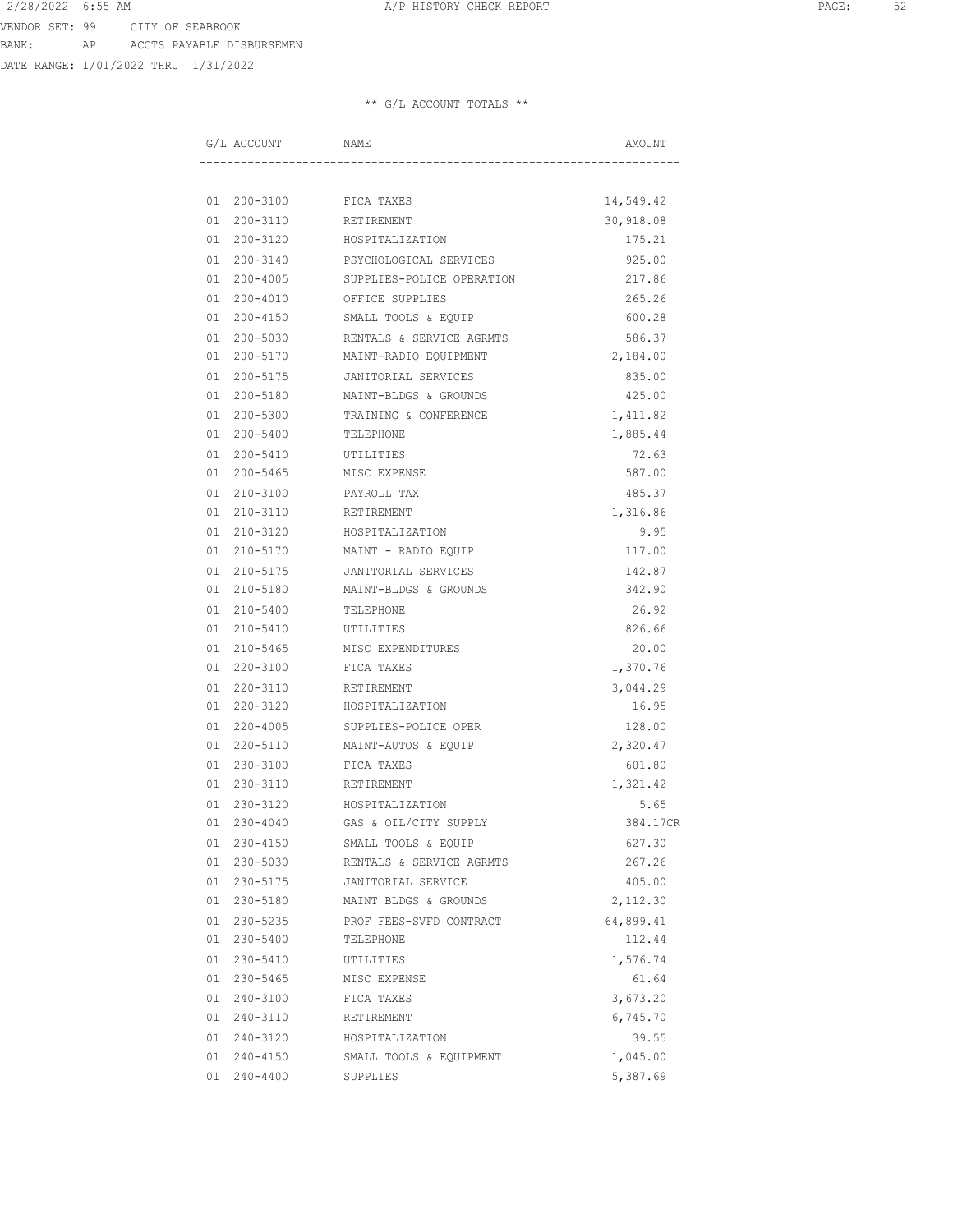DATE RANGE: 1/01/2022 THRU 1/31/2022

| G/L ACCOUNT | NAME                      | AMOUNT    |
|-------------|---------------------------|-----------|
|             |                           |           |
| 01 200-3100 | FICA TAXES                | 14,549.42 |
| 01 200-3110 | RETIREMENT                | 30,918.08 |
| 01 200-3120 | HOSPITALIZATION           | 175.21    |
| 01 200-3140 | PSYCHOLOGICAL SERVICES    | 925.00    |
| 01 200-4005 | SUPPLIES-POLICE OPERATION | 217.86    |
| 01 200-4010 | OFFICE SUPPLIES           | 265.26    |
| 01 200-4150 | SMALL TOOLS & EQUIP       | 600.28    |
| 01 200-5030 | RENTALS & SERVICE AGRMTS  | 586.37    |
| 01 200-5170 | MAINT-RADIO EQUIPMENT     | 2,184.00  |
| 01 200-5175 | JANITORIAL SERVICES       | 835.00    |
| 01 200-5180 | MAINT-BLDGS & GROUNDS     | 425.00    |
| 01 200-5300 | TRAINING & CONFERENCE     | 1,411.82  |
| 01 200-5400 | TELEPHONE                 | 1,885.44  |
| 01 200-5410 | UTILITIES                 | 72.63     |
| 01 200-5465 | MISC EXPENSE              | 587.00    |
| 01 210-3100 | PAYROLL TAX               | 485.37    |
| 01 210-3110 | RETIREMENT                | 1,316.86  |
| 01 210-3120 | HOSPITALIZATION           | 9.95      |
| 01 210-5170 | MAINT - RADIO EQUIP       | 117.00    |
| 01 210-5175 | JANITORIAL SERVICES       | 142.87    |
| 01 210-5180 | MAINT-BLDGS & GROUNDS     | 342.90    |
| 01 210-5400 | TELEPHONE                 | 26.92     |
| 01 210-5410 | UTILITIES                 | 826.66    |
| 01 210-5465 | MISC EXPENDITURES         | 20.00     |
| 01 220-3100 | FICA TAXES                | 1,370.76  |
| 01 220-3110 | RETIREMENT                | 3,044.29  |
| 01 220-3120 | HOSPITALIZATION           | 16.95     |
| 01 220-4005 | SUPPLIES-POLICE OPER      | 128.00    |
| 01 220-5110 | MAINT-AUTOS & EQUIP       | 2,320.47  |
| 01 230-3100 | FICA TAXES                | 601.80    |
| 01 230-3110 | RETIREMENT                | 1,321.42  |
| 01 230-3120 | HOSPITALIZATION           | 5.65      |
| 01 230-4040 | GAS & OIL/CITY SUPPLY     | 384.17CR  |
| 01 230-4150 | SMALL TOOLS & EQUIP       | 627.30    |
| 01 230-5030 | RENTALS & SERVICE AGRMTS  | 267.26    |
| 01 230-5175 | JANITORIAL SERVICE        | 405.00    |
| 01 230-5180 | MAINT BLDGS & GROUNDS     | 2,112.30  |
| 01 230-5235 | PROF FEES-SVFD CONTRACT   | 64,899.41 |
| 01 230-5400 | TELEPHONE                 | 112.44    |
| 01 230-5410 | UTILITIES                 | 1,576.74  |
| 01 230-5465 | MISC EXPENSE              | 61.64     |
| 01 240-3100 | FICA TAXES                | 3,673.20  |
| 01 240-3110 | RETIREMENT                | 6,745.70  |
| 01 240-3120 | HOSPITALIZATION           | 39.55     |
| 01 240-4150 | SMALL TOOLS & EQUIPMENT   | 1,045.00  |
| 01 240-4400 | SUPPLIES                  | 5,387.69  |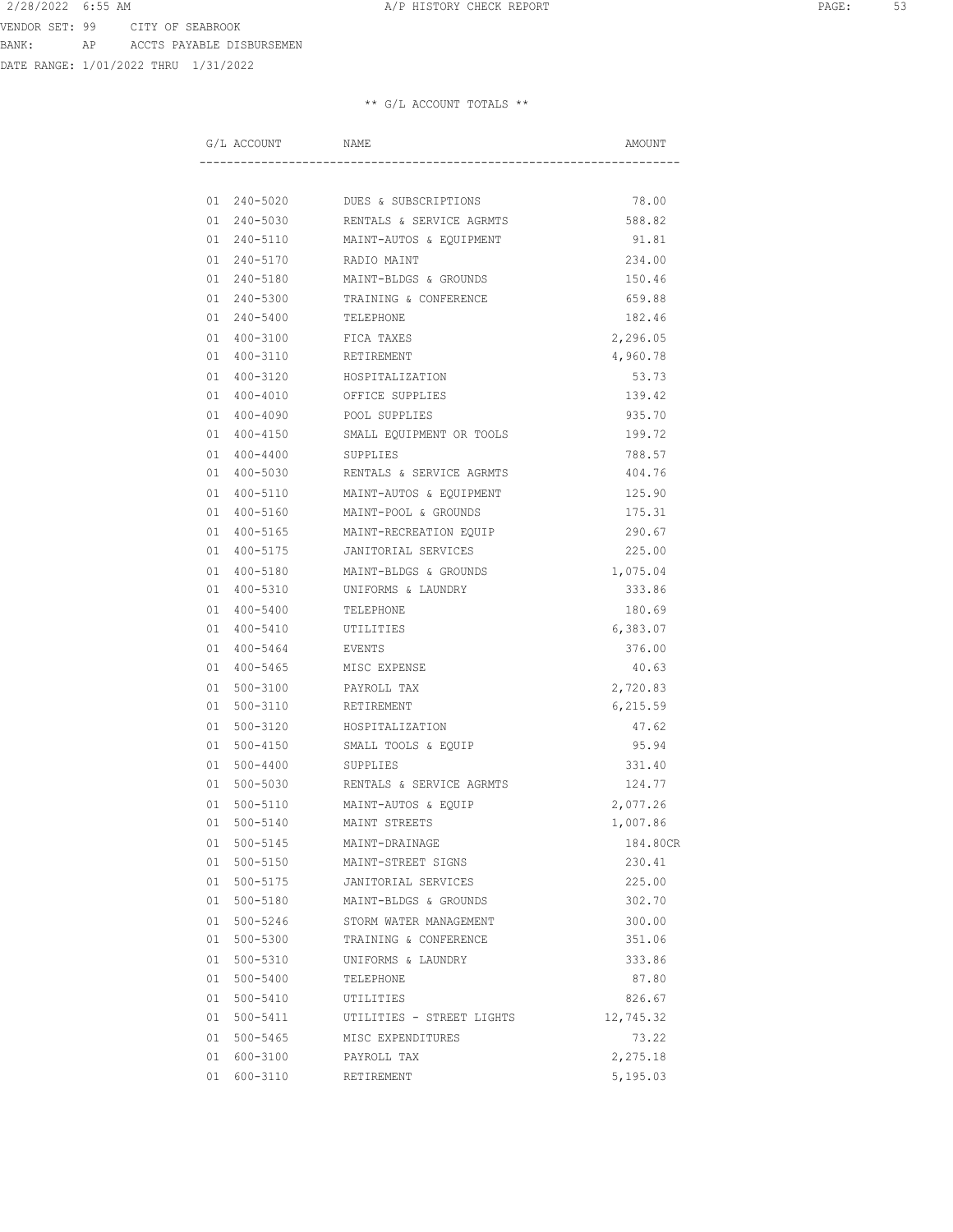DATE RANGE: 1/01/2022 THRU 1/31/2022

| G/L ACCOUNT    | NAME                             | AMOUNT    |
|----------------|----------------------------------|-----------|
|                |                                  |           |
|                | 01 240-5020 DUES & SUBSCRIPTIONS | 78.00     |
| 01 240-5030    | RENTALS & SERVICE AGRMTS         | 588.82    |
| 01 240-5110    | MAINT-AUTOS & EQUIPMENT          | 91.81     |
| 01 240-5170    | RADIO MAINT                      | 234.00    |
| 01 240-5180    | MAINT-BLDGS & GROUNDS            | 150.46    |
| 01 240-5300    | TRAINING & CONFERENCE            | 659.88    |
| 01 240-5400    | TELEPHONE                        | 182.46    |
| 01 400-3100    | FICA TAXES                       | 2,296.05  |
| 01 400-3110    | RETIREMENT                       | 4,960.78  |
| 01 400-3120    | HOSPITALIZATION                  | 53.73     |
| 01 400-4010    | OFFICE SUPPLIES                  | 139.42    |
| 01 400-4090    | POOL SUPPLIES                    | 935.70    |
| 01 400-4150    | SMALL EQUIPMENT OR TOOLS         | 199.72    |
| 01 400-4400    | SUPPLIES                         | 788.57    |
| 01 400-5030    | RENTALS & SERVICE AGRMTS         | 404.76    |
| 01 400-5110    | MAINT-AUTOS & EQUIPMENT          | 125.90    |
| 01 400-5160    | MAINT-POOL & GROUNDS             | 175.31    |
| 01 400-5165    | MAINT-RECREATION EQUIP           | 290.67    |
| 01 400-5175    | JANITORIAL SERVICES              | 225.00    |
| 01 400-5180    | MAINT-BLDGS & GROUNDS            | 1,075.04  |
| 01 400-5310    | UNIFORMS & LAUNDRY               | 333.86    |
| 01 400-5400    | TELEPHONE                        | 180.69    |
| 01 400-5410    | UTILITIES                        | 6,383.07  |
| 400-5464<br>01 | EVENTS                           | 376.00    |
| 01 400-5465    | MISC EXPENSE                     | 40.63     |
| 01 500-3100    | PAYROLL TAX                      | 2,720.83  |
| 01 500-3110    | RETIREMENT                       | 6, 215.59 |
| 01 500-3120    | HOSPITALIZATION                  | 47.62     |
| 01 500-4150    | SMALL TOOLS & EQUIP              | 95.94     |
| 500-4400<br>01 | SUPPLIES                         | 331.40    |
| 01 500-5030    | RENTALS & SERVICE AGRMTS         | 124.77    |
| 01 500-5110    | MAINT-AUTOS & EQUIP              | 2,077.26  |
| 01 500-5140    | MAINT STREETS                    | 1,007.86  |
| 01 500-5145    | MAINT-DRAINAGE                   | 184.80CR  |
| 01 500-5150    | MAINT-STREET SIGNS               | 230.41    |
| 01 500-5175    | JANITORIAL SERVICES              | 225.00    |
| 01 500-5180    | MAINT-BLDGS & GROUNDS            | 302.70    |
| 01 500-5246    | STORM WATER MANAGEMENT           | 300.00    |
| 01 500-5300    | TRAINING & CONFERENCE            | 351.06    |
| 01 500-5310    | UNIFORMS & LAUNDRY               | 333.86    |
| 01 500-5400    | TELEPHONE                        | 87.80     |
| 01 500-5410    | UTILITIES                        | 826.67    |
| 01 500-5411    | UTILITIES - STREET LIGHTS        | 12,745.32 |
| 01 500-5465    | MISC EXPENDITURES                | 73.22     |
| 01 600-3100    | PAYROLL TAX                      | 2,275.18  |
| 01 600-3110    | RETIREMENT                       | 5,195.03  |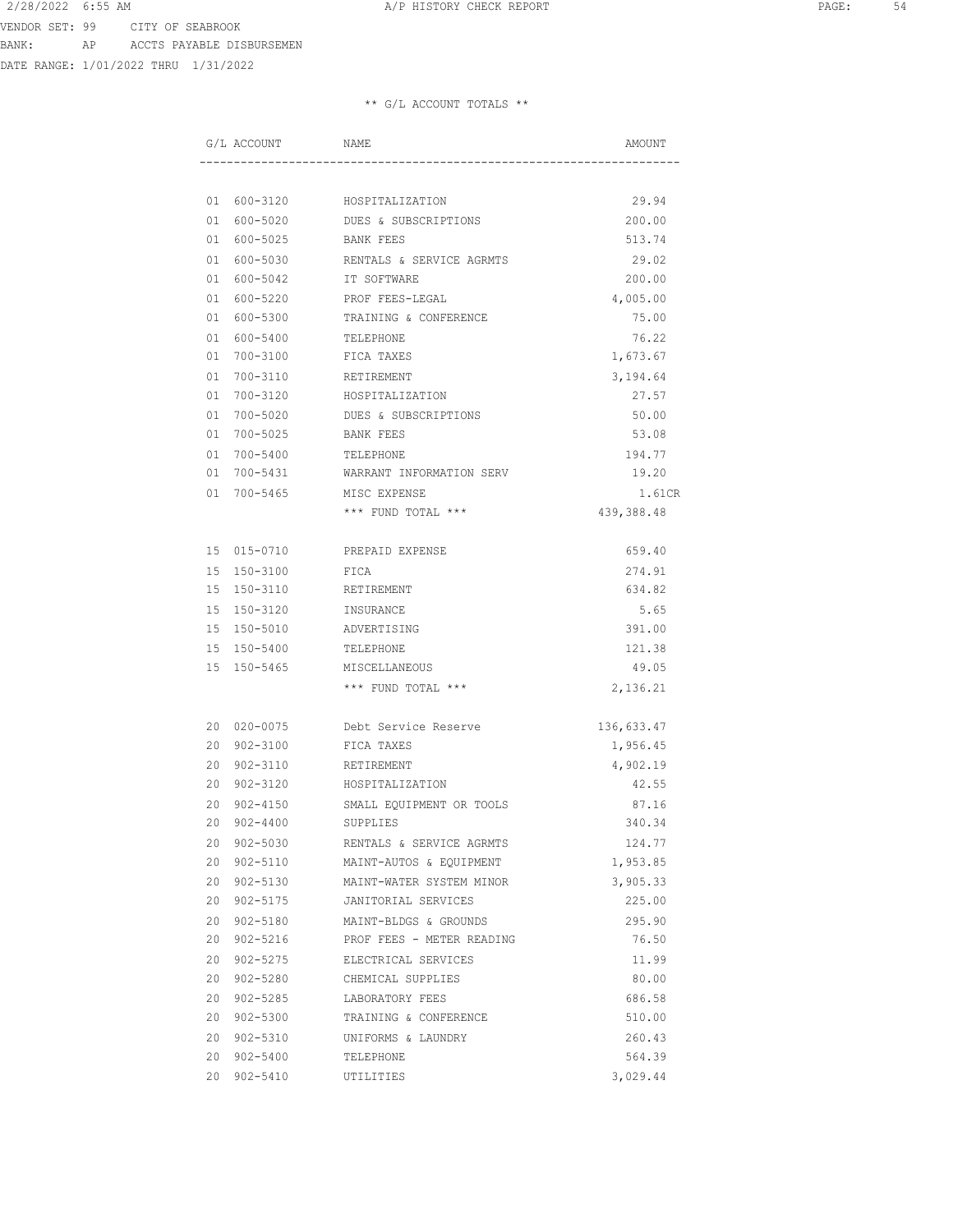DATE RANGE: 1/01/2022 THRU 1/31/2022

| G/L ACCOUNT    | NAME                      | AMOUNT     |
|----------------|---------------------------|------------|
|                |                           |            |
| 01 600-3120    | HOSPITALIZATION           | 29.94      |
| 01 600-5020    | DUES & SUBSCRIPTIONS      | 200.00     |
| 01 600-5025    | BANK FEES                 | 513.74     |
| 01 600-5030    | RENTALS & SERVICE AGRMTS  | 29.02      |
| 01 600-5042    | IT SOFTWARE               | 200.00     |
| 01 600-5220    | PROF FEES-LEGAL           | 4,005.00   |
| 01 600-5300    | TRAINING & CONFERENCE     | 75.00      |
| 01 600-5400    | TELEPHONE                 | 76.22      |
| 01 700-3100    | FICA TAXES                | 1,673.67   |
| 01 700-3110    | RETIREMENT                | 3,194.64   |
| 01 700-3120    | HOSPITALIZATION           | 27.57      |
| 01 700-5020    | DUES & SUBSCRIPTIONS      | 50.00      |
| 01 700-5025    | BANK FEES                 | 53.08      |
| 01 700-5400    | TELEPHONE                 | 194.77     |
| 01 700-5431    | WARRANT INFORMATION SERV  | 19.20      |
| 01 700-5465    | MISC EXPENSE              | 1.61CR     |
|                | *** FUND TOTAL ***        | 439,388.48 |
|                |                           |            |
| 15 015-0710    | PREPAID EXPENSE           | 659.40     |
| 15 150-3100    | FICA                      | 274.91     |
| 15 150-3110    | RETIREMENT                | 634.82     |
| 15 150-3120    | INSURANCE                 | 5.65       |
| 15 150-5010    | ADVERTISING               | 391.00     |
| 15 150-5400    | TELEPHONE                 | 121.38     |
| 15 150-5465    | MISCELLANEOUS             | 49.05      |
|                | *** FUND TOTAL ***        | 2,136.21   |
| 20 020-0075    | Debt Service Reserve      | 136,633.47 |
| 20 902-3100    | FICA TAXES                | 1,956.45   |
| 20 902-3110    | RETIREMENT                | 4,902.19   |
| 20 902-3120    | HOSPITALIZATION           | 42.55      |
| 902-4150<br>20 | SMALL EQUIPMENT OR TOOLS  | 87.16      |
| 20<br>902-4400 | SUPPLIES                  | 340.34     |
| 902-5030<br>20 | RENTALS & SERVICE AGRMTS  | 124.77     |
| 20 902-5110    | MAINT-AUTOS & EQUIPMENT   | 1,953.85   |
| 20 902-5130    | MAINT-WATER SYSTEM MINOR  | 3,905.33   |
| 20 902-5175    | JANITORIAL SERVICES       | 225.00     |
| 20<br>902-5180 | MAINT-BLDGS & GROUNDS     | 295.90     |
| 20<br>902-5216 | PROF FEES - METER READING | 76.50      |
| 20 902-5275    | ELECTRICAL SERVICES       | 11.99      |
| 20 902-5280    | CHEMICAL SUPPLIES         | 80.00      |
| 20 902-5285    | LABORATORY FEES           | 686.58     |
| 20 902-5300    | TRAINING & CONFERENCE     | 510.00     |
| 20<br>902-5310 | UNIFORMS & LAUNDRY        | 260.43     |
| 20<br>902-5400 | TELEPHONE                 | 564.39     |
| 20<br>902-5410 | UTILITIES                 | 3,029.44   |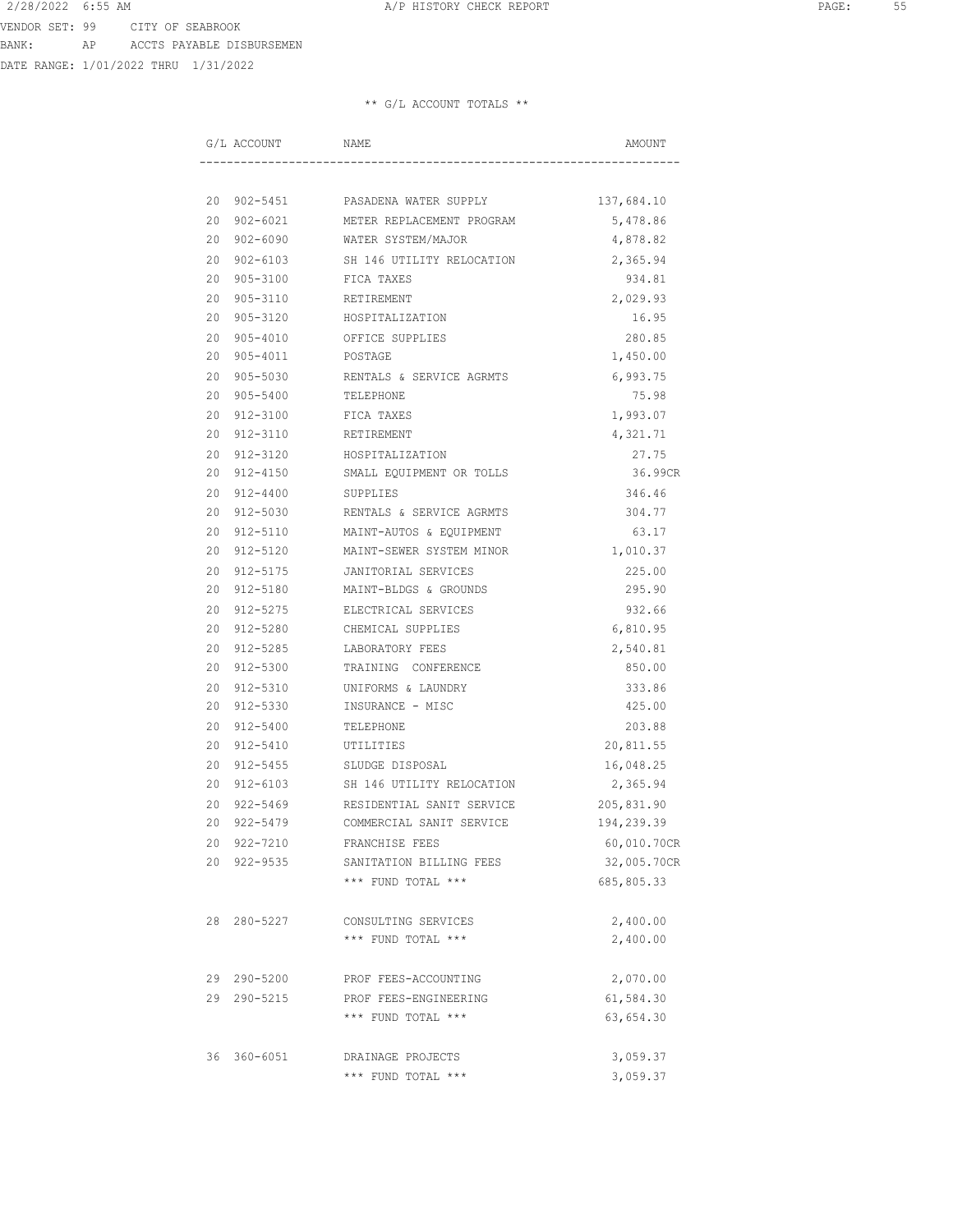DATE RANGE: 1/01/2022 THRU 1/31/2022

|  | G/L ACCOUNT | NAME                                         | AMOUNT      |
|--|-------------|----------------------------------------------|-------------|
|  |             |                                              |             |
|  |             | 20 902-5451 PASADENA WATER SUPPLY 137,684.10 |             |
|  | 20 902-6021 | METER REPLACEMENT PROGRAM                    | 5,478.86    |
|  |             | 20 902-6090 WATER SYSTEM/MAJOR               | 4,878.82    |
|  | 20 902-6103 | SH 146 UTILITY RELOCATION                    | 2,365.94    |
|  | 20 905-3100 | FICA TAXES                                   | 934.81      |
|  | 20 905-3110 | RETIREMENT                                   | 2,029.93    |
|  | 20 905-3120 | HOSPITALIZATION                              | 16.95       |
|  | 20 905-4010 | OFFICE SUPPLIES                              | 280.85      |
|  | 20 905-4011 | POSTAGE                                      | 1,450.00    |
|  | 20 905-5030 | RENTALS & SERVICE AGRMTS                     | 6,993.75    |
|  | 20 905-5400 | TELEPHONE                                    | 75.98       |
|  | 20 912-3100 | FICA TAXES                                   | 1,993.07    |
|  | 20 912-3110 | RETIREMENT                                   | 4,321.71    |
|  | 20 912-3120 | HOSPITALIZATION                              | 27.75       |
|  | 20 912-4150 | SMALL EQUIPMENT OR TOLLS                     | 36.99CR     |
|  | 20 912-4400 | SUPPLIES                                     | 346.46      |
|  | 20 912-5030 | RENTALS & SERVICE AGRMTS                     | 304.77      |
|  | 20 912-5110 | MAINT-AUTOS & EQUIPMENT                      | 63.17       |
|  | 20 912-5120 | MAINT-SEWER SYSTEM MINOR                     | 1,010.37    |
|  | 20 912-5175 | JANITORIAL SERVICES                          | 225.00      |
|  | 20 912-5180 | MAINT-BLDGS & GROUNDS                        | 295.90      |
|  | 20 912-5275 | ELECTRICAL SERVICES                          | 932.66      |
|  | 20 912-5280 | CHEMICAL SUPPLIES                            | 6,810.95    |
|  | 20 912-5285 | LABORATORY FEES                              | 2,540.81    |
|  | 20 912-5300 | TRAINING CONFERENCE                          | 850.00      |
|  | 20 912-5310 | UNIFORMS & LAUNDRY                           | 333.86      |
|  | 20 912-5330 | INSURANCE - MISC                             | 425.00      |
|  | 20 912-5400 | TELEPHONE                                    | 203.88      |
|  | 20 912-5410 | UTILITIES                                    | 20,811.55   |
|  | 20 912-5455 | SLUDGE DISPOSAL                              | 16,048.25   |
|  | 20 912-6103 | SH 146 UTILITY RELOCATION                    | 2,365.94    |
|  | 20 922-5469 | RESIDENTIAL SANIT SERVICE                    | 205,831.90  |
|  | 20 922-5479 | COMMERCIAL SANIT SERVICE                     | 194,239.39  |
|  | 20 922-7210 | FRANCHISE FEES                               | 60,010.70CR |
|  | 20 922-9535 | SANITATION BILLING FEES                      | 32,005.70CR |
|  |             | *** FUND TOTAL ***                           | 685,805.33  |
|  | 28 280-5227 | CONSULTING SERVICES                          | 2,400.00    |
|  |             | *** FUND TOTAL ***                           | 2,400.00    |
|  | 29 290-5200 | PROF FEES-ACCOUNTING                         | 2,070.00    |
|  | 29 290-5215 | PROF FEES-ENGINEERING                        | 61,584.30   |
|  |             | *** FUND TOTAL ***                           | 63,654.30   |
|  | 36 360-6051 | DRAINAGE PROJECTS                            | 3,059.37    |
|  |             | *** FUND TOTAL ***                           | 3,059.37    |
|  |             |                                              |             |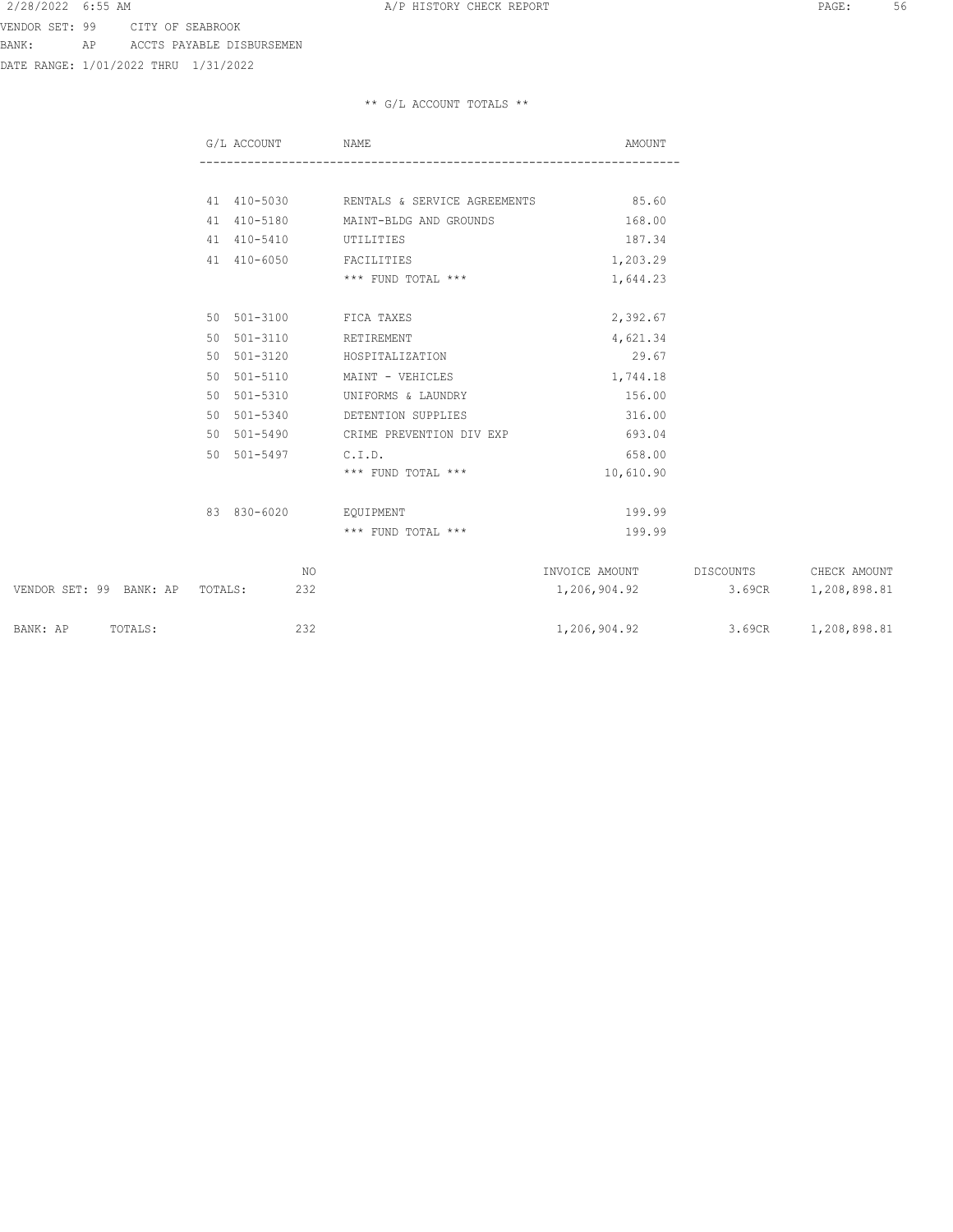DATE RANGE: 1/01/2022 THRU 1/31/2022

|                                 | G/L ACCOUNT |     | NAME                                     | AMOUNT                           |        |                        |
|---------------------------------|-------------|-----|------------------------------------------|----------------------------------|--------|------------------------|
|                                 |             |     |                                          |                                  |        |                        |
|                                 |             |     | 41 410-5030 RENTALS & SERVICE AGREEMENTS | 85.60                            |        |                        |
|                                 |             |     | 41 410-5180 MAINT-BLDG AND GROUNDS       | 168.00                           |        |                        |
|                                 | 41 410-5410 |     | UTILITIES                                | 187.34                           |        |                        |
|                                 | 41 410-6050 |     | FACILITIES                               | 1,203.29                         |        |                        |
|                                 |             |     | *** FUND TOTAL ***                       | 1,644.23                         |        |                        |
|                                 |             |     | 50 501-3100 FICA TAXES                   |                                  |        |                        |
|                                 |             |     |                                          | 2,392.67                         |        |                        |
|                                 | 50 501-3110 |     | RETIREMENT                               | 4,621.34                         |        |                        |
|                                 | 50 501-3120 |     | HOSPITALIZATION                          | 29.67                            |        |                        |
|                                 | 50 501-5110 |     | MAINT - VEHICLES                         | 1,744.18                         |        |                        |
|                                 | 50 501-5310 |     | UNIFORMS & LAUNDRY                       | 156.00                           |        |                        |
|                                 | 50 501-5340 |     | DETENTION SUPPLIES                       | 316.00                           |        |                        |
|                                 | 50 501-5490 |     | CRIME PREVENTION DIV EXP                 | 693.04                           |        |                        |
|                                 | 50 501-5497 |     | C.I.D.                                   | 658.00                           |        |                        |
|                                 |             |     | *** FUND TOTAL ***                       | 10,610.90                        |        |                        |
|                                 | 83 830-6020 |     | EOUIPMENT                                | 199.99                           |        |                        |
|                                 |             |     | *** FUND TOTAL ***                       | 199.99                           |        |                        |
|                                 |             |     |                                          |                                  |        |                        |
|                                 |             | NO  |                                          | INVOICE AMOUNT                   |        | DISCOUNTS CHECK AMOUNT |
| VENDOR SET: 99 BANK: AP TOTALS: |             | 232 |                                          | 1,206,904.92                     | 3.69CR | 1,208,898.81           |
| BANK: AP TOTALS:                |             | 232 |                                          | 1,206,904.92 3.69CR 1,208,898.81 |        |                        |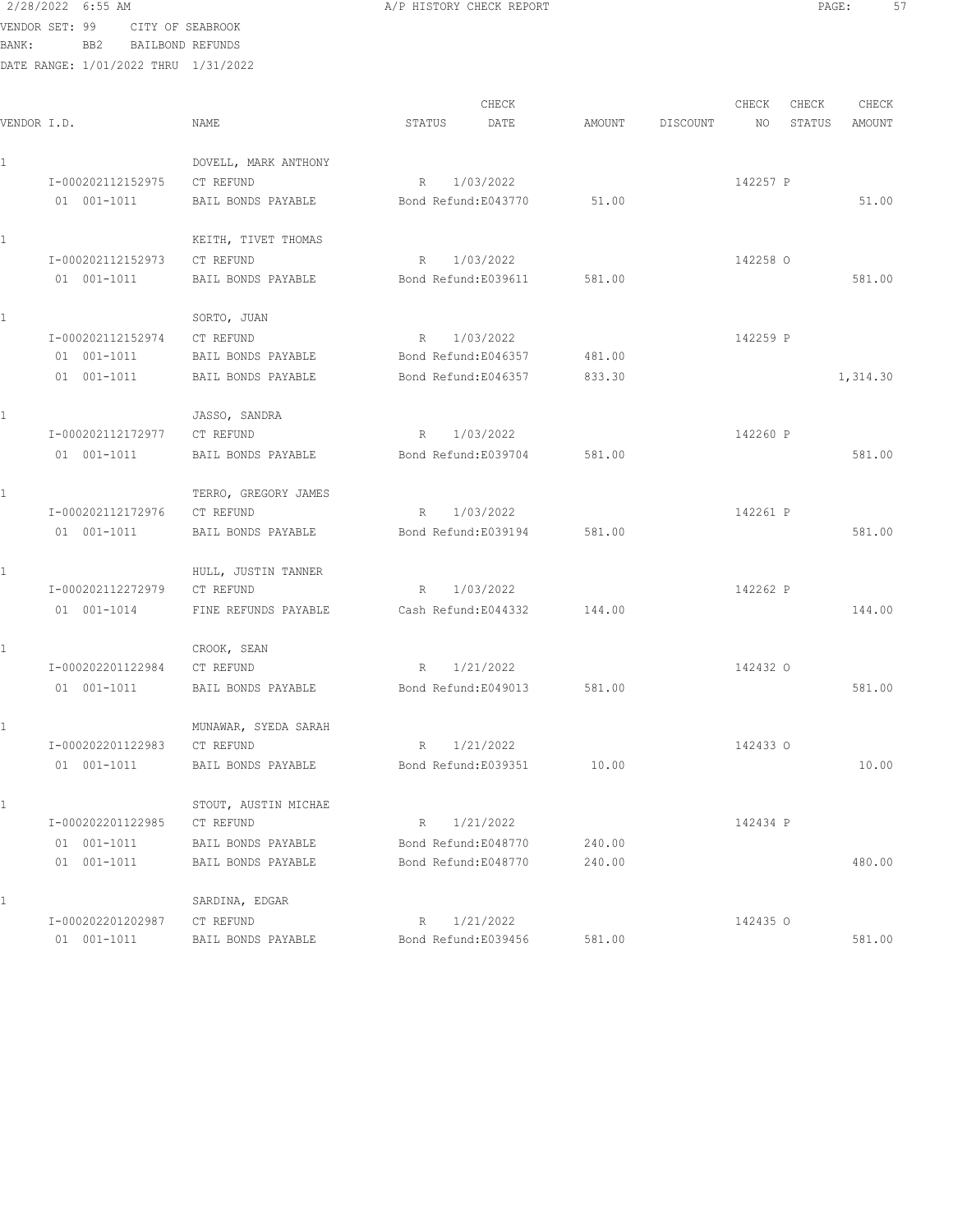2/28/2022 6:55 AM **A/P HISTORY CHECK REPORT PAGE:** 57 VENDOR SET: 99 CITY OF SEABROOK BANK: BB2 BAILBOND REFUNDS DATE RANGE: 1/01/2022 THRU 1/31/2022

|             |                             |                      | CHECK               |        |          | CHECK    | CHECK  | CHECK    |
|-------------|-----------------------------|----------------------|---------------------|--------|----------|----------|--------|----------|
| VENDOR I.D. |                             | NAME                 | STATUS<br>DATE      | AMOUNT | DISCOUNT | NO       | STATUS | AMOUNT   |
|             |                             | DOVELL, MARK ANTHONY |                     |        |          |          |        |          |
|             | I-000202112152975           | CT REFUND            | R 1/03/2022         |        |          | 142257 P |        |          |
|             | 01 001-1011                 | BAIL BONDS PAYABLE   | Bond Refund:E043770 | 51.00  |          |          |        | 51.00    |
|             |                             | KEITH, TIVET THOMAS  |                     |        |          |          |        |          |
|             | I-000202112152973           | CT REFUND            | 1/03/2022<br>R      |        |          | 142258 0 |        |          |
|             | 01 001-1011                 | BAIL BONDS PAYABLE   | Bond Refund:E039611 | 581.00 |          |          |        | 581.00   |
|             |                             | SORTO, JUAN          |                     |        |          |          |        |          |
|             | I-000202112152974           | CT REFUND            | R 1/03/2022         |        |          | 142259 P |        |          |
|             | 01 001-1011                 | BAIL BONDS PAYABLE   | Bond Refund:E046357 | 481.00 |          |          |        |          |
|             | 01 001-1011                 | BAIL BONDS PAYABLE   | Bond Refund:E046357 | 833.30 |          |          |        | 1,314.30 |
|             |                             | JASSO, SANDRA        |                     |        |          |          |        |          |
|             | I-000202112172977           | CT REFUND            | R 1/03/2022         |        |          | 142260 P |        |          |
|             | 01 001-1011                 | BAIL BONDS PAYABLE   | Bond Refund:E039704 | 581.00 |          |          |        | 581.00   |
|             |                             | TERRO, GREGORY JAMES |                     |        |          |          |        |          |
|             | I-000202112172976           | CT REFUND            | R 1/03/2022         |        |          | 142261 P |        |          |
|             | 01 001-1011                 | BAIL BONDS PAYABLE   | Bond Refund:E039194 | 581.00 |          |          |        | 581.00   |
|             |                             | HULL, JUSTIN TANNER  |                     |        |          |          |        |          |
|             | I-000202112272979           | CT REFUND            | R 1/03/2022         |        |          | 142262 P |        |          |
|             | 01 001-1014                 | FINE REFUNDS PAYABLE | Cash Refund:E044332 | 144.00 |          |          |        | 144.00   |
|             |                             | CROOK, SEAN          |                     |        |          |          |        |          |
|             | I-000202201122984 CT REFUND |                      | R 1/21/2022         |        |          | 142432 0 |        |          |
|             | 01 001-1011                 | BAIL BONDS PAYABLE   | Bond Refund:E049013 | 581.00 |          |          |        | 581.00   |
|             |                             | MUNAWAR, SYEDA SARAH |                     |        |          |          |        |          |
|             | I-000202201122983           | CT REFUND            | 1/21/2022<br>R      |        |          | 142433 0 |        |          |
|             | $01 001 - 1011$             | BAIL BONDS PAYABLE   | Bond Refund:E039351 | 10.00  |          |          |        | 10.00    |
|             |                             | STOUT, AUSTIN MICHAE |                     |        |          |          |        |          |
|             | I-000202201122985           | CT REFUND            | 1/21/2022<br>R      |        |          | 142434 P |        |          |
|             | 01 001-1011                 | BAIL BONDS PAYABLE   | Bond Refund:E048770 | 240.00 |          |          |        |          |
|             | 01 001-1011                 | BAIL BONDS PAYABLE   | Bond Refund:E048770 | 240.00 |          |          |        | 480.00   |
|             |                             | SARDINA, EDGAR       |                     |        |          |          |        |          |
|             | I-000202201202987           | CT REFUND            | 1/21/2022<br>R      |        |          | 142435 0 |        |          |
|             | 01 001-1011                 | BAIL BONDS PAYABLE   | Bond Refund:E039456 | 581.00 |          |          |        | 581.00   |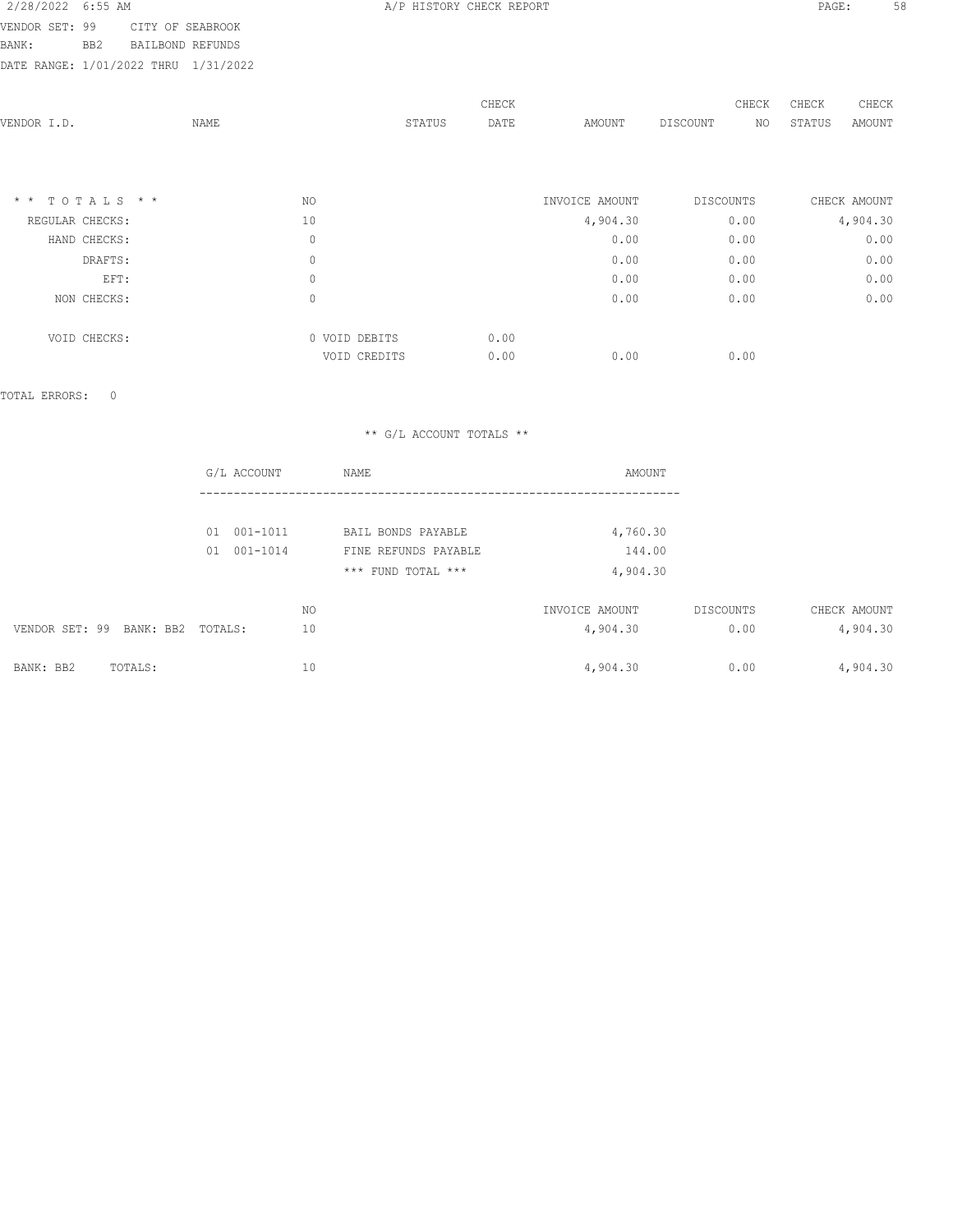2/28/2022 6:55 AM **A/P HISTORY CHECK REPORT PAGE:** 58 VENDOR SET: 99 CITY OF SEABROOK

BANK: BB2 BAILBOND REFUNDS

DATE RANGE: 1/01/2022 THRU 1/31/2022

|                  |      |               |        | CHECK |                | CHECK     | CHECK<br>CHECK         |
|------------------|------|---------------|--------|-------|----------------|-----------|------------------------|
| VENDOR I.D.      | NAME |               | STATUS | DATE  | AMOUNT         | DISCOUNT  | STATUS<br>AMOUNT<br>NO |
|                  |      |               |        |       |                |           |                        |
|                  |      |               |        |       |                |           |                        |
|                  |      |               |        |       |                |           |                        |
| $*$ * TOTALS * * |      | NO            |        |       | INVOICE AMOUNT | DISCOUNTS | CHECK AMOUNT           |
| REGULAR CHECKS:  |      | 10            |        |       | 4,904.30       | 0.00      | 4,904.30               |
| HAND CHECKS:     |      | $\mathbf 0$   |        |       | 0.00           | 0.00      | 0.00                   |
| DRAFTS:          |      | $\mathbb O$   |        |       | 0.00           | 0.00      | 0.00                   |
| EFT:             |      | $\mathbb O$   |        |       | 0.00           | 0.00      | 0.00                   |
| NON CHECKS:      |      | $\mathbb O$   |        |       | 0.00           | 0.00      | 0.00                   |
|                  |      |               |        |       |                |           |                        |
| VOID CHECKS:     |      | 0 VOID DEBITS |        | 0.00  |                |           |                        |
|                  |      | VOID CREDITS  |        | 0.00  | 0.00           | 0.00      |                        |
|                  |      |               |        |       |                |           |                        |

TOTAL ERRORS: 0

|                                     | G/L ACCOUNT        | <b>NAME</b>          | AMOUNT         |           |              |
|-------------------------------------|--------------------|----------------------|----------------|-----------|--------------|
|                                     |                    |                      |                |           |              |
|                                     | $001 - 1011$<br>01 | BAIL BONDS PAYABLE   | 4,760.30       |           |              |
|                                     | $001 - 1014$<br>01 | FINE REFUNDS PAYABLE | 144.00         |           |              |
|                                     |                    | *** FUND TOTAL ***   | 4,904.30       |           |              |
|                                     | NO.                |                      | INVOICE AMOUNT | DISCOUNTS | CHECK AMOUNT |
| VENDOR SET: 99<br>BANK: BB2 TOTALS: | 10                 |                      | 4,904.30       | 0.00      | 4,904.30     |
| BANK: BB2<br>TOTALS:                | 10                 |                      | 4,904.30       | 0.00      | 4,904.30     |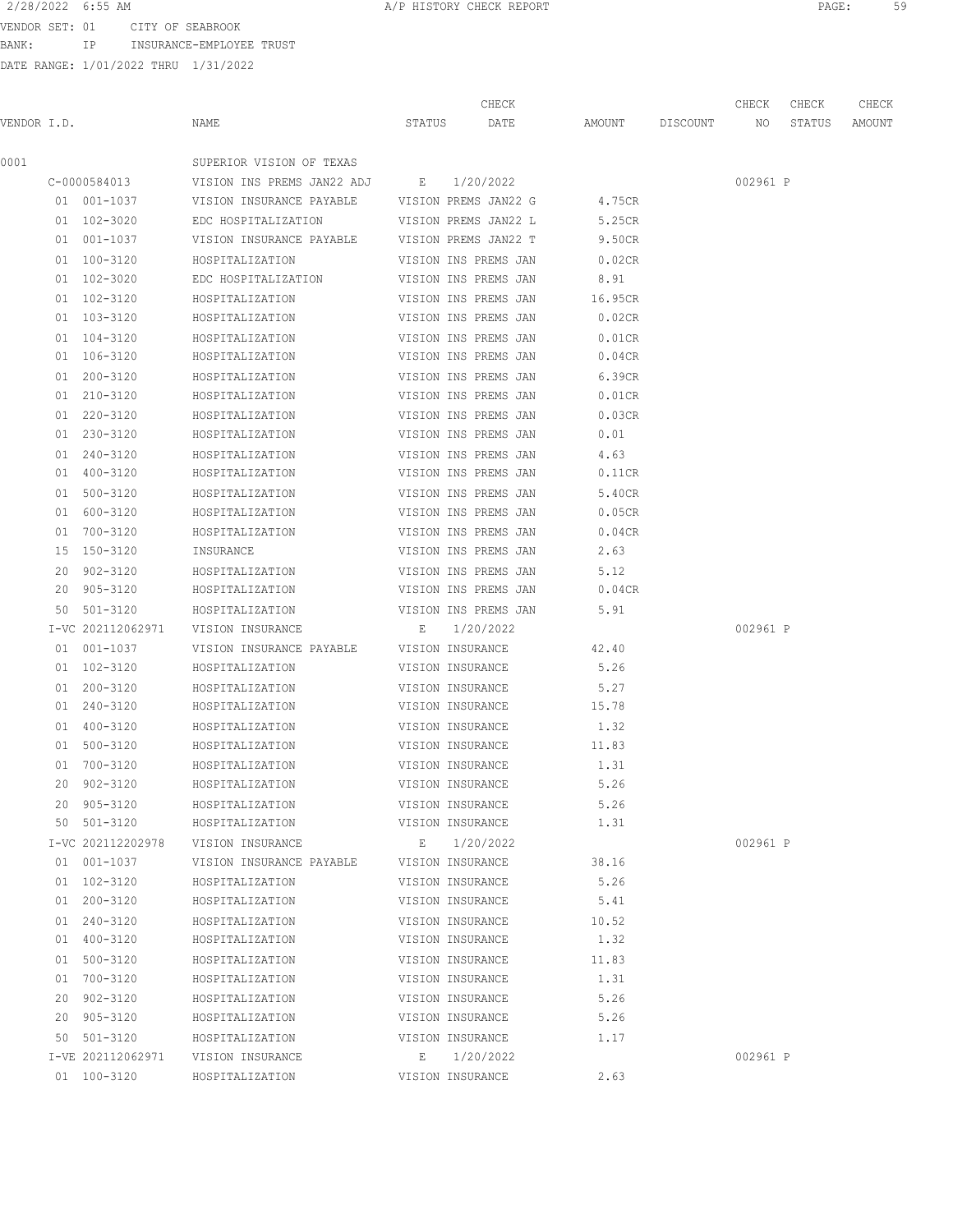VENDOR SET: 01 CITY OF SEABROOK BANK: IP INSURANCE-EMPLOYEE TRUST

|             |                   |                            |                  |           | CHECK                |         |                 | CHECK    | CHECK  | CHECK  |
|-------------|-------------------|----------------------------|------------------|-----------|----------------------|---------|-----------------|----------|--------|--------|
| VENDOR I.D. |                   | NAME                       | STATUS           |           | DATE                 |         | AMOUNT DISCOUNT | NO       | STATUS | AMOUNT |
| 0001        |                   | SUPERIOR VISION OF TEXAS   |                  |           |                      |         |                 |          |        |        |
|             | C-0000584013      | VISION INS PREMS JAN22 ADJ | $\mathbf{E}$     | 1/20/2022 |                      |         |                 | 002961 P |        |        |
|             | 01 001-1037       | VISION INSURANCE PAYABLE   |                  |           | VISION PREMS JAN22 G | 4.75CR  |                 |          |        |        |
|             | 01 102-3020       | EDC HOSPITALIZATION        |                  |           | VISION PREMS JAN22 L | 5.25CR  |                 |          |        |        |
|             | 01 001-1037       | VISION INSURANCE PAYABLE   |                  |           | VISION PREMS JAN22 T | 9.50CR  |                 |          |        |        |
|             | 01 100-3120       | HOSPITALIZATION            |                  |           | VISION INS PREMS JAN | 0.02CR  |                 |          |        |        |
|             | 01 102-3020       | EDC HOSPITALIZATION        |                  |           | VISION INS PREMS JAN | 8.91    |                 |          |        |        |
|             | 01 102-3120       | HOSPITALIZATION            |                  |           | VISION INS PREMS JAN | 16.95CR |                 |          |        |        |
|             | 01 103-3120       | HOSPITALIZATION            |                  |           | VISION INS PREMS JAN | 0.02CR  |                 |          |        |        |
|             | 01 104-3120       | HOSPITALIZATION            |                  |           | VISION INS PREMS JAN | 0.01CR  |                 |          |        |        |
|             | 01 106-3120       | HOSPITALIZATION            |                  |           | VISION INS PREMS JAN | 0.04CR  |                 |          |        |        |
|             | 01 200-3120       | HOSPITALIZATION            |                  |           | VISION INS PREMS JAN | 6.39CR  |                 |          |        |        |
|             | 01 210-3120       | HOSPITALIZATION            |                  |           | VISION INS PREMS JAN | 0.01CR  |                 |          |        |        |
|             | 01 220-3120       | HOSPITALIZATION            |                  |           | VISION INS PREMS JAN | 0.03CR  |                 |          |        |        |
|             | 01 230-3120       | HOSPITALIZATION            |                  |           | VISION INS PREMS JAN | 0.01    |                 |          |        |        |
|             | 01 240-3120       | HOSPITALIZATION            |                  |           | VISION INS PREMS JAN | 4.63    |                 |          |        |        |
|             | 01 400-3120       | HOSPITALIZATION            |                  |           | VISION INS PREMS JAN | 0.11CR  |                 |          |        |        |
|             | 01 500-3120       | HOSPITALIZATION            |                  |           | VISION INS PREMS JAN | 5.40CR  |                 |          |        |        |
|             | 01 600-3120       | HOSPITALIZATION            |                  |           | VISION INS PREMS JAN | 0.05CR  |                 |          |        |        |
|             | 01 700-3120       | HOSPITALIZATION            |                  |           | VISION INS PREMS JAN | 0.04CR  |                 |          |        |        |
|             | 15 150-3120       | INSURANCE                  |                  |           | VISION INS PREMS JAN | 2.63    |                 |          |        |        |
|             | 20 902-3120       | HOSPITALIZATION            |                  |           | VISION INS PREMS JAN | 5.12    |                 |          |        |        |
|             | 20 905-3120       | HOSPITALIZATION            |                  |           | VISION INS PREMS JAN | 0.04CR  |                 |          |        |        |
|             | 50 501-3120       | HOSPITALIZATION            |                  |           | VISION INS PREMS JAN | 5.91    |                 |          |        |        |
|             | I-VC 202112062971 | VISION INSURANCE           | E                | 1/20/2022 |                      |         |                 | 002961 P |        |        |
|             | 01 001-1037       | VISION INSURANCE PAYABLE   | VISION INSURANCE |           |                      | 42.40   |                 |          |        |        |
|             | 01 102-3120       | HOSPITALIZATION            | VISION INSURANCE |           |                      | 5.26    |                 |          |        |        |
|             | 01 200-3120       | HOSPITALIZATION            | VISION INSURANCE |           |                      | 5.27    |                 |          |        |        |
|             | 01 240-3120       | HOSPITALIZATION            | VISION INSURANCE |           |                      | 15.78   |                 |          |        |        |
|             | 01 400-3120       | HOSPITALIZATION            | VISION INSURANCE |           |                      | 1.32    |                 |          |        |        |
|             | 01 500-3120       | HOSPITALIZATION            | VISION INSURANCE |           |                      | 11.83   |                 |          |        |        |
|             | 01 700-3120       | HOSPITALIZATION            | VISION INSURANCE |           |                      | 1.31    |                 |          |        |        |
|             | 20 902-3120       | HOSPITALIZATION            | VISION INSURANCE |           |                      | 5.26    |                 |          |        |        |
|             | 20 905-3120       | HOSPITALIZATION            | VISION INSURANCE |           |                      | 5.26    |                 |          |        |        |
|             | 50 501-3120       | HOSPITALIZATION            | VISION INSURANCE |           |                      | 1.31    |                 |          |        |        |
|             | I-VC 202112202978 | VISION INSURANCE           |                  |           | E 1/20/2022          |         |                 | 002961 P |        |        |
|             | 01 001-1037       | VISION INSURANCE PAYABLE   | VISION INSURANCE |           |                      | 38.16   |                 |          |        |        |
|             | 01 102-3120       | HOSPITALIZATION            | VISION INSURANCE |           |                      | 5.26    |                 |          |        |        |
|             | 01 200-3120       | HOSPITALIZATION            | VISION INSURANCE |           |                      | 5.41    |                 |          |        |        |
|             | 01 240-3120       | HOSPITALIZATION            | VISION INSURANCE |           |                      | 10.52   |                 |          |        |        |
|             | 01 400-3120       | HOSPITALIZATION            | VISION INSURANCE |           |                      | 1.32    |                 |          |        |        |
|             | 01 500-3120       | HOSPITALIZATION            | VISION INSURANCE |           |                      | 11.83   |                 |          |        |        |
|             | 01 700-3120       | HOSPITALIZATION            | VISION INSURANCE |           |                      | 1.31    |                 |          |        |        |
|             | 20 902-3120       | HOSPITALIZATION            | VISION INSURANCE |           |                      | 5.26    |                 |          |        |        |
|             | 20 905-3120       | HOSPITALIZATION            | VISION INSURANCE |           |                      | 5.26    |                 |          |        |        |
|             | 50 501-3120       | HOSPITALIZATION            | VISION INSURANCE |           |                      | 1.17    |                 |          |        |        |
|             | I-VE 202112062971 | VISION INSURANCE           | E                |           | 1/20/2022            |         |                 | 002961 P |        |        |
|             | 01 100-3120       | HOSPITALIZATION            | VISION INSURANCE |           |                      | 2.63    |                 |          |        |        |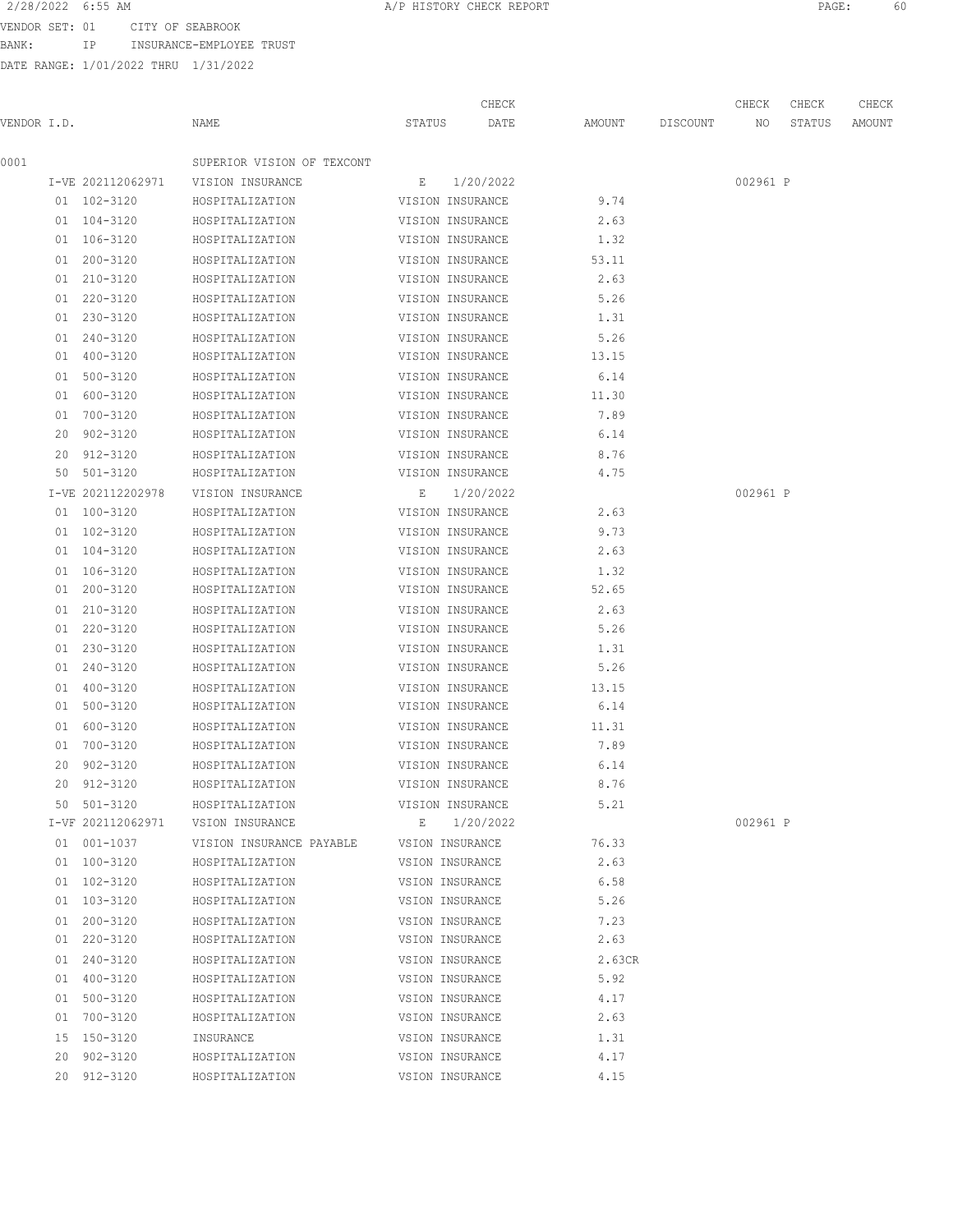BANK: IP INSURANCE-EMPLOYEE TRUST

| 2/28/2022 6:55 AM |    |                                 | A/P HISTORY CHECK REPORT |  | PAGE: |  |
|-------------------|----|---------------------------------|--------------------------|--|-------|--|
|                   |    | VENDOR SET: 01 CITY OF SEABROOK |                          |  |       |  |
| BANK:             | TD | INSURANCE-EMPLOYEE TRUST        |                          |  |       |  |

|             |                   |                            |                  | CHECK       |        |          | CHECK    | CHECK  | CHECK  |
|-------------|-------------------|----------------------------|------------------|-------------|--------|----------|----------|--------|--------|
| VENDOR I.D. |                   | NAME                       | STATUS           | DATE        | AMOUNT | DISCOUNT | NO       | STATUS | AMOUNT |
| 0001        |                   | SUPERIOR VISION OF TEXCONT |                  |             |        |          |          |        |        |
|             | I-VE 202112062971 | VISION INSURANCE           | E 1/20/2022      |             |        |          | 002961 P |        |        |
|             | 01 102-3120       | HOSPITALIZATION            | VISION INSURANCE |             | 9.74   |          |          |        |        |
|             | 01 104-3120       | HOSPITALIZATION            | VISION INSURANCE |             | 2.63   |          |          |        |        |
|             | 01 106-3120       | HOSPITALIZATION            | VISION INSURANCE |             | 1.32   |          |          |        |        |
|             | 01 200-3120       | HOSPITALIZATION            | VISION INSURANCE |             | 53.11  |          |          |        |        |
|             | 01 210-3120       | HOSPITALIZATION            | VISION INSURANCE |             | 2.63   |          |          |        |        |
|             | 01 220-3120       | HOSPITALIZATION            | VISION INSURANCE |             | 5.26   |          |          |        |        |
|             | 01 230-3120       | HOSPITALIZATION            | VISION INSURANCE |             | 1.31   |          |          |        |        |
|             | 01 240-3120       | HOSPITALIZATION            | VISION INSURANCE |             | 5.26   |          |          |        |        |
|             | 01 400-3120       | HOSPITALIZATION            | VISION INSURANCE |             | 13.15  |          |          |        |        |
|             | 01 500-3120       | HOSPITALIZATION            | VISION INSURANCE |             | 6.14   |          |          |        |        |
|             | 01 600-3120       | HOSPITALIZATION            | VISION INSURANCE |             | 11.30  |          |          |        |        |
|             | 01 700-3120       | HOSPITALIZATION            | VISION INSURANCE |             | 7.89   |          |          |        |        |
|             | 20 902-3120       | HOSPITALIZATION            | VISION INSURANCE |             | 6.14   |          |          |        |        |
|             | 20 912-3120       | HOSPITALIZATION            | VISION INSURANCE |             | 8.76   |          |          |        |        |
|             | 50 501-3120       | HOSPITALIZATION            | VISION INSURANCE |             | 4.75   |          |          |        |        |
|             | I-VE 202112202978 | VISION INSURANCE           | Е                | 1/20/2022   |        |          | 002961 P |        |        |
|             | 01 100-3120       | HOSPITALIZATION            | VISION INSURANCE |             | 2.63   |          |          |        |        |
|             | 01 102-3120       | HOSPITALIZATION            | VISION INSURANCE |             | 9.73   |          |          |        |        |
|             | 01 104-3120       | HOSPITALIZATION            | VISION INSURANCE |             | 2.63   |          |          |        |        |
|             | 01 106-3120       | HOSPITALIZATION            | VISION INSURANCE |             | 1.32   |          |          |        |        |
|             | 01 200-3120       | HOSPITALIZATION            | VISION INSURANCE |             | 52.65  |          |          |        |        |
|             | 01 210-3120       | HOSPITALIZATION            | VISION INSURANCE |             | 2.63   |          |          |        |        |
|             | 01 220-3120       | HOSPITALIZATION            | VISION INSURANCE |             | 5.26   |          |          |        |        |
|             | 01 230-3120       | HOSPITALIZATION            | VISION INSURANCE |             | 1.31   |          |          |        |        |
|             | 01 240-3120       | HOSPITALIZATION            | VISION INSURANCE |             | 5.26   |          |          |        |        |
|             | 01 400-3120       | HOSPITALIZATION            | VISION INSURANCE |             | 13.15  |          |          |        |        |
|             | 01 500-3120       | HOSPITALIZATION            | VISION INSURANCE |             | 6.14   |          |          |        |        |
|             | 01 600-3120       | HOSPITALIZATION            | VISION INSURANCE |             | 11.31  |          |          |        |        |
|             | 01 700-3120       | HOSPITALIZATION            | VISION INSURANCE |             | 7.89   |          |          |        |        |
|             | 20 902-3120       | HOSPITALIZATION            | VISION INSURANCE |             | 6.14   |          |          |        |        |
|             | 20 912-3120       | HOSPITALIZATION            | VISION INSURANCE |             | 8.76   |          |          |        |        |
|             | 50 501-3120       | HOSPITALIZATION            | VISION INSURANCE |             | 5.21   |          |          |        |        |
|             | I-VF 202112062971 | VSION INSURANCE            |                  | E 1/20/2022 |        |          | 002961 P |        |        |
|             | 01 001-1037       | VISION INSURANCE PAYABLE   | VSION INSURANCE  |             | 76.33  |          |          |        |        |
|             | 01 100-3120       | HOSPITALIZATION            | VSION INSURANCE  |             | 2.63   |          |          |        |        |
|             | 01 102-3120       | HOSPITALIZATION            | VSION INSURANCE  |             | 6.58   |          |          |        |        |
|             | 01 103-3120       | HOSPITALIZATION            | VSION INSURANCE  |             | 5.26   |          |          |        |        |
|             | 01 200-3120       | HOSPITALIZATION            | VSION INSURANCE  |             | 7.23   |          |          |        |        |
|             | 01 220-3120       | HOSPITALIZATION            | VSION INSURANCE  |             | 2.63   |          |          |        |        |
|             | 01 240-3120       | HOSPITALIZATION            | VSION INSURANCE  |             | 2.63CR |          |          |        |        |
|             | 01 400-3120       | HOSPITALIZATION            | VSION INSURANCE  |             | 5.92   |          |          |        |        |
|             | 01 500-3120       | HOSPITALIZATION            | VSION INSURANCE  |             | 4.17   |          |          |        |        |
|             | 01 700-3120       | HOSPITALIZATION            | VSION INSURANCE  |             | 2.63   |          |          |        |        |
|             | 15 150-3120       | INSURANCE                  | VSION INSURANCE  |             | 1.31   |          |          |        |        |
|             | 20 902-3120       | HOSPITALIZATION            | VSION INSURANCE  |             | 4.17   |          |          |        |        |
|             | 20 912-3120       | HOSPITALIZATION            | VSION INSURANCE  |             | 4.15   |          |          |        |        |
|             |                   |                            |                  |             |        |          |          |        |        |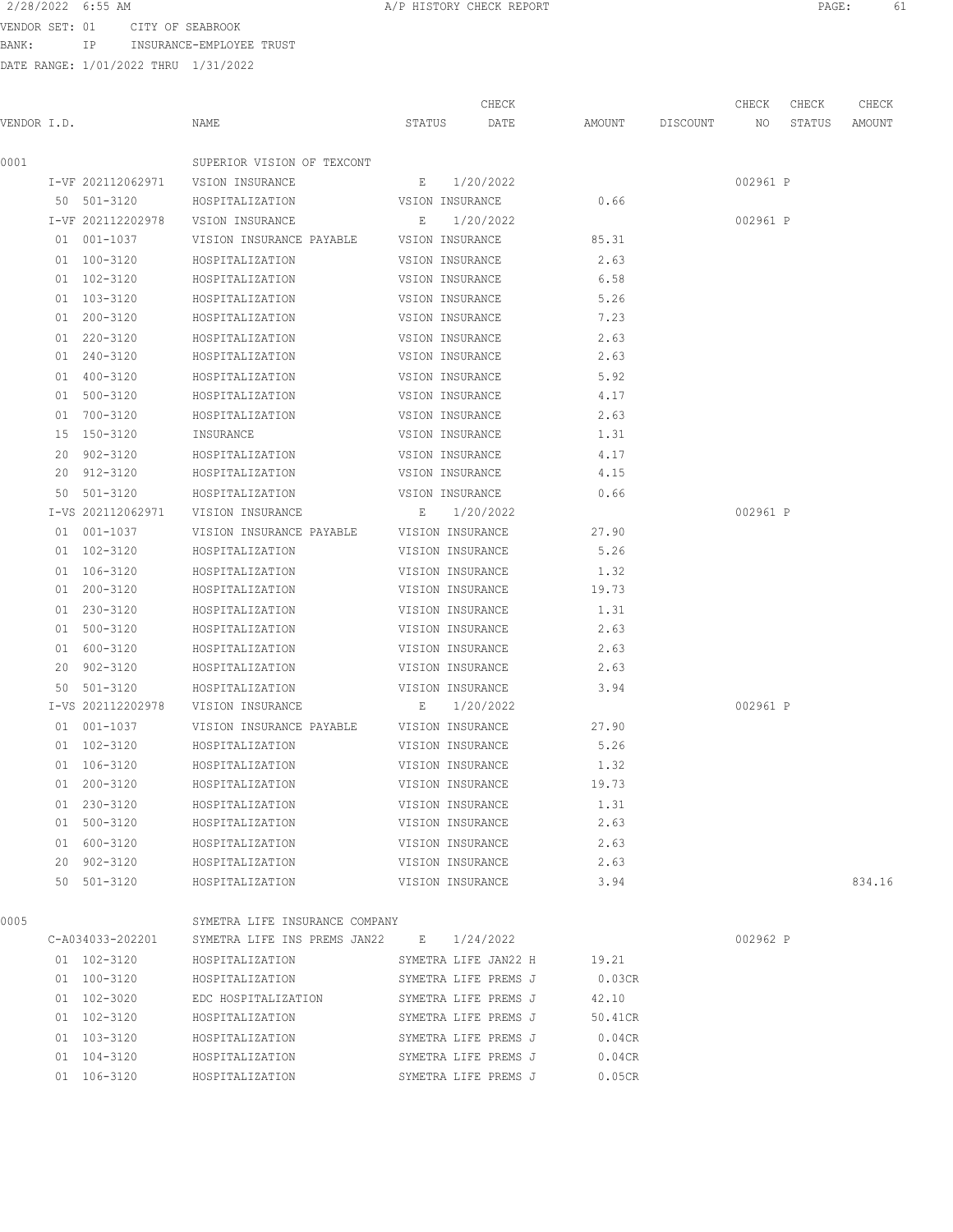BANK: IP INSURANCE-EMPLOYEE TRUST

| 2/28/2022 6:55 AM |       |                                 | A/P HISTORY CHECK REPORT | PAGE: |  |
|-------------------|-------|---------------------------------|--------------------------|-------|--|
|                   |       | VENDOR SET: 01 CITY OF SEABROOK |                          |       |  |
| RANK •            | T D . | INSURANCE-EMPLOYEE TRUST        |                          |       |  |

|             |                   |                                |                  | CHECK                |         |          | CHECK    | CHECK  | CHECK  |
|-------------|-------------------|--------------------------------|------------------|----------------------|---------|----------|----------|--------|--------|
| VENDOR I.D. |                   | NAME                           | STATUS           | DATE                 | AMOUNT  | DISCOUNT | NO       | STATUS | AMOUNT |
| 0001        |                   | SUPERIOR VISION OF TEXCONT     |                  |                      |         |          |          |        |        |
|             | I-VF 202112062971 | VSION INSURANCE                | E                | 1/20/2022            |         |          | 002961 P |        |        |
|             | 50 501-3120       | HOSPITALIZATION                | VSION INSURANCE  |                      | 0.66    |          |          |        |        |
|             | I-VF 202112202978 | VSION INSURANCE                | E                | 1/20/2022            |         |          | 002961 P |        |        |
|             | 01 001-1037       | VISION INSURANCE PAYABLE       | VSION INSURANCE  |                      | 85.31   |          |          |        |        |
|             | 01 100-3120       | HOSPITALIZATION                | VSION INSURANCE  |                      | 2.63    |          |          |        |        |
|             | 01 102-3120       | HOSPITALIZATION                | VSION INSURANCE  |                      | 6.58    |          |          |        |        |
|             | 01 103-3120       | HOSPITALIZATION                | VSION INSURANCE  |                      | 5.26    |          |          |        |        |
|             | 01 200-3120       | HOSPITALIZATION                | VSION INSURANCE  |                      | 7.23    |          |          |        |        |
|             | 01 220-3120       | HOSPITALIZATION                | VSION INSURANCE  |                      | 2.63    |          |          |        |        |
|             | 01 240-3120       | HOSPITALIZATION                | VSION INSURANCE  |                      | 2.63    |          |          |        |        |
|             | 01 400-3120       | HOSPITALIZATION                | VSION INSURANCE  |                      | 5.92    |          |          |        |        |
|             | 01 500-3120       | HOSPITALIZATION                | VSION INSURANCE  |                      | 4.17    |          |          |        |        |
|             | 01 700-3120       | HOSPITALIZATION                | VSION INSURANCE  |                      | 2.63    |          |          |        |        |
|             | 15 150-3120       | INSURANCE                      | VSION INSURANCE  |                      | 1.31    |          |          |        |        |
|             | 20 902-3120       | HOSPITALIZATION                | VSION INSURANCE  |                      | 4.17    |          |          |        |        |
|             | 20 912-3120       | HOSPITALIZATION                | VSION INSURANCE  |                      | 4.15    |          |          |        |        |
|             | 50 501-3120       | HOSPITALIZATION                | VSION INSURANCE  |                      | 0.66    |          |          |        |        |
|             | I-VS 202112062971 | VISION INSURANCE               |                  | E 1/20/2022          |         |          | 002961 P |        |        |
|             | 01 001-1037       | VISION INSURANCE PAYABLE       | VISION INSURANCE |                      | 27.90   |          |          |        |        |
|             | 01 102-3120       | HOSPITALIZATION                | VISION INSURANCE |                      | 5.26    |          |          |        |        |
|             | 01 106-3120       | HOSPITALIZATION                | VISION INSURANCE |                      | 1.32    |          |          |        |        |
|             | 01 200-3120       | HOSPITALIZATION                | VISION INSURANCE |                      | 19.73   |          |          |        |        |
|             | 01 230-3120       | HOSPITALIZATION                | VISION INSURANCE |                      | 1.31    |          |          |        |        |
|             | 01 500-3120       | HOSPITALIZATION                | VISION INSURANCE |                      | 2.63    |          |          |        |        |
|             | 01 600-3120       | HOSPITALIZATION                | VISION INSURANCE |                      | 2.63    |          |          |        |        |
|             | 20 902-3120       | HOSPITALIZATION                | VISION INSURANCE |                      | 2.63    |          |          |        |        |
|             | 50 501-3120       | HOSPITALIZATION                | VISION INSURANCE |                      | 3.94    |          |          |        |        |
|             | I-VS 202112202978 | VISION INSURANCE               |                  | $E = 1/20/2022$      |         |          | 002961 P |        |        |
|             | 01 001-1037       | VISION INSURANCE PAYABLE       | VISION INSURANCE |                      | 27.90   |          |          |        |        |
|             | 01 102-3120       | HOSPITALIZATION                | VISION INSURANCE |                      | 5.26    |          |          |        |        |
|             | 01 106-3120       | HOSPITALIZATION                | VISION INSURANCE |                      | 1.32    |          |          |        |        |
|             | 01 200-3120       | HOSPITALIZATION                | VISION INSURANCE |                      | 19.73   |          |          |        |        |
|             | 01 230-3120       | HOSPITALIZATION                | VISION INSURANCE |                      | 1.31    |          |          |        |        |
|             | 01 500-3120       | HOSPITALIZATION                | VISION INSURANCE |                      | 2.63    |          |          |        |        |
|             | 01 600-3120       | HOSPITALIZATION                | VISION INSURANCE |                      | 2.63    |          |          |        |        |
|             | 20 902-3120       | HOSPITALIZATION                | VISION INSURANCE |                      | 2.63    |          |          |        |        |
|             | 50 501-3120       | HOSPITALIZATION                | VISION INSURANCE |                      | 3.94    |          |          |        | 834.16 |
|             |                   |                                |                  |                      |         |          |          |        |        |
| 0005        |                   | SYMETRA LIFE INSURANCE COMPANY |                  |                      |         |          |          |        |        |
|             | C-A034033-202201  | SYMETRA LIFE INS PREMS JAN22   |                  | $E = 1/24/2022$      |         |          | 002962 P |        |        |
|             | 01 102-3120       | HOSPITALIZATION                |                  | SYMETRA LIFE JAN22 H | 19.21   |          |          |        |        |
|             | 01 100-3120       | HOSPITALIZATION                |                  | SYMETRA LIFE PREMS J | 0.03CR  |          |          |        |        |
|             | 01 102-3020       | EDC HOSPITALIZATION            |                  | SYMETRA LIFE PREMS J | 42.10   |          |          |        |        |
|             | 01 102-3120       | HOSPITALIZATION                |                  | SYMETRA LIFE PREMS J | 50.41CR |          |          |        |        |
|             | 01 103-3120       | HOSPITALIZATION                |                  | SYMETRA LIFE PREMS J | 0.04CR  |          |          |        |        |
|             | 01 104-3120       | HOSPITALIZATION                |                  | SYMETRA LIFE PREMS J | 0.04CR  |          |          |        |        |
|             | 01 106-3120       | HOSPITALIZATION                |                  | SYMETRA LIFE PREMS J | 0.05CR  |          |          |        |        |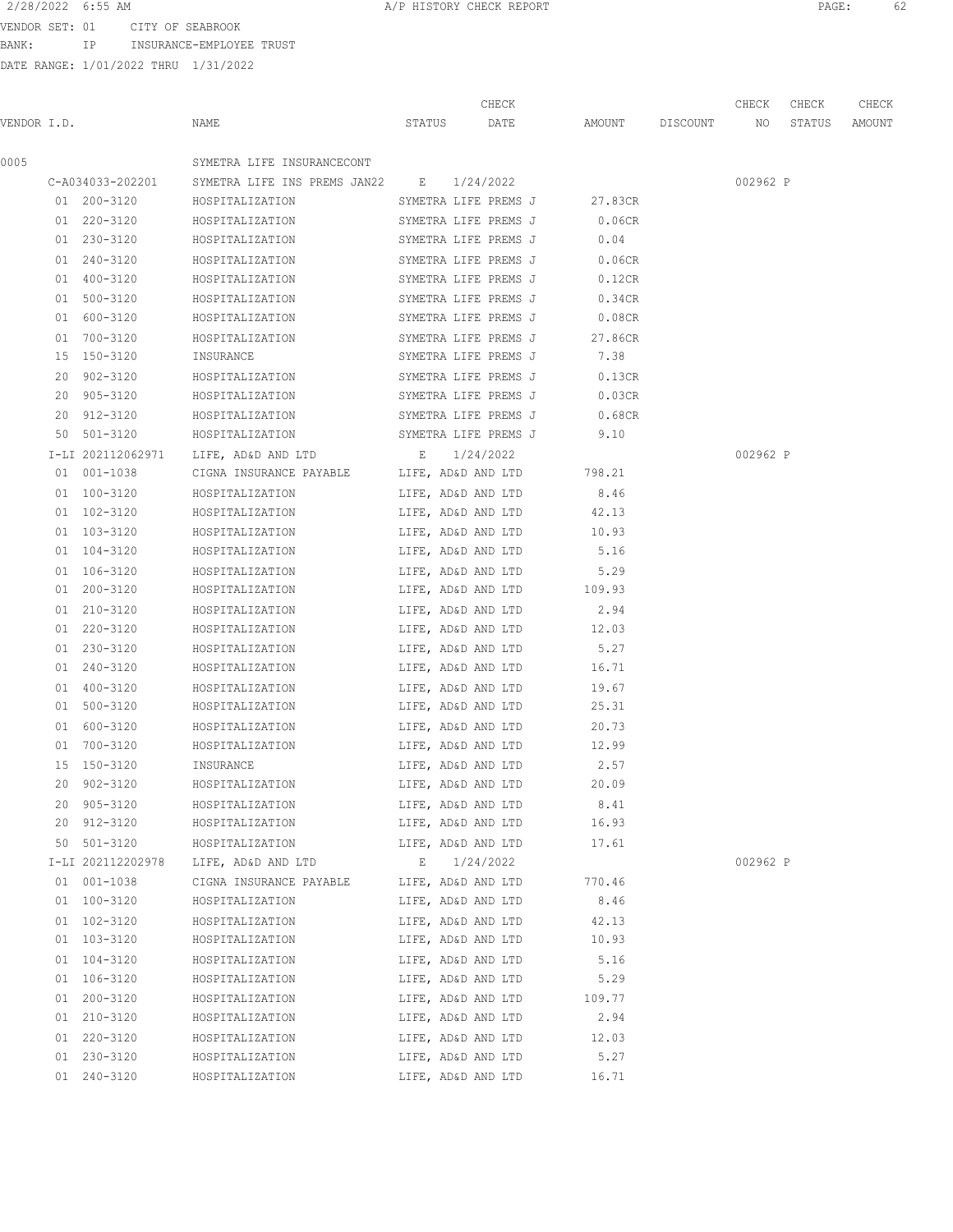BANK: IP INSURANCE-EMPLOYEE TRUST

|             |                   |                                                           | CHECK                    |                    | CHECK    | CHECK  | CHECK  |
|-------------|-------------------|-----------------------------------------------------------|--------------------------|--------------------|----------|--------|--------|
| VENDOR I.D. |                   | NAME                                                      | STATUS DATE              | AMOUNT DISCOUNT NO |          | STATUS | AMOUNT |
| 0005        |                   | SYMETRA LIFE INSURANCECONT                                |                          |                    |          |        |        |
|             |                   | C-A034033-202201 SYMETRA LIFE INS PREMS JAN22 E 1/24/2022 |                          |                    | 002962 P |        |        |
|             | 01 200-3120       | HOSPITALIZATION SYMETRA LIFE PREMS J                      |                          | 27.83CR            |          |        |        |
|             | 01 220-3120       | HOSPITALIZATION SYMETRA LIFE PREMS J 0.06CR               |                          |                    |          |        |        |
|             | 01 230-3120       | HOSPITALIZATION SYMETRA LIFE PREMS J                      |                          | 0.04               |          |        |        |
|             | 01 240-3120       | HOSPITALIZATION                                           | SYMETRA LIFE PREMS J     | 0.06CR             |          |        |        |
|             | 01 400-3120       | HOSPITALIZATION                                           | SYMETRA LIFE PREMS J     | 0.12CR             |          |        |        |
|             | 01 500-3120       | HOSPITALIZATION                                           | SYMETRA LIFE PREMS J     | 0.34CR             |          |        |        |
|             | 01 600-3120       | HOSPITALIZATION                                           | SYMETRA LIFE PREMS J     | $0.08$ CR          |          |        |        |
|             | 01 700-3120       | HOSPITALIZATION                                           | SYMETRA LIFE PREMS J     | 27.86CR            |          |        |        |
|             | 15 150-3120       | INSURANCE                                                 | SYMETRA LIFE PREMS J     | 7.38               |          |        |        |
|             | 20 902-3120       | HOSPITALIZATION                                           | SYMETRA LIFE PREMS J     | 0.13CR             |          |        |        |
|             | 20 905-3120       | HOSPITALIZATION                                           | SYMETRA LIFE PREMS J     | 0.03CR             |          |        |        |
|             | 20 912-3120       | HOSPITALIZATION SYMETRA LIFE PREMS J                      |                          | 0.68CR             |          |        |        |
|             | 50 501-3120       | HOSPITALIZATION SYMETRA LIFE PREMS J                      |                          | 9.10               |          |        |        |
|             | I-LI 202112062971 | LIFE, AD&D AND LTD $E = 1/24/2022$                        |                          |                    | 002962 P |        |        |
|             | 01 001-1038       | CIGNA INSURANCE PAYABLE LIFE, AD&D AND LTD 798.21         |                          |                    |          |        |        |
|             | 01 100-3120       | HOSPITALIZATION                                           | LIFE, AD&D AND LTD       | 8.46               |          |        |        |
|             | 01 102-3120       | HOSPITALIZATION                                           | LIFE, AD&D AND LTD       | 42.13              |          |        |        |
|             | 01 103-3120       | HOSPITALIZATION                                           | LIFE, AD&D AND LTD       | 10.93              |          |        |        |
|             | 01 104-3120       | HOSPITALIZATION                                           | LIFE, AD&D AND LTD       | 5.16               |          |        |        |
|             | 01 106-3120       | HOSPITALIZATION                                           | LIFE, AD&D AND LTD       | 5.29               |          |        |        |
|             | 01 200-3120       | HOSPITALIZATION                                           | LIFE, AD&D AND LTD       | 109.93             |          |        |        |
|             | 01 210-3120       | HOSPITALIZATION                                           | LIFE, AD&D AND LTD       | 2.94               |          |        |        |
|             | 01 220-3120       | HOSPITALIZATION                                           | LIFE, AD&D AND LTD 12.03 |                    |          |        |        |
|             | 01 230-3120       | HOSPITALIZATION                                           | LIFE, AD&D AND LTD       | 5.27               |          |        |        |
|             | 01 240-3120       | HOSPITALIZATION                                           | LIFE, AD&D AND LTD 16.71 |                    |          |        |        |
|             | 01 400-3120       | HOSPITALIZATION                                           | LIFE, AD&D AND LTD 19.67 |                    |          |        |        |
|             | 01 500-3120       | HOSPITALIZATION                                           | LIFE, AD&D AND LTD       | 25.31              |          |        |        |
|             | 01 600-3120       | HOSPITALIZATION                                           | LIFE, AD&D AND LTD       | 20.73              |          |        |        |
|             | 01 700-3120       | HOSPITALIZATION                                           | LIFE, AD&D AND LTD       | 12.99              |          |        |        |
|             | 15 150-3120       | INSURANCE                                                 | LIFE, AD&D AND LTD       | 2.57               |          |        |        |
|             | 20 902-3120       | HOSPITALIZATION                                           | LIFE, AD&D AND LTD       | 20.09              |          |        |        |
|             | 20 905-3120       | HOSPITALIZATION                                           | LIFE, AD&D AND LTD       | 8.41               |          |        |        |
|             | 20 912-3120       | HOSPITALIZATION                                           | LIFE, AD&D AND LTD       | 16.93              |          |        |        |
|             | 50 501-3120       | HOSPITALIZATION                                           | LIFE, AD&D AND LTD       | 17.61              |          |        |        |
|             | I-LI 202112202978 | LIFE, AD&D AND LTD                                        | $E = 1/24/2022$          |                    | 002962 P |        |        |
|             | 01 001-1038       | CIGNA INSURANCE PAYABLE LIFE, AD&D AND LTD 770.46         |                          |                    |          |        |        |
|             | 01 100-3120       | HOSPITALIZATION                                           | LIFE, AD&D AND LTD       | 8.46               |          |        |        |
|             | 01 102-3120       | HOSPITALIZATION LIFE, AD&D AND LTD                        |                          | 42.13              |          |        |        |
|             | 01 103-3120       | HOSPITALIZATION                                           | LIFE, AD&D AND LTD       | 10.93              |          |        |        |
|             | 01 104-3120       | HOSPITALIZATION                                           | LIFE, AD&D AND LTD       | 5.16               |          |        |        |
|             | 01 106-3120       | HOSPITALIZATION                                           | LIFE, AD&D AND LTD       | 5.29               |          |        |        |
|             | 01 200-3120       | HOSPITALIZATION                                           | LIFE, AD&D AND LTD       | 109.77             |          |        |        |
|             | 01 210-3120       | HOSPITALIZATION                                           | LIFE, AD&D AND LTD       | 2.94               |          |        |        |
|             | 01 220-3120       | HOSPITALIZATION                                           | LIFE, AD&D AND LTD       | 12.03              |          |        |        |
|             | 01 230-3120       | HOSPITALIZATION                                           | LIFE, AD&D AND LTD       | 5.27               |          |        |        |
|             | 01 240-3120       | HOSPITALIZATION                                           | LIFE, AD&D AND LTD       | 16.71              |          |        |        |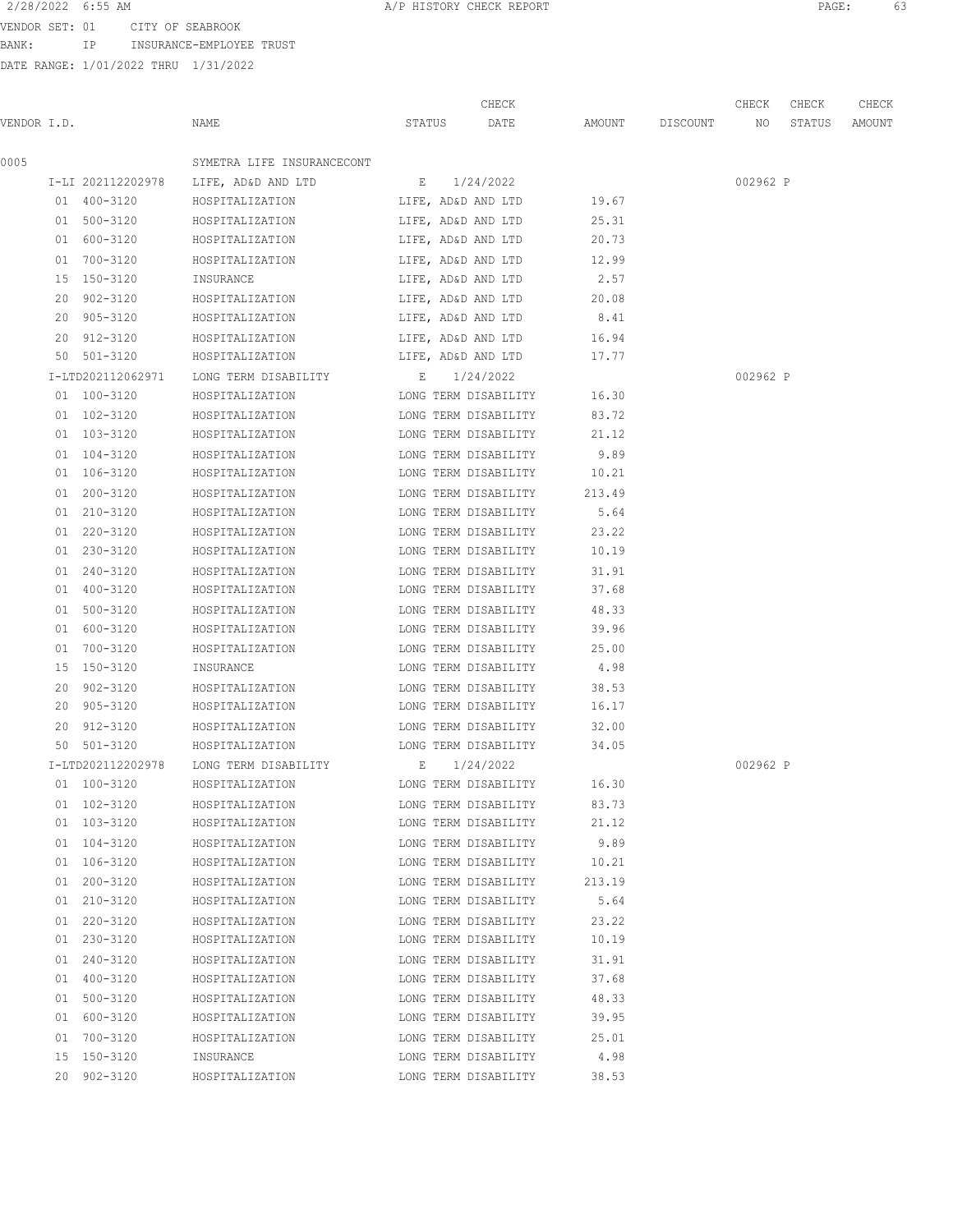VENDOR SET: 01 CITY OF SEABROOK BANK: IP INSURANCE-EMPLOYEE TRUST

|             |                   |                                      |        | CHECK                |                    | CHECK    | CHECK  | CHECK  |
|-------------|-------------------|--------------------------------------|--------|----------------------|--------------------|----------|--------|--------|
| VENDOR I.D. |                   | NAME                                 | STATUS | DATE                 | AMOUNT DISCOUNT NO |          | STATUS | AMOUNT |
| 0005        |                   | SYMETRA LIFE INSURANCECONT           |        |                      |                    |          |        |        |
|             |                   | I-LI 202112202978 LIFE, AD&D AND LTD |        | E 1/24/2022          |                    | 002962 P |        |        |
|             | 01 400-3120       | HOSPITALIZATION                      |        | LIFE, AD&D AND LTD   | 19.67              |          |        |        |
|             | 01 500-3120       | HOSPITALIZATION                      |        | LIFE, AD&D AND LTD   | 25.31              |          |        |        |
|             | 01 600-3120       | HOSPITALIZATION                      |        | LIFE, AD&D AND LTD   | 20.73              |          |        |        |
|             | 01 700-3120       | HOSPITALIZATION                      |        | LIFE, AD&D AND LTD   | 12.99              |          |        |        |
|             | 15 150-3120       | INSURANCE                            |        | LIFE, AD&D AND LTD   | 2.57               |          |        |        |
|             | 20 902-3120       | HOSPITALIZATION                      |        | LIFE, AD&D AND LTD   | 20.08              |          |        |        |
|             | 20 905-3120       | HOSPITALIZATION                      |        | LIFE, AD&D AND LTD   | 8.41               |          |        |        |
|             | 20 912-3120       | HOSPITALIZATION                      |        | LIFE, AD&D AND LTD   | 16.94              |          |        |        |
|             | 50 501-3120       | HOSPITALIZATION                      |        | LIFE, AD&D AND LTD   | 17.77              |          |        |        |
|             | I-LTD202112062971 | LONG TERM DISABILITY                 |        | E 1/24/2022          |                    | 002962 P |        |        |
|             | 01 100-3120       | HOSPITALIZATION                      |        | LONG TERM DISABILITY | 16.30              |          |        |        |
|             | 01 102-3120       | HOSPITALIZATION                      |        | LONG TERM DISABILITY | 83.72              |          |        |        |
|             | 01 103-3120       | HOSPITALIZATION                      |        | LONG TERM DISABILITY | 21.12              |          |        |        |
|             | 01 104-3120       | HOSPITALIZATION                      |        | LONG TERM DISABILITY | 9.89               |          |        |        |
|             | 01 106-3120       | HOSPITALIZATION                      |        | LONG TERM DISABILITY | 10.21              |          |        |        |
|             | 01 200-3120       | HOSPITALIZATION                      |        | LONG TERM DISABILITY | 213.49             |          |        |        |
|             | 01 210-3120       | HOSPITALIZATION                      |        | LONG TERM DISABILITY | 5.64               |          |        |        |
|             | 01 220-3120       | HOSPITALIZATION                      |        | LONG TERM DISABILITY | 23.22              |          |        |        |
|             | 01 230-3120       | HOSPITALIZATION                      |        | LONG TERM DISABILITY | 10.19              |          |        |        |
|             | 01 240-3120       | HOSPITALIZATION                      |        | LONG TERM DISABILITY | 31.91              |          |        |        |
|             | 01 400-3120       | HOSPITALIZATION                      |        | LONG TERM DISABILITY | 37.68              |          |        |        |
|             | 01 500-3120       | HOSPITALIZATION                      |        | LONG TERM DISABILITY | 48.33              |          |        |        |
|             | 01 600-3120       | HOSPITALIZATION                      |        | LONG TERM DISABILITY | 39.96              |          |        |        |
|             | 01 700-3120       | HOSPITALIZATION                      |        | LONG TERM DISABILITY | 25.00              |          |        |        |
|             | 15 150-3120       | INSURANCE                            |        | LONG TERM DISABILITY | 4.98               |          |        |        |
|             | 20 902-3120       | HOSPITALIZATION                      |        | LONG TERM DISABILITY | 38.53              |          |        |        |
|             | 20 905-3120       | HOSPITALIZATION                      |        | LONG TERM DISABILITY | 16.17              |          |        |        |
|             | 20 912-3120       | HOSPITALIZATION                      |        | LONG TERM DISABILITY | 32.00              |          |        |        |
|             | 50 501-3120       | HOSPITALIZATION                      |        | LONG TERM DISABILITY | 34.05              |          |        |        |
|             | I-LTD202112202978 | LONG TERM DISABILITY E 1/24/2022     |        |                      |                    | 002962 P |        |        |
|             | 01 100-3120       | HOSPITALIZATION                      |        | LONG TERM DISABILITY | 16.30              |          |        |        |
|             | 01 102-3120       | HOSPITALIZATION                      |        | LONG TERM DISABILITY | 83.73              |          |        |        |
|             | 01 103-3120       | HOSPITALIZATION                      |        | LONG TERM DISABILITY | 21.12              |          |        |        |
|             | 01 104-3120       | HOSPITALIZATION                      |        | LONG TERM DISABILITY | 9.89               |          |        |        |
|             | 01 106-3120       | HOSPITALIZATION                      |        | LONG TERM DISABILITY | 10.21              |          |        |        |
|             | 01 200-3120       | HOSPITALIZATION                      |        | LONG TERM DISABILITY | 213.19             |          |        |        |
|             | 01 210-3120       | HOSPITALIZATION                      |        | LONG TERM DISABILITY | 5.64               |          |        |        |
|             | 01 220-3120       | HOSPITALIZATION                      |        | LONG TERM DISABILITY | 23.22              |          |        |        |
|             | 01 230-3120       | HOSPITALIZATION                      |        | LONG TERM DISABILITY | 10.19              |          |        |        |
|             | 01 240-3120       | HOSPITALIZATION                      |        | LONG TERM DISABILITY | 31.91              |          |        |        |
|             | 01 400-3120       | HOSPITALIZATION                      |        | LONG TERM DISABILITY | 37.68              |          |        |        |
|             | 01 500-3120       | HOSPITALIZATION                      |        | LONG TERM DISABILITY | 48.33              |          |        |        |
|             | 01 600-3120       | HOSPITALIZATION                      |        | LONG TERM DISABILITY | 39.95              |          |        |        |
|             | 01 700-3120       | HOSPITALIZATION                      |        | LONG TERM DISABILITY | 25.01              |          |        |        |
|             | 15 150-3120       | INSURANCE                            |        | LONG TERM DISABILITY | 4.98               |          |        |        |
|             | 20 902-3120       | HOSPITALIZATION                      |        | LONG TERM DISABILITY | 38.53              |          |        |        |
|             |                   |                                      |        |                      |                    |          |        |        |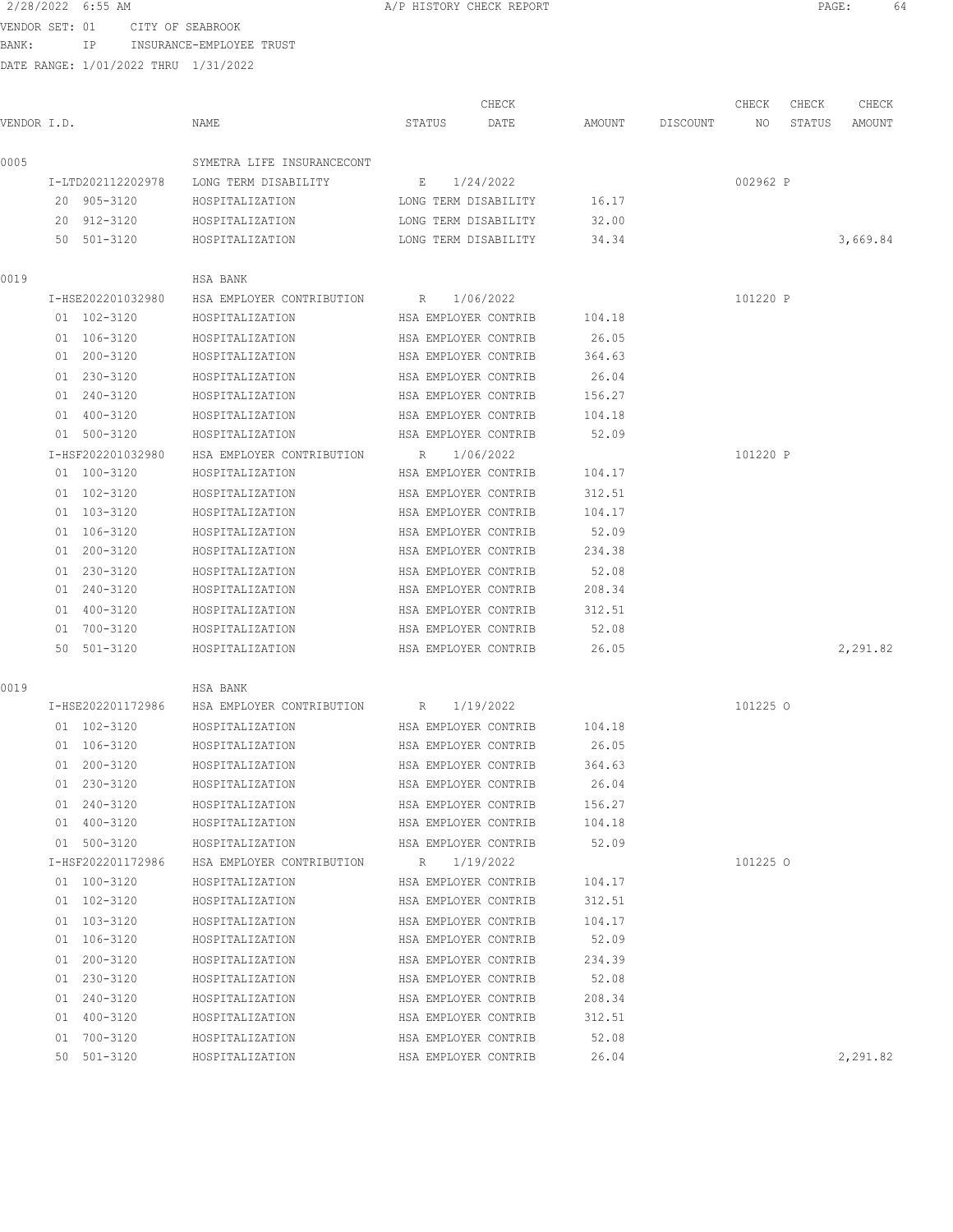BANK: IP INSURANCE-EMPLOYEE TRUST

| 2/28/2022 6:55 AM |                  | A/P HISTORY CHECK REPORT | PAGE. |  |
|-------------------|------------------|--------------------------|-------|--|
| VENDOR SET 01     | CITY OF SEARROOK |                          |       |  |

| VENDOR I.D. |                   | NAME                        | STATUS               | CHECK<br>DATE        | AMOUNT | DISCOUNT | CHECK<br>NO. | CHECK<br>STATUS | CHECK<br>AMOUNT |
|-------------|-------------------|-----------------------------|----------------------|----------------------|--------|----------|--------------|-----------------|-----------------|
| 0005        |                   | SYMETRA LIFE INSURANCECONT  |                      |                      |        |          |              |                 |                 |
|             | I-LTD202112202978 | LONG TERM DISABILITY        | E                    | 1/24/2022            |        |          | 002962 P     |                 |                 |
|             | 20 905-3120       | HOSPITALIZATION             |                      | LONG TERM DISABILITY | 16.17  |          |              |                 |                 |
|             | 20 912-3120       | HOSPITALIZATION             |                      | LONG TERM DISABILITY | 32.00  |          |              |                 |                 |
|             | 50 501-3120       | HOSPITALIZATION             |                      | LONG TERM DISABILITY | 34.34  |          |              |                 | 3,669.84        |
| 0019        |                   | HSA BANK                    |                      |                      |        |          |              |                 |                 |
|             | I-HSE202201032980 | HSA EMPLOYER CONTRIBUTION R |                      | 1/06/2022            |        |          | 101220 P     |                 |                 |
|             | 01 102-3120       | HOSPITALIZATION             | HSA EMPLOYER CONTRIB |                      | 104.18 |          |              |                 |                 |
|             | 01 106-3120       | HOSPITALIZATION             |                      | HSA EMPLOYER CONTRIB | 26.05  |          |              |                 |                 |
|             | 01 200-3120       | HOSPITALIZATION             |                      | HSA EMPLOYER CONTRIB | 364.63 |          |              |                 |                 |
|             | 01 230-3120       | HOSPITALIZATION             |                      | HSA EMPLOYER CONTRIB | 26.04  |          |              |                 |                 |
|             | 01 240-3120       | HOSPITALIZATION             |                      | HSA EMPLOYER CONTRIB | 156.27 |          |              |                 |                 |
|             | 01 400-3120       | HOSPITALIZATION             |                      | HSA EMPLOYER CONTRIB | 104.18 |          |              |                 |                 |
|             | 01 500-3120       | HOSPITALIZATION             |                      | HSA EMPLOYER CONTRIB | 52.09  |          |              |                 |                 |
|             | I-HSF202201032980 | HSA EMPLOYER CONTRIBUTION   | $R_{\rm c}$          | 1/06/2022            |        |          | 101220 P     |                 |                 |
|             | 01 100-3120       | HOSPITALIZATION             |                      | HSA EMPLOYER CONTRIB | 104.17 |          |              |                 |                 |
|             | 01 102-3120       | HOSPITALIZATION             |                      | HSA EMPLOYER CONTRIB | 312.51 |          |              |                 |                 |
|             | 01 103-3120       | HOSPITALIZATION             |                      | HSA EMPLOYER CONTRIB | 104.17 |          |              |                 |                 |
|             | 01 106-3120       | HOSPITALIZATION             |                      | HSA EMPLOYER CONTRIB | 52.09  |          |              |                 |                 |
|             | 01 200-3120       | HOSPITALIZATION             |                      | HSA EMPLOYER CONTRIB | 234.38 |          |              |                 |                 |
|             | 01 230-3120       | HOSPITALIZATION             |                      | HSA EMPLOYER CONTRIB | 52.08  |          |              |                 |                 |
|             | 01 240-3120       | HOSPITALIZATION             |                      | HSA EMPLOYER CONTRIB | 208.34 |          |              |                 |                 |
|             | 01 400-3120       | HOSPITALIZATION             |                      | HSA EMPLOYER CONTRIB | 312.51 |          |              |                 |                 |
|             | 01 700-3120       | HOSPITALIZATION             |                      | HSA EMPLOYER CONTRIB | 52.08  |          |              |                 |                 |
|             | 50 501-3120       | HOSPITALIZATION             |                      | HSA EMPLOYER CONTRIB | 26.05  |          |              |                 | 2,291.82        |
| 0019        |                   | HSA BANK                    |                      |                      |        |          |              |                 |                 |
|             | I-HSE202201172986 | HSA EMPLOYER CONTRIBUTION   | R                    | 1/19/2022            |        |          | 101225 0     |                 |                 |
|             | 01 102-3120       | HOSPITALIZATION             |                      | HSA EMPLOYER CONTRIB | 104.18 |          |              |                 |                 |
|             | 01 106-3120       | HOSPITALIZATION             |                      | HSA EMPLOYER CONTRIB | 26.05  |          |              |                 |                 |
|             | 01 200-3120       | HOSPITALIZATION             |                      | HSA EMPLOYER CONTRIB | 364.63 |          |              |                 |                 |
|             | 01 230-3120       | HOSPITALIZATION             |                      | HSA EMPLOYER CONTRIB | 26.04  |          |              |                 |                 |
|             | 01 240-3120       | HOSPITALIZATION             |                      | HSA EMPLOYER CONTRIB | 156.27 |          |              |                 |                 |
|             | 01 400-3120       | HOSPITALIZATION             |                      | HSA EMPLOYER CONTRIB | 104.18 |          |              |                 |                 |
|             | 01 500-3120       | HOSPITALIZATION             | HSA EMPLOYER CONTRIB |                      | 52.09  |          |              |                 |                 |
|             | I-HSF202201172986 | HSA EMPLOYER CONTRIBUTION   | R 1/19/2022          |                      |        |          | 101225 0     |                 |                 |
|             | 01 100-3120       | HOSPITALIZATION             |                      | HSA EMPLOYER CONTRIB | 104.17 |          |              |                 |                 |
|             | 01 102-3120       | HOSPITALIZATION             |                      | HSA EMPLOYER CONTRIB | 312.51 |          |              |                 |                 |
|             | 01 103-3120       | HOSPITALIZATION             |                      | HSA EMPLOYER CONTRIB | 104.17 |          |              |                 |                 |
|             | 01 106-3120       | HOSPITALIZATION             |                      | HSA EMPLOYER CONTRIB | 52.09  |          |              |                 |                 |
|             | 01 200-3120       | HOSPITALIZATION             |                      | HSA EMPLOYER CONTRIB | 234.39 |          |              |                 |                 |
|             | 01 230-3120       | HOSPITALIZATION             |                      | HSA EMPLOYER CONTRIB | 52.08  |          |              |                 |                 |
|             | 01 240-3120       | HOSPITALIZATION             |                      | HSA EMPLOYER CONTRIB | 208.34 |          |              |                 |                 |
|             | 01 400-3120       | HOSPITALIZATION             |                      | HSA EMPLOYER CONTRIB | 312.51 |          |              |                 |                 |
|             | 01 700-3120       | HOSPITALIZATION             |                      | HSA EMPLOYER CONTRIB | 52.08  |          |              |                 |                 |
|             | 50 501-3120       | HOSPITALIZATION             |                      | HSA EMPLOYER CONTRIB | 26.04  |          |              |                 | 2,291.82        |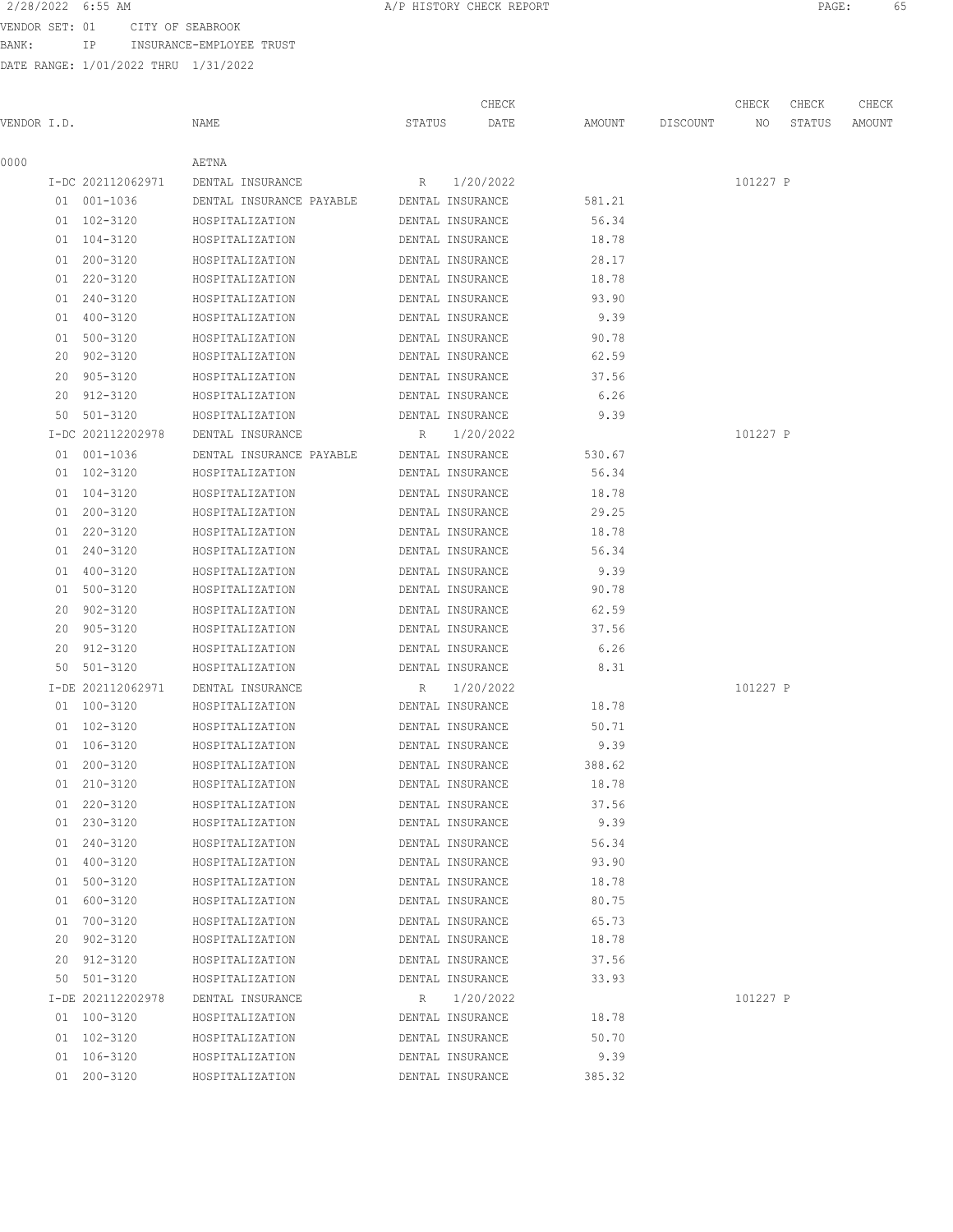BANK: IP INSURANCE-EMPLOYEE TRUST

| 2/28/2022 6:55 AM     |                  | A/P HISTORY CHECK REPORT | PAGE: |  |
|-----------------------|------------------|--------------------------|-------|--|
| 01 נחת <i>ח תחתחו</i> | AIMV AR ARADDAAV |                          |       |  |

|             |                   |                                           |                  | CHECK            |        |          | CHECK    | CHECK  | CHECK  |
|-------------|-------------------|-------------------------------------------|------------------|------------------|--------|----------|----------|--------|--------|
| VENDOR I.D. |                   | NAME                                      | STATUS           | DATE             | AMOUNT | DISCOUNT | NO       | STATUS | AMOUNT |
| 0000        |                   | AETNA                                     |                  |                  |        |          |          |        |        |
|             | I-DC 202112062971 | DENTAL INSURANCE                          |                  | R 1/20/2022      |        |          | 101227 P |        |        |
|             | 01 001-1036       | DENTAL INSURANCE PAYABLE DENTAL INSURANCE |                  |                  | 581.21 |          |          |        |        |
|             | 01 102-3120       | HOSPITALIZATION                           | DENTAL INSURANCE |                  | 56.34  |          |          |        |        |
|             | 01 104-3120       | HOSPITALIZATION                           | DENTAL INSURANCE |                  | 18.78  |          |          |        |        |
|             | 01 200-3120       | HOSPITALIZATION                           | DENTAL INSURANCE |                  | 28.17  |          |          |        |        |
|             | 01 220-3120       | HOSPITALIZATION                           | DENTAL INSURANCE |                  | 18.78  |          |          |        |        |
|             | 01 240-3120       | HOSPITALIZATION                           | DENTAL INSURANCE |                  | 93.90  |          |          |        |        |
|             | 01 400-3120       | HOSPITALIZATION                           | DENTAL INSURANCE |                  | 9.39   |          |          |        |        |
|             | 01 500-3120       | HOSPITALIZATION                           | DENTAL INSURANCE |                  | 90.78  |          |          |        |        |
|             | 20 902-3120       | HOSPITALIZATION                           | DENTAL INSURANCE |                  | 62.59  |          |          |        |        |
|             | 20 905-3120       | HOSPITALIZATION                           | DENTAL INSURANCE |                  | 37.56  |          |          |        |        |
|             | 20 912-3120       | HOSPITALIZATION                           | DENTAL INSURANCE |                  | 6.26   |          |          |        |        |
|             | 50 501-3120       | HOSPITALIZATION                           | DENTAL INSURANCE |                  | 9.39   |          |          |        |        |
|             | I-DC 202112202978 | DENTAL INSURANCE                          |                  | R 1/20/2022      |        |          | 101227 P |        |        |
|             | 01 001-1036       | DENTAL INSURANCE PAYABLE DENTAL INSURANCE |                  |                  | 530.67 |          |          |        |        |
|             | 01 102-3120       | HOSPITALIZATION                           | DENTAL INSURANCE |                  | 56.34  |          |          |        |        |
|             | 01 104-3120       | HOSPITALIZATION                           | DENTAL INSURANCE |                  | 18.78  |          |          |        |        |
|             | 01 200-3120       | HOSPITALIZATION                           | DENTAL INSURANCE |                  | 29.25  |          |          |        |        |
|             | 01 220-3120       | HOSPITALIZATION                           | DENTAL INSURANCE |                  | 18.78  |          |          |        |        |
|             | 01 240-3120       | HOSPITALIZATION                           | DENTAL INSURANCE |                  | 56.34  |          |          |        |        |
|             | 01 400-3120       | HOSPITALIZATION                           | DENTAL INSURANCE |                  | 9.39   |          |          |        |        |
|             | 01 500-3120       | HOSPITALIZATION                           | DENTAL INSURANCE |                  | 90.78  |          |          |        |        |
|             | 20 902-3120       | HOSPITALIZATION                           | DENTAL INSURANCE |                  | 62.59  |          |          |        |        |
|             | 20 905-3120       | HOSPITALIZATION                           | DENTAL INSURANCE |                  | 37.56  |          |          |        |        |
|             | 20 912-3120       | HOSPITALIZATION                           | DENTAL INSURANCE |                  | 6.26   |          |          |        |        |
|             | 50 501-3120       | HOSPITALIZATION                           | DENTAL INSURANCE |                  | 8.31   |          |          |        |        |
|             | I-DE 202112062971 | DENTAL INSURANCE                          |                  | R 1/20/2022      |        |          | 101227 P |        |        |
|             | 01 100-3120       | HOSPITALIZATION                           | DENTAL INSURANCE |                  | 18.78  |          |          |        |        |
|             | 01 102-3120       | HOSPITALIZATION                           | DENTAL INSURANCE |                  | 50.71  |          |          |        |        |
|             | 01 106-3120       | HOSPITALIZATION                           | DENTAL INSURANCE |                  | 9.39   |          |          |        |        |
|             | 01 200-3120       | HOSPITALIZATION                           | DENTAL INSURANCE |                  | 388.62 |          |          |        |        |
|             | 01 210-3120       | HOSPITALIZATION                           | DENTAL INSURANCE |                  | 18.78  |          |          |        |        |
|             | 01 220-3120       | HOSPITALIZATION                           |                  | DENTAL INSURANCE | 37.56  |          |          |        |        |
|             | 01 230-3120       | HOSPITALIZATION                           |                  | DENTAL INSURANCE | 9.39   |          |          |        |        |
|             | 01 240-3120       | HOSPITALIZATION                           |                  | DENTAL INSURANCE | 56.34  |          |          |        |        |
|             | 01 400-3120       | HOSPITALIZATION                           |                  | DENTAL INSURANCE | 93.90  |          |          |        |        |
|             | 01 500-3120       | HOSPITALIZATION                           | DENTAL INSURANCE |                  | 18.78  |          |          |        |        |
|             | 01 600-3120       | HOSPITALIZATION                           | DENTAL INSURANCE |                  | 80.75  |          |          |        |        |
|             | 01 700-3120       | HOSPITALIZATION                           | DENTAL INSURANCE |                  | 65.73  |          |          |        |        |
|             | 20 902-3120       | HOSPITALIZATION                           | DENTAL INSURANCE |                  | 18.78  |          |          |        |        |
|             | 20 912-3120       | HOSPITALIZATION                           | DENTAL INSURANCE |                  | 37.56  |          |          |        |        |
|             | 50 501-3120       | HOSPITALIZATION                           |                  | DENTAL INSURANCE | 33.93  |          |          |        |        |
|             | I-DE 202112202978 | DENTAL INSURANCE                          |                  | R 1/20/2022      |        |          | 101227 P |        |        |
|             | 01 100-3120       | HOSPITALIZATION                           |                  | DENTAL INSURANCE | 18.78  |          |          |        |        |
|             | 01 102-3120       | HOSPITALIZATION                           |                  | DENTAL INSURANCE | 50.70  |          |          |        |        |
|             | 01 106-3120       | HOSPITALIZATION                           |                  | DENTAL INSURANCE | 9.39   |          |          |        |        |
|             | 01 200-3120       | HOSPITALIZATION                           |                  | DENTAL INSURANCE | 385.32 |          |          |        |        |
|             |                   |                                           |                  |                  |        |          |          |        |        |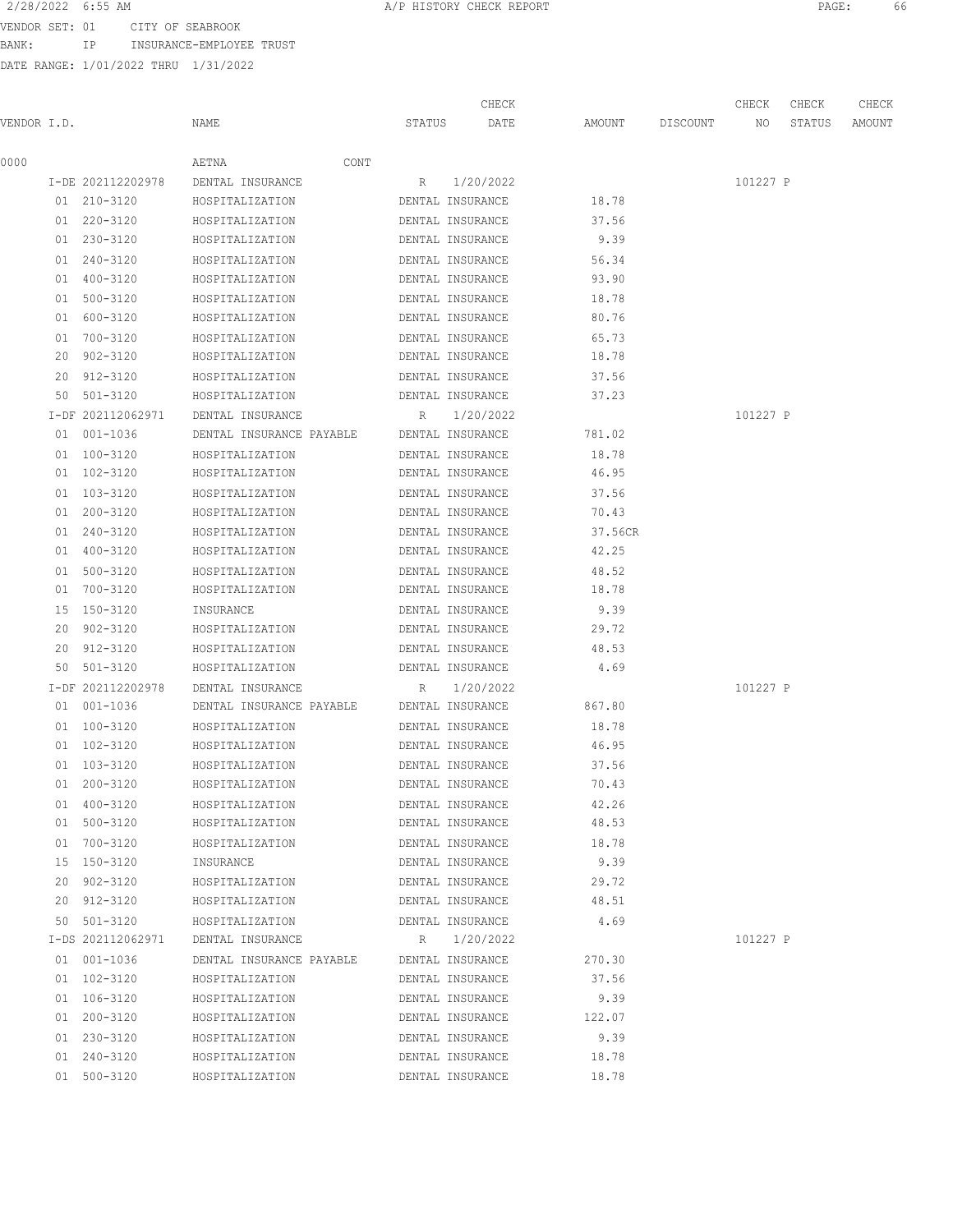BANK: IP INSURANCE-EMPLOYEE TRUST

| 2/28/2022 6:55 AM | A/P HISTORY CHECK REPORT | PAGE |  |
|-------------------|--------------------------|------|--|
|                   |                          |      |  |

|             |    |                            |                                    |        | CHECK                                |                  |          | CHECK    | CHECK  | CHECK  |
|-------------|----|----------------------------|------------------------------------|--------|--------------------------------------|------------------|----------|----------|--------|--------|
| VENDOR I.D. |    |                            | NAME                               | STATUS | DATE                                 | AMOUNT           | DISCOUNT | NO.      | STATUS | AMOUNT |
| 0000        |    |                            | AETNA<br>CONT                      |        |                                      |                  |          |          |        |        |
|             |    | I-DE 202112202978          | DENTAL INSURANCE                   | R      | 1/20/2022                            |                  |          | 101227 P |        |        |
|             |    | 01 210-3120                | HOSPITALIZATION                    |        | DENTAL INSURANCE                     | 18.78            |          |          |        |        |
|             |    | 01 220-3120                | HOSPITALIZATION                    |        | DENTAL INSURANCE                     | 37.56            |          |          |        |        |
|             |    | 01 230-3120                | HOSPITALIZATION                    |        | DENTAL INSURANCE                     | 9.39             |          |          |        |        |
|             |    | 01 240-3120                | HOSPITALIZATION                    |        | DENTAL INSURANCE                     | 56.34            |          |          |        |        |
|             |    | 01 400-3120                | HOSPITALIZATION                    |        | DENTAL INSURANCE                     | 93.90            |          |          |        |        |
|             |    | 01 500-3120                | HOSPITALIZATION                    |        | DENTAL INSURANCE                     | 18.78            |          |          |        |        |
|             |    | 01 600-3120                | HOSPITALIZATION                    |        | DENTAL INSURANCE                     | 80.76            |          |          |        |        |
|             | 01 | 700-3120                   | HOSPITALIZATION                    |        | DENTAL INSURANCE                     | 65.73            |          |          |        |        |
|             | 20 | 902-3120                   | HOSPITALIZATION                    |        | DENTAL INSURANCE                     | 18.78            |          |          |        |        |
|             |    | 20 912-3120                | HOSPITALIZATION                    |        | DENTAL INSURANCE                     | 37.56            |          |          |        |        |
|             |    | 50 501-3120                | HOSPITALIZATION                    |        | DENTAL INSURANCE                     | 37.23            |          |          |        |        |
|             |    | I-DF 202112062971          | DENTAL INSURANCE                   | R      | 1/20/2022                            |                  |          | 101227 P |        |        |
|             |    | 01 001-1036                | DENTAL INSURANCE PAYABLE           |        | DENTAL INSURANCE                     | 781.02           |          |          |        |        |
|             |    | 01 100-3120                |                                    |        |                                      |                  |          |          |        |        |
|             |    | 01 102-3120                | HOSPITALIZATION<br>HOSPITALIZATION |        | DENTAL INSURANCE                     | 18.78<br>46.95   |          |          |        |        |
|             |    |                            |                                    |        | DENTAL INSURANCE                     |                  |          |          |        |        |
|             |    | 01 103-3120<br>01 200-3120 | HOSPITALIZATION<br>HOSPITALIZATION |        | DENTAL INSURANCE<br>DENTAL INSURANCE | 37.56<br>70.43   |          |          |        |        |
|             |    |                            |                                    |        | DENTAL INSURANCE                     |                  |          |          |        |        |
|             |    | 01 240-3120                | HOSPITALIZATION                    |        |                                      | 37.56CR<br>42.25 |          |          |        |        |
|             |    | 01 400-3120                | HOSPITALIZATION                    |        | DENTAL INSURANCE                     |                  |          |          |        |        |
|             |    | 01 500-3120                | HOSPITALIZATION                    |        | DENTAL INSURANCE                     | 48.52            |          |          |        |        |
|             | 01 | 700-3120                   | HOSPITALIZATION                    |        | DENTAL INSURANCE                     | 18.78            |          |          |        |        |
|             |    | 15 150-3120                | INSURANCE                          |        | DENTAL INSURANCE                     | 9.39             |          |          |        |        |
|             |    | 20 902-3120                | HOSPITALIZATION                    |        | DENTAL INSURANCE                     | 29.72            |          |          |        |        |
|             |    | 20 912-3120                | HOSPITALIZATION                    |        | DENTAL INSURANCE                     | 48.53            |          |          |        |        |
|             |    | 50 501-3120                | HOSPITALIZATION                    |        | DENTAL INSURANCE                     | 4.69             |          |          |        |        |
|             |    | I-DF 202112202978          | DENTAL INSURANCE                   | R      | 1/20/2022                            |                  |          | 101227 P |        |        |
|             |    | 01 001-1036                | DENTAL INSURANCE PAYABLE           |        | DENTAL INSURANCE                     | 867.80           |          |          |        |        |
|             |    | 01 100-3120                | HOSPITALIZATION                    |        | DENTAL INSURANCE                     | 18.78            |          |          |        |        |
|             |    | 01 102-3120                | HOSPITALIZATION                    |        | DENTAL INSURANCE                     | 46.95            |          |          |        |        |
|             |    | 01 103-3120                | HOSPITALIZATION                    |        | DENTAL INSURANCE                     | 37.56            |          |          |        |        |
|             |    | 01 200-3120                | HOSPITALIZATION                    |        | DENTAL INSURANCE                     | 70.43            |          |          |        |        |
|             |    | 01 400-3120                | HOSPITALIZATION                    |        | DENTAL INSURANCE                     | 42.26            |          |          |        |        |
|             |    | 01 500-3120                | HOSPITALIZATION                    |        | DENTAL INSURANCE                     | 48.53            |          |          |        |        |
|             |    | 01 700-3120                | HOSPITALIZATION                    |        | DENTAL INSURANCE                     | 18.78            |          |          |        |        |
|             |    | 15 150-3120                | INSURANCE                          |        | DENTAL INSURANCE                     | 9.39             |          |          |        |        |
|             |    | 20 902-3120                | HOSPITALIZATION                    |        | DENTAL INSURANCE                     | 29.72            |          |          |        |        |
|             |    | 20 912-3120                | HOSPITALIZATION                    |        | DENTAL INSURANCE                     | 48.51            |          |          |        |        |
|             |    | 50 501-3120                | HOSPITALIZATION                    |        | DENTAL INSURANCE                     | 4.69             |          |          |        |        |
|             |    | I-DS 202112062971          | DENTAL INSURANCE                   | R      | 1/20/2022                            |                  |          | 101227 P |        |        |
|             |    | 01 001-1036                | DENTAL INSURANCE PAYABLE           |        | DENTAL INSURANCE                     | 270.30           |          |          |        |        |
|             |    | 01 102-3120                | HOSPITALIZATION                    |        | DENTAL INSURANCE                     | 37.56            |          |          |        |        |
|             |    | 01 106-3120                | HOSPITALIZATION                    |        | DENTAL INSURANCE                     | 9.39             |          |          |        |        |
|             |    | 01 200-3120                | HOSPITALIZATION                    |        | DENTAL INSURANCE                     | 122.07           |          |          |        |        |
|             |    | 01 230-3120                | HOSPITALIZATION                    |        | DENTAL INSURANCE                     | 9.39             |          |          |        |        |
|             |    | 01 240-3120                | HOSPITALIZATION                    |        | DENTAL INSURANCE                     | 18.78            |          |          |        |        |
|             |    | 01 500-3120                | HOSPITALIZATION                    |        | DENTAL INSURANCE                     | 18.78            |          |          |        |        |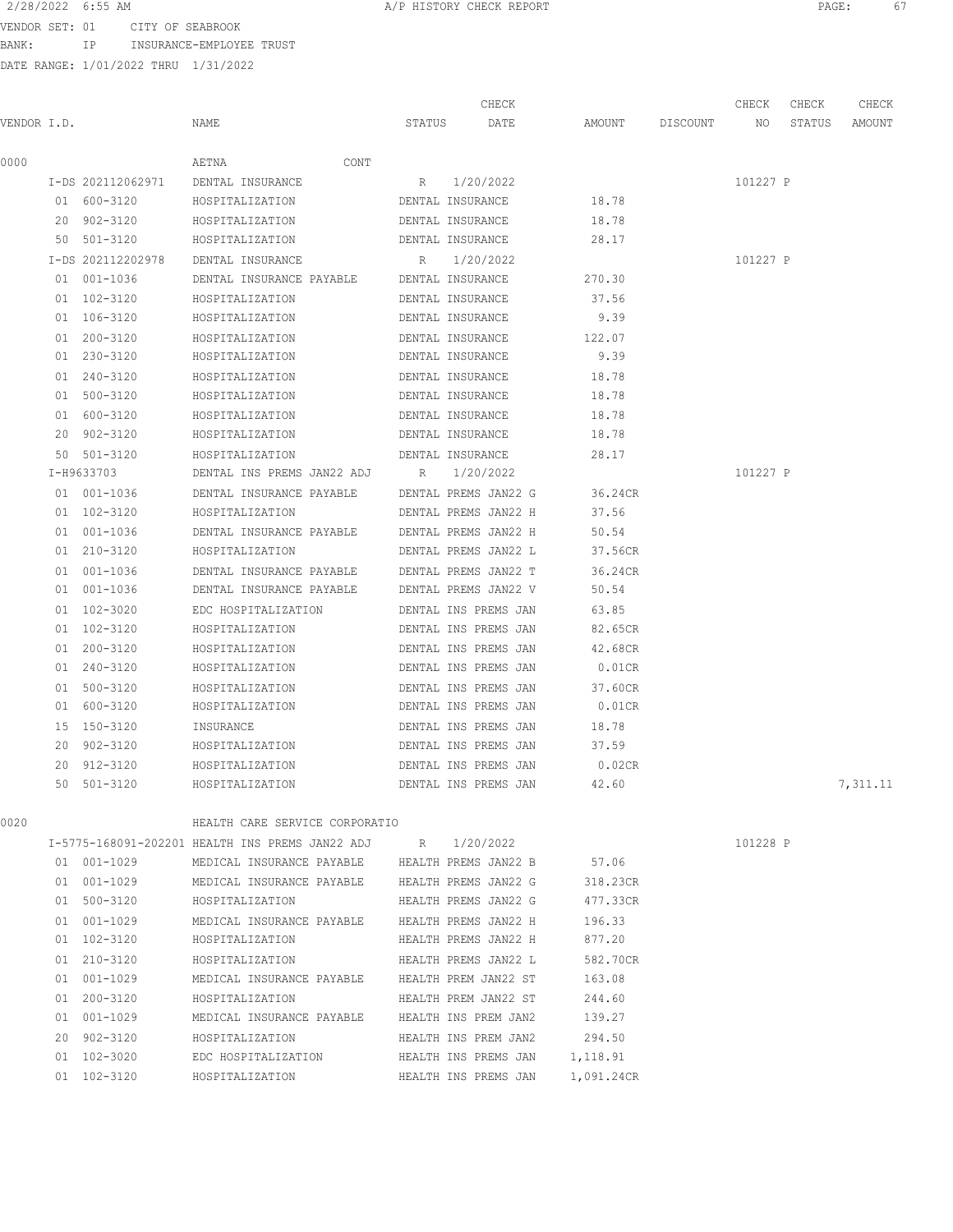VENDOR SET: 01 CITY OF SEABROOK BANK: IP INSURANCE-EMPLOYEE TRUST

DATE RANGE: 1/01/2022 THRU 1/31/2022

| 2/28/2022 6:55 AM |                                 | A/P HISTORY CHECK REPORT | PAGE: |  |
|-------------------|---------------------------------|--------------------------|-------|--|
|                   | VENDOR SET: 01 CITY OF SEABROOK |                          |       |  |

|             |                   |                                                             |        | CHECK                |                 | CHECK    | CHECK  | CHECK    |
|-------------|-------------------|-------------------------------------------------------------|--------|----------------------|-----------------|----------|--------|----------|
| VENDOR I.D. |                   | NAME                                                        | STATUS | DATE                 | AMOUNT DISCOUNT | NO       | STATUS | AMOUNT   |
| 0000        |                   | AETNA<br>CONT                                               |        |                      |                 |          |        |          |
|             | I-DS 202112062971 | DENTAL INSURANCE                                            |        | R 1/20/2022          |                 | 101227 P |        |          |
|             | 01 600-3120       | HOSPITALIZATION                                             |        | DENTAL INSURANCE     | 18.78           |          |        |          |
|             | 20 902-3120       | HOSPITALIZATION                                             |        | DENTAL INSURANCE     | 18.78           |          |        |          |
|             | 50 501-3120       | HOSPITALIZATION                                             |        | DENTAL INSURANCE     | 28.17           |          |        |          |
|             | I-DS 202112202978 | DENTAL INSURANCE                                            |        | R 1/20/2022          |                 | 101227 P |        |          |
|             | 01 001-1036       | DENTAL INSURANCE PAYABLE DENTAL INSURANCE                   |        |                      | 270.30          |          |        |          |
|             | 01 102-3120       | HOSPITALIZATION                                             |        | DENTAL INSURANCE     | 37.56           |          |        |          |
|             | 01 106-3120       | HOSPITALIZATION                                             |        | DENTAL INSURANCE     | 9.39            |          |        |          |
|             | 01 200-3120       | HOSPITALIZATION                                             |        | DENTAL INSURANCE     | 122.07          |          |        |          |
|             | 01 230-3120       | HOSPITALIZATION                                             |        | DENTAL INSURANCE     | 9.39            |          |        |          |
|             | 01 240-3120       | HOSPITALIZATION                                             |        | DENTAL INSURANCE     | 18.78           |          |        |          |
|             | 01 500-3120       | HOSPITALIZATION                                             |        | DENTAL INSURANCE     | 18.78           |          |        |          |
|             | 01 600-3120       | HOSPITALIZATION                                             |        | DENTAL INSURANCE     | 18.78           |          |        |          |
|             | 20 902-3120       | HOSPITALIZATION                                             |        | DENTAL INSURANCE     | 18.78           |          |        |          |
|             | 50 501-3120       | HOSPITALIZATION                                             |        | DENTAL INSURANCE     | 28.17           |          |        |          |
|             | I-H9633703        | DENTAL INS PREMS JAN22 ADJ R                                |        | 1/20/2022            |                 | 101227 P |        |          |
|             | 01 001-1036       | DENTAL INSURANCE PAYABLE DENTAL PREMS JAN22 G               |        |                      | 36.24CR         |          |        |          |
|             | 01 102-3120       | HOSPITALIZATION                                             |        | DENTAL PREMS JAN22 H | 37.56           |          |        |          |
|             | 01 001-1036       | DENTAL INSURANCE PAYABLE DENTAL PREMS JAN22 H               |        |                      | 50.54           |          |        |          |
|             | 01 210-3120       | HOSPITALIZATION                                             |        | DENTAL PREMS JAN22 L | 37.56CR         |          |        |          |
|             | 01 001-1036       | DENTAL INSURANCE PAYABLE DENTAL PREMS JAN22 T               |        |                      | 36.24CR         |          |        |          |
|             | 01 001-1036       | DENTAL INSURANCE PAYABLE DENTAL PREMS JAN22 V               |        |                      | 50.54           |          |        |          |
|             | 01 102-3020       | EDC HOSPITALIZATION                                         |        | DENTAL INS PREMS JAN | 63.85           |          |        |          |
|             | 01 102-3120       | HOSPITALIZATION                                             |        | DENTAL INS PREMS JAN | 82.65CR         |          |        |          |
|             | 01 200-3120       | HOSPITALIZATION                                             |        | DENTAL INS PREMS JAN | 42.68CR         |          |        |          |
|             | 01 240-3120       | HOSPITALIZATION                                             |        | DENTAL INS PREMS JAN | $0.01$ CR       |          |        |          |
|             | 01 500-3120       | HOSPITALIZATION                                             |        | DENTAL INS PREMS JAN | 37.60CR         |          |        |          |
|             | 01 600-3120       | HOSPITALIZATION                                             |        | DENTAL INS PREMS JAN | $0.01$ CR       |          |        |          |
|             | 15 150-3120       | INSURANCE                                                   |        | DENTAL INS PREMS JAN | 18.78           |          |        |          |
|             | 20 902-3120       | HOSPITALIZATION                                             |        | DENTAL INS PREMS JAN | 37.59           |          |        |          |
|             | 20 912-3120       | HOSPITALIZATION                                             |        | DENTAL INS PREMS JAN | 0.02CR          |          |        |          |
|             | 50 501-3120       | HOSPITALIZATION                                             |        | DENTAL INS PREMS JAN | 42.60           |          |        | 7,311.11 |
| 0020        |                   | HEALTH CARE SERVICE CORPORATIO                              |        |                      |                 |          |        |          |
|             |                   | I-5775-168091-202201 HEALTH INS PREMS JAN22 ADJ R 1/20/2022 |        |                      |                 | 101228 P |        |          |
|             | 01 001-1029       | MEDICAL INSURANCE PAYABLE HEALTH PREMS JAN22 B 57.06        |        |                      |                 |          |        |          |
|             | 01 001-1029       | MEDICAL INSURANCE PAYABLE HEALTH PREMS JAN22 G              |        |                      | 318.23CR        |          |        |          |
|             | 01 500-3120       | HOSPITALIZATION                                             |        | HEALTH PREMS JAN22 G | 477.33CR        |          |        |          |
|             | 01 001-1029       | MEDICAL INSURANCE PAYABLE HEALTH PREMS JAN22 H              |        |                      | 196.33          |          |        |          |
|             | 01 102-3120       | HOSPITALIZATION                                             |        | HEALTH PREMS JAN22 H | 877.20          |          |        |          |
|             | 01 210-3120       | HOSPITALIZATION                                             |        | HEALTH PREMS JAN22 L | 582.70CR        |          |        |          |
|             | 01 001-1029       | MEDICAL INSURANCE PAYABLE HEALTH PREM JAN22 ST              |        |                      | 163.08          |          |        |          |
|             | 01 200-3120       | HOSPITALIZATION                                             |        | HEALTH PREM JAN22 ST | 244.60          |          |        |          |
|             | 01 001-1029       | MEDICAL INSURANCE PAYABLE HEALTH INS PREM JAN2              |        |                      | 139.27          |          |        |          |
|             | 20 902-3120       | HOSPITALIZATION                                             |        | HEALTH INS PREM JAN2 | 294.50          |          |        |          |

 01 102-3020 EDC HOSPITALIZATION HEALTH INS PREMS JAN 1,118.91 01 102-3120 HOSPITALIZATION HEALTH INS PREMS JAN 1,091.24CR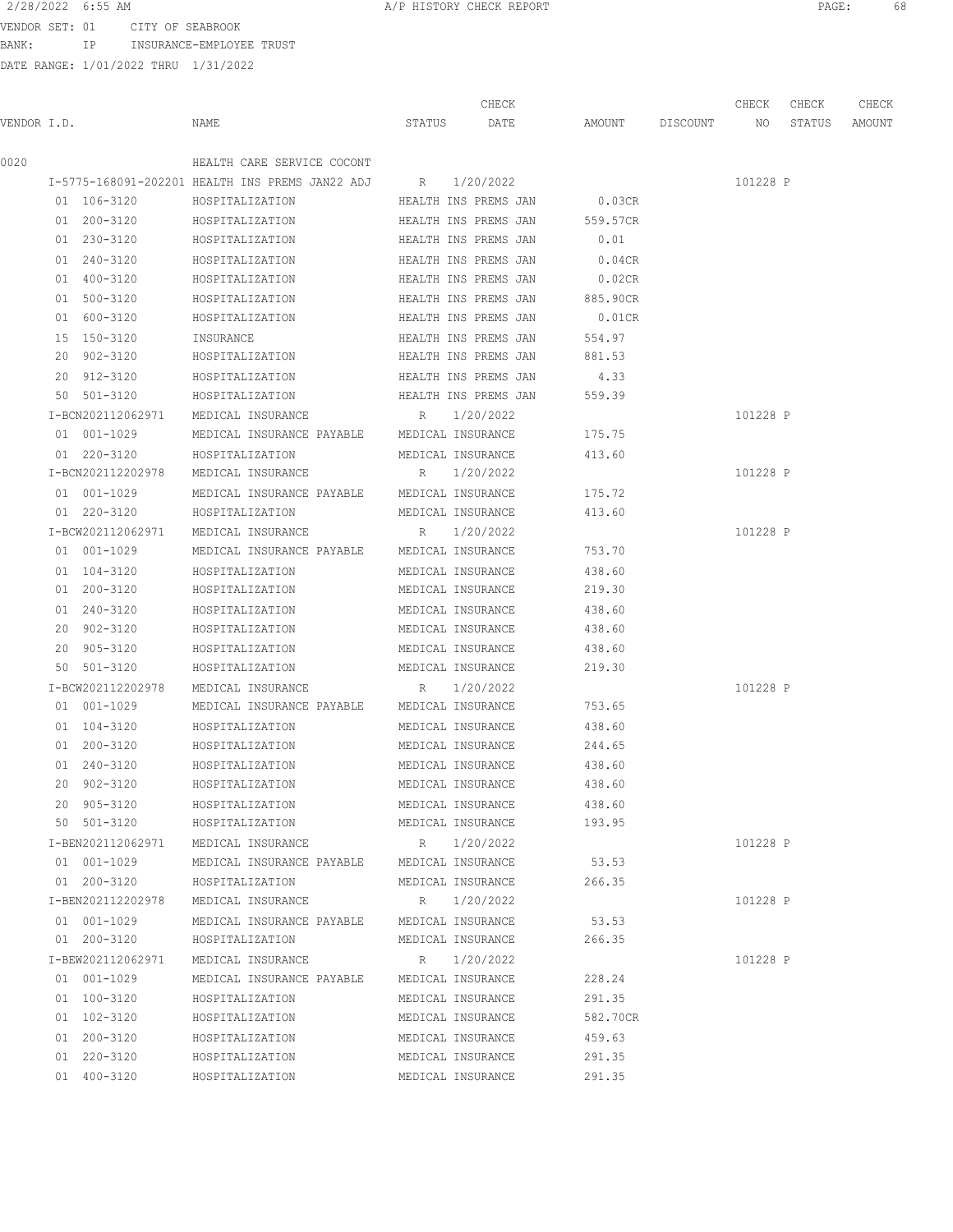VENDOR SET: 01 CITY OF SEABROOK BANK: IP INSURANCE-EMPLOYEE TRUST

|             |                   |                                                 |                      | CHECK                |           |                 | CHECK    | CHECK  | CHECK  |
|-------------|-------------------|-------------------------------------------------|----------------------|----------------------|-----------|-----------------|----------|--------|--------|
| VENDOR I.D. |                   | NAME                                            | STATUS               | DATE                 |           | AMOUNT DISCOUNT | NO       | STATUS | AMOUNT |
| 0020        |                   | HEALTH CARE SERVICE COCONT                      |                      |                      |           |                 |          |        |        |
|             |                   | I-5775-168091-202201 HEALTH INS PREMS JAN22 ADJ | R                    | 1/20/2022            |           |                 | 101228 P |        |        |
|             | 01 106-3120       | HOSPITALIZATION                                 | HEALTH INS PREMS JAN |                      | 0.03CR    |                 |          |        |        |
|             | 01 200-3120       | HOSPITALIZATION                                 |                      | HEALTH INS PREMS JAN | 559.57CR  |                 |          |        |        |
|             | 01 230-3120       | HOSPITALIZATION                                 | HEALTH INS PREMS JAN |                      | 0.01      |                 |          |        |        |
|             | 01 240-3120       | HOSPITALIZATION                                 | HEALTH INS PREMS JAN |                      | 0.04CR    |                 |          |        |        |
|             | 01 400-3120       | HOSPITALIZATION                                 | HEALTH INS PREMS JAN |                      | 0.02CR    |                 |          |        |        |
|             | 01 500-3120       | HOSPITALIZATION                                 | HEALTH INS PREMS JAN |                      | 885.90CR  |                 |          |        |        |
|             | 01 600-3120       | HOSPITALIZATION                                 | HEALTH INS PREMS JAN |                      | $0.01$ CR |                 |          |        |        |
|             | 15 150-3120       | INSURANCE                                       | HEALTH INS PREMS JAN |                      | 554.97    |                 |          |        |        |
|             | 20 902-3120       | HOSPITALIZATION                                 | HEALTH INS PREMS JAN |                      | 881.53    |                 |          |        |        |
|             | 20 912-3120       | HOSPITALIZATION                                 | HEALTH INS PREMS JAN |                      | 4.33      |                 |          |        |        |
|             | 50 501-3120       | HOSPITALIZATION                                 |                      | HEALTH INS PREMS JAN | 559.39    |                 |          |        |        |
|             | I-BCN202112062971 | MEDICAL INSURANCE                               | R 1/20/2022          |                      |           |                 | 101228 P |        |        |
|             | 01 001-1029       | MEDICAL INSURANCE PAYABLE MEDICAL INSURANCE     |                      |                      | 175.75    |                 |          |        |        |
|             | 01 220-3120       | HOSPITALIZATION                                 | MEDICAL INSURANCE    |                      | 413.60    |                 |          |        |        |
|             | I-BCN202112202978 | MEDICAL INSURANCE                               | R 1/20/2022          |                      |           |                 | 101228 P |        |        |
|             | 01 001-1029       | MEDICAL INSURANCE PAYABLE                       | MEDICAL INSURANCE    |                      | 175.72    |                 |          |        |        |
|             | 01 220-3120       | HOSPITALIZATION                                 | MEDICAL INSURANCE    |                      | 413.60    |                 |          |        |        |
|             | I-BCW202112062971 | MEDICAL INSURANCE                               | R                    | 1/20/2022            |           |                 | 101228 P |        |        |
|             | 01 001-1029       | MEDICAL INSURANCE PAYABLE                       | MEDICAL INSURANCE    |                      | 753.70    |                 |          |        |        |
|             | 01 104-3120       | HOSPITALIZATION                                 | MEDICAL INSURANCE    |                      | 438.60    |                 |          |        |        |
|             | 01 200-3120       | HOSPITALIZATION                                 | MEDICAL INSURANCE    |                      | 219.30    |                 |          |        |        |
|             | 01 240-3120       | HOSPITALIZATION                                 | MEDICAL INSURANCE    |                      | 438.60    |                 |          |        |        |
|             | 20 902-3120       | HOSPITALIZATION                                 | MEDICAL INSURANCE    |                      | 438.60    |                 |          |        |        |
|             | 20 905-3120       | HOSPITALIZATION                                 | MEDICAL INSURANCE    |                      | 438.60    |                 |          |        |        |
|             | 50 501-3120       | HOSPITALIZATION                                 | MEDICAL INSURANCE    |                      | 219.30    |                 |          |        |        |
|             | I-BCW202112202978 | MEDICAL INSURANCE                               | R 1/20/2022          |                      |           |                 | 101228 P |        |        |
|             | 01 001-1029       | MEDICAL INSURANCE PAYABLE MEDICAL INSURANCE     |                      |                      | 753.65    |                 |          |        |        |
|             | 01 104-3120       | HOSPITALIZATION                                 | MEDICAL INSURANCE    |                      | 438.60    |                 |          |        |        |
|             | 01 200-3120       | HOSPITALIZATION                                 | MEDICAL INSURANCE    |                      | 244.65    |                 |          |        |        |
|             | 01 240-3120       | HOSPITALIZATION                                 | MEDICAL INSURANCE    |                      | 438.60    |                 |          |        |        |
|             | 20 902-3120       | HOSPITALIZATION                                 | MEDICAL INSURANCE    |                      | 438.60    |                 |          |        |        |
|             | 20 905-3120       | HOSPITALIZATION                                 | MEDICAL INSURANCE    |                      | 438.60    |                 |          |        |        |
|             | 50 501-3120       | HOSPITALIZATION                                 | MEDICAL INSURANCE    |                      | 193.95    |                 |          |        |        |
|             | I-BEN202112062971 | MEDICAL INSURANCE                               |                      | R 1/20/2022          |           |                 | 101228 P |        |        |
|             | 01 001-1029       | MEDICAL INSURANCE PAYABLE MEDICAL INSURANCE     |                      |                      | 53.53     |                 |          |        |        |
|             | 01 200-3120       | HOSPITALIZATION                                 | MEDICAL INSURANCE    |                      | 266.35    |                 |          |        |        |
|             | I-BEN202112202978 | MEDICAL INSURANCE                               | R 1/20/2022          |                      |           |                 | 101228 P |        |        |
|             | 01 001-1029       | MEDICAL INSURANCE PAYABLE                       | MEDICAL INSURANCE    |                      | 53.53     |                 |          |        |        |
|             | 01 200-3120       | HOSPITALIZATION                                 | MEDICAL INSURANCE    |                      | 266.35    |                 |          |        |        |
|             | I-BEW202112062971 | MEDICAL INSURANCE                               |                      | R 1/20/2022          |           |                 | 101228 P |        |        |
|             | 01 001-1029       | MEDICAL INSURANCE PAYABLE                       | MEDICAL INSURANCE    |                      | 228.24    |                 |          |        |        |
|             | 01 100-3120       | HOSPITALIZATION                                 | MEDICAL INSURANCE    |                      | 291.35    |                 |          |        |        |
|             | 01 102-3120       | HOSPITALIZATION                                 | MEDICAL INSURANCE    |                      | 582.70CR  |                 |          |        |        |
|             | 01 200-3120       | HOSPITALIZATION                                 | MEDICAL INSURANCE    |                      | 459.63    |                 |          |        |        |
|             | 01 220-3120       | HOSPITALIZATION                                 | MEDICAL INSURANCE    |                      | 291.35    |                 |          |        |        |
|             | 01 400-3120       | HOSPITALIZATION                                 | MEDICAL INSURANCE    |                      | 291.35    |                 |          |        |        |
|             |                   |                                                 |                      |                      |           |                 |          |        |        |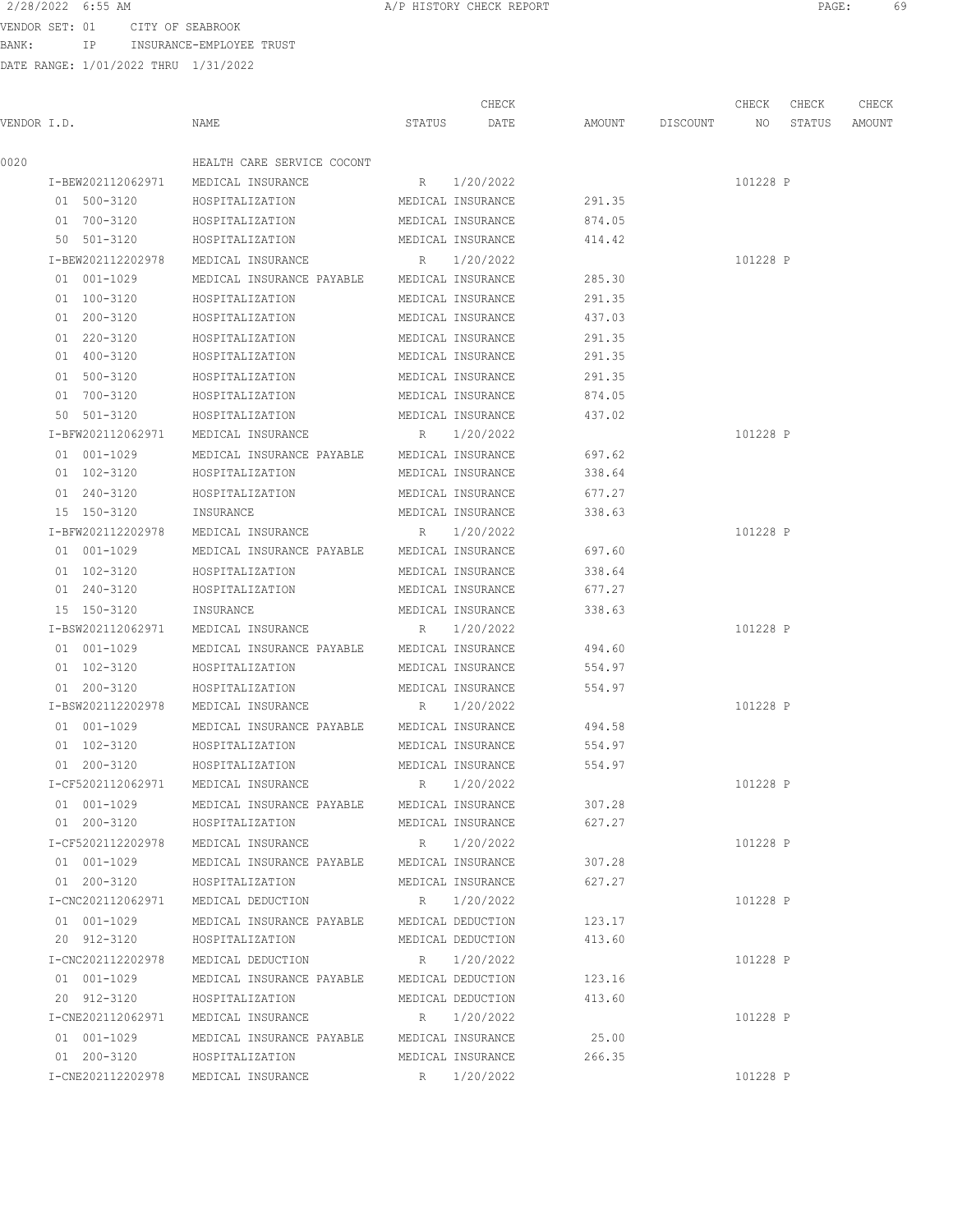VENDOR SET: 01 CITY OF SEABROOK BANK: IP INSURANCE-EMPLOYEE TRUST

|--|

|                   |                                             |             | CHECK             |        |                 | CHECK    | CHECK  | CHECK  |
|-------------------|---------------------------------------------|-------------|-------------------|--------|-----------------|----------|--------|--------|
| VENDOR I.D.       | NAME                                        | STATUS      | DATE              |        | AMOUNT DISCOUNT | NO       | STATUS | AMOUNT |
| 0020              | HEALTH CARE SERVICE COCONT                  |             |                   |        |                 |          |        |        |
| I-BEW202112062971 | MEDICAL INSURANCE                           | R           | 1/20/2022         |        |                 | 101228 P |        |        |
| 01 500-3120       | HOSPITALIZATION                             |             | MEDICAL INSURANCE | 291.35 |                 |          |        |        |
| 01 700-3120       | HOSPITALIZATION                             |             | MEDICAL INSURANCE | 874.05 |                 |          |        |        |
| 50 501-3120       | HOSPITALIZATION                             |             | MEDICAL INSURANCE | 414.42 |                 |          |        |        |
| I-BEW202112202978 | MEDICAL INSURANCE                           | $R_{\odot}$ | 1/20/2022         |        |                 | 101228 P |        |        |
| 01 001-1029       | MEDICAL INSURANCE PAYABLE                   |             | MEDICAL INSURANCE | 285.30 |                 |          |        |        |
| 01 100-3120       | HOSPITALIZATION                             |             | MEDICAL INSURANCE | 291.35 |                 |          |        |        |
| 01 200-3120       | HOSPITALIZATION                             |             | MEDICAL INSURANCE | 437.03 |                 |          |        |        |
| 01 220-3120       | HOSPITALIZATION                             |             | MEDICAL INSURANCE | 291.35 |                 |          |        |        |
| 01 400-3120       | HOSPITALIZATION                             |             | MEDICAL INSURANCE | 291.35 |                 |          |        |        |
| 01 500-3120       | HOSPITALIZATION                             |             | MEDICAL INSURANCE | 291.35 |                 |          |        |        |
| 01 700-3120       | HOSPITALIZATION                             |             | MEDICAL INSURANCE | 874.05 |                 |          |        |        |
| 50 501-3120       | HOSPITALIZATION                             |             | MEDICAL INSURANCE | 437.02 |                 |          |        |        |
| I-BFW202112062971 | MEDICAL INSURANCE                           |             | R 1/20/2022       |        |                 | 101228 P |        |        |
| 01 001-1029       | MEDICAL INSURANCE PAYABLE                   |             | MEDICAL INSURANCE | 697.62 |                 |          |        |        |
| 01 102-3120       | HOSPITALIZATION                             |             | MEDICAL INSURANCE | 338.64 |                 |          |        |        |
| 01 240-3120       | HOSPITALIZATION                             |             | MEDICAL INSURANCE | 677.27 |                 |          |        |        |
| 15 150-3120       | INSURANCE                                   |             | MEDICAL INSURANCE | 338.63 |                 |          |        |        |
| I-BFW202112202978 | MEDICAL INSURANCE                           | R           | 1/20/2022         |        |                 | 101228 P |        |        |
| 01 001-1029       | MEDICAL INSURANCE PAYABLE                   |             | MEDICAL INSURANCE | 697.60 |                 |          |        |        |
| 01 102-3120       | HOSPITALIZATION                             |             | MEDICAL INSURANCE | 338.64 |                 |          |        |        |
| 01 240-3120       | HOSPITALIZATION                             |             | MEDICAL INSURANCE | 677.27 |                 |          |        |        |
| 15 150-3120       | INSURANCE                                   |             | MEDICAL INSURANCE | 338.63 |                 |          |        |        |
| I-BSW202112062971 | MEDICAL INSURANCE                           | R           | 1/20/2022         |        |                 | 101228 P |        |        |
| 01 001-1029       | MEDICAL INSURANCE PAYABLE                   |             | MEDICAL INSURANCE | 494.60 |                 |          |        |        |
| 01 102-3120       | HOSPITALIZATION                             |             | MEDICAL INSURANCE | 554.97 |                 |          |        |        |
| 01 200-3120       | HOSPITALIZATION                             |             | MEDICAL INSURANCE | 554.97 |                 |          |        |        |
| I-BSW202112202978 | MEDICAL INSURANCE                           |             | R 1/20/2022       |        |                 | 101228 P |        |        |
| 01 001-1029       | MEDICAL INSURANCE PAYABLE                   |             | MEDICAL INSURANCE | 494.58 |                 |          |        |        |
| 01 102-3120       | HOSPITALIZATION                             |             | MEDICAL INSURANCE | 554.97 |                 |          |        |        |
| 01 200-3120       | HOSPITALIZATION                             |             | MEDICAL INSURANCE | 554.97 |                 |          |        |        |
| I-CF5202112062971 | MEDICAL INSURANCE                           |             | R 1/20/2022       |        |                 | 101228 P |        |        |
| 01 001-1029       | MEDICAL INSURANCE PAYABLE                   |             | MEDICAL INSURANCE | 307.28 |                 |          |        |        |
| 01 200-3120       | HOSPITALIZATION                             |             | MEDICAL INSURANCE | 627.27 |                 |          |        |        |
| I-CF5202112202978 | MEDICAL INSURANCE                           |             | R 1/20/2022       |        |                 | 101228 P |        |        |
| 01 001-1029       | MEDICAL INSURANCE PAYABLE MEDICAL INSURANCE |             |                   | 307.28 |                 |          |        |        |
| 01 200-3120       | HOSPITALIZATION                             |             | MEDICAL INSURANCE | 627.27 |                 |          |        |        |
| I-CNC202112062971 | MEDICAL DEDUCTION                           |             | R 1/20/2022       |        |                 | 101228 P |        |        |
| 01 001-1029       | MEDICAL INSURANCE PAYABLE                   |             | MEDICAL DEDUCTION | 123.17 |                 |          |        |        |
| 20 912-3120       | HOSPITALIZATION                             |             | MEDICAL DEDUCTION | 413.60 |                 |          |        |        |
| I-CNC202112202978 | MEDICAL DEDUCTION                           |             | R 1/20/2022       |        |                 | 101228 P |        |        |
| 01 001-1029       | MEDICAL INSURANCE PAYABLE                   |             | MEDICAL DEDUCTION | 123.16 |                 |          |        |        |
| 20 912-3120       | HOSPITALIZATION                             |             | MEDICAL DEDUCTION | 413.60 |                 |          |        |        |
| I-CNE202112062971 | MEDICAL INSURANCE                           |             | R 1/20/2022       |        |                 | 101228 P |        |        |
| 01 001-1029       | MEDICAL INSURANCE PAYABLE MEDICAL INSURANCE |             |                   | 25.00  |                 |          |        |        |
| 01 200-3120       | HOSPITALIZATION                             |             | MEDICAL INSURANCE | 266.35 |                 |          |        |        |
| I-CNE202112202978 | MEDICAL INSURANCE                           |             | R 1/20/2022       |        |                 | 101228 P |        |        |
|                   |                                             |             |                   |        |                 |          |        |        |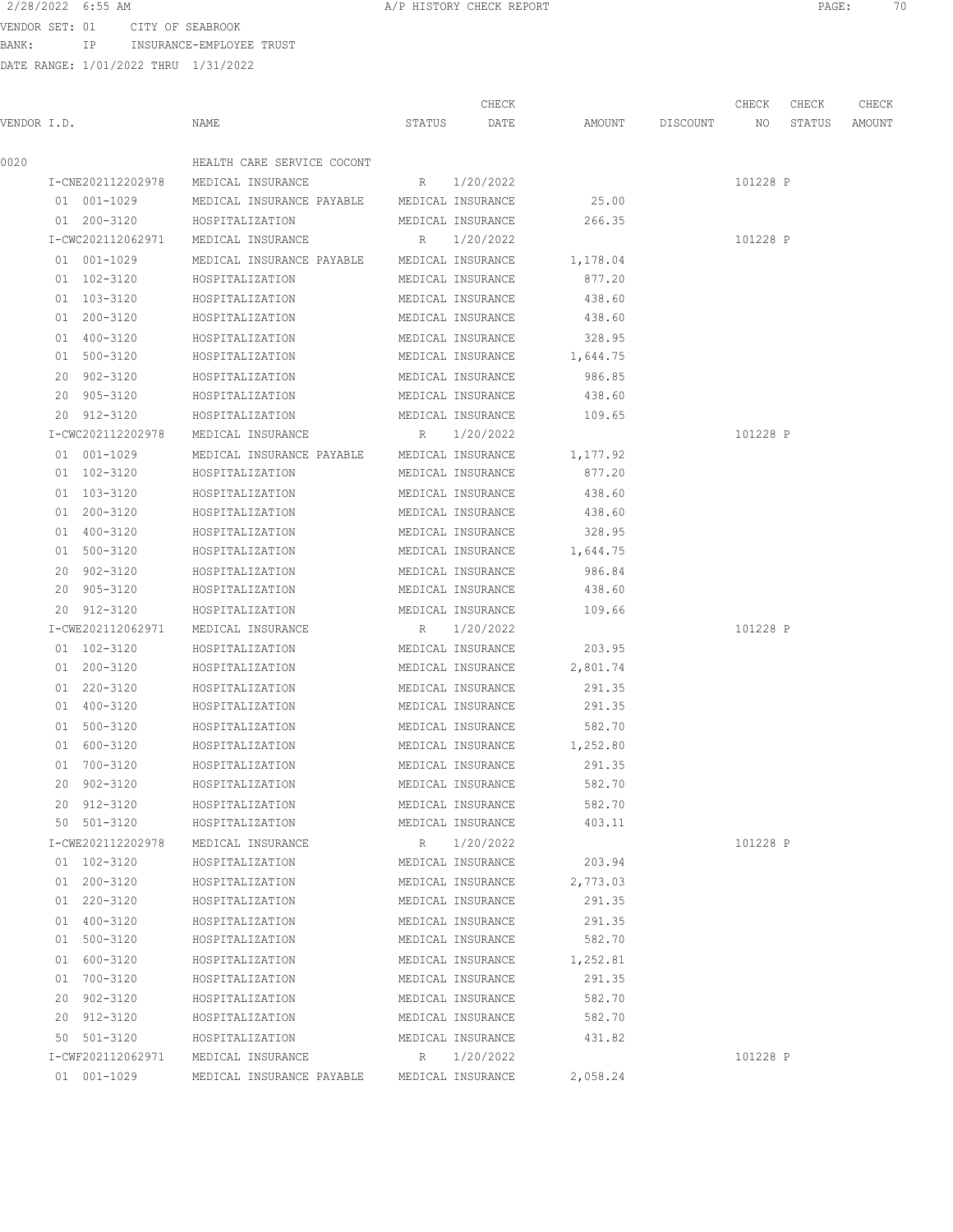VENDOR SET: 01 CITY OF SEABROOK BANK: IP INSURANCE-EMPLOYEE TRUST

| VENDOR I.D. |                   | NAME                                        | STATUS | CHECK<br>DATE     | AMOUNT   | DISCOUNT | CHECK<br>NO | CHECK<br>STATUS | CHECK<br>AMOUNT |
|-------------|-------------------|---------------------------------------------|--------|-------------------|----------|----------|-------------|-----------------|-----------------|
|             |                   |                                             |        |                   |          |          |             |                 |                 |
| 0020        |                   | HEALTH CARE SERVICE COCONT                  |        |                   |          |          |             |                 |                 |
|             | I-CNE202112202978 | MEDICAL INSURANCE                           | R      | 1/20/2022         |          |          | 101228 P    |                 |                 |
|             | 01 001-1029       | MEDICAL INSURANCE PAYABLE MEDICAL INSURANCE |        |                   | 25.00    |          |             |                 |                 |
|             | 01 200-3120       | HOSPITALIZATION                             |        | MEDICAL INSURANCE | 266.35   |          |             |                 |                 |
|             | I-CWC202112062971 | MEDICAL INSURANCE                           |        | R 1/20/2022       |          |          | 101228 P    |                 |                 |
|             | 01 001-1029       | MEDICAL INSURANCE PAYABLE MEDICAL INSURANCE |        |                   | 1,178.04 |          |             |                 |                 |
|             | 01 102-3120       | HOSPITALIZATION                             |        | MEDICAL INSURANCE | 877.20   |          |             |                 |                 |
|             | 01 103-3120       | HOSPITALIZATION                             |        | MEDICAL INSURANCE | 438.60   |          |             |                 |                 |
|             | 01 200-3120       | HOSPITALIZATION                             |        | MEDICAL INSURANCE | 438.60   |          |             |                 |                 |
|             | 01 400-3120       | HOSPITALIZATION                             |        | MEDICAL INSURANCE | 328.95   |          |             |                 |                 |
|             | 01 500-3120       | HOSPITALIZATION                             |        | MEDICAL INSURANCE | 1,644.75 |          |             |                 |                 |
|             | 20 902-3120       | HOSPITALIZATION                             |        | MEDICAL INSURANCE | 986.85   |          |             |                 |                 |
|             | 20 905-3120       | HOSPITALIZATION                             |        | MEDICAL INSURANCE | 438.60   |          |             |                 |                 |
|             | 20 912-3120       | HOSPITALIZATION                             |        | MEDICAL INSURANCE | 109.65   |          |             |                 |                 |
|             | I-CWC202112202978 | MEDICAL INSURANCE                           |        | R 1/20/2022       |          |          | 101228 P    |                 |                 |
|             | 01 001-1029       | MEDICAL INSURANCE PAYABLE                   |        | MEDICAL INSURANCE | 1,177.92 |          |             |                 |                 |
|             | 01 102-3120       | HOSPITALIZATION                             |        | MEDICAL INSURANCE | 877.20   |          |             |                 |                 |
|             | 01 103-3120       | HOSPITALIZATION                             |        | MEDICAL INSURANCE | 438.60   |          |             |                 |                 |
|             | 01 200-3120       | HOSPITALIZATION                             |        | MEDICAL INSURANCE | 438.60   |          |             |                 |                 |
|             | 01 400-3120       | HOSPITALIZATION                             |        | MEDICAL INSURANCE | 328.95   |          |             |                 |                 |
|             | 01 500-3120       | HOSPITALIZATION                             |        | MEDICAL INSURANCE | 1,644.75 |          |             |                 |                 |
|             | 20 902-3120       | HOSPITALIZATION                             |        | MEDICAL INSURANCE | 986.84   |          |             |                 |                 |
|             | 20 905-3120       | HOSPITALIZATION                             |        | MEDICAL INSURANCE | 438.60   |          |             |                 |                 |
|             | 20 912-3120       | HOSPITALIZATION                             |        | MEDICAL INSURANCE | 109.66   |          |             |                 |                 |
|             | I-CWE202112062971 | MEDICAL INSURANCE                           |        | R 1/20/2022       |          |          | 101228 P    |                 |                 |
|             | 01 102-3120       | HOSPITALIZATION                             |        | MEDICAL INSURANCE | 203.95   |          |             |                 |                 |
|             | 01 200-3120       | HOSPITALIZATION                             |        | MEDICAL INSURANCE | 2,801.74 |          |             |                 |                 |
|             | 01 220-3120       | HOSPITALIZATION                             |        | MEDICAL INSURANCE | 291.35   |          |             |                 |                 |
|             | 01 400-3120       | HOSPITALIZATION                             |        | MEDICAL INSURANCE | 291.35   |          |             |                 |                 |
|             | 01 500-3120       | HOSPITALIZATION                             |        | MEDICAL INSURANCE | 582.70   |          |             |                 |                 |
|             | 01 600-3120       | HOSPITALIZATION                             |        | MEDICAL INSURANCE | 1,252.80 |          |             |                 |                 |
|             | 01 700-3120       | HOSPITALIZATION                             |        | MEDICAL INSURANCE | 291.35   |          |             |                 |                 |
|             | 20 902-3120       | HOSPITALIZATION                             |        | MEDICAL INSURANCE | 582.70   |          |             |                 |                 |
|             | 20 912-3120       | HOSPITALIZATION                             |        | MEDICAL INSURANCE | 582.70   |          |             |                 |                 |
|             | 50 501-3120       | HOSPITALIZATION                             |        | MEDICAL INSURANCE | 403.11   |          |             |                 |                 |
|             | I-CWE202112202978 | MEDICAL INSURANCE                           |        | R 1/20/2022       |          |          | 101228 P    |                 |                 |
|             | 01 102-3120       | HOSPITALIZATION                             |        | MEDICAL INSURANCE | 203.94   |          |             |                 |                 |
|             | 01 200-3120       | HOSPITALIZATION                             |        | MEDICAL INSURANCE | 2,773.03 |          |             |                 |                 |
|             | 01 220-3120       | HOSPITALIZATION                             |        | MEDICAL INSURANCE | 291.35   |          |             |                 |                 |
|             | 01 400-3120       | HOSPITALIZATION                             |        | MEDICAL INSURANCE | 291.35   |          |             |                 |                 |
|             | 01 500-3120       | HOSPITALIZATION                             |        | MEDICAL INSURANCE | 582.70   |          |             |                 |                 |
|             | 01 600-3120       | HOSPITALIZATION                             |        | MEDICAL INSURANCE | 1,252.81 |          |             |                 |                 |
|             | 01 700-3120       | HOSPITALIZATION                             |        | MEDICAL INSURANCE | 291.35   |          |             |                 |                 |
|             | 20 902-3120       | HOSPITALIZATION                             |        | MEDICAL INSURANCE | 582.70   |          |             |                 |                 |
|             | 20 912-3120       | HOSPITALIZATION                             |        | MEDICAL INSURANCE | 582.70   |          |             |                 |                 |
|             | 50 501-3120       | HOSPITALIZATION                             |        | MEDICAL INSURANCE | 431.82   |          |             |                 |                 |
|             | I-CWF202112062971 | MEDICAL INSURANCE                           |        | R 1/20/2022       |          |          | 101228 P    |                 |                 |
|             | 01 001-1029       | MEDICAL INSURANCE PAYABLE                   |        | MEDICAL INSURANCE | 2,058.24 |          |             |                 |                 |
|             |                   |                                             |        |                   |          |          |             |                 |                 |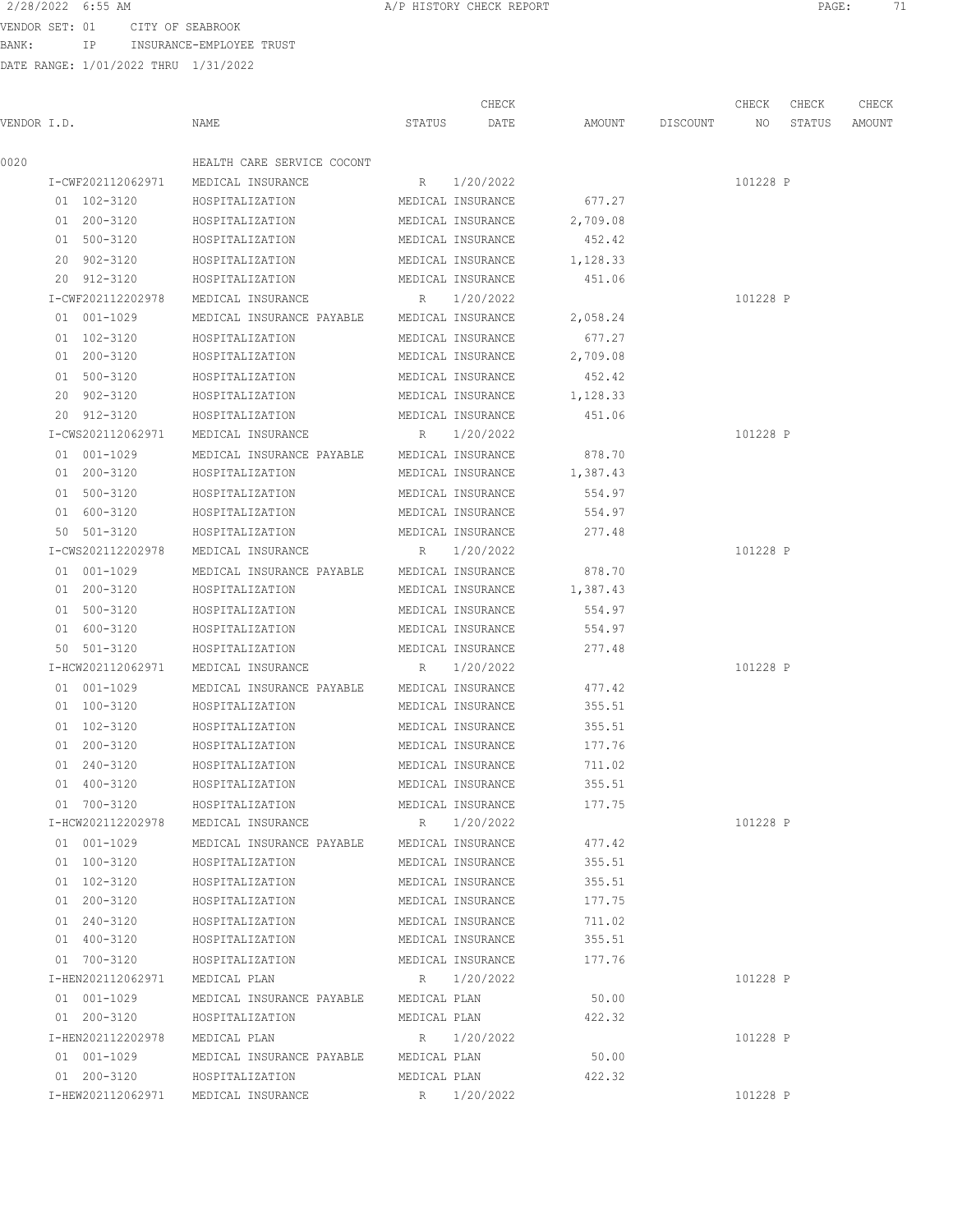BANK: IP INSURANCE-EMPLOYEE TRUST

DATE RANGE: 1/01/2022 THRU 1/31/2022

VENDOR SET: 01 CITY OF SEABROOK CHECK CHECK CHECK CHECK .<br>In the other we have status and the set of the count of the STATUS AMOUNT DISCOUNT of the STATUS AMOUNT AMOUNT 0020 HEALTH CARE SERVICE COCONT I-CWF202112062971 MEDICAL INSURANCE R 1/20/2022 101228 P 01 102-3120 HOSPITALIZATION MEDICAL INSURANCE 677.27 01 200-3120 HOSPITALIZATION MEDICAL INSURANCE 2,709.08 01 500-3120 HOSPITALIZATION MEDICAL INSURANCE 452.42 20 902-3120 HOSPITALIZATION MEDICAL INSURANCE 1,128.33 20 912-3120 HOSPITALIZATION MEDICAL INSURANCE 451.06 I-CWF202112202978 MEDICAL INSURANCE R 1/20/2022 101228 P

 01 001-1029 MEDICAL INSURANCE PAYABLE MEDICAL INSURANCE 2,058.24 01 102-3120 HOSPITALIZATION MEDICAL INSURANCE 677.27 01 200-3120 HOSPITALIZATION MEDICAL INSURANCE 2,709.08 01 500-3120 HOSPITALIZATION MEDICAL INSURANCE 452.42 20 902-3120 HOSPITALIZATION MEDICAL INSURANCE 1,128.33 20 912-3120 HOSPITALIZATION MEDICAL INSURANCE 451.06 I-CWS202112062971 MEDICAL INSURANCE R 1/20/2022 101228 P 01 001-1029 MEDICAL INSURANCE PAYABLE MEDICAL INSURANCE 878.70 01 200-3120 HOSPITALIZATION MEDICAL INSURANCE 1,387.43 01 500-3120 HOSPITALIZATION MEDICAL INSURANCE 554.97 01 600-3120 HOSPITALIZATION MEDICAL INSURANCE 554.97 50 501-3120 HOSPITALIZATION MEDICAL INSURANCE 277.48 I-CWS202112202978 MEDICAL INSURANCE R 1/20/2022 101228 P 01 001-1029 MEDICAL INSURANCE PAYABLE MEDICAL INSURANCE 878.70 01 200-3120 HOSPITALIZATION MEDICAL INSURANCE 1,387.43 01 500-3120 HOSPITALIZATION MEDICAL INSURANCE 554.97 01 600-3120 HOSPITALIZATION MEDICAL INSURANCE 554.97 50 501-3120 HOSPITALIZATION MEDICAL INSURANCE 277.48 I-HCW202112062971 MEDICAL INSURANCE R 1/20/2022 101228 P 01 001-1029 MEDICAL INSURANCE PAYABLE MEDICAL INSURANCE 477.42 01 100-3120 HOSPITALIZATION MEDICAL INSURANCE 355.51 01 102-3120 HOSPITALIZATION MEDICAL INSURANCE 355.51 01 200-3120 HOSPITALIZATION MEDICAL INSURANCE 177.76 01 240-3120 HOSPITALIZATION MEDICAL INSURANCE 711.02 01 400-3120 HOSPITALIZATION MEDICAL INSURANCE 355.51 01 700-3120 HOSPITALIZATION MEDICAL INSURANCE 177.75 I-HCW202112202978 MEDICAL INSURANCE R 1/20/2022 101228 P 01 001-1029 MEDICAL INSURANCE PAYABLE MEDICAL INSURANCE 477.42 01 100-3120 HOSPITALIZATION MEDICAL INSURANCE 355.51 01 102-3120 HOSPITALIZATION MEDICAL INSURANCE 355.51 01 200-3120 HOSPITALIZATION MEDICAL INSURANCE 177.75 01 240-3120 HOSPITALIZATION MEDICAL INSURANCE 711.02 01 400-3120 HOSPITALIZATION MEDICAL INSURANCE 355.51 01 700-3120 HOSPITALIZATION MEDICAL INSURANCE 177.76 I-HEN202112062971 MEDICAL PLAN R 1/20/2022 101228 P 01 001-1029 MEDICAL INSURANCE PAYABLE MEDICAL PLAN 50.00 01 200-3120 HOSPITALIZATION MEDICAL PLAN 422.32 I-HEN202112202978 MEDICAL PLAN R 1/20/2022 101228 P 01 001-1029 MEDICAL INSURANCE PAYABLE MEDICAL PLAN 50.00 01 200-3120 HOSPITALIZATION MEDICAL PLAN 422.32 I-HEW202112062971 MEDICAL INSURANCE R 1/20/2022 101228 P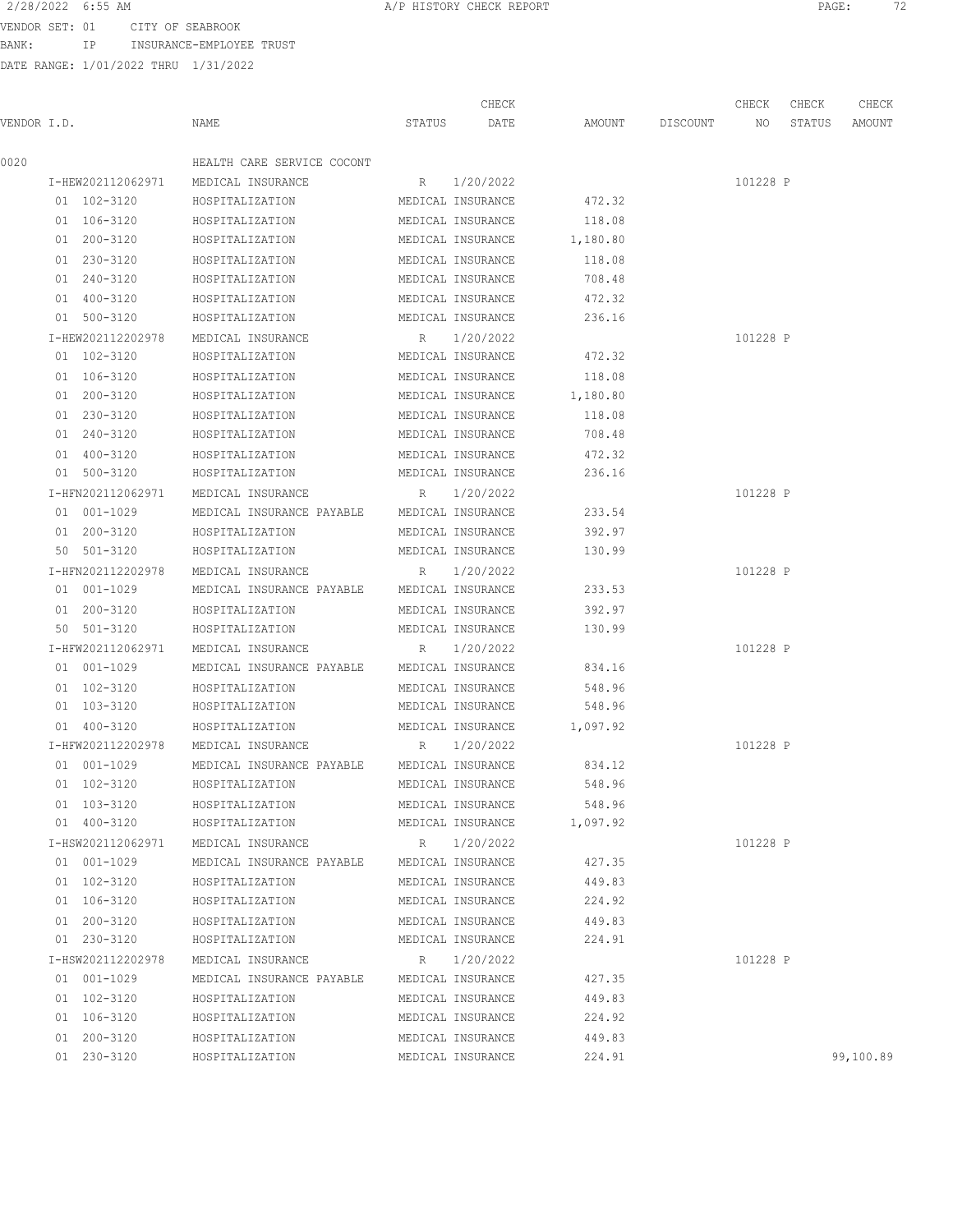BANK: IP INSURANCE-EMPLOYEE TRUST

DATE RANGE: 1/01/2022 THRU 1/31/2022

2/28/2022 6:55 AM **A/P HISTORY CHECK REPORT PAGE:** 72 CHECK CHECK CHECK CHECK CHECK CHECK CHECK CHECK CHECK CHECK CHECK CHECK CHECK CHECK CHECK CHECK CHECK CHECK CHECK CHECK CHECK CHECK CHECK CHECK CHECK CHECK CHECK CHECK CHECK CHECK CHECK CHECK CHECK CHECK CHECK CHECK CHECK VENDOR I.D. NAME STATUS DATE AMOUNT DISCOUNT NO STATUS AMOUNT

| 0020 |                   | HEALTH CARE SERVICE COCONT                  |                   |                   |                            |          |           |
|------|-------------------|---------------------------------------------|-------------------|-------------------|----------------------------|----------|-----------|
|      |                   | I-HEW202112062971 MEDICAL INSURANCE         |                   | R 1/20/2022       |                            | 101228 P |           |
|      | 01 102-3120       | HOSPITALIZATION                             |                   | MEDICAL INSURANCE | 472.32                     |          |           |
|      | 01 106-3120       | HOSPITALIZATION                             |                   | MEDICAL INSURANCE | 118.08                     |          |           |
|      | 01 200-3120       | HOSPITALIZATION                             |                   | MEDICAL INSURANCE | 1,180.80                   |          |           |
|      | 01 230-3120       | HOSPITALIZATION                             |                   | MEDICAL INSURANCE | 118.08                     |          |           |
|      | 01 240-3120       | HOSPITALIZATION                             | MEDICAL INSURANCE |                   | 708.48                     |          |           |
|      | 01 400-3120       | HOSPITALIZATION                             | MEDICAL INSURANCE |                   | 472.32                     |          |           |
|      | 01 500-3120       | HOSPITALIZATION                             |                   | MEDICAL INSURANCE | 236.16                     |          |           |
|      | I-HEW202112202978 | MEDICAL INSURANCE                           |                   | R 1/20/2022       |                            | 101228 P |           |
|      | 01 102-3120       | HOSPITALIZATION                             |                   | MEDICAL INSURANCE | 472.32                     |          |           |
|      | 01 106-3120       | HOSPITALIZATION                             |                   | MEDICAL INSURANCE | 118.08                     |          |           |
|      | 01 200-3120       | HOSPITALIZATION                             |                   | MEDICAL INSURANCE | 1,180.80                   |          |           |
|      | 01 230-3120       | HOSPITALIZATION                             |                   | MEDICAL INSURANCE | 118.08                     |          |           |
|      | 01 240-3120       | HOSPITALIZATION                             |                   | MEDICAL INSURANCE | 708.48                     |          |           |
|      |                   |                                             |                   | MEDICAL INSURANCE |                            |          |           |
|      | 01 400-3120       | HOSPITALIZATION                             |                   |                   | 472.32                     |          |           |
|      | 01 500-3120       | HOSPITALIZATION                             |                   | MEDICAL INSURANCE | 236.16                     |          |           |
|      | I-HFN202112062971 | MEDICAL INSURANCE                           |                   | R 1/20/2022       |                            | 101228 P |           |
|      | 01 001-1029       | MEDICAL INSURANCE PAYABLE MEDICAL INSURANCE |                   |                   | 233.54                     |          |           |
|      | 01 200-3120       | HOSPITALIZATION                             | MEDICAL INSURANCE |                   | 392.97                     |          |           |
|      | 50 501-3120       | HOSPITALIZATION MEDICAL INSURANCE           |                   |                   | 130.99                     |          |           |
|      | I-HFN202112202978 | MEDICAL INSURANCE                           |                   | R 1/20/2022       |                            | 101228 P |           |
|      | 01 001-1029       | MEDICAL INSURANCE PAYABLE MEDICAL INSURANCE |                   |                   | 233.53                     |          |           |
|      | 01 200-3120       | HOSPITALIZATION                             |                   | MEDICAL INSURANCE | 392.97                     |          |           |
|      | 50 501-3120       | HOSPITALIZATION                             |                   | MEDICAL INSURANCE | 130.99                     |          |           |
|      | I-HFW202112062971 | MEDICAL INSURANCE                           |                   | R 1/20/2022       |                            | 101228 P |           |
|      | 01 001-1029       | MEDICAL INSURANCE PAYABLE MEDICAL INSURANCE |                   |                   | 834.16                     |          |           |
|      | 01 102-3120       | HOSPITALIZATION                             |                   | MEDICAL INSURANCE | 548.96                     |          |           |
|      | 01 103-3120       | HOSPITALIZATION                             |                   | MEDICAL INSURANCE | 548.96                     |          |           |
|      | 01 400-3120       | HOSPITALIZATION                             |                   |                   | MEDICAL INSURANCE 1,097.92 |          |           |
|      | I-HFW202112202978 | MEDICAL INSURANCE                           |                   | R 1/20/2022       |                            | 101228 P |           |
|      | 01 001-1029       | MEDICAL INSURANCE PAYABLE MEDICAL INSURANCE |                   |                   | 834.12                     |          |           |
|      | 01 102-3120       | HOSPITALIZATION MEDICAL INSURANCE           |                   |                   | 548.96                     |          |           |
|      | 01 103-3120       | HOSPITALIZATION<br>MEDICAL INSURANCE        |                   |                   | 548.96                     |          |           |
|      | 01 400-3120       | HOSPITALIZATION                             |                   |                   | MEDICAL INSURANCE 1,097.92 |          |           |
|      | I-HSW202112062971 | MEDICAL INSURANCE                           |                   | R 1/20/2022       |                            | 101228 P |           |
|      | 01 001-1029       | MEDICAL INSURANCE PAYABLE MEDICAL INSURANCE |                   |                   | 427.35                     |          |           |
|      | 01 102-3120       | HOSPITALIZATION                             |                   | MEDICAL INSURANCE | 449.83                     |          |           |
|      | 01 106-3120       | HOSPITALIZATION                             |                   | MEDICAL INSURANCE | 224.92                     |          |           |
|      | 01 200-3120       | HOSPITALIZATION                             |                   | MEDICAL INSURANCE | 449.83                     |          |           |
|      | 01 230-3120       | HOSPITALIZATION                             |                   | MEDICAL INSURANCE | 224.91                     |          |           |
|      | I-HSW202112202978 | MEDICAL INSURANCE R 1/20/2022               |                   |                   |                            | 101228 P |           |
|      | 01 001-1029       | MEDICAL INSURANCE PAYABLE MEDICAL INSURANCE |                   |                   | 427.35                     |          |           |
|      | 01 102-3120       | HOSPITALIZATION                             |                   | MEDICAL INSURANCE | 449.83                     |          |           |
|      | 01 106-3120       | HOSPITALIZATION MEDICAL INSURANCE           |                   |                   | 224.92                     |          |           |
|      | 01 200-3120       | HOSPITALIZATION MEDICAL INSURANCE           |                   |                   | 449.83                     |          |           |
|      | 01 230-3120       | HOSPITALIZATION                             |                   | MEDICAL INSURANCE | 224.91                     |          | 99,100.89 |
|      |                   |                                             |                   |                   |                            |          |           |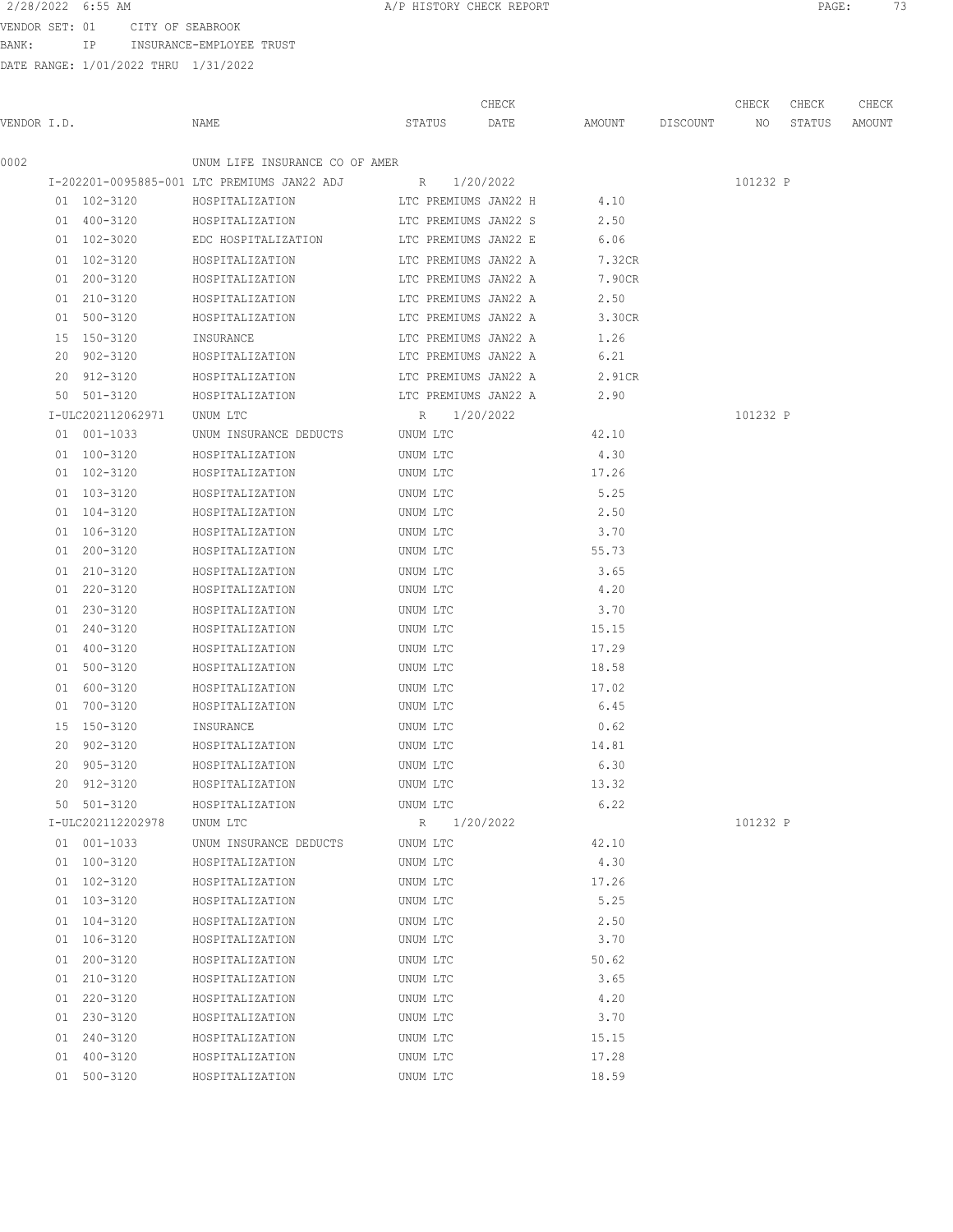2/28/2022 6:55 AM **A/P HISTORY CHECK REPORT PAGE:** 73

VENDOR SET: 01 CITY OF SEABROOK BANK: IP INSURANCE-EMPLOYEE TRUST

DATE RANGE: 1/01/2022 THRU 1/31/2022

|             |                   |                                             |                      | CHECK     |                 | CHECK    | CHECK  | CHECK  |
|-------------|-------------------|---------------------------------------------|----------------------|-----------|-----------------|----------|--------|--------|
| VENDOR I.D. |                   | NAME                                        | STATUS               | DATE      | AMOUNT DISCOUNT | NO       | STATUS | AMOUNT |
| 0002        |                   | UNUM LIFE INSURANCE CO OF AMER              |                      |           |                 |          |        |        |
|             |                   | I-202201-0095885-001 LTC PREMIUMS JAN22 ADJ | R 1/20/2022          |           |                 | 101232 P |        |        |
|             | 01 102-3120       | HOSPITALIZATION                             | LTC PREMIUMS JAN22 H |           | 4.10            |          |        |        |
|             | 01 400-3120       | HOSPITALIZATION                             | LTC PREMIUMS JAN22 S |           | 2.50            |          |        |        |
|             | 01 102-3020       | EDC HOSPITALIZATION                         | LTC PREMIUMS JAN22 E |           | 6.06            |          |        |        |
|             | 01 102-3120       | HOSPITALIZATION                             | LTC PREMIUMS JAN22 A |           | 7.32CR          |          |        |        |
|             | 01 200-3120       | HOSPITALIZATION                             | LTC PREMIUMS JAN22 A |           | 7.90CR          |          |        |        |
|             | 01 210-3120       | HOSPITALIZATION                             | LTC PREMIUMS JAN22 A |           | 2.50            |          |        |        |
|             | 01 500-3120       | HOSPITALIZATION                             | LTC PREMIUMS JAN22 A |           | 3.30CR          |          |        |        |
|             | 15 150-3120       | INSURANCE                                   | LTC PREMIUMS JAN22 A |           | 1.26            |          |        |        |
|             | 20 902-3120       | HOSPITALIZATION                             | LTC PREMIUMS JAN22 A |           | 6.21            |          |        |        |
|             | 20 912-3120       | HOSPITALIZATION                             | LTC PREMIUMS JAN22 A |           | 2.91CR          |          |        |        |
|             | 50 501-3120       | HOSPITALIZATION                             | LTC PREMIUMS JAN22 A |           | 2.90            |          |        |        |
|             | I-ULC202112062971 | UNUM LTC                                    | R 1/20/2022          |           |                 | 101232 P |        |        |
|             | 01 001-1033       | UNUM INSURANCE DEDUCTS                      | UNUM LTC             |           | 42.10           |          |        |        |
|             | 01 100-3120       | HOSPITALIZATION                             | UNUM LTC             |           | 4.30            |          |        |        |
|             | 01 102-3120       | HOSPITALIZATION                             | UNUM LTC             |           | 17.26           |          |        |        |
|             | 01 103-3120       | HOSPITALIZATION                             | UNUM LTC             |           | 5.25            |          |        |        |
|             | 01 104-3120       | HOSPITALIZATION                             | UNUM LTC             |           | 2.50            |          |        |        |
|             | 01 106-3120       | HOSPITALIZATION                             | UNUM LTC             |           | 3.70            |          |        |        |
|             | 01 200-3120       | HOSPITALIZATION                             | UNUM LTC             |           | 55.73           |          |        |        |
|             | 01 210-3120       | HOSPITALIZATION                             | UNUM LTC             |           | 3.65            |          |        |        |
|             | 01 220-3120       | HOSPITALIZATION                             | UNUM LTC             |           | 4.20            |          |        |        |
|             | 01 230-3120       | HOSPITALIZATION                             | UNUM LTC             |           | 3.70            |          |        |        |
|             | 01 240-3120       | HOSPITALIZATION                             | UNUM LTC             |           | 15.15           |          |        |        |
|             | 01 400-3120       | HOSPITALIZATION                             | UNUM LTC             |           | 17.29           |          |        |        |
|             | 01 500-3120       | HOSPITALIZATION                             | UNUM LTC             |           | 18.58           |          |        |        |
|             | 01 600-3120       | HOSPITALIZATION                             | UNUM LTC             |           | 17.02           |          |        |        |
|             | 01 700-3120       | HOSPITALIZATION                             | UNUM LTC             |           | 6.45            |          |        |        |
|             | 15 150-3120       | INSURANCE                                   | UNUM LTC             |           | 0.62            |          |        |        |
|             | 20 902-3120       | HOSPITALIZATION                             | UNUM LTC             |           | 14.81           |          |        |        |
|             | 20 905-3120       | HOSPITALIZATION                             | UNUM LTC             |           | 6.30            |          |        |        |
|             | 20 912-3120       | HOSPITALIZATION                             | UNUM LTC             |           | 13.32           |          |        |        |
|             | 50 501-3120       | HOSPITALIZATION                             | UNUM LTC             |           | 6.22            |          |        |        |
|             | I-ULC202112202978 | UNUM LTC                                    | $R_{\perp}$          | 1/20/2022 |                 | 101232 P |        |        |
|             | 01 001-1033       | UNUM INSURANCE DEDUCTS                      | UNUM LTC             |           | 42.10           |          |        |        |
|             | 01 100-3120       | HOSPITALIZATION                             | UNUM LTC             |           | 4.30            |          |        |        |
|             | 01 102-3120       | HOSPITALIZATION                             | UNUM LTC             |           | 17.26           |          |        |        |
|             | 01 103-3120       | HOSPITALIZATION                             | UNUM LTC             |           | 5.25            |          |        |        |
|             | 01 104-3120       | HOSPITALIZATION                             | UNUM LTC             |           | 2.50            |          |        |        |
|             | 01 106-3120       | HOSPITALIZATION                             | UNUM LTC             |           | 3.70            |          |        |        |
|             | 01 200-3120       | HOSPITALIZATION                             | UNUM LTC             |           | 50.62           |          |        |        |
|             | 01 210-3120       | HOSPITALIZATION                             | UNUM LTC             |           | 3.65            |          |        |        |
|             | 01 220-3120       | HOSPITALIZATION                             | UNUM LTC             |           | 4.20            |          |        |        |
|             | 01 230-3120       | HOSPITALIZATION                             | UNUM LTC             |           | 3.70            |          |        |        |
|             | 01 240-3120       | HOSPITALIZATION                             | UNUM LTC             |           | 15.15           |          |        |        |
|             | 01 400-3120       | HOSPITALIZATION                             | UNUM LTC             |           | 17.28           |          |        |        |
|             | 01 500-3120       | HOSPITALIZATION                             | UNUM LTC             |           | 18.59           |          |        |        |
|             |                   |                                             |                      |           |                 |          |        |        |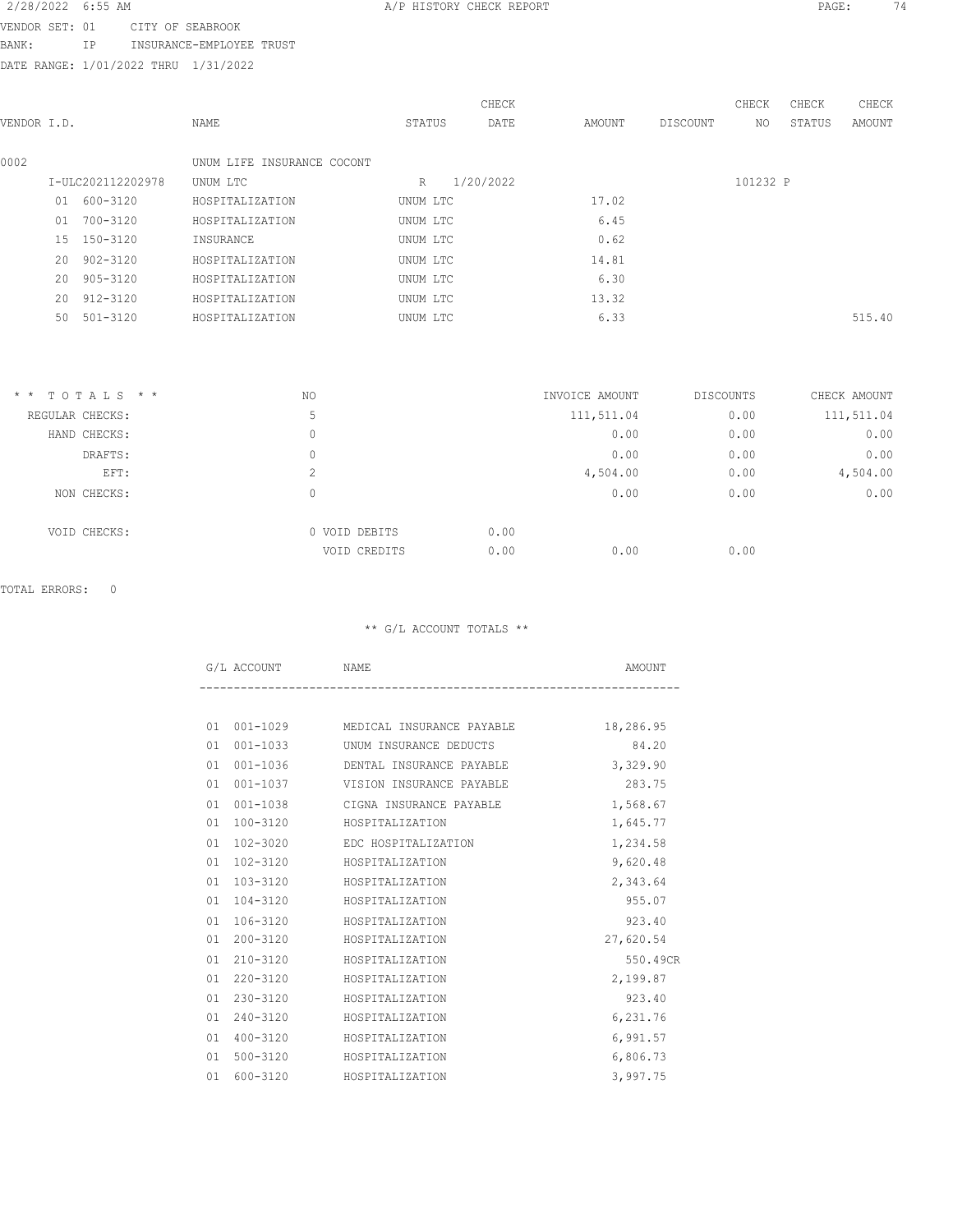# 2/28/2022 6:55 AM **A/P HISTORY CHECK REPORT PAGE:** 74

VENDOR SET: 01 CITY OF SEABROOK BANK: IP INSURANCE-EMPLOYEE TRUST

DATE RANGE: 1/01/2022 THRU 1/31/2022

|             |                   |             |                            |          | CHECK     |        |          | CHECK    | CHECK  | CHECK  |
|-------------|-------------------|-------------|----------------------------|----------|-----------|--------|----------|----------|--------|--------|
| VENDOR I.D. |                   |             | NAME                       | STATUS   | DATE      | AMOUNT | DISCOUNT | NO.      | STATUS | AMOUNT |
| 0002        |                   |             | UNUM LIFE INSURANCE COCONT |          |           |        |          |          |        |        |
|             | I-ULC202112202978 |             | UNUM LTC                   | R        | 1/20/2022 |        |          | 101232 P |        |        |
|             | 01                | 600-3120    | HOSPITALIZATION            | UNUM LTC |           | 17.02  |          |          |        |        |
|             | 01                | 700-3120    | HOSPITALIZATION            | UNUM LTC |           | 6.45   |          |          |        |        |
|             |                   | 15 150-3120 | INSURANCE                  | UNUM LTC |           | 0.62   |          |          |        |        |
|             | 20                | 902-3120    | HOSPITALIZATION            | UNUM LTC |           | 14.81  |          |          |        |        |
|             | 20                | 905-3120    | HOSPITALIZATION            | UNUM LTC |           | 6.30   |          |          |        |        |
|             | 20                | 912-3120    | HOSPITALIZATION            | UNUM LTC |           | 13.32  |          |          |        |        |
|             | 50                | 501-3120    | HOSPITALIZATION            | UNUM LTC |           | 6.33   |          |          |        | 515.40 |
|             |                   |             |                            |          |           |        |          |          |        |        |

| $*$ * TOTALS * * | ΝO            | INVOICE AMOUNT | DISCOUNTS | CHECK AMOUNT |
|------------------|---------------|----------------|-----------|--------------|
| REGULAR CHECKS:  | 5             | 111,511.04     | 0.00      | 111,511.04   |
| HAND CHECKS:     | 0             | 0.00           | 0.00      | 0.00         |
| DRAFTS:          | 0             | 0.00           | 0.00      | 0.00         |
| EFT:             | ◠<br>∠        | 4,504.00       | 0.00      | 4,504.00     |
| NON CHECKS:      | 0             | 0.00           | 0.00      | 0.00         |
| VOID CHECKS:     | 0 VOID DEBITS | 0.00           |           |              |
|                  | VOID CREDITS  | 0.00<br>0.00   | 0.00      |              |

## TOTAL ERRORS: 0

\*\* G/L ACCOUNT TOTALS \*\*

| G/L ACCOUNT        | NAME                                         | AMOUNT    |
|--------------------|----------------------------------------------|-----------|
|                    |                                              |           |
| 01                 | 001-1029 MEDICAL INSURANCE PAYABLE 18,286.95 |           |
| 001-1033<br>01     | UNUM INSURANCE DEDUCTS                       | 84.20     |
| 001-1036<br>01     | DENTAL INSURANCE PAYABLE                     | 3,329.90  |
| 001-1037<br>01     | VISION INSURANCE PAYABLE                     | 283.75    |
| $001 - 1038$<br>01 | CIGNA INSURANCE PAYABLE                      | 1,568.67  |
| 100-3120<br>01     | HOSPITALIZATION                              | 1,645.77  |
| 102-3020<br>01     | EDC HOSPITALIZATION                          | 1,234.58  |
| 102-3120<br>01     | HOSPITALIZATION                              | 9,620.48  |
| 103-3120<br>01     | HOSPITALIZATION                              | 2,343.64  |
| 104-3120<br>01     | HOSPITALIZATION                              | 955.07    |
| $106 - 3120$<br>01 | HOSPITALIZATION                              | 923.40    |
| 200-3120<br>01     | HOSPITALIZATION                              | 27,620.54 |
| 210-3120<br>01     | HOSPITALIZATION                              | 550.49CR  |
| 220-3120<br>01     | HOSPITALIZATION                              | 2,199.87  |
| 230-3120<br>01     | HOSPITALIZATION                              | 923.40    |
| 240-3120<br>01     | HOSPITALIZATION                              | 6,231.76  |
| 400-3120<br>01     | HOSPITALIZATION                              | 6,991.57  |
| 500-3120<br>01     | HOSPITALIZATION                              | 6,806.73  |
| $600 - 3120$<br>01 | HOSPITALIZATION                              | 3,997.75  |
|                    |                                              |           |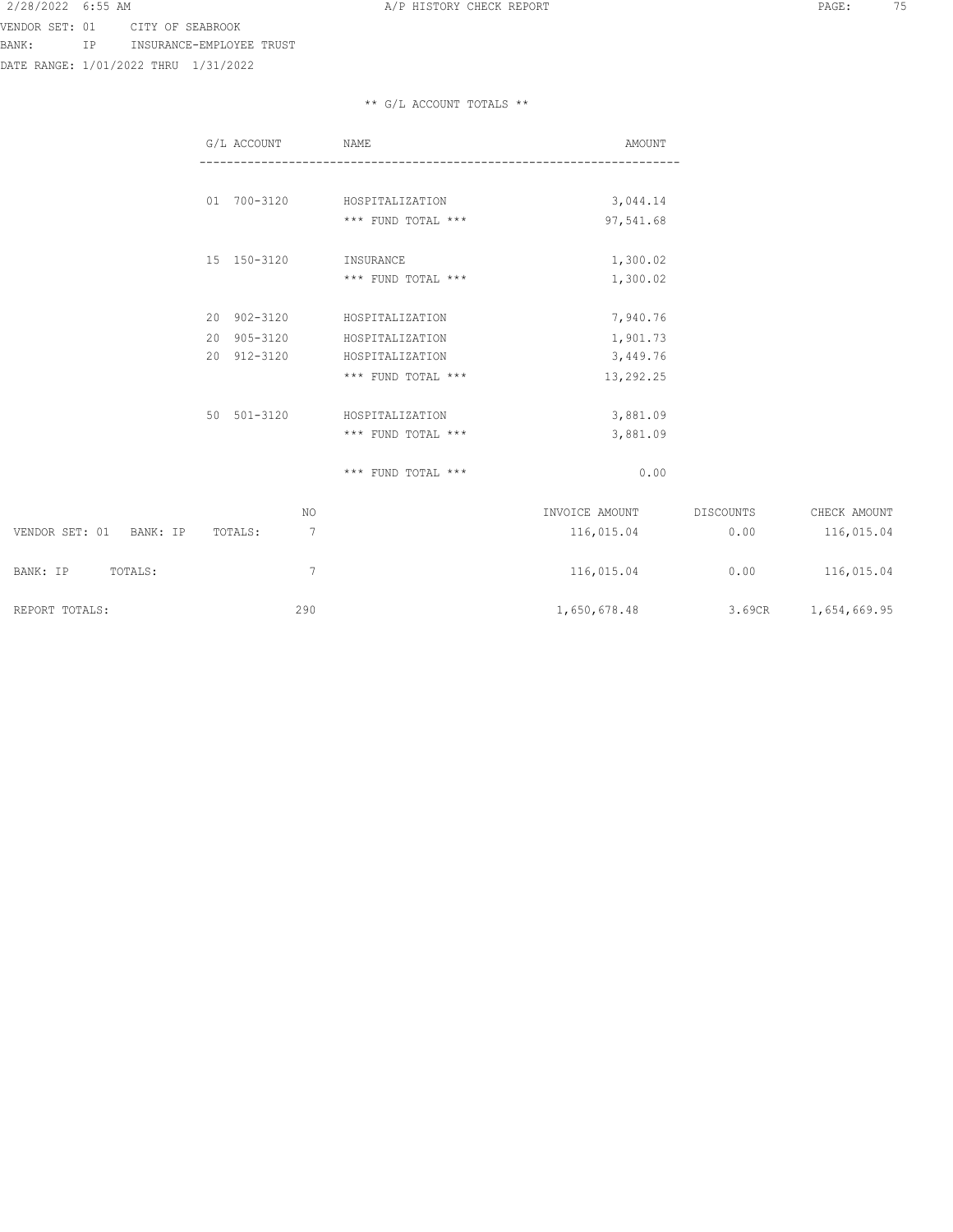BANK: IP INSURANCE-EMPLOYEE TRUST

DATE RANGE: 1/01/2022 THRU 1/31/2022

### \*\* G/L ACCOUNT TOTALS \*\*

|                            | G/L ACCOUNT  | NAME               | AMOUNT         |           |                     |
|----------------------------|--------------|--------------------|----------------|-----------|---------------------|
|                            |              |                    |                |           |                     |
|                            | 01 700-3120  | HOSPITALIZATION    | 3,044.14       |           |                     |
|                            |              | *** FUND TOTAL *** | 97,541.68      |           |                     |
|                            | 15 150-3120  | INSURANCE          | 1,300.02       |           |                     |
|                            |              | *** FUND TOTAL *** | 1,300.02       |           |                     |
|                            | 20 902-3120  | HOSPITALIZATION    | 7,940.76       |           |                     |
|                            | 20 905-3120  | HOSPITALIZATION    | 1,901.73       |           |                     |
|                            | 20 912-3120  | HOSPITALIZATION    | 3,449.76       |           |                     |
|                            |              | *** FUND TOTAL *** | 13,292.25      |           |                     |
|                            | 50 501-3120  | HOSPITALIZATION    | 3,881.09       |           |                     |
|                            |              | *** FUND TOTAL *** | 3,881.09       |           |                     |
|                            |              | *** FUND TOTAL *** | 0.00           |           |                     |
|                            | NO           |                    | INVOICE AMOUNT | DISCOUNTS | CHECK AMOUNT        |
| VENDOR SET: 01<br>BANK: IP | 7<br>TOTALS: |                    | 116,015.04     | 0.00      | 116,015.04          |
| BANK: IP<br>TOTALS:        | 7            |                    | 116,015.04     | 0.00      | 116,015.04          |
| REPORT TOTALS:             | 290          |                    | 1,650,678.48   |           | 3.69CR 1,654,669.95 |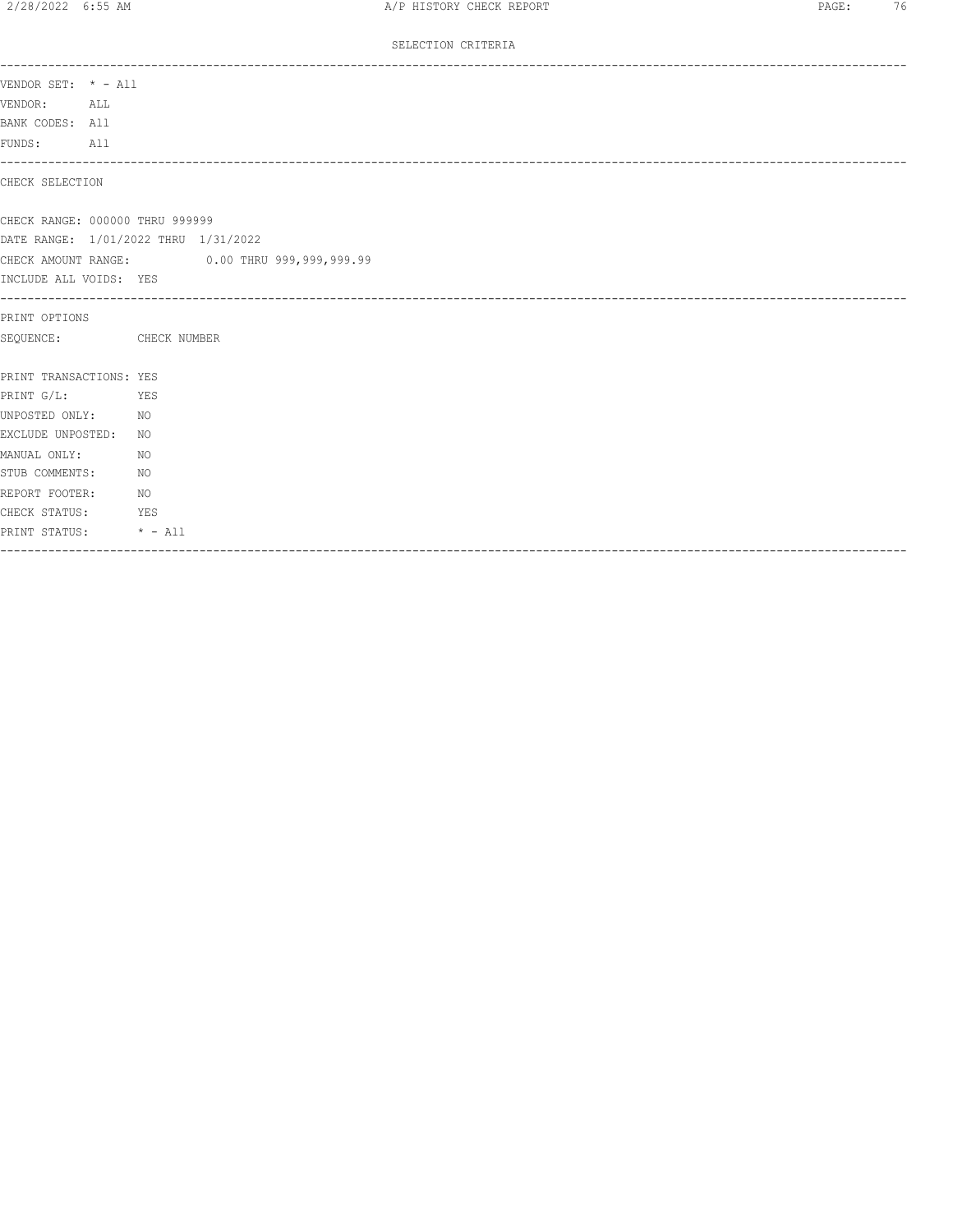#### SELECTION CRITERIA

| VENDOR SET: * - All                  |                                              |
|--------------------------------------|----------------------------------------------|
| VENDOR:<br>ALL ALL                   |                                              |
| BANK CODES: All                      |                                              |
| FUNDS: All                           |                                              |
|                                      |                                              |
| CHECK SELECTION                      |                                              |
|                                      |                                              |
| CHECK RANGE: 000000 THRU 999999      |                                              |
| DATE RANGE: 1/01/2022 THRU 1/31/2022 |                                              |
|                                      | CHECK AMOUNT RANGE: 0.00 THRU 999,999,999.99 |
| INCLUDE ALL VOIDS: YES               |                                              |
|                                      |                                              |
| PRINT OPTIONS                        |                                              |
| SEQUENCE: CHECK NUMBER               |                                              |
|                                      |                                              |
| PRINT TRANSACTIONS: YES              |                                              |
| PRINT G/L:<br><b>Example 25 YES</b>  |                                              |
| UNPOSTED ONLY: NO                    |                                              |
| EXCLUDE UNPOSTED:                    | NO.                                          |
| MANUAL ONLY:                         | NO.                                          |
| STUB COMMENTS:                       | NO                                           |
| REPORT FOOTER:<br>NO.                |                                              |
| CHECK STATUS: YES                    |                                              |
| PRINT STATUS: * - All                |                                              |
|                                      |                                              |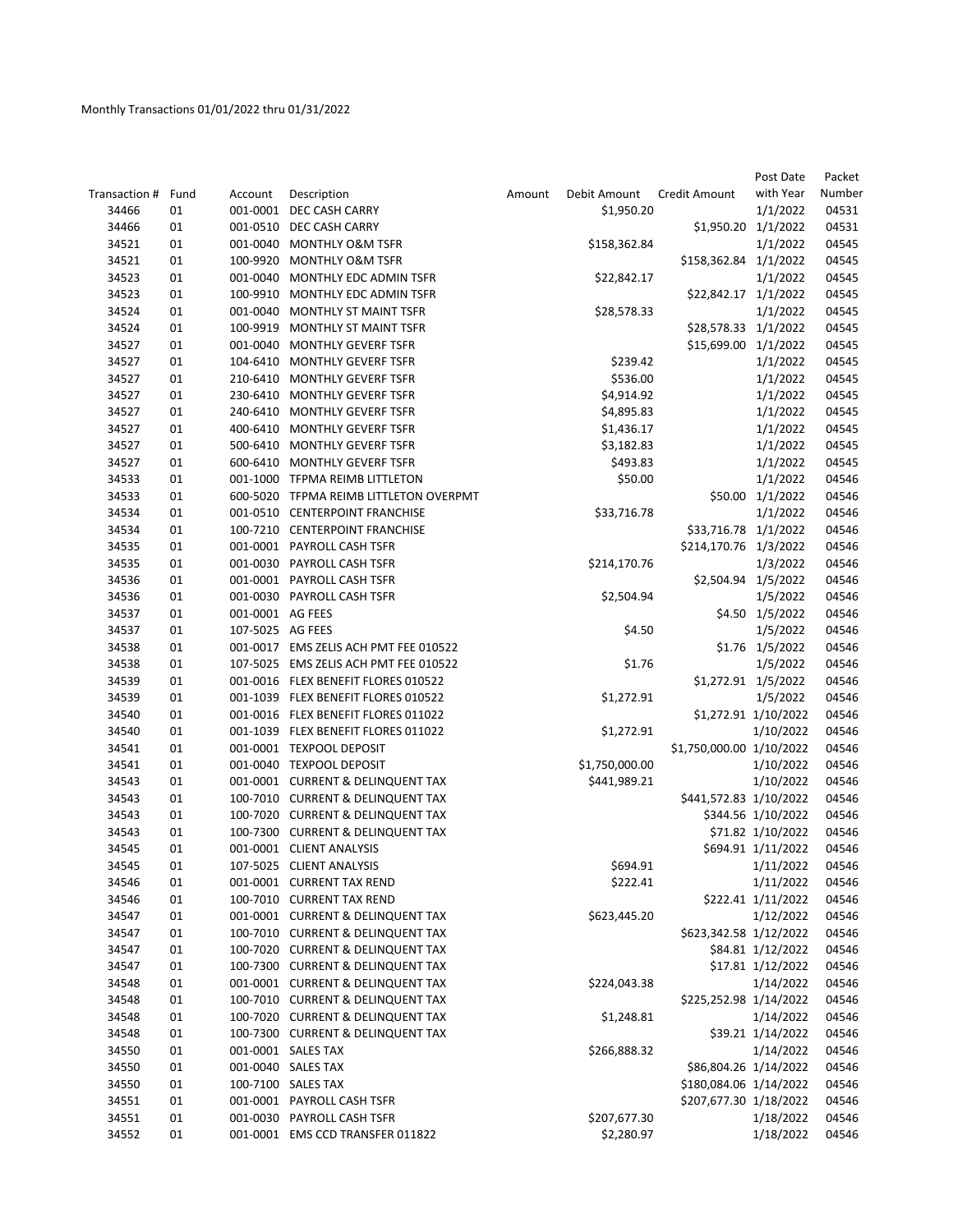|               |      |                  |                                        |        |                |                          | Post Date            | Packet |
|---------------|------|------------------|----------------------------------------|--------|----------------|--------------------------|----------------------|--------|
| Transaction # | Fund | Account          | Description                            | Amount | Debit Amount   | Credit Amount            | with Year            | Number |
| 34466         | 01   |                  | 001-0001 DEC CASH CARRY                |        | \$1,950.20     |                          | 1/1/2022             | 04531  |
| 34466         | 01   |                  | 001-0510 DEC CASH CARRY                |        |                | \$1,950.20 1/1/2022      |                      | 04531  |
| 34521         | 01   |                  | 001-0040 MONTHLY O&M TSFR              |        | \$158,362.84   |                          | 1/1/2022             | 04545  |
| 34521         | 01   | 100-9920         | MONTHLY O&M TSFR                       |        |                | \$158,362.84 1/1/2022    |                      | 04545  |
| 34523         | 01   | 001-0040         | MONTHLY EDC ADMIN TSFR                 |        | \$22,842.17    |                          | 1/1/2022             | 04545  |
| 34523         | 01   |                  | 100-9910 MONTHLY EDC ADMIN TSFR        |        |                | \$22,842.17 1/1/2022     |                      | 04545  |
| 34524         | 01   | 001-0040         | <b>MONTHLY ST MAINT TSFR</b>           |        | \$28,578.33    |                          | 1/1/2022             | 04545  |
| 34524         | 01   |                  | 100-9919 MONTHLY ST MAINT TSFR         |        |                | \$28,578.33 1/1/2022     |                      | 04545  |
| 34527         | 01   |                  | 001-0040 MONTHLY GEVERF TSFR           |        |                | \$15,699.00              | 1/1/2022             | 04545  |
| 34527         | 01   |                  | 104-6410 MONTHLY GEVERF TSFR           |        | \$239.42       |                          | 1/1/2022             | 04545  |
| 34527         | 01   |                  | 210-6410 MONTHLY GEVERF TSFR           |        | \$536.00       |                          | 1/1/2022             | 04545  |
| 34527         | 01   |                  | 230-6410 MONTHLY GEVERF TSFR           |        | \$4,914.92     |                          | 1/1/2022             | 04545  |
| 34527         | 01   |                  | 240-6410 MONTHLY GEVERF TSFR           |        | \$4,895.83     |                          | 1/1/2022             | 04545  |
| 34527         | 01   |                  | 400-6410 MONTHLY GEVERF TSFR           |        | \$1,436.17     |                          | 1/1/2022             | 04545  |
| 34527         | 01   |                  | 500-6410 MONTHLY GEVERF TSFR           |        | \$3,182.83     |                          | 1/1/2022             | 04545  |
| 34527         | 01   |                  | 600-6410 MONTHLY GEVERF TSFR           |        | \$493.83       |                          | 1/1/2022             | 04545  |
| 34533         | 01   |                  | 001-1000 TFPMA REIMB LITTLETON         |        | \$50.00        |                          | 1/1/2022             | 04546  |
| 34533         | 01   |                  | 600-5020 TFPMA REIMB LITTLETON OVERPMT |        |                |                          | \$50.00 1/1/2022     | 04546  |
| 34534         | 01   |                  | 001-0510 CENTERPOINT FRANCHISE         |        | \$33,716.78    |                          | 1/1/2022             | 04546  |
| 34534         | 01   |                  | 100-7210 CENTERPOINT FRANCHISE         |        |                | \$33,716.78 1/1/2022     |                      | 04546  |
| 34535         | 01   |                  | 001-0001 PAYROLL CASH TSFR             |        |                | \$214,170.76 1/3/2022    |                      | 04546  |
| 34535         | 01   |                  | 001-0030 PAYROLL CASH TSFR             |        | \$214,170.76   |                          | 1/3/2022             | 04546  |
| 34536         | 01   |                  | 001-0001 PAYROLL CASH TSFR             |        |                | \$2,504.94 1/5/2022      |                      | 04546  |
| 34536         | 01   |                  | 001-0030 PAYROLL CASH TSFR             |        | \$2,504.94     |                          | 1/5/2022             | 04546  |
| 34537         | 01   | 001-0001 AG FEES |                                        |        |                |                          | \$4.50 1/5/2022      | 04546  |
| 34537         | 01   | 107-5025 AG FEES |                                        |        | \$4.50         |                          | 1/5/2022             | 04546  |
| 34538         | 01   |                  | 001-0017 EMS ZELIS ACH PMT FEE 010522  |        |                |                          | \$1.76 1/5/2022      | 04546  |
| 34538         | 01   |                  | 107-5025 EMS ZELIS ACH PMT FEE 010522  |        | \$1.76         |                          | 1/5/2022             | 04546  |
| 34539         | 01   |                  | 001-0016 FLEX BENEFIT FLORES 010522    |        |                | \$1,272.91 1/5/2022      |                      | 04546  |
| 34539         | 01   |                  | 001-1039 FLEX BENEFIT FLORES 010522    |        | \$1,272.91     |                          | 1/5/2022             | 04546  |
| 34540         | 01   |                  | 001-0016 FLEX BENEFIT FLORES 011022    |        |                |                          | \$1,272.91 1/10/2022 | 04546  |
| 34540         | 01   |                  | 001-1039 FLEX BENEFIT FLORES 011022    |        | \$1,272.91     |                          | 1/10/2022            | 04546  |
| 34541         | 01   |                  | 001-0001 TEXPOOL DEPOSIT               |        |                | \$1,750,000.00 1/10/2022 |                      | 04546  |
| 34541         | 01   |                  | 001-0040 TEXPOOL DEPOSIT               |        | \$1,750,000.00 |                          | 1/10/2022            | 04546  |
| 34543         | 01   |                  | 001-0001 CURRENT & DELINQUENT TAX      |        | \$441,989.21   |                          | 1/10/2022            | 04546  |
| 34543         | 01   |                  | 100-7010 CURRENT & DELINQUENT TAX      |        |                | \$441,572.83 1/10/2022   |                      | 04546  |
| 34543         | 01   |                  | 100-7020 CURRENT & DELINQUENT TAX      |        |                |                          | \$344.56 1/10/2022   | 04546  |
| 34543         | 01   |                  | 100-7300 CURRENT & DELINQUENT TAX      |        |                |                          | \$71.82 1/10/2022    | 04546  |
| 34545         | 01   |                  | 001-0001 CLIENT ANALYSIS               |        |                |                          | \$694.91 1/11/2022   | 04546  |
| 34545         | 01   |                  | 107-5025 CLIENT ANALYSIS               |        | \$694.91       |                          | 1/11/2022            | 04546  |
| 34546         | 01   |                  | 001-0001 CURRENT TAX REND              |        | \$222.41       |                          | 1/11/2022            | 04546  |
| 34546         | 01   |                  | 100-7010 CURRENT TAX REND              |        |                |                          | \$222.41 1/11/2022   | 04546  |
| 34547         | 01   |                  | 001-0001 CURRENT & DELINQUENT TAX      |        | \$623,445.20   |                          | 1/12/2022            | 04546  |
| 34547         | 01   |                  | 100-7010 CURRENT & DELINQUENT TAX      |        |                | \$623,342.58 1/12/2022   |                      | 04546  |
| 34547         | 01   |                  | 100-7020 CURRENT & DELINQUENT TAX      |        |                |                          | \$84.81 1/12/2022    | 04546  |
| 34547         | 01   |                  | 100-7300 CURRENT & DELINQUENT TAX      |        |                |                          | \$17.81 1/12/2022    | 04546  |
| 34548         | 01   |                  | 001-0001 CURRENT & DELINQUENT TAX      |        | \$224,043.38   |                          | 1/14/2022            | 04546  |
| 34548         | 01   |                  | 100-7010 CURRENT & DELINQUENT TAX      |        |                | \$225,252.98 1/14/2022   |                      | 04546  |
| 34548         | 01   |                  | 100-7020 CURRENT & DELINQUENT TAX      |        | \$1,248.81     |                          | 1/14/2022            | 04546  |
| 34548         | 01   |                  | 100-7300 CURRENT & DELINQUENT TAX      |        |                |                          | \$39.21 1/14/2022    | 04546  |
| 34550         | 01   |                  | 001-0001 SALES TAX                     |        | \$266,888.32   |                          | 1/14/2022            | 04546  |
| 34550         | 01   |                  | 001-0040 SALES TAX                     |        |                | \$86,804.26 1/14/2022    |                      | 04546  |
| 34550         | 01   |                  | 100-7100 SALES TAX                     |        |                | \$180,084.06 1/14/2022   |                      | 04546  |
| 34551         | 01   |                  | 001-0001 PAYROLL CASH TSFR             |        |                | \$207,677.30 1/18/2022   |                      | 04546  |
| 34551         | 01   |                  | 001-0030 PAYROLL CASH TSFR             |        | \$207,677.30   |                          | 1/18/2022            | 04546  |
| 34552         | 01   |                  | 001-0001 EMS CCD TRANSFER 011822       |        | \$2,280.97     |                          | 1/18/2022            | 04546  |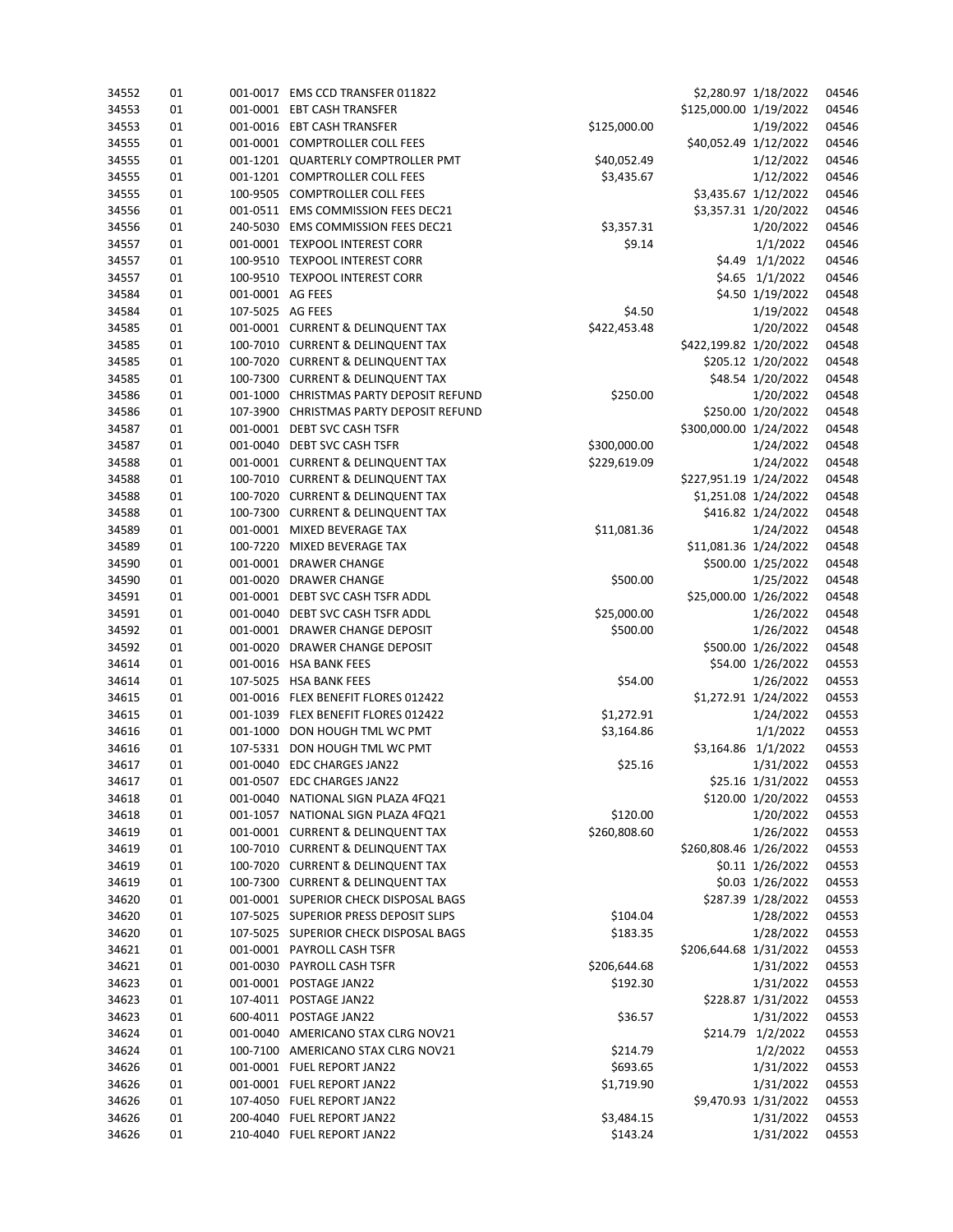| 34552 | 01 |                  | 001-0017 EMS CCD TRANSFER 011822        |              |                        | \$2,280.97 1/18/2022 | 04546 |
|-------|----|------------------|-----------------------------------------|--------------|------------------------|----------------------|-------|
| 34553 | 01 |                  | 001-0001 EBT CASH TRANSFER              |              | \$125,000.00 1/19/2022 |                      | 04546 |
| 34553 | 01 |                  | 001-0016 EBT CASH TRANSFER              | \$125,000.00 |                        | 1/19/2022            | 04546 |
| 34555 | 01 |                  | 001-0001 COMPTROLLER COLL FEES          |              | \$40,052.49 1/12/2022  |                      | 04546 |
| 34555 | 01 |                  | 001-1201 QUARTERLY COMPTROLLER PMT      | \$40,052.49  |                        | 1/12/2022            | 04546 |
| 34555 | 01 |                  | 001-1201 COMPTROLLER COLL FEES          | \$3,435.67   |                        | 1/12/2022            | 04546 |
| 34555 | 01 |                  | 100-9505 COMPTROLLER COLL FEES          |              |                        | \$3,435.67 1/12/2022 | 04546 |
| 34556 | 01 |                  | 001-0511 EMS COMMISSION FEES DEC21      |              |                        | \$3,357.31 1/20/2022 | 04546 |
| 34556 | 01 |                  | 240-5030 EMS COMMISSION FEES DEC21      | \$3,357.31   |                        | 1/20/2022            | 04546 |
| 34557 | 01 |                  | 001-0001 TEXPOOL INTEREST CORR          | \$9.14       |                        | 1/1/2022             | 04546 |
| 34557 | 01 |                  | 100-9510 TEXPOOL INTEREST CORR          |              |                        | \$4.49 1/1/2022      | 04546 |
| 34557 | 01 |                  | 100-9510 TEXPOOL INTEREST CORR          |              |                        | \$4.65 1/1/2022      | 04546 |
| 34584 | 01 | 001-0001 AG FEES |                                         |              |                        | \$4.50 1/19/2022     | 04548 |
| 34584 | 01 | 107-5025 AG FEES |                                         | \$4.50       |                        | 1/19/2022            | 04548 |
| 34585 | 01 |                  | 001-0001 CURRENT & DELINQUENT TAX       | \$422,453.48 |                        | 1/20/2022            | 04548 |
| 34585 | 01 |                  | 100-7010 CURRENT & DELINQUENT TAX       |              | \$422,199.82 1/20/2022 |                      | 04548 |
| 34585 | 01 |                  | 100-7020 CURRENT & DELINQUENT TAX       |              |                        | \$205.12 1/20/2022   | 04548 |
| 34585 | 01 |                  | 100-7300 CURRENT & DELINQUENT TAX       |              |                        | \$48.54 1/20/2022    | 04548 |
| 34586 | 01 |                  | 001-1000 CHRISTMAS PARTY DEPOSIT REFUND | \$250.00     |                        | 1/20/2022            | 04548 |
| 34586 | 01 |                  | 107-3900 CHRISTMAS PARTY DEPOSIT REFUND |              |                        | \$250.00 1/20/2022   | 04548 |
| 34587 | 01 |                  | 001-0001 DEBT SVC CASH TSFR             |              | \$300,000.00 1/24/2022 |                      | 04548 |
| 34587 | 01 |                  | 001-0040 DEBT SVC CASH TSFR             | \$300,000.00 |                        | 1/24/2022            | 04548 |
| 34588 | 01 |                  | 001-0001 CURRENT & DELINQUENT TAX       | \$229,619.09 |                        | 1/24/2022            | 04548 |
| 34588 | 01 |                  | 100-7010 CURRENT & DELINQUENT TAX       |              | \$227,951.19 1/24/2022 |                      | 04548 |
| 34588 | 01 |                  | 100-7020 CURRENT & DELINQUENT TAX       |              |                        | \$1,251.08 1/24/2022 | 04548 |
| 34588 | 01 |                  | 100-7300 CURRENT & DELINQUENT TAX       |              |                        | \$416.82 1/24/2022   | 04548 |
| 34589 | 01 |                  | 001-0001 MIXED BEVERAGE TAX             | \$11,081.36  |                        | 1/24/2022            | 04548 |
| 34589 | 01 |                  | 100-7220 MIXED BEVERAGE TAX             |              | \$11,081.36 1/24/2022  |                      | 04548 |
| 34590 | 01 |                  | 001-0001 DRAWER CHANGE                  |              |                        | \$500.00 1/25/2022   | 04548 |
| 34590 | 01 |                  | 001-0020 DRAWER CHANGE                  | \$500.00     |                        | 1/25/2022            | 04548 |
| 34591 | 01 |                  | 001-0001 DEBT SVC CASH TSFR ADDL        |              | \$25,000.00 1/26/2022  |                      | 04548 |
| 34591 | 01 |                  | 001-0040 DEBT SVC CASH TSFR ADDL        | \$25,000.00  |                        | 1/26/2022            | 04548 |
| 34592 | 01 |                  | 001-0001 DRAWER CHANGE DEPOSIT          | \$500.00     |                        | 1/26/2022            | 04548 |
| 34592 | 01 | 001-0020         | DRAWER CHANGE DEPOSIT                   |              |                        | \$500.00 1/26/2022   | 04548 |
| 34614 | 01 |                  | 001-0016 HSA BANK FEES                  |              |                        | \$54.00 1/26/2022    | 04553 |
| 34614 | 01 |                  | 107-5025 HSA BANK FEES                  | \$54.00      |                        | 1/26/2022            | 04553 |
| 34615 | 01 |                  | 001-0016 FLEX BENEFIT FLORES 012422     |              |                        | \$1,272.91 1/24/2022 | 04553 |
| 34615 | 01 |                  | 001-1039 FLEX BENEFIT FLORES 012422     | \$1,272.91   |                        | 1/24/2022            | 04553 |
| 34616 | 01 |                  | 001-1000 DON HOUGH TML WC PMT           | \$3,164.86   |                        | 1/1/2022             | 04553 |
| 34616 | 01 |                  | 107-5331 DON HOUGH TML WC PMT           |              | \$3,164.86 1/1/2022    |                      | 04553 |
| 34617 | 01 |                  | 001-0040 EDC CHARGES JAN22              | \$25.16      |                        | 1/31/2022            | 04553 |
| 34617 | 01 |                  | 001-0507 EDC CHARGES JAN22              |              |                        | \$25.16 1/31/2022    | 04553 |
| 34618 | 01 |                  | 001-0040 NATIONAL SIGN PLAZA 4FQ21      |              |                        | \$120.00 1/20/2022   | 04553 |
| 34618 | 01 |                  | 001-1057 NATIONAL SIGN PLAZA 4FQ21      | \$120.00     |                        | 1/20/2022            | 04553 |
| 34619 | 01 |                  | 001-0001 CURRENT & DELINQUENT TAX       | \$260,808.60 |                        | 1/26/2022            | 04553 |
| 34619 | 01 |                  | 100-7010 CURRENT & DELINQUENT TAX       |              | \$260,808.46 1/26/2022 |                      | 04553 |
| 34619 | 01 |                  | 100-7020 CURRENT & DELINQUENT TAX       |              |                        | \$0.11 1/26/2022     | 04553 |
| 34619 | 01 |                  | 100-7300 CURRENT & DELINQUENT TAX       |              |                        | \$0.03 1/26/2022     | 04553 |
| 34620 | 01 |                  | 001-0001 SUPERIOR CHECK DISPOSAL BAGS   |              |                        | \$287.39 1/28/2022   | 04553 |
| 34620 | 01 |                  | 107-5025 SUPERIOR PRESS DEPOSIT SLIPS   | \$104.04     |                        | 1/28/2022            | 04553 |
| 34620 | 01 |                  | 107-5025 SUPERIOR CHECK DISPOSAL BAGS   | \$183.35     |                        | 1/28/2022            | 04553 |
| 34621 | 01 |                  | 001-0001 PAYROLL CASH TSFR              |              | \$206,644.68 1/31/2022 |                      | 04553 |
| 34621 | 01 |                  | 001-0030 PAYROLL CASH TSFR              | \$206,644.68 |                        | 1/31/2022            | 04553 |
| 34623 | 01 |                  | 001-0001 POSTAGE JAN22                  | \$192.30     |                        | 1/31/2022            | 04553 |
| 34623 | 01 |                  | 107-4011 POSTAGE JAN22                  |              |                        | \$228.87 1/31/2022   | 04553 |
| 34623 | 01 |                  | 600-4011 POSTAGE JAN22                  | \$36.57      |                        | 1/31/2022            | 04553 |
| 34624 | 01 |                  | 001-0040 AMERICANO STAX CLRG NOV21      |              |                        | \$214.79 1/2/2022    | 04553 |
| 34624 | 01 |                  | 100-7100 AMERICANO STAX CLRG NOV21      | \$214.79     |                        | 1/2/2022             | 04553 |
| 34626 | 01 |                  | 001-0001 FUEL REPORT JAN22              | \$693.65     |                        | 1/31/2022            | 04553 |
| 34626 | 01 |                  | 001-0001 FUEL REPORT JAN22              | \$1,719.90   |                        | 1/31/2022            | 04553 |
| 34626 | 01 |                  | 107-4050 FUEL REPORT JAN22              |              |                        | \$9,470.93 1/31/2022 | 04553 |
| 34626 | 01 |                  | 200-4040 FUEL REPORT JAN22              | \$3,484.15   |                        | 1/31/2022            | 04553 |
| 34626 | 01 |                  | 210-4040 FUEL REPORT JAN22              | \$143.24     |                        | 1/31/2022            | 04553 |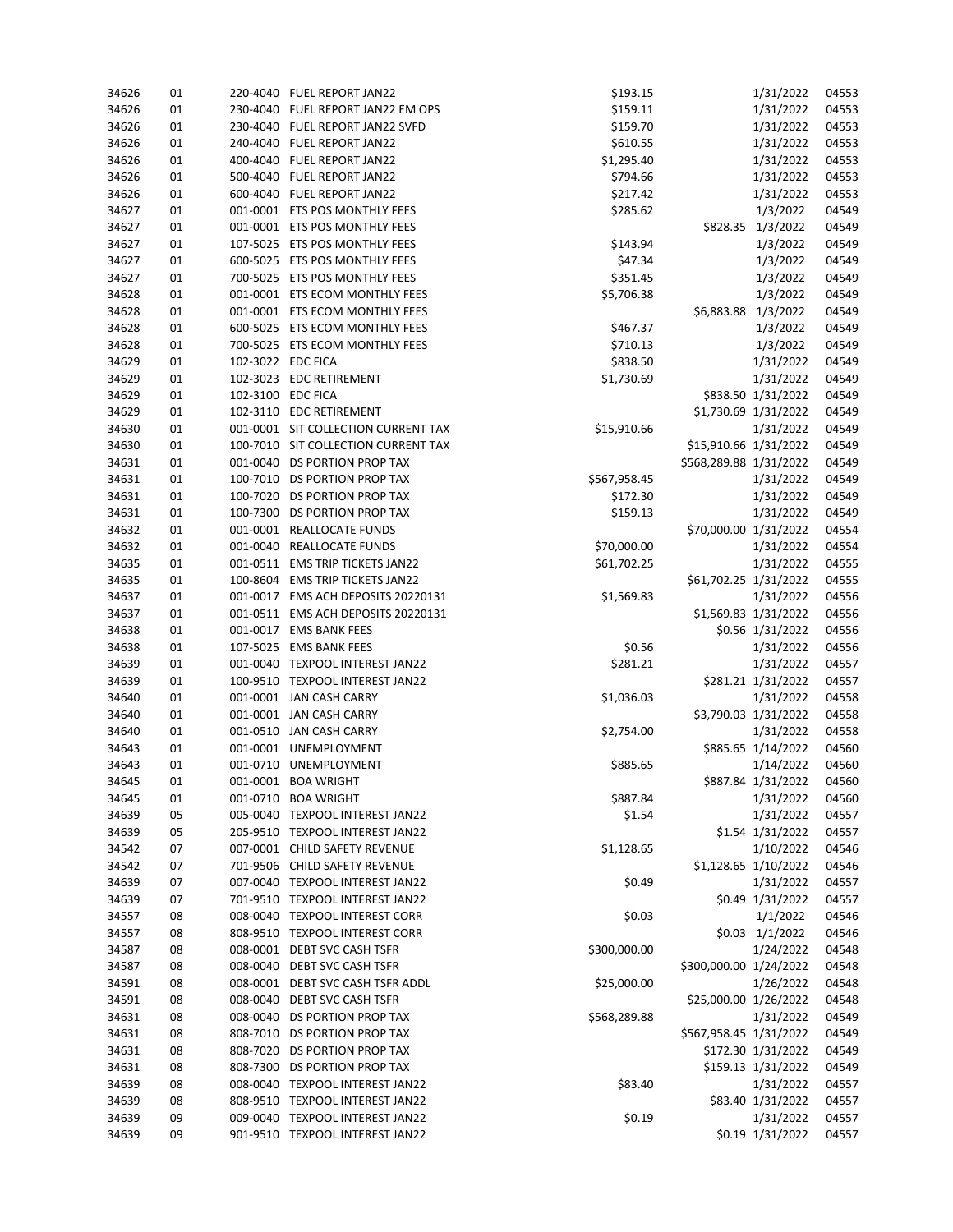| 34626 | 01 |                   | 220-4040 FUEL REPORT JAN22          | \$193.15     |                        | 1/31/2022            | 04553 |
|-------|----|-------------------|-------------------------------------|--------------|------------------------|----------------------|-------|
| 34626 | 01 |                   | 230-4040 FUEL REPORT JAN22 EM OPS   | \$159.11     |                        | 1/31/2022            | 04553 |
| 34626 | 01 |                   | 230-4040 FUEL REPORT JAN22 SVFD     | \$159.70     |                        | 1/31/2022            | 04553 |
| 34626 | 01 |                   | 240-4040 FUEL REPORT JAN22          | \$610.55     |                        | 1/31/2022            | 04553 |
| 34626 | 01 |                   | 400-4040 FUEL REPORT JAN22          | \$1,295.40   |                        | 1/31/2022            | 04553 |
| 34626 | 01 |                   | 500-4040 FUEL REPORT JAN22          | \$794.66     |                        | 1/31/2022            | 04553 |
| 34626 | 01 |                   | 600-4040 FUEL REPORT JAN22          | \$217.42     |                        | 1/31/2022            | 04553 |
| 34627 | 01 |                   | 001-0001 ETS POS MONTHLY FEES       | \$285.62     |                        | 1/3/2022             | 04549 |
| 34627 | 01 |                   | 001-0001 ETS POS MONTHLY FEES       |              |                        | \$828.35 1/3/2022    | 04549 |
| 34627 | 01 |                   | 107-5025 ETS POS MONTHLY FEES       | \$143.94     |                        | 1/3/2022             | 04549 |
| 34627 | 01 |                   | 600-5025 ETS POS MONTHLY FEES       | \$47.34      |                        | 1/3/2022             | 04549 |
| 34627 | 01 |                   | 700-5025 ETS POS MONTHLY FEES       | \$351.45     |                        | 1/3/2022             | 04549 |
| 34628 | 01 |                   | 001-0001 ETS ECOM MONTHLY FEES      | \$5,706.38   |                        | 1/3/2022             | 04549 |
| 34628 | 01 |                   | 001-0001 ETS ECOM MONTHLY FEES      |              | \$6,883.88 1/3/2022    |                      | 04549 |
| 34628 | 01 |                   | 600-5025 ETS ECOM MONTHLY FEES      | \$467.37     |                        | 1/3/2022             | 04549 |
| 34628 | 01 |                   | 700-5025 ETS ECOM MONTHLY FEES      | \$710.13     |                        | 1/3/2022             | 04549 |
| 34629 |    |                   |                                     |              |                        |                      | 04549 |
|       | 01 | 102-3022 EDC FICA |                                     | \$838.50     |                        | 1/31/2022            |       |
| 34629 | 01 |                   | 102-3023 EDC RETIREMENT             | \$1,730.69   |                        | 1/31/2022            | 04549 |
| 34629 | 01 | 102-3100 EDC FICA |                                     |              |                        | \$838.50 1/31/2022   | 04549 |
| 34629 | 01 |                   | 102-3110 EDC RETIREMENT             |              |                        | \$1,730.69 1/31/2022 | 04549 |
| 34630 | 01 |                   | 001-0001 SIT COLLECTION CURRENT TAX | \$15,910.66  |                        | 1/31/2022            | 04549 |
| 34630 | 01 |                   | 100-7010 SIT COLLECTION CURRENT TAX |              | \$15,910.66 1/31/2022  |                      | 04549 |
| 34631 | 01 |                   | 001-0040 DS PORTION PROP TAX        |              | \$568,289.88 1/31/2022 |                      | 04549 |
| 34631 | 01 |                   | 100-7010 DS PORTION PROP TAX        | \$567,958.45 |                        | 1/31/2022            | 04549 |
| 34631 | 01 |                   | 100-7020 DS PORTION PROP TAX        | \$172.30     |                        | 1/31/2022            | 04549 |
| 34631 | 01 |                   | 100-7300 DS PORTION PROP TAX        | \$159.13     |                        | 1/31/2022            | 04549 |
| 34632 | 01 |                   | 001-0001 REALLOCATE FUNDS           |              | \$70,000.00 1/31/2022  |                      | 04554 |
| 34632 | 01 |                   | 001-0040 REALLOCATE FUNDS           | \$70,000.00  |                        | 1/31/2022            | 04554 |
| 34635 | 01 |                   | 001-0511 EMS TRIP TICKETS JAN22     | \$61,702.25  |                        | 1/31/2022            | 04555 |
| 34635 | 01 |                   | 100-8604 EMS TRIP TICKETS JAN22     |              | \$61,702.25 1/31/2022  |                      | 04555 |
| 34637 | 01 |                   | 001-0017 EMS ACH DEPOSITS 20220131  | \$1,569.83   |                        | 1/31/2022            | 04556 |
| 34637 | 01 |                   | 001-0511 EMS ACH DEPOSITS 20220131  |              |                        | \$1,569.83 1/31/2022 | 04556 |
| 34638 | 01 |                   | 001-0017 EMS BANK FEES              |              |                        | \$0.56 1/31/2022     | 04556 |
| 34638 | 01 |                   | 107-5025 EMS BANK FEES              | \$0.56       |                        | 1/31/2022            | 04556 |
| 34639 | 01 |                   | 001-0040 TEXPOOL INTEREST JAN22     | \$281.21     |                        | 1/31/2022            | 04557 |
| 34639 | 01 |                   | 100-9510 TEXPOOL INTEREST JAN22     |              |                        | \$281.21 1/31/2022   | 04557 |
| 34640 | 01 |                   | 001-0001 JAN CASH CARRY             | \$1,036.03   |                        | 1/31/2022            | 04558 |
| 34640 | 01 |                   | 001-0001 JAN CASH CARRY             |              |                        | \$3,790.03 1/31/2022 | 04558 |
| 34640 | 01 |                   | 001-0510 JAN CASH CARRY             | \$2,754.00   |                        | 1/31/2022            | 04558 |
| 34643 | 01 |                   | 001-0001 UNEMPLOYMENT               |              |                        | \$885.65 1/14/2022   | 04560 |
| 34643 | 01 |                   | 001-0710 UNEMPLOYMENT               | \$885.65     |                        | 1/14/2022            | 04560 |
| 34645 | 01 |                   | 001-0001 BOA WRIGHT                 |              |                        | \$887.84 1/31/2022   | 04560 |
| 34645 | 01 |                   | 001-0710 BOA WRIGHT                 | \$887.84     |                        | 1/31/2022            | 04560 |
| 34639 | 05 |                   | 005-0040 TEXPOOL INTEREST JAN22     | \$1.54       |                        | 1/31/2022            | 04557 |
| 34639 | 05 |                   | 205-9510 TEXPOOL INTEREST JAN22     |              |                        | \$1.54 1/31/2022     | 04557 |
| 34542 | 07 |                   | 007-0001 CHILD SAFETY REVENUE       | \$1,128.65   |                        | 1/10/2022            | 04546 |
| 34542 | 07 |                   | 701-9506 CHILD SAFETY REVENUE       |              |                        | \$1,128.65 1/10/2022 | 04546 |
| 34639 | 07 |                   | 007-0040 TEXPOOL INTEREST JAN22     | \$0.49       |                        | 1/31/2022            | 04557 |
| 34639 | 07 |                   | 701-9510 TEXPOOL INTEREST JAN22     |              |                        | \$0.49 1/31/2022     | 04557 |
|       |    |                   | 008-0040 TEXPOOL INTEREST CORR      |              |                        | 1/1/2022             |       |
| 34557 | 08 |                   |                                     | \$0.03       |                        |                      | 04546 |
| 34557 | 08 |                   | 808-9510 TEXPOOL INTEREST CORR      |              |                        | \$0.03 1/1/2022      | 04546 |
| 34587 | 08 |                   | 008-0001 DEBT SVC CASH TSFR         | \$300,000.00 |                        | 1/24/2022            | 04548 |
| 34587 | 08 |                   | 008-0040 DEBT SVC CASH TSFR         |              | \$300,000.00 1/24/2022 |                      | 04548 |
| 34591 | 08 |                   | 008-0001 DEBT SVC CASH TSFR ADDL    | \$25,000.00  |                        | 1/26/2022            | 04548 |
| 34591 | 08 |                   | 008-0040 DEBT SVC CASH TSFR         |              | \$25,000.00 1/26/2022  |                      | 04548 |
| 34631 | 08 |                   | 008-0040 DS PORTION PROP TAX        | \$568,289.88 |                        | 1/31/2022            | 04549 |
| 34631 | 08 |                   | 808-7010 DS PORTION PROP TAX        |              | \$567,958.45 1/31/2022 |                      | 04549 |
| 34631 | 08 |                   | 808-7020 DS PORTION PROP TAX        |              |                        | \$172.30 1/31/2022   | 04549 |
| 34631 | 08 |                   | 808-7300 DS PORTION PROP TAX        |              |                        | \$159.13 1/31/2022   | 04549 |
| 34639 | 08 |                   | 008-0040 TEXPOOL INTEREST JAN22     | \$83.40      |                        | 1/31/2022            | 04557 |
| 34639 | 08 |                   | 808-9510 TEXPOOL INTEREST JAN22     |              |                        | \$83.40 1/31/2022    | 04557 |
| 34639 | 09 |                   | 009-0040 TEXPOOL INTEREST JAN22     | \$0.19       |                        | 1/31/2022            | 04557 |
| 34639 | 09 |                   | 901-9510 TEXPOOL INTEREST JAN22     |              |                        | \$0.19 1/31/2022     | 04557 |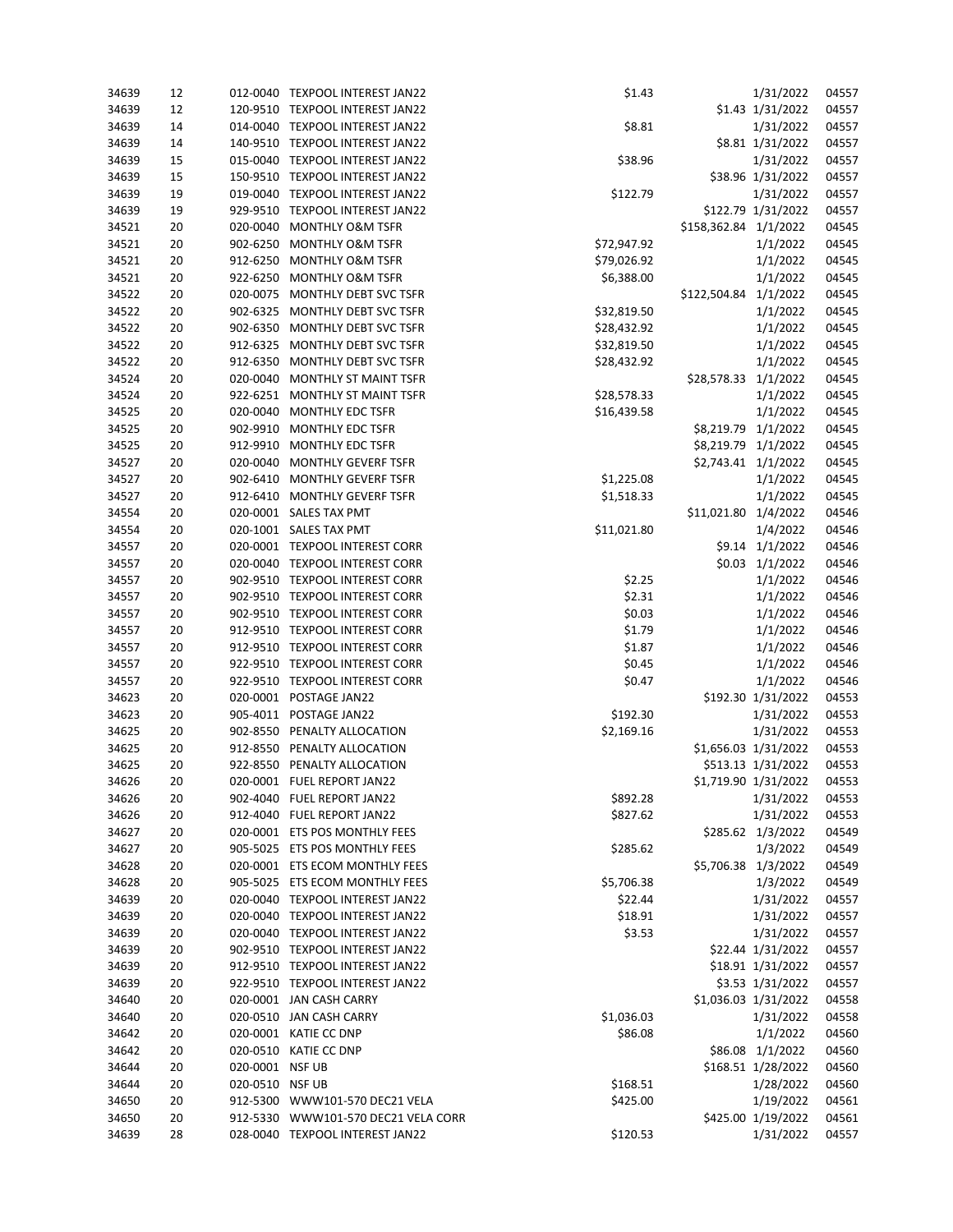| 34639 | 12 |                 | 012-0040 TEXPOOL INTEREST JAN22     | \$1.43      |                       | 1/31/2022            | 04557 |
|-------|----|-----------------|-------------------------------------|-------------|-----------------------|----------------------|-------|
| 34639 | 12 |                 | 120-9510 TEXPOOL INTEREST JAN22     |             |                       | \$1.43 1/31/2022     | 04557 |
| 34639 | 14 |                 | 014-0040 TEXPOOL INTEREST JAN22     | \$8.81      |                       | 1/31/2022            | 04557 |
| 34639 | 14 |                 | 140-9510 TEXPOOL INTEREST JAN22     |             |                       | \$8.81 1/31/2022     | 04557 |
| 34639 | 15 |                 | 015-0040 TEXPOOL INTEREST JAN22     | \$38.96     |                       | 1/31/2022            | 04557 |
| 34639 | 15 |                 | 150-9510 TEXPOOL INTEREST JAN22     |             |                       | \$38.96 1/31/2022    | 04557 |
| 34639 | 19 |                 | 019-0040 TEXPOOL INTEREST JAN22     | \$122.79    |                       | 1/31/2022            | 04557 |
| 34639 | 19 |                 | 929-9510 TEXPOOL INTEREST JAN22     |             |                       | \$122.79 1/31/2022   | 04557 |
| 34521 | 20 | 020-0040        | <b>MONTHLY O&amp;M TSFR</b>         |             | \$158,362.84 1/1/2022 |                      | 04545 |
| 34521 | 20 | 902-6250        | <b>MONTHLY O&amp;M TSFR</b>         | \$72,947.92 |                       | 1/1/2022             | 04545 |
| 34521 | 20 | 912-6250        | <b>MONTHLY O&amp;M TSFR</b>         | \$79,026.92 |                       | 1/1/2022             | 04545 |
| 34521 | 20 |                 | 922-6250 MONTHLY O&M TSFR           | \$6,388.00  |                       | 1/1/2022             | 04545 |
| 34522 | 20 |                 | 020-0075 MONTHLY DEBT SVC TSFR      |             | \$122,504.84 1/1/2022 |                      | 04545 |
| 34522 | 20 |                 | 902-6325 MONTHLY DEBT SVC TSFR      | \$32,819.50 |                       | 1/1/2022             | 04545 |
| 34522 | 20 | 902-6350        | MONTHLY DEBT SVC TSFR               | \$28,432.92 |                       | 1/1/2022             | 04545 |
| 34522 | 20 | 912-6325        | MONTHLY DEBT SVC TSFR               | \$32,819.50 |                       | 1/1/2022             | 04545 |
| 34522 | 20 |                 | 912-6350 MONTHLY DEBT SVC TSFR      | \$28,432.92 |                       | 1/1/2022             | 04545 |
| 34524 | 20 |                 | 020-0040 MONTHLY ST MAINT TSFR      |             | \$28,578.33 1/1/2022  |                      | 04545 |
| 34524 | 20 |                 | 922-6251 MONTHLY ST MAINT TSFR      | \$28,578.33 |                       | 1/1/2022             | 04545 |
| 34525 | 20 | 020-0040        | MONTHLY EDC TSFR                    | \$16,439.58 |                       | 1/1/2022             | 04545 |
| 34525 | 20 |                 | 902-9910 MONTHLY EDC TSFR           |             | \$8,219.79 1/1/2022   |                      | 04545 |
| 34525 | 20 |                 | 912-9910 MONTHLY EDC TSFR           |             | \$8,219.79 1/1/2022   |                      | 04545 |
| 34527 | 20 |                 | 020-0040 MONTHLY GEVERF TSFR        |             | \$2,743.41 1/1/2022   |                      | 04545 |
| 34527 | 20 | 902-6410        | <b>MONTHLY GEVERF TSFR</b>          | \$1,225.08  |                       | 1/1/2022             | 04545 |
| 34527 | 20 |                 | 912-6410 MONTHLY GEVERF TSFR        | \$1,518.33  |                       | 1/1/2022             | 04545 |
| 34554 | 20 |                 | 020-0001 SALES TAX PMT              |             | \$11,021.80 1/4/2022  |                      | 04546 |
| 34554 | 20 |                 | 020-1001 SALES TAX PMT              | \$11,021.80 |                       | 1/4/2022             | 04546 |
| 34557 | 20 |                 | 020-0001 TEXPOOL INTEREST CORR      |             |                       | \$9.14 1/1/2022      | 04546 |
| 34557 | 20 |                 | 020-0040 TEXPOOL INTEREST CORR      |             |                       | \$0.03 1/1/2022      | 04546 |
| 34557 | 20 |                 | 902-9510 TEXPOOL INTEREST CORR      | \$2.25      |                       | 1/1/2022             | 04546 |
| 34557 | 20 |                 | 902-9510 TEXPOOL INTEREST CORR      | \$2.31      |                       | 1/1/2022             | 04546 |
| 34557 | 20 |                 | 902-9510 TEXPOOL INTEREST CORR      | \$0.03      |                       | 1/1/2022             | 04546 |
| 34557 | 20 |                 | 912-9510 TEXPOOL INTEREST CORR      | \$1.79      |                       | 1/1/2022             | 04546 |
| 34557 | 20 |                 | 912-9510 TEXPOOL INTEREST CORR      | \$1.87      |                       | 1/1/2022             | 04546 |
| 34557 | 20 |                 | 922-9510 TEXPOOL INTEREST CORR      | \$0.45      |                       | 1/1/2022             | 04546 |
| 34557 | 20 |                 | 922-9510 TEXPOOL INTEREST CORR      | \$0.47      |                       | 1/1/2022             | 04546 |
| 34623 | 20 |                 | 020-0001 POSTAGE JAN22              |             |                       | \$192.30 1/31/2022   | 04553 |
| 34623 | 20 |                 | 905-4011 POSTAGE JAN22              | \$192.30    |                       | 1/31/2022            | 04553 |
| 34625 | 20 |                 | 902-8550 PENALTY ALLOCATION         | \$2,169.16  |                       | 1/31/2022            | 04553 |
| 34625 | 20 |                 | 912-8550 PENALTY ALLOCATION         |             |                       | \$1,656.03 1/31/2022 | 04553 |
| 34625 | 20 |                 | 922-8550 PENALTY ALLOCATION         |             |                       | \$513.13 1/31/2022   | 04553 |
| 34626 | 20 |                 | 020-0001 FUEL REPORT JAN22          |             |                       | \$1,719.90 1/31/2022 | 04553 |
| 34626 | 20 |                 | 902-4040 FUEL REPORT JAN22          | \$892.28    |                       | 1/31/2022            | 04553 |
| 34626 | 20 |                 | 912-4040 FUEL REPORT JAN22          | \$827.62    |                       | 1/31/2022            | 04553 |
| 34627 | 20 |                 | 020-0001 ETS POS MONTHLY FEES       |             |                       | \$285.62 1/3/2022    | 04549 |
| 34627 | 20 |                 | 905-5025 ETS POS MONTHLY FEES       | \$285.62    |                       | 1/3/2022             | 04549 |
| 34628 | 20 |                 | 020-0001 ETS ECOM MONTHLY FEES      |             |                       | \$5,706.38 1/3/2022  | 04549 |
| 34628 | 20 |                 | 905-5025 ETS ECOM MONTHLY FEES      | \$5,706.38  |                       | 1/3/2022             | 04549 |
| 34639 | 20 |                 | 020-0040 TEXPOOL INTEREST JAN22     | \$22.44     |                       | 1/31/2022            | 04557 |
| 34639 | 20 |                 | 020-0040 TEXPOOL INTEREST JAN22     | \$18.91     |                       | 1/31/2022            | 04557 |
| 34639 | 20 |                 | 020-0040 TEXPOOL INTEREST JAN22     | \$3.53      |                       | 1/31/2022            | 04557 |
| 34639 | 20 |                 | 902-9510 TEXPOOL INTEREST JAN22     |             |                       | \$22.44 1/31/2022    | 04557 |
| 34639 | 20 |                 | 912-9510 TEXPOOL INTEREST JAN22     |             |                       | \$18.91 1/31/2022    | 04557 |
| 34639 | 20 |                 | 922-9510 TEXPOOL INTEREST JAN22     |             |                       | \$3.53 1/31/2022     | 04557 |
| 34640 | 20 |                 | 020-0001 JAN CASH CARRY             |             |                       | \$1,036.03 1/31/2022 | 04558 |
| 34640 | 20 |                 | 020-0510 JAN CASH CARRY             | \$1,036.03  |                       | 1/31/2022            | 04558 |
| 34642 | 20 |                 | 020-0001 KATIE CC DNP               | \$86.08     |                       | 1/1/2022             | 04560 |
| 34642 | 20 |                 | 020-0510 KATIE CC DNP               |             |                       | \$86.08 1/1/2022     | 04560 |
| 34644 | 20 | 020-0001 NSF UB |                                     |             |                       | \$168.51 1/28/2022   | 04560 |
| 34644 | 20 | 020-0510 NSF UB |                                     | \$168.51    |                       | 1/28/2022            | 04560 |
| 34650 | 20 |                 | 912-5300 WWW101-570 DEC21 VELA      | \$425.00    |                       | 1/19/2022            | 04561 |
| 34650 | 20 |                 | 912-5330 WWW101-570 DEC21 VELA CORR |             |                       | \$425.00 1/19/2022   | 04561 |
| 34639 | 28 |                 | 028-0040 TEXPOOL INTEREST JAN22     | \$120.53    |                       | 1/31/2022            | 04557 |
|       |    |                 |                                     |             |                       |                      |       |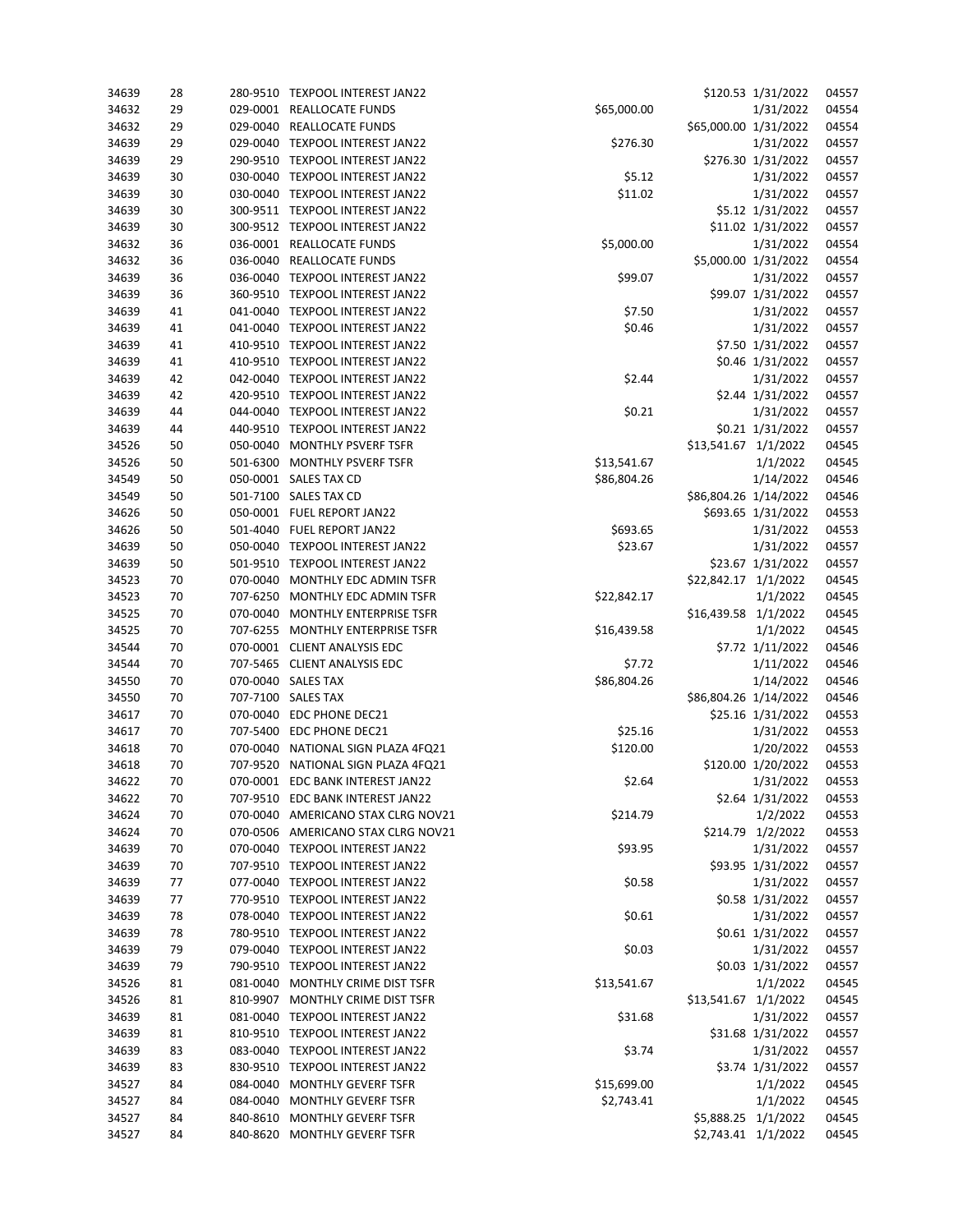| 34639 | 28 |          | 280-9510 TEXPOOL INTEREST JAN22    |             |                       | \$120.53 1/31/2022   | 04557 |
|-------|----|----------|------------------------------------|-------------|-----------------------|----------------------|-------|
| 34632 | 29 |          | 029-0001 REALLOCATE FUNDS          | \$65,000.00 |                       | 1/31/2022            | 04554 |
| 34632 | 29 |          | 029-0040 REALLOCATE FUNDS          |             | \$65,000.00 1/31/2022 |                      | 04554 |
| 34639 | 29 |          | 029-0040 TEXPOOL INTEREST JAN22    | \$276.30    |                       | 1/31/2022            | 04557 |
| 34639 | 29 |          | 290-9510 TEXPOOL INTEREST JAN22    |             |                       | \$276.30 1/31/2022   | 04557 |
| 34639 | 30 |          | 030-0040 TEXPOOL INTEREST JAN22    | \$5.12      |                       | 1/31/2022            | 04557 |
| 34639 | 30 |          | 030-0040 TEXPOOL INTEREST JAN22    | \$11.02     |                       | 1/31/2022            | 04557 |
| 34639 | 30 |          | 300-9511 TEXPOOL INTEREST JAN22    |             |                       | \$5.12 1/31/2022     | 04557 |
| 34639 | 30 |          | 300-9512 TEXPOOL INTEREST JAN22    |             |                       | \$11.02 1/31/2022    | 04557 |
| 34632 | 36 |          | 036-0001 REALLOCATE FUNDS          | \$5,000.00  |                       | 1/31/2022            | 04554 |
| 34632 | 36 |          | 036-0040 REALLOCATE FUNDS          |             |                       | \$5,000.00 1/31/2022 | 04554 |
| 34639 | 36 |          | 036-0040 TEXPOOL INTEREST JAN22    | \$99.07     |                       | 1/31/2022            | 04557 |
| 34639 | 36 |          | 360-9510 TEXPOOL INTEREST JAN22    |             |                       | \$99.07 1/31/2022    | 04557 |
| 34639 | 41 |          | 041-0040 TEXPOOL INTEREST JAN22    | \$7.50      |                       | 1/31/2022            | 04557 |
| 34639 | 41 |          | 041-0040 TEXPOOL INTEREST JAN22    | \$0.46      |                       | 1/31/2022            | 04557 |
| 34639 | 41 |          | 410-9510 TEXPOOL INTEREST JAN22    |             |                       | \$7.50 1/31/2022     | 04557 |
| 34639 | 41 |          | 410-9510 TEXPOOL INTEREST JAN22    |             |                       | \$0.46 1/31/2022     | 04557 |
| 34639 | 42 |          | 042-0040 TEXPOOL INTEREST JAN22    | \$2.44      |                       | 1/31/2022            | 04557 |
| 34639 | 42 |          | 420-9510 TEXPOOL INTEREST JAN22    |             |                       | \$2.44 1/31/2022     | 04557 |
| 34639 | 44 |          | 044-0040 TEXPOOL INTEREST JAN22    |             |                       | 1/31/2022            | 04557 |
| 34639 |    |          | 440-9510 TEXPOOL INTEREST JAN22    | \$0.21      |                       | \$0.21 1/31/2022     | 04557 |
| 34526 | 44 |          |                                    |             |                       |                      | 04545 |
|       | 50 |          | 050-0040 MONTHLY PSVERF TSFR       |             | \$13,541.67 1/1/2022  |                      |       |
| 34526 | 50 |          | 501-6300 MONTHLY PSVERF TSFR       | \$13,541.67 |                       | 1/1/2022             | 04545 |
| 34549 | 50 |          | 050-0001 SALES TAX CD              | \$86,804.26 |                       | 1/14/2022            | 04546 |
| 34549 | 50 |          | 501-7100 SALES TAX CD              |             | \$86,804.26 1/14/2022 |                      | 04546 |
| 34626 | 50 |          | 050-0001 FUEL REPORT JAN22         |             |                       | \$693.65 1/31/2022   | 04553 |
| 34626 | 50 |          | 501-4040 FUEL REPORT JAN22         | \$693.65    |                       | 1/31/2022            | 04553 |
| 34639 | 50 |          | 050-0040 TEXPOOL INTEREST JAN22    | \$23.67     |                       | 1/31/2022            | 04557 |
| 34639 | 50 |          | 501-9510 TEXPOOL INTEREST JAN22    |             |                       | \$23.67 1/31/2022    | 04557 |
| 34523 | 70 |          | 070-0040 MONTHLY EDC ADMIN TSFR    |             | \$22,842.17 1/1/2022  |                      | 04545 |
| 34523 | 70 | 707-6250 | MONTHLY EDC ADMIN TSFR             | \$22,842.17 |                       | 1/1/2022             | 04545 |
| 34525 | 70 |          | 070-0040 MONTHLY ENTERPRISE TSFR   |             | \$16,439.58 1/1/2022  |                      | 04545 |
| 34525 | 70 | 707-6255 | MONTHLY ENTERPRISE TSFR            | \$16,439.58 |                       | 1/1/2022             | 04545 |
| 34544 | 70 |          | 070-0001 CLIENT ANALYSIS EDC       |             |                       | \$7.72 1/11/2022     | 04546 |
| 34544 | 70 |          | 707-5465 CLIENT ANALYSIS EDC       | \$7.72      |                       | 1/11/2022            | 04546 |
| 34550 | 70 |          | 070-0040 SALES TAX                 | \$86,804.26 |                       | 1/14/2022            | 04546 |
| 34550 | 70 |          | 707-7100 SALES TAX                 |             | \$86,804.26 1/14/2022 |                      | 04546 |
| 34617 | 70 |          | 070-0040 EDC PHONE DEC21           |             |                       | \$25.16 1/31/2022    | 04553 |
| 34617 | 70 |          | 707-5400 EDC PHONE DEC21           | \$25.16     |                       | 1/31/2022            | 04553 |
| 34618 | 70 |          | 070-0040 NATIONAL SIGN PLAZA 4FQ21 | \$120.00    |                       | 1/20/2022            | 04553 |
| 34618 | 70 |          | 707-9520 NATIONAL SIGN PLAZA 4FQ21 |             |                       | \$120.00 1/20/2022   | 04553 |
| 34622 | 70 |          | 070-0001 EDC BANK INTEREST JAN22   | \$2.64      |                       | 1/31/2022            | 04553 |
| 34622 | 70 |          | 707-9510 EDC BANK INTEREST JAN22   |             |                       | \$2.64 1/31/2022     | 04553 |
| 34624 | 70 |          | 070-0040 AMERICANO STAX CLRG NOV21 | \$214.79    |                       | 1/2/2022             | 04553 |
| 34624 | 70 |          | 070-0506 AMERICANO STAX CLRG NOV21 |             |                       | \$214.79 1/2/2022    | 04553 |
| 34639 | 70 |          | 070-0040 TEXPOOL INTEREST JAN22    | \$93.95     |                       | 1/31/2022            | 04557 |
| 34639 | 70 |          | 707-9510 TEXPOOL INTEREST JAN22    |             |                       | \$93.95 1/31/2022    | 04557 |
| 34639 | 77 |          | 077-0040 TEXPOOL INTEREST JAN22    | \$0.58      |                       | 1/31/2022            | 04557 |
| 34639 | 77 |          | 770-9510 TEXPOOL INTEREST JAN22    |             |                       | \$0.58 1/31/2022     | 04557 |
| 34639 | 78 |          | 078-0040 TEXPOOL INTEREST JAN22    | \$0.61      |                       | 1/31/2022            | 04557 |
| 34639 | 78 |          | 780-9510 TEXPOOL INTEREST JAN22    |             |                       | \$0.61 1/31/2022     | 04557 |
| 34639 | 79 |          | 079-0040 TEXPOOL INTEREST JAN22    | \$0.03      |                       | 1/31/2022            | 04557 |
| 34639 | 79 |          | 790-9510 TEXPOOL INTEREST JAN22    |             |                       | \$0.03 1/31/2022     | 04557 |
| 34526 | 81 |          | 081-0040 MONTHLY CRIME DIST TSFR   | \$13,541.67 |                       | 1/1/2022             | 04545 |
| 34526 | 81 |          | 810-9907 MONTHLY CRIME DIST TSFR   |             | \$13,541.67 1/1/2022  |                      | 04545 |
| 34639 | 81 |          | 081-0040 TEXPOOL INTEREST JAN22    | \$31.68     |                       | 1/31/2022            | 04557 |
| 34639 | 81 |          | 810-9510 TEXPOOL INTEREST JAN22    |             |                       | \$31.68 1/31/2022    | 04557 |
| 34639 | 83 |          | 083-0040 TEXPOOL INTEREST JAN22    | \$3.74      |                       | 1/31/2022            | 04557 |
| 34639 | 83 |          | 830-9510 TEXPOOL INTEREST JAN22    |             |                       | \$3.74 1/31/2022     | 04557 |
| 34527 | 84 |          | 084-0040 MONTHLY GEVERF TSFR       | \$15,699.00 |                       | 1/1/2022             | 04545 |
| 34527 | 84 |          | 084-0040 MONTHLY GEVERF TSFR       | \$2,743.41  |                       | 1/1/2022             | 04545 |
| 34527 | 84 |          | 840-8610 MONTHLY GEVERF TSFR       |             | \$5,888.25 1/1/2022   |                      | 04545 |
| 34527 | 84 |          | 840-8620 MONTHLY GEVERF TSFR       |             | \$2,743.41 1/1/2022   |                      | 04545 |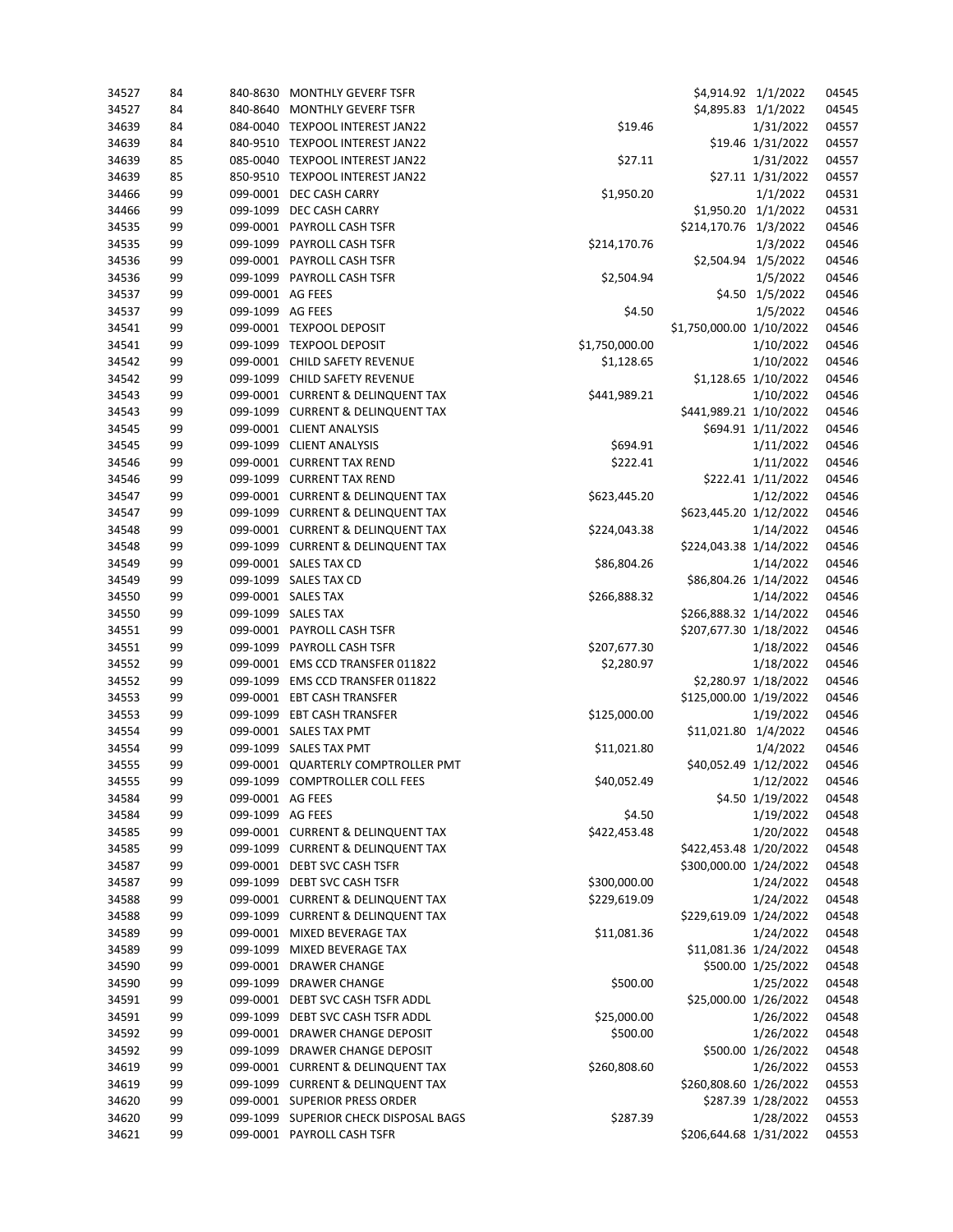| 34527 | 84 |                  | 840-8630 MONTHLY GEVERF TSFR          |                | \$4,914.92 1/1/2022      |                      | 04545 |
|-------|----|------------------|---------------------------------------|----------------|--------------------------|----------------------|-------|
| 34527 | 84 | 840-8640         | MONTHLY GEVERF TSFR                   |                | \$4,895.83 1/1/2022      |                      | 04545 |
| 34639 | 84 |                  | 084-0040 TEXPOOL INTEREST JAN22       | \$19.46        |                          | 1/31/2022            | 04557 |
| 34639 | 84 |                  | 840-9510 TEXPOOL INTEREST JAN22       |                |                          | \$19.46 1/31/2022    | 04557 |
| 34639 | 85 |                  | 085-0040 TEXPOOL INTEREST JAN22       | \$27.11        |                          | 1/31/2022            | 04557 |
| 34639 | 85 |                  | 850-9510 TEXPOOL INTEREST JAN22       |                |                          | \$27.11 1/31/2022    | 04557 |
| 34466 | 99 |                  | 099-0001 DEC CASH CARRY               | \$1,950.20     |                          | 1/1/2022             | 04531 |
| 34466 | 99 |                  | 099-1099 DEC CASH CARRY               |                |                          | \$1,950.20 1/1/2022  | 04531 |
| 34535 | 99 |                  | 099-0001 PAYROLL CASH TSFR            |                | \$214,170.76 1/3/2022    |                      | 04546 |
| 34535 | 99 |                  | 099-1099 PAYROLL CASH TSFR            | \$214,170.76   |                          | 1/3/2022             | 04546 |
| 34536 | 99 |                  | 099-0001 PAYROLL CASH TSFR            |                | \$2,504.94 1/5/2022      |                      | 04546 |
| 34536 | 99 |                  | 099-1099 PAYROLL CASH TSFR            | \$2,504.94     |                          | 1/5/2022             | 04546 |
| 34537 | 99 | 099-0001 AG FEES |                                       |                |                          | \$4.50 1/5/2022      | 04546 |
| 34537 | 99 | 099-1099 AG FEES |                                       | \$4.50         |                          | 1/5/2022             | 04546 |
| 34541 | 99 |                  | 099-0001 TEXPOOL DEPOSIT              |                | \$1,750,000.00 1/10/2022 |                      | 04546 |
| 34541 | 99 |                  | 099-1099 TEXPOOL DEPOSIT              | \$1,750,000.00 |                          | 1/10/2022            | 04546 |
| 34542 | 99 |                  | 099-0001 CHILD SAFETY REVENUE         | \$1,128.65     |                          | 1/10/2022            | 04546 |
| 34542 | 99 |                  | 099-1099 CHILD SAFETY REVENUE         |                |                          | \$1,128.65 1/10/2022 | 04546 |
| 34543 | 99 |                  | 099-0001 CURRENT & DELINQUENT TAX     | \$441,989.21   |                          | 1/10/2022            | 04546 |
| 34543 | 99 |                  | 099-1099 CURRENT & DELINQUENT TAX     |                | \$441,989.21 1/10/2022   |                      | 04546 |
| 34545 | 99 |                  | 099-0001 CLIENT ANALYSIS              |                |                          | \$694.91 1/11/2022   | 04546 |
| 34545 | 99 |                  | 099-1099 CLIENT ANALYSIS              | \$694.91       |                          | 1/11/2022            | 04546 |
| 34546 | 99 |                  | 099-0001 CURRENT TAX REND             | \$222.41       |                          | 1/11/2022            | 04546 |
| 34546 | 99 |                  | 099-1099 CURRENT TAX REND             |                |                          | \$222.41 1/11/2022   | 04546 |
| 34547 | 99 |                  | 099-0001 CURRENT & DELINQUENT TAX     | \$623,445.20   |                          | 1/12/2022            | 04546 |
| 34547 | 99 |                  | 099-1099 CURRENT & DELINQUENT TAX     |                | \$623,445.20 1/12/2022   |                      | 04546 |
| 34548 | 99 |                  | 099-0001 CURRENT & DELINQUENT TAX     | \$224,043.38   |                          | 1/14/2022            | 04546 |
| 34548 | 99 |                  | 099-1099 CURRENT & DELINQUENT TAX     |                | \$224,043.38 1/14/2022   |                      | 04546 |
| 34549 | 99 |                  | 099-0001 SALES TAX CD                 | \$86,804.26    |                          | 1/14/2022            | 04546 |
| 34549 | 99 |                  | 099-1099 SALES TAX CD                 |                | \$86,804.26 1/14/2022    |                      | 04546 |
| 34550 | 99 |                  | 099-0001 SALES TAX                    | \$266,888.32   |                          | 1/14/2022            | 04546 |
| 34550 | 99 |                  | 099-1099 SALES TAX                    |                | \$266,888.32 1/14/2022   |                      | 04546 |
| 34551 | 99 |                  | 099-0001 PAYROLL CASH TSFR            |                | \$207,677.30 1/18/2022   |                      | 04546 |
| 34551 | 99 |                  | 099-1099 PAYROLL CASH TSFR            | \$207,677.30   |                          | 1/18/2022            | 04546 |
| 34552 | 99 |                  | 099-0001 EMS CCD TRANSFER 011822      | \$2,280.97     |                          | 1/18/2022            | 04546 |
| 34552 | 99 |                  | 099-1099 EMS CCD TRANSFER 011822      |                |                          | \$2,280.97 1/18/2022 | 04546 |
| 34553 | 99 |                  | 099-0001 EBT CASH TRANSFER            |                | \$125,000.00 1/19/2022   |                      | 04546 |
| 34553 | 99 |                  | 099-1099 EBT CASH TRANSFER            | \$125,000.00   |                          | 1/19/2022            | 04546 |
| 34554 | 99 |                  | 099-0001 SALES TAX PMT                |                | \$11,021.80 1/4/2022     |                      | 04546 |
| 34554 | 99 |                  | 099-1099 SALES TAX PMT                | \$11,021.80    |                          | 1/4/2022             | 04546 |
| 34555 | 99 |                  | 099-0001 QUARTERLY COMPTROLLER PMT    |                | \$40,052.49 1/12/2022    |                      | 04546 |
| 34555 | 99 |                  | 099-1099 COMPTROLLER COLL FEES        | \$40,052.49    |                          | 1/12/2022            | 04546 |
| 34584 | 99 | 099-0001 AG FEES |                                       |                |                          | \$4.50 1/19/2022     | 04548 |
| 34584 | 99 | 099-1099 AG FEES |                                       | \$4.50         |                          | 1/19/2022            | 04548 |
| 34585 | 99 |                  | 099-0001 CURRENT & DELINQUENT TAX     | \$422,453.48   |                          | 1/20/2022            | 04548 |
| 34585 | 99 |                  | 099-1099 CURRENT & DELINQUENT TAX     |                | \$422,453.48 1/20/2022   |                      | 04548 |
| 34587 | 99 |                  | 099-0001 DEBT SVC CASH TSFR           |                | \$300,000.00 1/24/2022   |                      | 04548 |
| 34587 | 99 |                  | 099-1099 DEBT SVC CASH TSFR           | \$300,000.00   |                          | 1/24/2022            | 04548 |
| 34588 | 99 |                  | 099-0001 CURRENT & DELINQUENT TAX     | \$229,619.09   |                          | 1/24/2022            | 04548 |
| 34588 | 99 |                  | 099-1099 CURRENT & DELINQUENT TAX     |                | \$229,619.09 1/24/2022   |                      | 04548 |
| 34589 | 99 |                  | 099-0001 MIXED BEVERAGE TAX           | \$11,081.36    |                          | 1/24/2022            | 04548 |
| 34589 | 99 |                  | 099-1099 MIXED BEVERAGE TAX           |                | \$11,081.36 1/24/2022    |                      | 04548 |
| 34590 | 99 |                  | 099-0001 DRAWER CHANGE                |                |                          | \$500.00 1/25/2022   | 04548 |
| 34590 | 99 |                  | 099-1099 DRAWER CHANGE                | \$500.00       |                          | 1/25/2022            | 04548 |
| 34591 | 99 |                  | 099-0001 DEBT SVC CASH TSFR ADDL      |                | \$25,000.00 1/26/2022    |                      | 04548 |
| 34591 | 99 |                  | 099-1099 DEBT SVC CASH TSFR ADDL      | \$25,000.00    |                          | 1/26/2022            | 04548 |
| 34592 | 99 |                  | 099-0001 DRAWER CHANGE DEPOSIT        | \$500.00       |                          | 1/26/2022            | 04548 |
| 34592 | 99 |                  | 099-1099 DRAWER CHANGE DEPOSIT        |                |                          | \$500.00 1/26/2022   | 04548 |
| 34619 | 99 |                  | 099-0001 CURRENT & DELINQUENT TAX     | \$260,808.60   |                          | 1/26/2022            | 04553 |
| 34619 | 99 |                  | 099-1099 CURRENT & DELINQUENT TAX     |                | \$260,808.60 1/26/2022   |                      | 04553 |
| 34620 | 99 |                  | 099-0001 SUPERIOR PRESS ORDER         |                |                          | \$287.39 1/28/2022   | 04553 |
| 34620 | 99 |                  | 099-1099 SUPERIOR CHECK DISPOSAL BAGS | \$287.39       |                          | 1/28/2022            | 04553 |
| 34621 | 99 |                  | 099-0001 PAYROLL CASH TSFR            |                | \$206,644.68 1/31/2022   |                      | 04553 |
|       |    |                  |                                       |                |                          |                      |       |